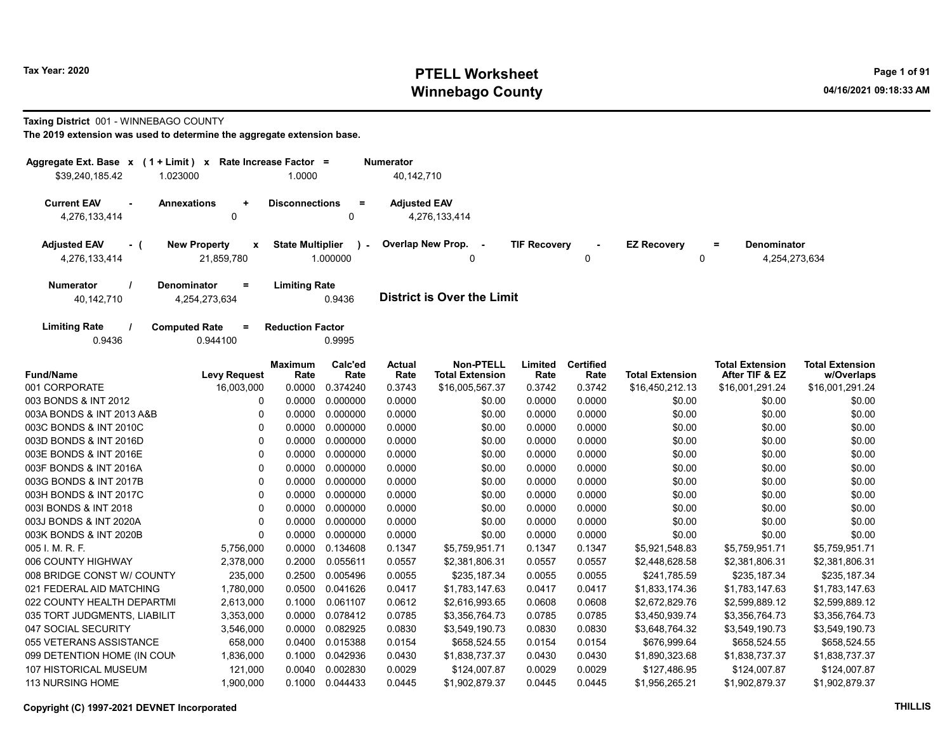#### Taxing District 001 - WINNEBAGO COUNTY

| Aggregate Ext. Base x (1 + Limit) x | Rate Increase Factor =                          |                         |                         | <b>Numerator</b>    |                                            |                     |                          |                        |                                          |                                      |
|-------------------------------------|-------------------------------------------------|-------------------------|-------------------------|---------------------|--------------------------------------------|---------------------|--------------------------|------------------------|------------------------------------------|--------------------------------------|
| \$39,240,185.42<br>1.023000         |                                                 | 1.0000                  |                         | 40,142,710          |                                            |                     |                          |                        |                                          |                                      |
| <b>Current EAV</b><br>4,276,133,414 | <b>Annexations</b><br>$\ddot{}$<br>0            | <b>Disconnections</b>   | $\equiv$<br>$\mathbf 0$ | <b>Adjusted EAV</b> | 4,276,133,414                              |                     |                          |                        |                                          |                                      |
| <b>Adjusted EAV</b><br>- (          | <b>New Property</b><br>x                        | <b>State Multiplier</b> |                         |                     | Overlap New Prop.<br>$\sim$                | <b>TIF Recovery</b> |                          | <b>EZ Recovery</b>     | <b>Denominator</b><br>Ξ                  |                                      |
| 4,276,133,414                       | 21,859,780                                      |                         | 1.000000                |                     | U                                          |                     | 0                        | 0                      | 4,254,273,634                            |                                      |
| <b>Numerator</b><br>40,142,710      | <b>Denominator</b><br>$\equiv$<br>4,254,273,634 | <b>Limiting Rate</b>    | 0.9436                  |                     | <b>District is Over the Limit</b>          |                     |                          |                        |                                          |                                      |
| <b>Limiting Rate</b><br>0.9436      | <b>Computed Rate</b><br>$=$<br>0.944100         | <b>Reduction Factor</b> | 0.9995                  |                     |                                            |                     |                          |                        |                                          |                                      |
| <b>Fund/Name</b>                    | <b>Levy Request</b>                             | <b>Maximum</b><br>Rate  | Calc'ed<br>Rate         | Actual<br>Rate      | <b>Non-PTELL</b><br><b>Total Extension</b> | Limited<br>Rate     | <b>Certified</b><br>Rate | <b>Total Extension</b> | <b>Total Extension</b><br>After TIF & EZ | <b>Total Extension</b><br>w/Overlaps |
| 001 CORPORATE                       | 16,003,000                                      | 0.0000                  | 0.374240                | 0.3743              | \$16,005,567.37                            | 0.3742              | 0.3742                   | \$16,450,212.13        | \$16,001,291.24                          | \$16,001,291.24                      |
| 003 BONDS & INT 2012                | 0                                               | 0.0000                  | 0.000000                | 0.0000              | \$0.00                                     | 0.0000              | 0.0000                   | \$0.00                 | \$0.00                                   | \$0.00                               |
| 003A BONDS & INT 2013 A&B           | 0                                               | 0.0000                  | 0.000000                | 0.0000              | \$0.00                                     | 0.0000              | 0.0000                   | \$0.00                 | \$0.00                                   | \$0.00                               |
| 003C BONDS & INT 2010C              | $\mathbf 0$                                     | 0.0000                  | 0.000000                | 0.0000              | \$0.00                                     | 0.0000              | 0.0000                   | \$0.00                 | \$0.00                                   | \$0.00                               |
| 003D BONDS & INT 2016D              | $\Omega$                                        | 0.0000                  | 0.000000                | 0.0000              | \$0.00                                     | 0.0000              | 0.0000                   | \$0.00                 | \$0.00                                   | \$0.00                               |
| 003E BONDS & INT 2016E              | $\Omega$                                        | 0.0000                  | 0.000000                | 0.0000              | \$0.00                                     | 0.0000              | 0.0000                   | \$0.00                 | \$0.00                                   | \$0.00                               |
| 003F BONDS & INT 2016A              | $\Omega$                                        |                         | 0.0000 0.000000         | 0.0000              | \$0.00                                     | 0.0000              | 0.0000                   | \$0.00                 | \$0.00                                   | \$0.00                               |
| 003G BONDS & INT 2017B              | $\mathbf 0$                                     | 0.0000                  | 0.000000                | 0.0000              | \$0.00                                     | 0.0000              | 0.0000                   | \$0.00                 | \$0.00                                   | \$0.00                               |
| 003H BONDS & INT 2017C              | $\mathbf 0$                                     | 0.0000                  | 0.000000                | 0.0000              | \$0.00                                     | 0.0000              | 0.0000                   | \$0.00                 | \$0.00                                   | \$0.00                               |
| 003I BONDS & INT 2018               | 0                                               | 0.0000                  | 0.000000                | 0.0000              | \$0.00                                     | 0.0000              | 0.0000                   | \$0.00                 | \$0.00                                   | \$0.00                               |
| 003J BONDS & INT 2020A              | $\mathbf 0$                                     | 0.0000                  | 0.000000                | 0.0000              | \$0.00                                     | 0.0000              | 0.0000                   | \$0.00                 | \$0.00                                   | \$0.00                               |
| 003K BONDS & INT 2020B              | $\Omega$                                        | 0.0000                  | 0.000000                | 0.0000              | \$0.00                                     | 0.0000              | 0.0000                   | \$0.00                 | \$0.00                                   | \$0.00                               |
| 005 I. M. R. F.                     | 5,756,000                                       | 0.0000                  | 0.134608                | 0.1347              | \$5,759,951.71                             | 0.1347              | 0.1347                   | \$5,921,548.83         | \$5,759,951.71                           | \$5,759,951.71                       |
| 006 COUNTY HIGHWAY                  | 2,378,000                                       | 0.2000                  | 0.055611                | 0.0557              | \$2,381,806.31                             | 0.0557              | 0.0557                   | \$2,448,628.58         | \$2,381,806.31                           | \$2,381,806.31                       |
| 008 BRIDGE CONST W/ COUNTY          | 235,000                                         | 0.2500                  | 0.005496                | 0.0055              | \$235,187.34                               | 0.0055              | 0.0055                   | \$241,785.59           | \$235,187.34                             | \$235,187.34                         |
| 021 FEDERAL AID MATCHING            | 1,780,000                                       | 0.0500                  | 0.041626                | 0.0417              | \$1,783,147.63                             | 0.0417              | 0.0417                   | \$1,833,174.36         | \$1,783,147.63                           | \$1,783,147.63                       |
| 022 COUNTY HEALTH DEPARTMI          | 2,613,000                                       | 0.1000                  | 0.061107                | 0.0612              | \$2,616,993.65                             | 0.0608              | 0.0608                   | \$2,672,829.76         | \$2,599,889.12                           | \$2,599,889.12                       |
| 035 TORT JUDGMENTS, LIABILIT        | 3,353,000                                       | 0.0000                  | 0.078412                | 0.0785              | \$3,356,764.73                             | 0.0785              | 0.0785                   | \$3,450,939.74         | \$3,356,764.73                           | \$3,356,764.73                       |
| 047 SOCIAL SECURITY                 | 3,546,000                                       | 0.0000                  | 0.082925                | 0.0830              | \$3,549,190.73                             | 0.0830              | 0.0830                   | \$3,648,764.32         | \$3,549,190.73                           | \$3,549,190.73                       |
| 055 VETERANS ASSISTANCE             | 658,000                                         | 0.0400                  | 0.015388                | 0.0154              | \$658,524.55                               | 0.0154              | 0.0154                   | \$676,999.64           | \$658,524.55                             | \$658,524.55                         |
| 099 DETENTION HOME (IN COUN         | 1,836,000                                       | 0.1000                  | 0.042936                | 0.0430              | \$1,838,737.37                             | 0.0430              | 0.0430                   | \$1,890,323.68         | \$1,838,737.37                           | \$1,838,737.37                       |
| 107 HISTORICAL MUSEUM               | 121,000                                         | 0.0040                  | 0.002830                | 0.0029              | \$124,007.87                               | 0.0029              | 0.0029                   | \$127,486.95           | \$124,007.87                             | \$124,007.87                         |
| 113 NURSING HOME                    | 1,900,000                                       |                         | 0.1000 0.044433         | 0.0445              | \$1,902,879.37                             | 0.0445              | 0.0445                   | \$1,956,265.21         | \$1,902,879.37                           | \$1,902,879.37                       |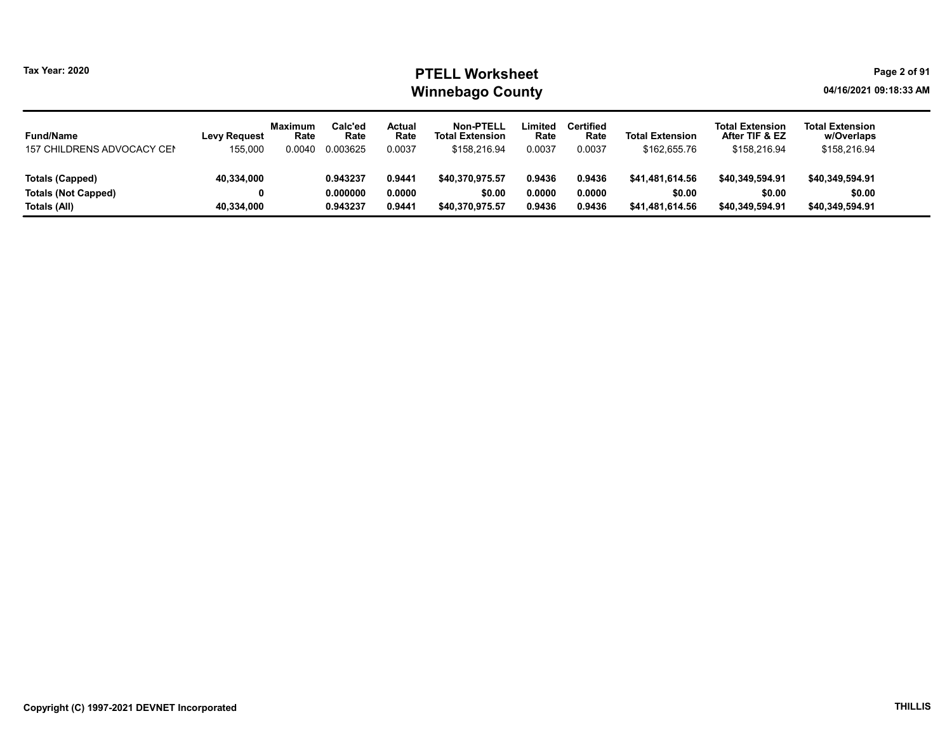| <b>Fund/Name</b><br>157 CHILDRENS ADVOCACY CEN | <b>Levy Request</b><br>155,000 | <b>Maximum</b><br>Rate<br>0.0040 | Calc'ed<br>Rate<br>0.003625 | Actual<br>Rate<br>0.0037 | <b>Non-PTELL</b><br><b>Total Extension</b><br>\$158,216.94 | Limited<br>Rate<br>0.0037 | <b>Certified</b><br>Rate<br>0.0037 | <b>Total Extension</b><br>\$162,655.76 | <b>Total Extension</b><br>After TIF & EZ<br>\$158,216.94 | <b>Total Extension</b><br>w/Overlaps<br>\$158,216.94 |
|------------------------------------------------|--------------------------------|----------------------------------|-----------------------------|--------------------------|------------------------------------------------------------|---------------------------|------------------------------------|----------------------------------------|----------------------------------------------------------|------------------------------------------------------|
| Totals (Capped)                                | 40,334,000                     |                                  | 0.943237                    | 0.9441                   | \$40.370.975.57                                            | 0.9436                    | 0.9436                             | \$41.481.614.56                        | \$40.349.594.91                                          | \$40.349.594.91                                      |
| <b>Totals (Not Capped)</b>                     | 0                              |                                  | 0.000000                    | 0.0000                   | \$0.00                                                     | 0.0000                    | 0.0000                             | \$0.00                                 | \$0.00                                                   | \$0.00                                               |
| Totals (All)                                   | 40,334,000                     |                                  | 0.943237                    | 0.9441                   | \$40.370.975.57                                            | 0.9436                    | 0.9436                             | \$41.481.614.56                        | \$40.349.594.91                                          | \$40,349,594.91                                      |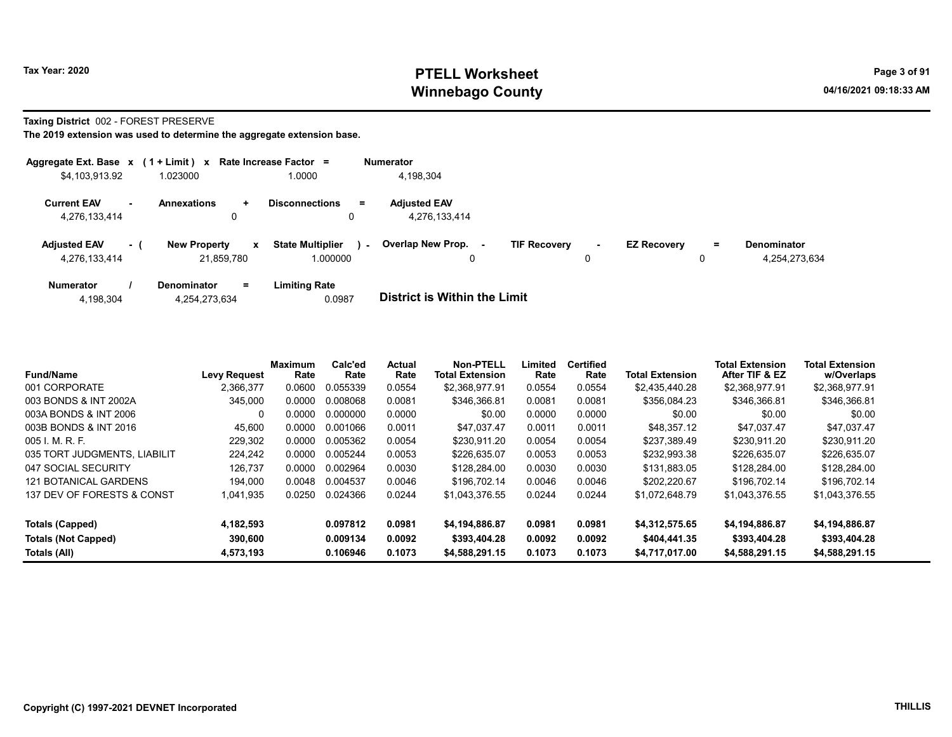#### Taxing District 002 - FOREST PRESERVE

| Aggregate Ext. Base $x$ (1 + Limit) x Rate Increase Factor = |         |                                   |            |                                     |        | <b>Numerator</b>                     |                     |        |                    |         |                                     |
|--------------------------------------------------------------|---------|-----------------------------------|------------|-------------------------------------|--------|--------------------------------------|---------------------|--------|--------------------|---------|-------------------------------------|
| \$4,103,913.92                                               |         | 1.023000                          |            | 1.0000                              |        | 4,198,304                            |                     |        |                    |         |                                     |
| <b>Current EAV</b><br>4,276,133,414                          | . н. н. | <b>Annexations</b>                | $\pm$<br>0 | <b>Disconnections</b>               | Ξ.     | <b>Adjusted EAV</b><br>4,276,133,414 |                     |        |                    |         |                                     |
| <b>Adjusted EAV</b><br>4,276,133,414                         | $-1$    | <b>New Property</b><br>21,859,780 | x          | <b>State Multiplier</b><br>1.000000 | $\sim$ | <b>Overlap New Prop.</b><br>0        | <b>TIF Recovery</b> | $\sim$ | <b>EZ Recovery</b> | Ξ.<br>υ | <b>Denominator</b><br>4,254,273,634 |
| <b>Numerator</b>                                             |         | Denominator                       | $=$        | Limiting Rate                       |        |                                      |                     |        |                    |         |                                     |

| <b>District is Within the Limit</b><br>0.0987<br>4,254,273,634<br>4,198,304 |  |
|-----------------------------------------------------------------------------|--|

| <b>Fund/Name</b>             | <b>Levy Request</b> | Maximum<br>Rate | Calc'ed<br>Rate | Actual<br>Rate | Non-PTELL<br><b>Total Extension</b> | ∟imited<br>Rate | Certified<br>Rate | <b>Total Extension</b> | <b>Total Extension</b><br>After TIF & EZ | <b>Total Extension</b><br>w/Overlaps |
|------------------------------|---------------------|-----------------|-----------------|----------------|-------------------------------------|-----------------|-------------------|------------------------|------------------------------------------|--------------------------------------|
| 001 CORPORATE                | 2,366,377           | 0.0600          | 0.055339        | 0.0554         | \$2,368,977.91                      | 0.0554          | 0.0554            | \$2,435,440.28         | \$2,368,977.91                           | \$2,368,977.91                       |
| 003 BONDS & INT 2002A        | 345,000             | 0.0000          | 0.008068        | 0.0081         | \$346,366.81                        | 0.0081          | 0.0081            | \$356.084.23           | \$346,366.81                             | \$346,366.81                         |
| 003A BONDS & INT 2006        | 0                   | 0.0000          | 0.000000        | 0.0000         | \$0.00                              | 0.0000          | 0.0000            | \$0.00                 | \$0.00                                   | \$0.00                               |
| 003B BONDS & INT 2016        | 45,600              | 0.0000          | 0.001066        | 0.0011         | \$47.037.47                         | 0.0011          | 0.0011            | \$48.357.12            | \$47.037.47                              | \$47.037.47                          |
| 005 I. M. R. F.              | 229.302             | 0.0000          | 0.005362        | 0.0054         | \$230.911.20                        | 0.0054          | 0.0054            | \$237.389.49           | \$230.911.20                             | \$230.911.20                         |
| 035 TORT JUDGMENTS, LIABILIT | 224,242             | 0.0000          | 0.005244        | 0.0053         | \$226,635.07                        | 0.0053          | 0.0053            | \$232.993.38           | \$226.635.07                             | \$226,635.07                         |
| 047 SOCIAL SECURITY          | 126.737             | 0.0000          | 0.002964        | 0.0030         | \$128.284.00                        | 0.0030          | 0.0030            | \$131.883.05           | \$128,284.00                             | \$128,284.00                         |
| <b>121 BOTANICAL GARDENS</b> | 194.000             | 0.0048          | 0.004537        | 0.0046         | \$196.702.14                        | 0.0046          | 0.0046            | \$202.220.67           | \$196.702.14                             | \$196,702.14                         |
| 137 DEV OF FORESTS & CONST   | 1,041,935           | 0.0250          | 0.024366        | 0.0244         | \$1,043,376.55                      | 0.0244          | 0.0244            | \$1,072,648.79         | \$1,043,376.55                           | \$1,043,376.55                       |
| Totals (Capped)              | 4,182,593           |                 | 0.097812        | 0.0981         | \$4,194,886.87                      | 0.0981          | 0.0981            | \$4,312,575.65         | \$4,194,886.87                           | \$4,194,886.87                       |
| Totals (Not Capped)          | 390.600             |                 | 0.009134        | 0.0092         | \$393,404.28                        | 0.0092          | 0.0092            | \$404,441.35           | \$393,404.28                             | \$393,404.28                         |
| Totals (All)                 | 4,573,193           |                 | 0.106946        | 0.1073         | \$4.588.291.15                      | 0.1073          | 0.1073            | \$4,717,017.00         | \$4,588,291.15                           | \$4,588,291.15                       |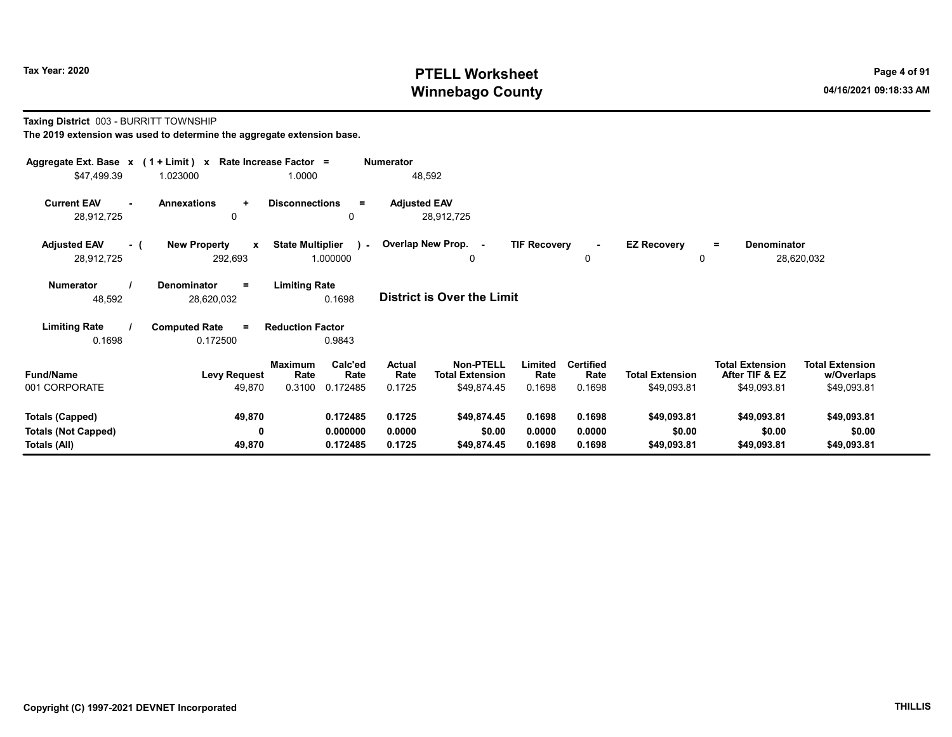#### Taxing District 003 - BURRITT TOWNSHIP

| Aggregate Ext. Base $x$ (1 + Limit) x Rate Increase Factor =<br>\$47,499.39 | 1.023000                                       | 1.0000                                                   | Numerator<br>48,592        |                                                           |                            |                                    |                                       |                                                         |                                                     |
|-----------------------------------------------------------------------------|------------------------------------------------|----------------------------------------------------------|----------------------------|-----------------------------------------------------------|----------------------------|------------------------------------|---------------------------------------|---------------------------------------------------------|-----------------------------------------------------|
| <b>Current EAV</b><br>$\sim$<br>28,912,725                                  | <b>Annexations</b><br>$\ddot{}$<br>0           | <b>Disconnections</b><br>Ξ.<br>0                         | <b>Adjusted EAV</b>        | 28,912,725                                                |                            |                                    |                                       |                                                         |                                                     |
| <b>Adjusted EAV</b><br>- (<br>28,912,725                                    | <b>New Property</b><br>$\mathbf{x}$<br>292,693 | <b>State Multiplier</b><br>$\mathcal{L}$<br>1.000000     | Overlap New Prop. -        | 0                                                         | <b>TIF Recovery</b>        | $\mathbf 0$                        | <b>EZ Recovery</b><br>0               | <b>Denominator</b><br>$=$                               | 28,620,032                                          |
| <b>Numerator</b><br>48,592                                                  | Denominator<br>$=$<br>28,620,032               | <b>Limiting Rate</b><br>0.1698                           |                            | <b>District is Over the Limit</b>                         |                            |                                    |                                       |                                                         |                                                     |
| <b>Limiting Rate</b><br>0.1698                                              | <b>Computed Rate</b><br>$\equiv$<br>0.172500   | <b>Reduction Factor</b><br>0.9843                        |                            |                                                           |                            |                                    |                                       |                                                         |                                                     |
| <b>Fund/Name</b><br>001 CORPORATE                                           | <b>Levy Request</b><br>49,870                  | Calc'ed<br>Maximum<br>Rate<br>Rate<br>0.3100<br>0.172485 | Actual<br>Rate<br>0.1725   | <b>Non-PTELL</b><br><b>Total Extension</b><br>\$49,874.45 | Limited<br>Rate<br>0.1698  | <b>Certified</b><br>Rate<br>0.1698 | <b>Total Extension</b><br>\$49,093.81 | <b>Total Extension</b><br>After TIF & EZ<br>\$49,093.81 | <b>Total Extension</b><br>w/Overlaps<br>\$49,093.81 |
| <b>Totals (Capped)</b><br><b>Totals (Not Capped)</b><br>Totals (All)        | 49,870<br>0<br>49,870                          | 0.172485<br>0.000000<br>0.172485                         | 0.1725<br>0.0000<br>0.1725 | \$49,874.45<br>\$0.00<br>\$49,874.45                      | 0.1698<br>0.0000<br>0.1698 | 0.1698<br>0.0000<br>0.1698         | \$49,093.81<br>\$0.00<br>\$49,093.81  | \$49,093.81<br>\$0.00<br>\$49,093.81                    | \$49,093.81<br>\$0.00<br>\$49,093.81                |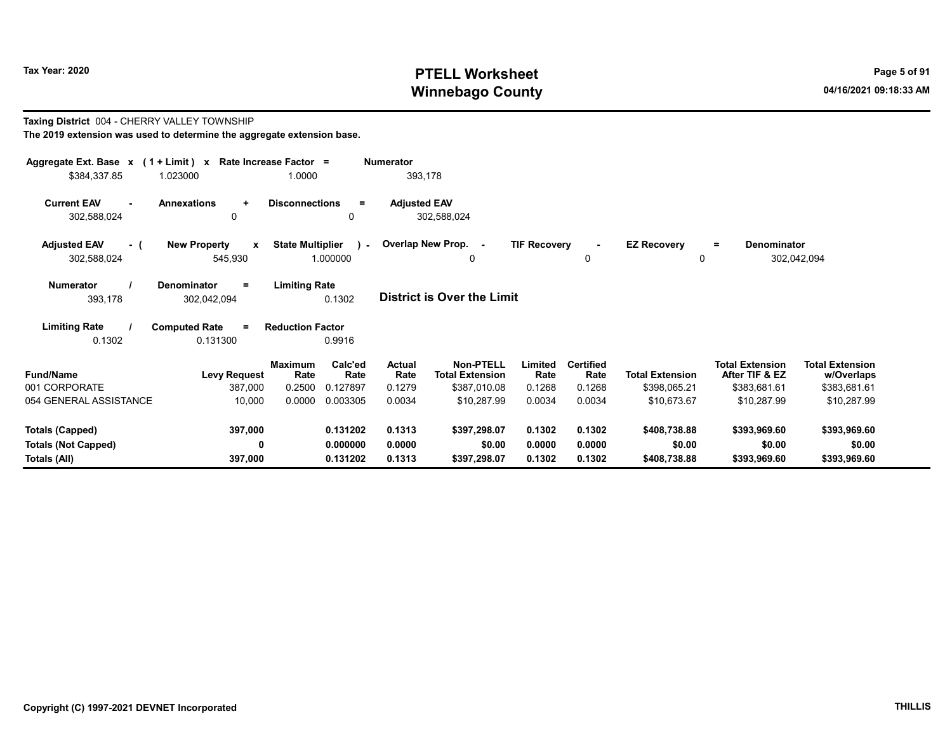Taxing District 004 - CHERRY VALLEY TOWNSHIP

# Tax Year: 2020 PTELL Worksheet Page 5 of 91 Winnebago County and the county of the county of the county of the county of the county of the county of the county of the county of the county of the county of the county of the county of the county of the county of the c

= Denominator

302,042,094

#### The 2019 extension was used to determine the aggregate extension base. Aggregate Ext. Base x (1 + Limit) x Rate Increase Factor = Numerator \$384,337.85 1.023000 1.0000 393,178 Current EAV - Annexations + Disconnections = Adjusted EAV 302,588,024 0 0 302,588,024 Adjusted EAV - ( New Property x State Multiplier ) - Overlap New Prop. - TIF Recovery EZ Recovery 302,588,024 545,930 1.000000 Numerator / Denominator = Limiting Rate District is Over the Limit Limiting Rate / Computed Rate = 393,178 302,042,094 0.1302 0.1302 0.131300 Reduction Factor 0.9916 0 0 0

| <b>Fund/Name</b><br><b>Levy Request</b> | <b>Maximum</b><br>Rate | Calc'ed<br>Rate | Actual<br>Rate | <b>Non-PTELL</b><br><b>Total Extension</b> | Limited<br>Rate | Certified<br>Rate | <b>Total Extension</b> | <b>Total Extension</b><br>After TIF & EZ | <b>Total Extension</b><br>w/Overlaps |  |
|-----------------------------------------|------------------------|-----------------|----------------|--------------------------------------------|-----------------|-------------------|------------------------|------------------------------------------|--------------------------------------|--|
| 001 CORPORATE                           | 387.000<br>0.2500      | 0.127897        | 0.1279         | \$387.010.08                               | 0.1268          | 0.1268            | \$398.065.21           | \$383,681.61                             | \$383,681.61                         |  |
| 054 GENERAL ASSISTANCE                  | 10,000<br>0.0000       | 0.003305        | 0.0034         | \$10.287.99                                | 0.0034          | 0.0034            | \$10.673.67            | \$10.287.99                              | \$10,287.99                          |  |
|                                         |                        |                 |                |                                            |                 |                   |                        |                                          |                                      |  |
| Totals (Capped)                         | 397.000                | 0.131202        | 0.1313         | \$397.298.07                               | 0.1302          | 0.1302            | \$408,738.88           | \$393,969.60                             | \$393,969.60                         |  |
| <b>Totals (Not Capped)</b>              | 0                      | 0.000000        | 0.0000         | \$0.00                                     | 0.0000          | 0.0000            | \$0.00                 | \$0.00                                   | \$0.00                               |  |
| Totals (All)                            | 397.000                | 0.131202        | 0.1313         | \$397.298.07                               | 0.1302          | 0.1302            | \$408,738.88           | \$393,969.60                             | \$393.969.60                         |  |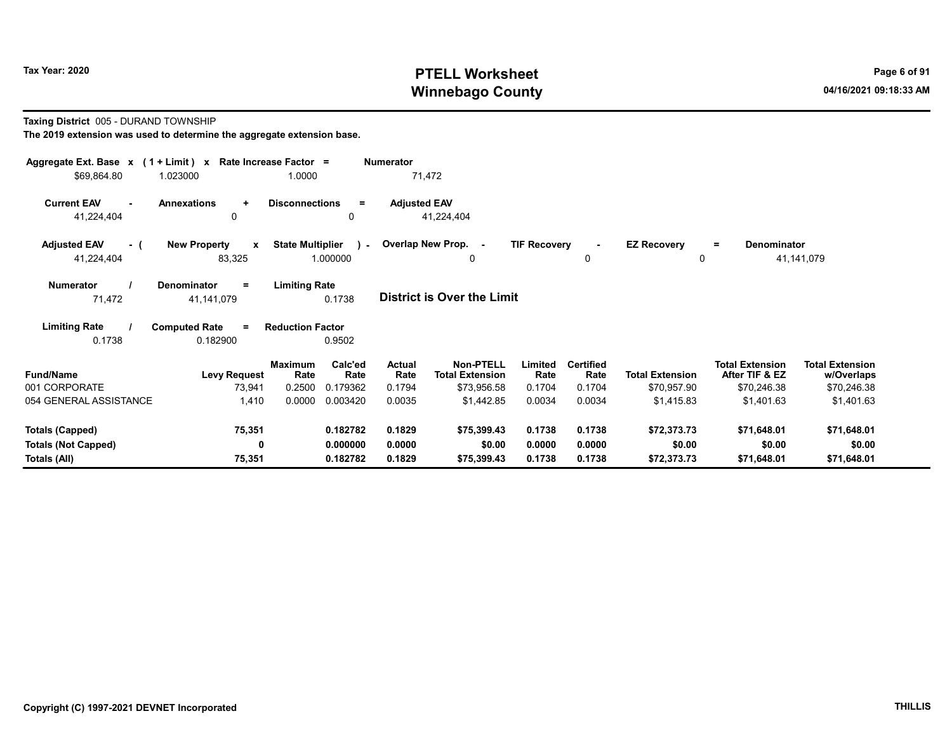#### Taxing District 005 - DURAND TOWNSHIP

| Aggregate Ext. Base $x$ (1 + Limit) x Rate Increase Factor =<br>\$69,864.80 | 1.023000                                | 1.0000                  |                 | <b>Numerator</b>    | 71,472                                     |                     |                          |                        |                                          |                                      |  |
|-----------------------------------------------------------------------------|-----------------------------------------|-------------------------|-----------------|---------------------|--------------------------------------------|---------------------|--------------------------|------------------------|------------------------------------------|--------------------------------------|--|
|                                                                             |                                         |                         |                 |                     |                                            |                     |                          |                        |                                          |                                      |  |
| <b>Current EAV</b>                                                          | <b>Annexations</b><br>$\ddot{}$         | <b>Disconnections</b>   | $=$             | <b>Adjusted EAV</b> |                                            |                     |                          |                        |                                          |                                      |  |
| 41,224,404                                                                  | $\mathbf 0$                             |                         | 0               |                     | 41,224,404                                 |                     |                          |                        |                                          |                                      |  |
| <b>Adjusted EAV</b><br>- (                                                  | <b>New Property</b><br>$\mathbf{x}$     | <b>State Multiplier</b> | $\lambda$ -     |                     | Overlap New Prop. -                        | <b>TIF Recovery</b> | $\blacksquare$           | <b>EZ Recovery</b>     | Denominator<br>$=$                       |                                      |  |
| 41,224,404                                                                  | 83,325                                  |                         | 1.000000        |                     | 0                                          |                     | 0                        | 0                      |                                          | 41,141,079                           |  |
| <b>Numerator</b>                                                            | <b>Denominator</b><br>$=$               | <b>Limiting Rate</b>    |                 |                     |                                            |                     |                          |                        |                                          |                                      |  |
| 71,472                                                                      | 41,141,079                              |                         | 0.1738          |                     | <b>District is Over the Limit</b>          |                     |                          |                        |                                          |                                      |  |
|                                                                             |                                         |                         |                 |                     |                                            |                     |                          |                        |                                          |                                      |  |
| <b>Limiting Rate</b><br>0.1738                                              | <b>Computed Rate</b><br>$=$<br>0.182900 | <b>Reduction Factor</b> | 0.9502          |                     |                                            |                     |                          |                        |                                          |                                      |  |
|                                                                             |                                         |                         |                 |                     |                                            |                     |                          |                        |                                          |                                      |  |
| <b>Fund/Name</b>                                                            | <b>Levy Request</b>                     | <b>Maximum</b><br>Rate  | Calc'ed<br>Rate | Actual<br>Rate      | <b>Non-PTELL</b><br><b>Total Extension</b> | Limited<br>Rate     | <b>Certified</b><br>Rate | <b>Total Extension</b> | <b>Total Extension</b><br>After TIF & EZ | <b>Total Extension</b><br>w/Overlaps |  |
| 001 CORPORATE                                                               | 73,941                                  | 0.2500                  | 0.179362        | 0.1794              | \$73,956.58                                | 0.1704              | 0.1704                   | \$70,957.90            | \$70,246.38                              | \$70,246.38                          |  |
| 054 GENERAL ASSISTANCE                                                      | 1,410                                   | 0.0000                  | 0.003420        | 0.0035              | \$1,442.85                                 | 0.0034              | 0.0034                   | \$1,415.83             | \$1,401.63                               | \$1,401.63                           |  |
| <b>Totals (Capped)</b>                                                      | 75,351                                  |                         | 0.182782        | 0.1829              | \$75,399.43                                | 0.1738              | 0.1738                   | \$72,373.73            | \$71,648.01                              | \$71,648.01                          |  |
| <b>Totals (Not Capped)</b>                                                  | 0                                       |                         | 0.000000        | 0.0000              | \$0.00                                     | 0.0000              | 0.0000                   | \$0.00                 | \$0.00                                   | \$0.00                               |  |
| Totals (All)                                                                | 75,351                                  |                         | 0.182782        | 0.1829              | \$75,399.43                                | 0.1738              | 0.1738                   | \$72,373.73            | \$71,648.01                              | \$71,648.01                          |  |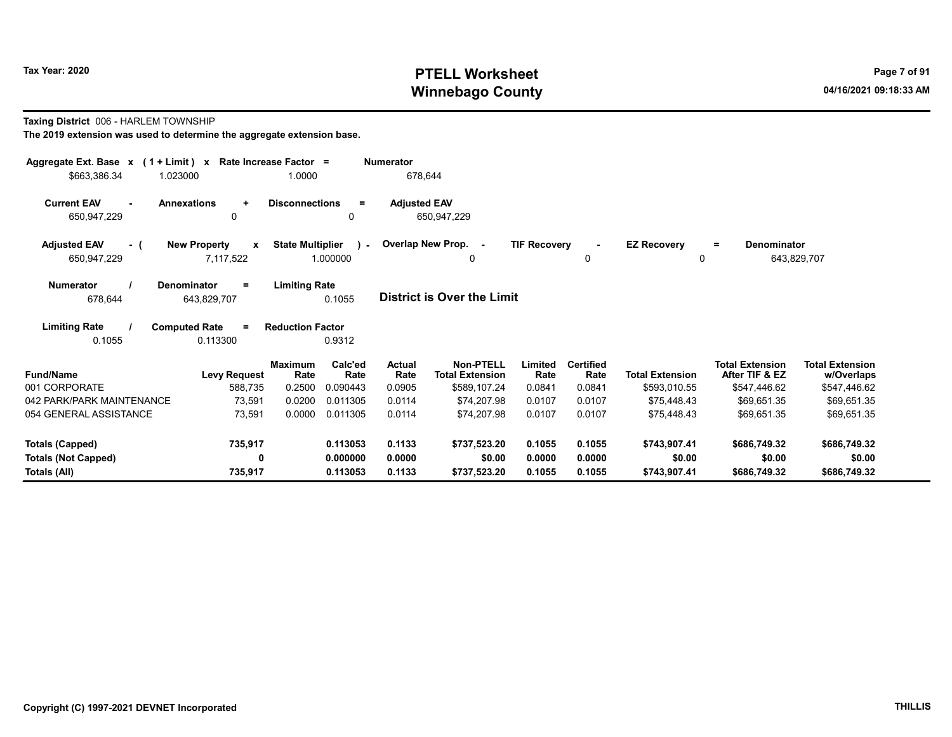#### Taxing District 006 - HARLEM TOWNSHIP

| Aggregate Ext. Base $x$ (1 + Limit) $x$ Rate Increase Factor =<br>\$663,386.34<br>1.023000 |                                                  | 1.0000                  |                           | Numerator<br>678,644 |                                            |                     |                          |                             |                                          |                                      |
|--------------------------------------------------------------------------------------------|--------------------------------------------------|-------------------------|---------------------------|----------------------|--------------------------------------------|---------------------|--------------------------|-----------------------------|------------------------------------------|--------------------------------------|
| <b>Current EAV</b><br>$\sim$<br>650,947,229                                                | <b>Annexations</b><br>$\ddot{}$<br>0             | <b>Disconnections</b>   | $\equiv$<br>0             | <b>Adjusted EAV</b>  | 650,947,229                                |                     |                          |                             |                                          |                                      |
| <b>Adjusted EAV</b><br>- (<br>650,947,229                                                  | <b>New Property</b><br>$\mathbf{x}$<br>7,117,522 | <b>State Multiplier</b> | $\mathcal{L}$<br>1.000000 |                      | Overlap New Prop. -<br>0                   | <b>TIF Recovery</b> | 0                        | <b>EZ Recovery</b><br>0     | Denominator<br>Ξ.                        | 643,829,707                          |
| <b>Numerator</b><br>678,644                                                                | Denominator<br>$\equiv$<br>643,829,707           | <b>Limiting Rate</b>    | 0.1055                    |                      | <b>District is Over the Limit</b>          |                     |                          |                             |                                          |                                      |
| <b>Limiting Rate</b><br>0.1055                                                             | <b>Computed Rate</b><br>$\equiv$<br>0.113300     | <b>Reduction Factor</b> | 0.9312                    |                      |                                            |                     |                          |                             |                                          |                                      |
| <b>Fund/Name</b>                                                                           | <b>Levy Request</b>                              | <b>Maximum</b><br>Rate  | Calc'ed<br>Rate           | Actual<br>Rate       | <b>Non-PTELL</b><br><b>Total Extension</b> | Limited<br>Rate     | <b>Certified</b><br>Rate | <b>Total Extension</b>      | <b>Total Extension</b><br>After TIF & EZ | <b>Total Extension</b><br>w/Overlaps |
| 001 CORPORATE<br>042 PARK/PARK MAINTENANCE                                                 | 588,735<br>73,591                                | 0.2500<br>0.0200        | 0.090443<br>0.011305      | 0.0905<br>0.0114     | \$589,107.24<br>\$74,207.98                | 0.0841<br>0.0107    | 0.0841<br>0.0107         | \$593,010.55<br>\$75,448.43 | \$547,446.62<br>\$69,651.35              | \$547,446.62<br>\$69,651.35          |
| 054 GENERAL ASSISTANCE                                                                     | 73,591                                           | 0.0000                  | 0.011305                  | 0.0114               | \$74.207.98                                | 0.0107              | 0.0107                   | \$75.448.43                 | \$69.651.35                              | \$69,651.35                          |
| <b>Totals (Capped)</b>                                                                     | 735,917                                          |                         | 0.113053                  | 0.1133               | \$737,523.20                               | 0.1055              | 0.1055                   | \$743,907.41                | \$686,749.32                             | \$686,749.32                         |
| <b>Totals (Not Capped)</b><br>Totals (All)                                                 | 0<br>735,917                                     |                         | 0.000000<br>0.113053      | 0.0000<br>0.1133     | \$0.00<br>\$737,523.20                     | 0.0000<br>0.1055    | 0.0000<br>0.1055         | \$0.00<br>\$743,907.41      | \$0.00<br>\$686,749.32                   | \$0.00<br>\$686,749.32               |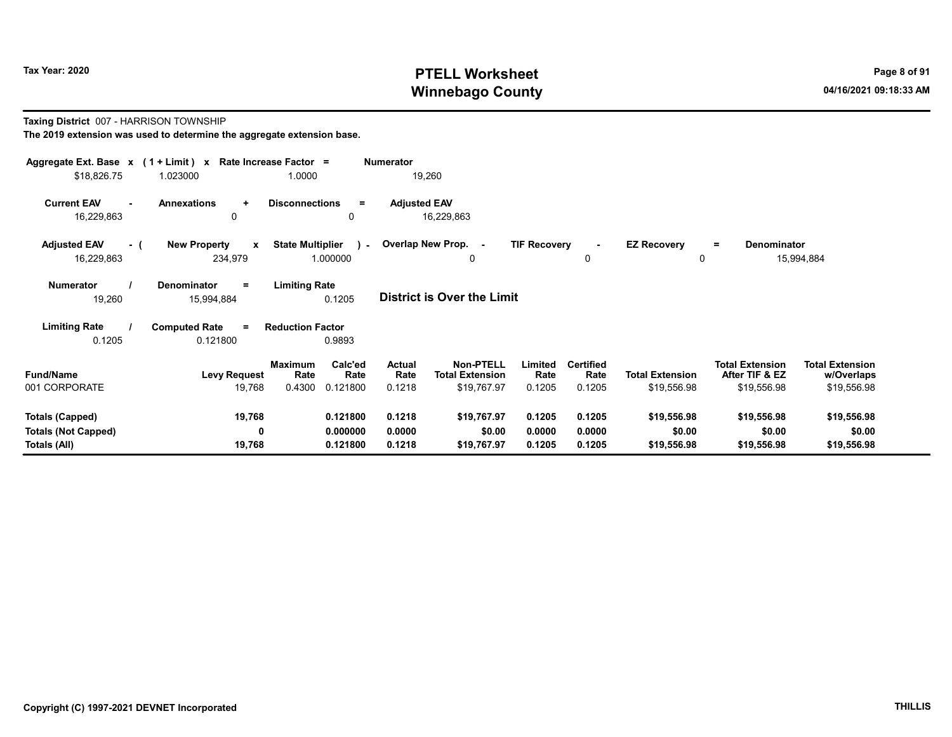#### Taxing District 007 - HARRISON TOWNSHIP

| Aggregate Ext. Base $x$ (1 + Limit) x Rate Increase Factor =<br>\$18,826.75 | 1.023000                                       | 1.0000                                                   | <b>Numerator</b><br>19,260        |                                                                                        |                                    |                                       |                                                         |                                                     |
|-----------------------------------------------------------------------------|------------------------------------------------|----------------------------------------------------------|-----------------------------------|----------------------------------------------------------------------------------------|------------------------------------|---------------------------------------|---------------------------------------------------------|-----------------------------------------------------|
| <b>Current EAV</b><br>16,229,863                                            | Annexations<br>÷<br>0                          | <b>Disconnections</b><br>$=$<br>0                        | <b>Adjusted EAV</b><br>16,229,863 |                                                                                        |                                    |                                       |                                                         |                                                     |
| <b>Adjusted EAV</b><br>- (<br>16,229,863                                    | <b>New Property</b><br>$\mathbf{x}$<br>234,979 | <b>State Multiplier</b><br>$\mathbf{r}$<br>1.000000      | Overlap New Prop. -               | <b>TIF Recovery</b><br>0                                                               | 0                                  | <b>EZ Recovery</b><br>0               | Denominator<br>$\equiv$                                 | 15,994,884                                          |
| Numerator<br>19,260                                                         | <b>Denominator</b><br>Ξ<br>15,994,884          | <b>Limiting Rate</b><br>0.1205                           | <b>District is Over the Limit</b> |                                                                                        |                                    |                                       |                                                         |                                                     |
| <b>Limiting Rate</b><br>0.1205                                              | <b>Computed Rate</b><br>$=$<br>0.121800        | <b>Reduction Factor</b><br>0.9893                        |                                   |                                                                                        |                                    |                                       |                                                         |                                                     |
| <b>Fund/Name</b><br>001 CORPORATE                                           | <b>Levy Request</b><br>19,768                  | Calc'ed<br>Maximum<br>Rate<br>Rate<br>0.4300<br>0.121800 | Actual<br>Rate<br>0.1218          | <b>Non-PTELL</b><br>Limited<br><b>Total Extension</b><br>Rate<br>\$19,767.97<br>0.1205 | <b>Certified</b><br>Rate<br>0.1205 | <b>Total Extension</b><br>\$19,556.98 | <b>Total Extension</b><br>After TIF & EZ<br>\$19,556.98 | <b>Total Extension</b><br>w/Overlaps<br>\$19,556.98 |
| <b>Totals (Capped)</b><br><b>Totals (Not Capped)</b><br>Totals (All)        | 19,768<br>0<br>19,768                          | 0.121800<br>0.000000<br>0.121800                         | 0.1218<br>0.0000<br>0.1218        | \$19,767.97<br>0.1205<br>\$0.00<br>0.0000<br>\$19,767.97<br>0.1205                     | 0.1205<br>0.0000<br>0.1205         | \$19,556.98<br>\$0.00<br>\$19,556.98  | \$19,556.98<br>\$0.00<br>\$19,556.98                    | \$19,556.98<br>\$0.00<br>\$19,556.98                |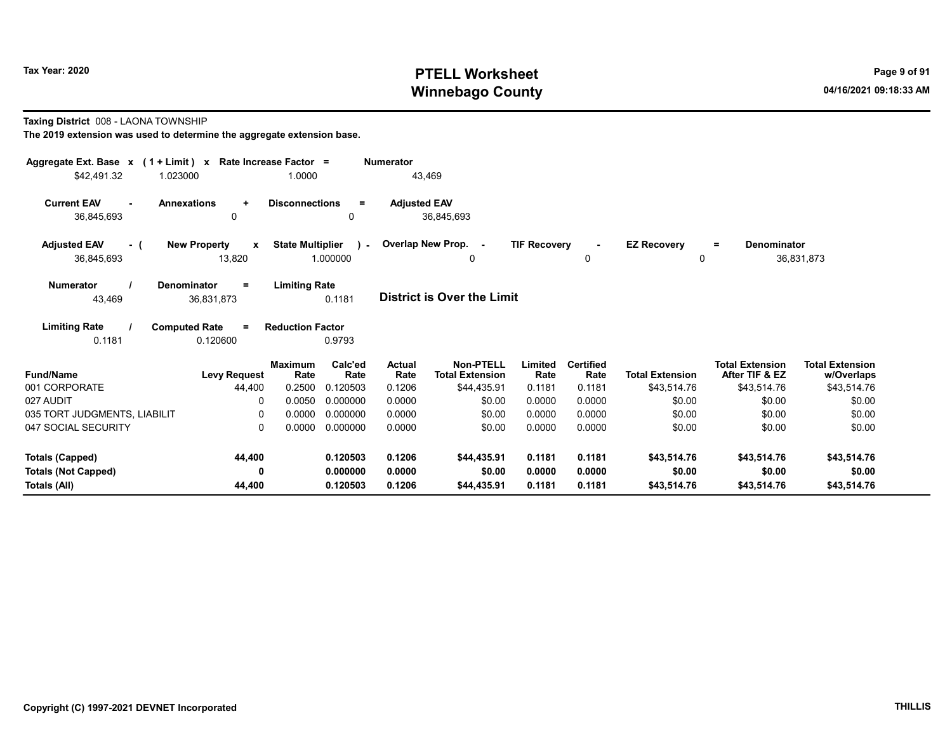Taxing District 008 - LAONA TOWNSHIP

| Aggregate Ext. Base $x$ (1 + Limit) x Rate Increase Factor =<br>\$42,491.32 | 1.023000                            | 1.0000                  |                 | <b>Numerator</b><br>43,469 |                                            |                     |                          |                        |                                          |                           |
|-----------------------------------------------------------------------------|-------------------------------------|-------------------------|-----------------|----------------------------|--------------------------------------------|---------------------|--------------------------|------------------------|------------------------------------------|---------------------------|
|                                                                             |                                     |                         |                 |                            |                                            |                     |                          |                        |                                          |                           |
| <b>Current EAV</b>                                                          | <b>Annexations</b><br>$\ddot{}$     | <b>Disconnections</b>   | $\equiv$        | <b>Adjusted EAV</b>        |                                            |                     |                          |                        |                                          |                           |
| 36,845,693                                                                  | 0                                   |                         | 0               |                            | 36,845,693                                 |                     |                          |                        |                                          |                           |
| <b>Adjusted EAV</b><br>- (                                                  | <b>New Property</b><br>$\mathbf{x}$ | <b>State Multiplier</b> | $\lambda$ .     |                            | Overlap New Prop. -                        | <b>TIF Recovery</b> |                          | <b>EZ Recovery</b>     | Denominator<br>Ξ.                        |                           |
| 36,845,693                                                                  | 13,820                              |                         | 1.000000        |                            | 0                                          |                     | 0                        | 0                      |                                          | 36,831,873                |
| <b>Numerator</b>                                                            | Denominator<br>$\equiv$             | <b>Limiting Rate</b>    |                 |                            |                                            |                     |                          |                        |                                          |                           |
| 43,469                                                                      | 36,831,873                          |                         | 0.1181          |                            | <b>District is Over the Limit</b>          |                     |                          |                        |                                          |                           |
| <b>Limiting Rate</b>                                                        | <b>Computed Rate</b><br>$\equiv$    | <b>Reduction Factor</b> |                 |                            |                                            |                     |                          |                        |                                          |                           |
| 0.1181                                                                      | 0.120600                            |                         | 0.9793          |                            |                                            |                     |                          |                        |                                          |                           |
| <b>Fund/Name</b>                                                            |                                     | <b>Maximum</b><br>Rate  | Calc'ed<br>Rate | <b>Actual</b><br>Rate      | <b>Non-PTELL</b><br><b>Total Extension</b> | Limited<br>Rate     | <b>Certified</b><br>Rate | <b>Total Extension</b> | <b>Total Extension</b><br>After TIF & EZ | <b>Total Extension</b>    |
| 001 CORPORATE                                                               | <b>Levy Request</b><br>44,400       | 0.2500                  | 0.120503        | 0.1206                     | \$44,435.91                                | 0.1181              | 0.1181                   | \$43,514.76            | \$43,514.76                              | w/Overlaps<br>\$43,514.76 |
| 027 AUDIT                                                                   | 0                                   | 0.0050                  | 0.000000        | 0.0000                     | \$0.00                                     | 0.0000              | 0.0000                   | \$0.00                 | \$0.00                                   | \$0.00                    |
| 035 TORT JUDGMENTS, LIABILIT                                                | $\Omega$                            | 0.0000                  | 0.000000        | 0.0000                     | \$0.00                                     | 0.0000              | 0.0000                   | \$0.00                 | \$0.00                                   | \$0.00                    |
| 047 SOCIAL SECURITY                                                         | 0                                   | 0.0000                  | 0.000000        | 0.0000                     | \$0.00                                     | 0.0000              | 0.0000                   | \$0.00                 | \$0.00                                   | \$0.00                    |
| <b>Totals (Capped)</b>                                                      | 44,400                              |                         | 0.120503        | 0.1206                     | \$44,435.91                                | 0.1181              | 0.1181                   | \$43,514.76            | \$43,514.76                              | \$43,514.76               |
| <b>Totals (Not Capped)</b>                                                  | 0                                   |                         | 0.000000        | 0.0000                     | \$0.00                                     | 0.0000              | 0.0000                   | \$0.00                 | \$0.00                                   | \$0.00                    |
| Totals (All)                                                                | 44,400                              |                         | 0.120503        | 0.1206                     | \$44,435.91                                | 0.1181              | 0.1181                   | \$43,514.76            | \$43,514.76                              | \$43,514.76               |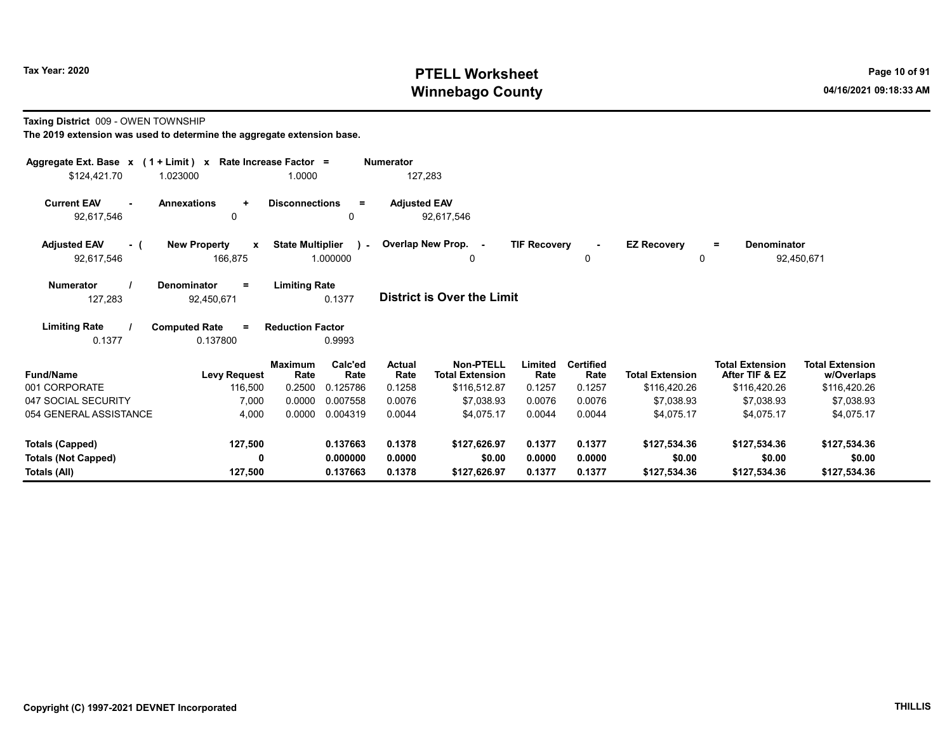#### Taxing District 009 - OWEN TOWNSHIP

| Aggregate Ext. Base x (1 + Limit) x      |                                                 | Rate Increase Factor =  |                       | <b>Numerator</b>    |                                            |                     |                          |                            |                                          |                                      |
|------------------------------------------|-------------------------------------------------|-------------------------|-----------------------|---------------------|--------------------------------------------|---------------------|--------------------------|----------------------------|------------------------------------------|--------------------------------------|
| \$124,421.70                             | 1.023000                                        | 1.0000                  |                       | 127,283             |                                            |                     |                          |                            |                                          |                                      |
| <b>Current EAV</b><br>92,617,546         | <b>Annexations</b><br>$\ddot{}$<br>$\mathbf{0}$ | <b>Disconnections</b>   | $\equiv$<br>0         | <b>Adjusted EAV</b> | 92,617,546                                 |                     |                          |                            |                                          |                                      |
| <b>Adjusted EAV</b><br>- (<br>92,617,546 | <b>New Property</b><br>$\mathbf x$<br>166,875   | <b>State Multiplier</b> | $\lambda$<br>1.000000 |                     | Overlap New Prop. -<br>0                   | <b>TIF Recovery</b> | 0                        | <b>EZ Recovery</b>         | <b>Denominator</b><br>$=$<br>0           | 92,450,671                           |
| <b>Numerator</b><br>127,283              | <b>Denominator</b><br>$\equiv$<br>92,450,671    | <b>Limiting Rate</b>    | 0.1377                |                     | <b>District is Over the Limit</b>          |                     |                          |                            |                                          |                                      |
| <b>Limiting Rate</b><br>0.1377           | <b>Computed Rate</b><br>$=$<br>0.137800         | <b>Reduction Factor</b> | 0.9993                |                     |                                            |                     |                          |                            |                                          |                                      |
| <b>Fund/Name</b>                         | <b>Levy Request</b>                             | <b>Maximum</b><br>Rate  | Calc'ed<br>Rate       | Actual<br>Rate      | <b>Non-PTELL</b><br><b>Total Extension</b> | Limited<br>Rate     | <b>Certified</b><br>Rate | <b>Total Extension</b>     | <b>Total Extension</b><br>After TIF & EZ | <b>Total Extension</b><br>w/Overlaps |
| 001 CORPORATE<br>047 SOCIAL SECURITY     | 116,500<br>7,000                                | 0.2500<br>0.0000        | 0.125786<br>0.007558  | 0.1258<br>0.0076    | \$116,512.87<br>\$7,038.93                 | 0.1257<br>0.0076    | 0.1257<br>0.0076         | \$116,420.26<br>\$7,038.93 | \$116,420.26<br>\$7,038.93               | \$116,420.26<br>\$7,038.93           |
| 054 GENERAL ASSISTANCE                   | 4,000                                           | 0.0000                  | 0.004319              | 0.0044              | \$4,075.17                                 | 0.0044              | 0.0044                   | \$4,075.17                 | \$4,075.17                               | \$4,075.17                           |
| <b>Totals (Capped)</b>                   | 127,500                                         |                         | 0.137663              | 0.1378              | \$127,626.97                               | 0.1377              | 0.1377                   | \$127,534.36               | \$127,534.36                             | \$127,534.36                         |
| <b>Totals (Not Capped)</b>               | 0                                               |                         | 0.000000              | 0.0000              | \$0.00                                     | 0.0000              | 0.0000                   | \$0.00                     | \$0.00                                   | \$0.00                               |
| Totals (All)                             | 127,500                                         |                         | 0.137663              | 0.1378              | \$127,626.97                               | 0.1377              | 0.1377                   | \$127,534.36               | \$127,534.36                             | \$127,534.36                         |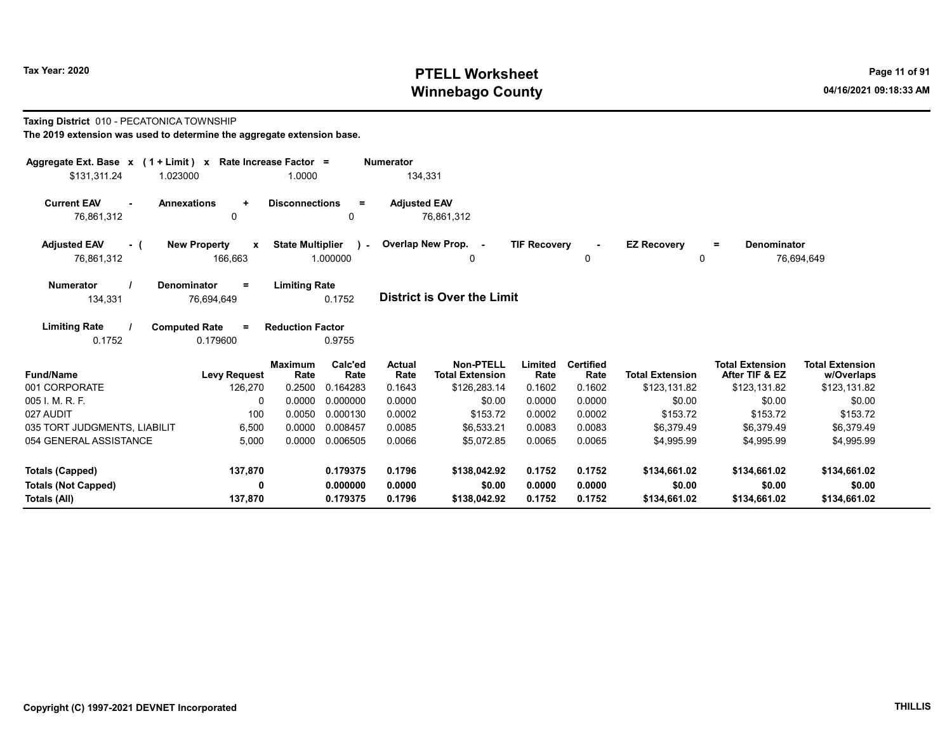#### Taxing District 010 - PECATONICA TOWNSHIP

| Aggregate Ext. Base $x$ (1 + Limit) $x$    |                                                | Rate Increase Factor =           |                             | <b>Numerator</b>         |                                                            |                           |                                    |                                        |                                                          |                                                      |  |
|--------------------------------------------|------------------------------------------------|----------------------------------|-----------------------------|--------------------------|------------------------------------------------------------|---------------------------|------------------------------------|----------------------------------------|----------------------------------------------------------|------------------------------------------------------|--|
| \$131,311.24<br>1.023000                   |                                                | 1.0000                           |                             | 134,331                  |                                                            |                           |                                    |                                        |                                                          |                                                      |  |
| <b>Current EAV</b><br>$\sim$<br>76,861,312 | <b>Annexations</b><br>$\ddot{}$<br>$\Omega$    | <b>Disconnections</b>            | $\equiv$<br>0               | <b>Adjusted EAV</b>      | 76,861,312                                                 |                           |                                    |                                        |                                                          |                                                      |  |
| <b>Adjusted EAV</b><br>- (<br>76,861,312   | <b>New Property</b><br>$\mathbf{x}$<br>166,663 | <b>State Multiplier</b>          | $\sim$<br>1.000000          |                          | Overlap New Prop. -<br>0                                   | <b>TIF Recovery</b>       | $\blacksquare$<br>0                | <b>EZ Recovery</b><br>0                | Denominator<br>Ξ.                                        | 76,694,649                                           |  |
| <b>Numerator</b><br>134,331                | <b>Denominator</b><br>$\equiv$<br>76.694.649   | <b>Limiting Rate</b>             | 0.1752                      |                          | <b>District is Over the Limit</b>                          |                           |                                    |                                        |                                                          |                                                      |  |
| <b>Limiting Rate</b><br>0.1752             | <b>Computed Rate</b><br>$\equiv$<br>0.179600   | <b>Reduction Factor</b>          | 0.9755                      |                          |                                                            |                           |                                    |                                        |                                                          |                                                      |  |
| <b>Fund/Name</b><br>001 CORPORATE          | <b>Levy Request</b><br>126,270                 | <b>Maximum</b><br>Rate<br>0.2500 | Calc'ed<br>Rate<br>0.164283 | Actual<br>Rate<br>0.1643 | <b>Non-PTELL</b><br><b>Total Extension</b><br>\$126,283.14 | Limited<br>Rate<br>0.1602 | <b>Certified</b><br>Rate<br>0.1602 | <b>Total Extension</b><br>\$123,131.82 | <b>Total Extension</b><br>After TIF & EZ<br>\$123,131.82 | <b>Total Extension</b><br>w/Overlaps<br>\$123,131.82 |  |
| 005 I. M. R. F.                            | $\Omega$                                       | 0.0000                           | 0.000000                    | 0.0000                   | \$0.00                                                     | 0.0000                    | 0.0000                             | \$0.00                                 | \$0.00                                                   | \$0.00                                               |  |
| 027 AUDIT                                  | 100                                            | 0.0050                           | 0.000130                    | 0.0002                   | \$153.72                                                   | 0.0002                    | 0.0002                             | \$153.72                               | \$153.72                                                 | \$153.72                                             |  |
| 035 TORT JUDGMENTS, LIABILIT               | 6,500                                          | 0.0000                           | 0.008457                    | 0.0085                   | \$6,533.21                                                 | 0.0083                    | 0.0083                             | \$6,379.49                             | \$6,379.49                                               | \$6,379.49                                           |  |
| 054 GENERAL ASSISTANCE                     | 5.000                                          | 0.0000                           | 0.006505                    | 0.0066                   | \$5.072.85                                                 | 0.0065                    | 0.0065                             | \$4.995.99                             | \$4.995.99                                               | \$4.995.99                                           |  |
| <b>Totals (Capped)</b>                     | 137,870                                        |                                  | 0.179375                    | 0.1796                   | \$138,042.92                                               | 0.1752                    | 0.1752                             | \$134,661.02                           | \$134,661.02                                             | \$134,661.02                                         |  |
| <b>Totals (Not Capped)</b>                 | $\mathbf{0}$                                   |                                  | 0.000000                    | 0.0000                   | \$0.00                                                     | 0.0000                    | 0.0000                             | \$0.00                                 | \$0.00                                                   | \$0.00                                               |  |
| Totals (All)                               | 137,870                                        |                                  | 0.179375                    | 0.1796                   | \$138,042.92                                               | 0.1752                    | 0.1752                             | \$134,661.02                           | \$134,661.02                                             | \$134,661.02                                         |  |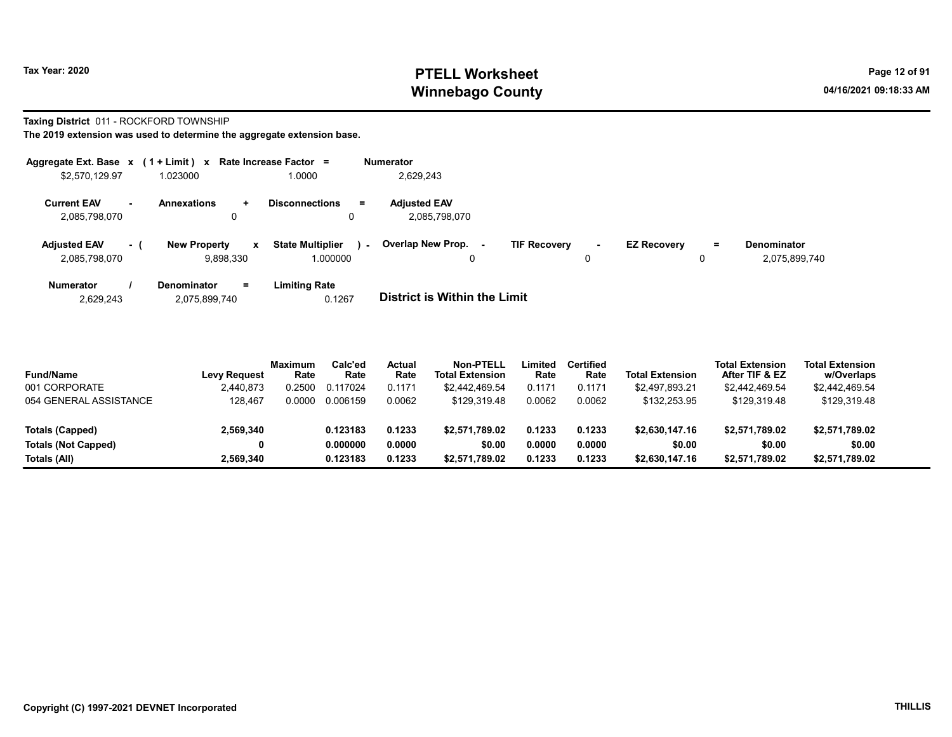#### Taxing District 011 - ROCKFORD TOWNSHIP

| Aggregate Ext. Base $x$ (1 + Limit) $x$ |          |                                                 | Rate Increase Factor =                            | <b>Numerator</b>                     |                     |   |                    |          |                                     |
|-----------------------------------------|----------|-------------------------------------------------|---------------------------------------------------|--------------------------------------|---------------------|---|--------------------|----------|-------------------------------------|
| \$2,570,129.97                          |          | 1.023000                                        | 1.0000                                            | 2,629,243                            |                     |   |                    |          |                                     |
| <b>Current EAV</b><br>2,085,798,070     |          | <b>Annexations</b><br>$\ddot{\phantom{1}}$<br>0 | <b>Disconnections</b><br>$\equiv$<br>0            | <b>Adjusted EAV</b><br>2,085,798,070 |                     |   |                    |          |                                     |
| <b>Adjusted EAV</b><br>2.085.798.070    | $\sim$ 1 | <b>New Property</b><br>x<br>9.898.330           | <b>State Multiplier</b><br>$\sim$ $-$<br>1.000000 | <b>Overlap New Prop.</b><br>0        | <b>TIF Recovery</b> | 0 | <b>EZ Recovery</b> | $=$<br>0 | <b>Denominator</b><br>2,075,899,740 |
| <b>Numerator</b>                        |          | <b>Denominator</b><br>Ξ.                        | <b>Limiting Rate</b>                              |                                      |                     |   |                    |          |                                     |

| 2,075,899,740<br>2.629.243 | 0.1267 | <b>District is Within the Limit</b> |
|----------------------------|--------|-------------------------------------|

| <b>Fund/Name</b>       | <b>Levy Request</b> | <b>Maximum</b><br>Rate | Calc'ed<br>Rate | Actual<br>Rate | Non-PTELL<br><b>Total Extension</b> | .imited<br>Rate | Certified<br>Rate | <b>Total Extension</b> | <b>Total Extension</b><br>After TIF & EZ | <b>Total Extension</b><br>w/Overlaps |
|------------------------|---------------------|------------------------|-----------------|----------------|-------------------------------------|-----------------|-------------------|------------------------|------------------------------------------|--------------------------------------|
| 001 CORPORATE          | 2,440,873           | 0.2500                 | 0.117024        | 0.1171         | \$2,442,469.54                      | 0.1171          | 0.1171            | \$2.497.893.21         | \$2,442,469.54                           | \$2,442,469.54                       |
| 054 GENERAL ASSISTANCE | 128.467             | 0.0000                 | 0.006159        | 0.0062         | \$129.319.48                        | 0.0062          | 0.0062            | \$132,253.95           | \$129.319.48                             | \$129,319.48                         |
|                        |                     |                        |                 |                |                                     |                 |                   |                        |                                          |                                      |
| Totals (Capped)        | 2,569,340           |                        | 0.123183        | 0.1233         | \$2.571.789.02                      | 0.1233          | 0.1233            | \$2.630.147.16         | \$2,571,789.02                           | \$2,571,789.02                       |
| Totals (Not Capped)    | 0                   |                        | 0.000000        | 0.0000         | \$0.00                              | 0.0000          | 0.0000            | \$0.00                 | \$0.00                                   | \$0.00                               |
| Totals (All)           | 2.569.340           |                        | 0.123183        | 0.1233         | \$2.571.789.02                      | 0.1233          | 0.1233            | \$2,630,147.16         | \$2,571,789.02                           | \$2,571,789.02                       |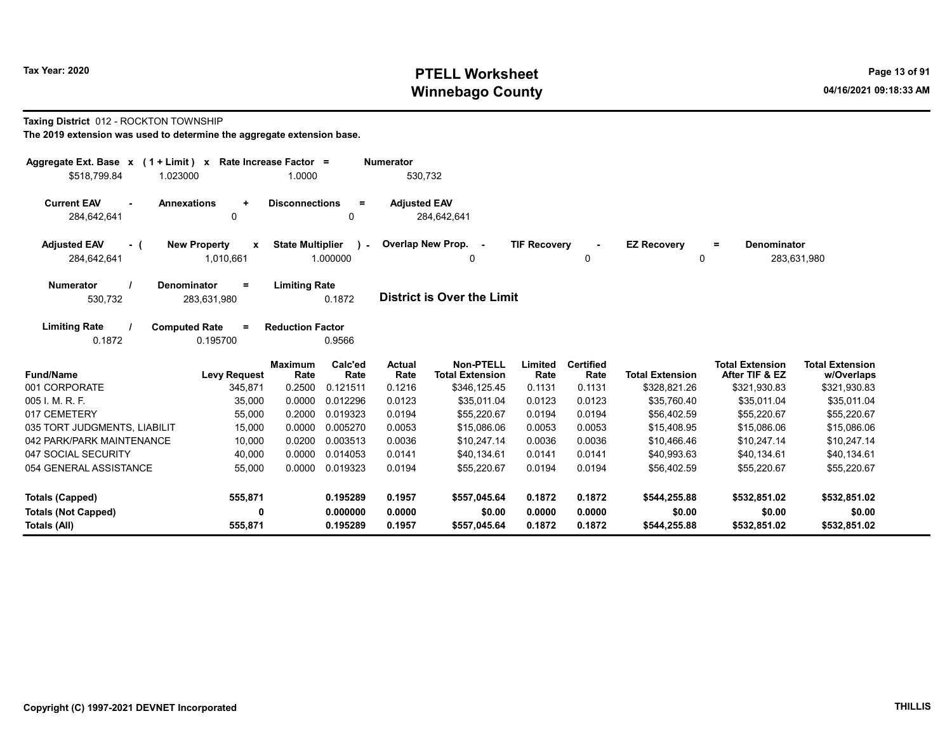#### Taxing District 012 - ROCKTON TOWNSHIP

| Aggregate Ext. Base $x$ (1 + Limit) x Rate Increase Factor = |                                                  |                                                     | <b>Numerator</b>    |                                            |                     |                          |                         |                                          |                                      |
|--------------------------------------------------------------|--------------------------------------------------|-----------------------------------------------------|---------------------|--------------------------------------------|---------------------|--------------------------|-------------------------|------------------------------------------|--------------------------------------|
| \$518,799.84<br>1.023000                                     |                                                  | 1.0000                                              | 530,732             |                                            |                     |                          |                         |                                          |                                      |
| <b>Current EAV</b><br><b>Annexations</b><br>284,642,641      | $\ddot{}$<br>$\Omega$                            | <b>Disconnections</b><br>Ξ<br>0                     | <b>Adjusted EAV</b> | 284.642.641                                |                     |                          |                         |                                          |                                      |
| <b>Adjusted EAV</b><br>- (<br>284,642,641                    | <b>New Property</b><br>$\mathbf{x}$<br>1,010,661 | <b>State Multiplier</b><br>$\mathbf{r}$<br>1.000000 |                     | Overlap New Prop. -<br>$\Omega$            | <b>TIF Recovery</b> | $\sim$<br>0              | <b>EZ Recovery</b><br>0 | <b>Denominator</b><br>Ξ                  | 283,631,980                          |
| <b>Numerator</b><br>Denominator<br>530,732                   | Ξ<br>283,631,980                                 | <b>Limiting Rate</b><br>0.1872                      |                     | District is Over the Limit                 |                     |                          |                         |                                          |                                      |
| <b>Limiting Rate</b><br><b>Computed Rate</b><br>0.1872       | $\equiv$<br>0.195700                             | <b>Reduction Factor</b><br>0.9566                   |                     |                                            |                     |                          |                         |                                          |                                      |
| <b>Fund/Name</b>                                             | <b>Maximum</b><br><b>Levy Request</b>            | Calc'ed<br>Rate<br>Rate                             | Actual<br>Rate      | <b>Non-PTELL</b><br><b>Total Extension</b> | Limited<br>Rate     | <b>Certified</b><br>Rate | <b>Total Extension</b>  | <b>Total Extension</b><br>After TIF & EZ | <b>Total Extension</b><br>w/Overlaps |
| 001 CORPORATE                                                | 345,871                                          | 0.121511<br>0.2500                                  | 0.1216              | \$346,125.45                               | 0.1131              | 0.1131                   | \$328,821.26            | \$321,930.83                             | \$321,930.83                         |
| 005 I. M. R. F.                                              | 35,000                                           | 0.0000<br>0.012296                                  | 0.0123              | \$35,011.04                                | 0.0123              | 0.0123                   | \$35,760.40             | \$35,011.04                              | \$35,011.04                          |
| 017 CEMETERY                                                 | 55,000                                           | 0.2000<br>0.019323                                  | 0.0194              | \$55,220.67                                | 0.0194              | 0.0194                   | \$56,402.59             | \$55,220.67                              | \$55,220.67                          |
| 035 TORT JUDGMENTS, LIABILIT                                 | 15,000                                           | 0.0000<br>0.005270                                  | 0.0053              | \$15,086.06                                | 0.0053              | 0.0053                   | \$15,408.95             | \$15,086.06                              | \$15,086.06                          |
| 042 PARK/PARK MAINTENANCE                                    | 10,000                                           | 0.0200<br>0.003513                                  | 0.0036              | \$10,247.14                                | 0.0036              | 0.0036                   | \$10,466.46             | \$10,247.14                              | \$10,247.14                          |
| 047 SOCIAL SECURITY                                          | 40,000                                           | 0.0000<br>0.014053                                  | 0.0141              | \$40,134.61                                | 0.0141              | 0.0141                   | \$40,993.63             | \$40,134.61                              | \$40,134.61                          |
| 054 GENERAL ASSISTANCE                                       | 55,000                                           | 0.0000<br>0.019323                                  | 0.0194              | \$55,220.67                                | 0.0194              | 0.0194                   | \$56,402.59             | \$55,220.67                              | \$55,220.67                          |
| Totals (Capped)                                              | 555,871                                          | 0.195289                                            | 0.1957              | \$557,045.64                               | 0.1872              | 0.1872                   | \$544,255.88            | \$532,851.02                             | \$532,851.02                         |
| <b>Totals (Not Capped)</b><br>Totals (All)                   | 0<br>555,871                                     | 0.000000<br>0.195289                                | 0.0000<br>0.1957    | \$0.00<br>\$557,045.64                     | 0.0000<br>0.1872    | 0.0000<br>0.1872         | \$0.00<br>\$544,255.88  | \$0.00<br>\$532,851.02                   | \$0.00<br>\$532,851.02               |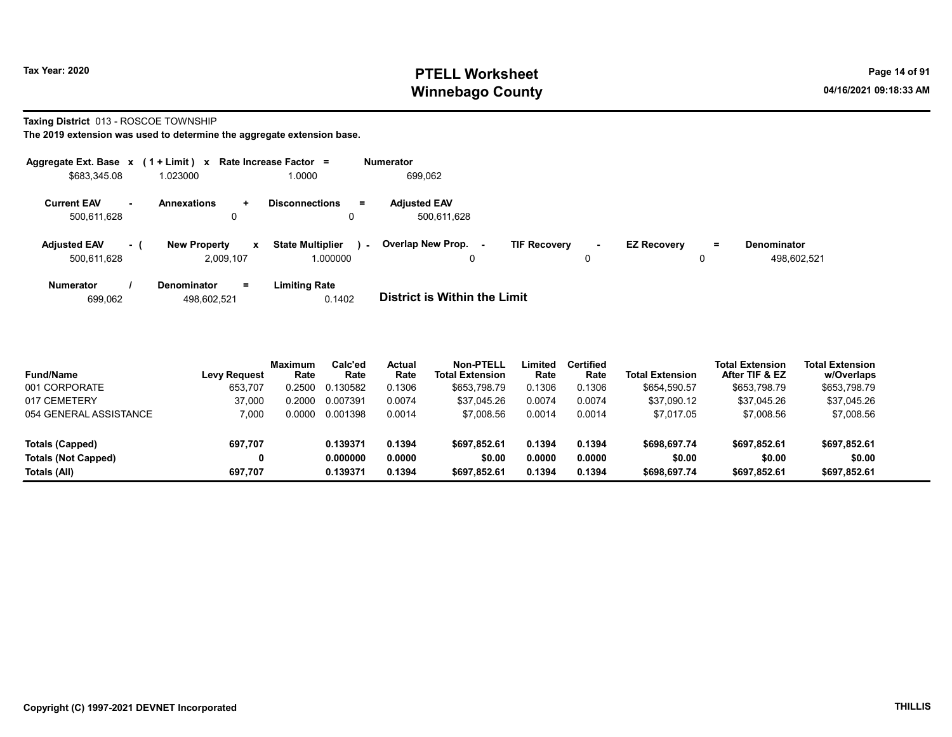#### Taxing District 013 - ROSCOE TOWNSHIP

| Aggregate Ext. Base $x$ (1 + Limit) $x$ |     |                                     | Rate Increase Factor =            | <b>Numerator</b>                                                                                                   |
|-----------------------------------------|-----|-------------------------------------|-----------------------------------|--------------------------------------------------------------------------------------------------------------------|
| \$683,345.08                            |     | 1.023000                            | 1.0000                            | 699.062                                                                                                            |
| <b>Current EAV</b>                      |     | <b>Annexations</b><br>÷.            | <b>Disconnections</b><br>$=$      | <b>Adjusted EAV</b>                                                                                                |
| 500,611,628                             |     | 0                                   | 0                                 | 500.611.628                                                                                                        |
| <b>Adjusted EAV</b>                     | - 1 | <b>New Property</b><br>$\mathbf{x}$ | <b>State Multiplier</b><br>$\sim$ | Overlap New Prop.<br><b>TIF Recovery</b><br><b>EZ Recovery</b><br><b>Denominator</b><br>Ξ.<br>$\blacksquare$<br>۰. |
| 500,611,628                             |     | 2.009.107                           | 1.000000                          | 498.602.521<br>0<br>0<br>0                                                                                         |
| <b>Numerator</b>                        |     | $=$<br><b>Denominator</b>           | <b>Limiting Rate</b>              |                                                                                                                    |
| 699.062                                 |     | 498.602.521                         | 0.1402                            | <b>District is Within the Limit</b>                                                                                |

| <b>Fund/Name</b>           | <b>Levy Request</b> | <b>Maximum</b><br>Rate | Calc'ed<br>Rate | Actual<br>Rate | <b>Non-PTELL</b><br><b>Total Extension</b> | Limited<br>Rate | <b>Certified</b><br>Rate | <b>Total Extension</b> | <b>Total Extension</b><br>After TIF & EZ | <b>Total Extension</b><br>w/Overlaps |  |
|----------------------------|---------------------|------------------------|-----------------|----------------|--------------------------------------------|-----------------|--------------------------|------------------------|------------------------------------------|--------------------------------------|--|
| 001 CORPORATE              | 653.707             | 0.2500                 | 0.130582        | 0.1306         | \$653.798.79                               | 0.1306          | 0.1306                   | \$654,590.57           | \$653,798.79                             | \$653,798.79                         |  |
| 017 CEMETERY               | 37.000              | 0.2000                 | 0.007391        | 0.0074         | \$37.045.26                                | 0.0074          | 0.0074                   | \$37.090.12            | \$37.045.26                              | \$37,045.26                          |  |
| 054 GENERAL ASSISTANCE     | 7.000               | 0.0000                 | 0.001398        | 0.0014         | \$7,008.56                                 | 0.0014          | 0.0014                   | \$7.017.05             | \$7,008.56                               | \$7,008.56                           |  |
| Totals (Capped)            | 697,707             |                        | 0.139371        | 0.1394         | \$697.852.61                               | 0.1394          | 0.1394                   | \$698.697.74           | \$697.852.61                             | \$697,852.61                         |  |
| <b>Totals (Not Capped)</b> |                     |                        | 0.000000        | 0.0000         | \$0.00                                     | 0.0000          | 0.0000                   | \$0.00                 | \$0.00                                   | \$0.00                               |  |
| Totals (All)               | 697.707             |                        | 0.139371        | 0.1394         | \$697,852.61                               | 0.1394          | 0.1394                   | \$698,697.74           | \$697,852.61                             | \$697,852.61                         |  |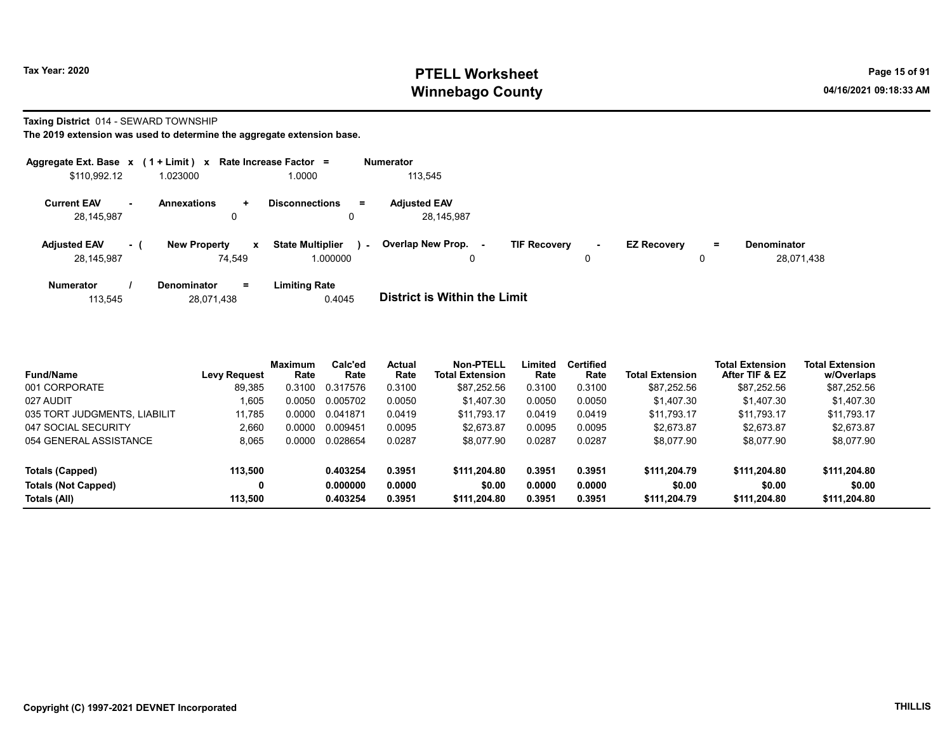#### Taxing District 014 - SEWARD TOWNSHIP

| Aggregate Ext. Base $x$ (1 + Limit) $x$ Rate Increase Factor = |           |                               |             |                                     |        | <b>Numerator</b>                                |                     |        |                    |               |                                  |
|----------------------------------------------------------------|-----------|-------------------------------|-------------|-------------------------------------|--------|-------------------------------------------------|---------------------|--------|--------------------|---------------|----------------------------------|
| \$110,992.12                                                   |           | 1.023000                      |             | 1.0000                              |        | 113,545                                         |                     |        |                    |               |                                  |
| <b>Current EAV</b><br>28,145,987                               | <b>м.</b> | <b>Annexations</b><br>0       | ÷.          | <b>Disconnections</b><br>Ξ.         |        | <b>Adjusted EAV</b><br>28,145,987               |                     |        |                    |               |                                  |
| <b>Adjusted EAV</b><br>28,145,987                              | $-1$      | <b>New Property</b><br>74.549 | $\mathbf x$ | <b>State Multiplier</b><br>1.000000 | $\sim$ | <b>Overlap New Prop.</b><br>$\blacksquare$<br>0 | <b>TIF Recovery</b> | $\sim$ | <b>EZ Recovery</b> | $\equiv$<br>0 | <b>Denominator</b><br>28,071,438 |
| <b>Numerator</b>                                               |           | <b>Denominator</b>            | $=$         | <b>Limiting Rate</b>                |        |                                                 |                     |        |                    |               |                                  |

| <b>District is Within the Limit</b><br>0.4045<br>28,071,438<br>113.545 |  |
|------------------------------------------------------------------------|--|

| <b>Fund/Name</b>             | <b>Levy Request</b> | <b>Maximum</b><br>Rate | Calc'ed<br>Rate | <b>Actual</b><br>Rate | Non-PTELL<br><b>Total Extension</b> | ∟imited<br>Rate | <b>Certified</b><br>Rate | <b>Total Extension</b> | <b>Total Extension</b><br>After TIF & EZ | <b>Total Extension</b><br>w/Overlaps |
|------------------------------|---------------------|------------------------|-----------------|-----------------------|-------------------------------------|-----------------|--------------------------|------------------------|------------------------------------------|--------------------------------------|
| 001 CORPORATE                | 89.385              | 0.3100                 | 0.317576        | 0.3100                | \$87.252.56                         | 0.3100          | 0.3100                   | \$87.252.56            | \$87,252.56                              | \$87,252.56                          |
| 027 AUDIT                    | 1.605               | 0.0050                 | 0.005702        | 0.0050                | \$1.407.30                          | 0.0050          | 0.0050                   | \$1.407.30             | \$1.407.30                               | \$1.407.30                           |
| 035 TORT JUDGMENTS, LIABILIT | 11.785              | 0.0000                 | 0.041871        | 0.0419                | \$11.793.17                         | 0.0419          | 0.0419                   | \$11.793.17            | \$11.793.17                              | \$11.793.17                          |
| 047 SOCIAL SECURITY          | 2.660               | 0.0000                 | 0.009451        | 0.0095                | \$2.673.87                          | 0.0095          | 0.0095                   | \$2.673.87             | \$2.673.87                               | \$2,673.87                           |
| 054 GENERAL ASSISTANCE       | 8,065               | 0.0000                 | 0.028654        | 0.0287                | \$8,077.90                          | 0.0287          | 0.0287                   | \$8,077.90             | \$8,077.90                               | \$8,077.90                           |
| Totals (Capped)              | 113.500             |                        | 0.403254        | 0.3951                | \$111.204.80                        | 0.3951          | 0.3951                   | \$111,204.79           | \$111.204.80                             | \$111,204.80                         |
| <b>Totals (Not Capped)</b>   | 0                   |                        | 0.000000        | 0.0000                | \$0.00                              | 0.0000          | 0.0000                   | \$0.00                 | \$0.00                                   | \$0.00                               |
| Totals (All)                 | 113.500             |                        | 0.403254        | 0.3951                | \$111.204.80                        | 0.3951          | 0.3951                   | \$111.204.79           | \$111.204.80                             | \$111,204.80                         |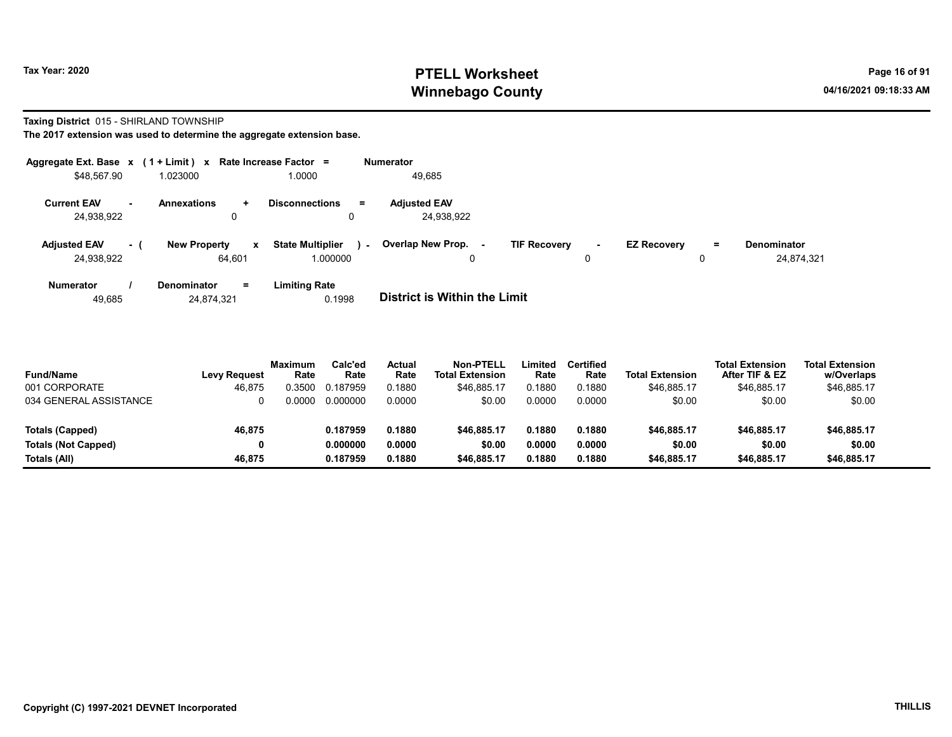#### Taxing District 015 - SHIRLAND TOWNSHIP

The 2017 extension was used to determine the aggregate extension base.

|                                   |      | Aggregate Ext. Base $x$ (1 + Limit) $x$ Rate Increase Factor = |                                     | <b>Numerator</b>                              |                     |             |                    |         |                                  |
|-----------------------------------|------|----------------------------------------------------------------|-------------------------------------|-----------------------------------------------|---------------------|-------------|--------------------|---------|----------------------------------|
| \$48,567.90                       |      | 1.023000                                                       | 1.0000                              | 49,685                                        |                     |             |                    |         |                                  |
| <b>Current EAV</b><br>24,938,922  | . .  | <b>Annexations</b><br>÷<br>0                                   | <b>Disconnections</b>               | <b>Adjusted EAV</b><br>$\equiv$<br>24,938,922 |                     |             |                    |         |                                  |
| <b>Adjusted EAV</b><br>24,938,922 | $-1$ | <b>New Property</b><br>$\mathbf{x}$<br>64,601                  | <b>State Multiplier</b><br>1.000000 | Overlap New Prop.<br>$\sim$<br>0              | <b>TIF Recovery</b> | $\sim$<br>0 | <b>EZ Recovery</b> | Ξ.<br>0 | <b>Denominator</b><br>24.874.321 |
| <b>Numerator</b>                  |      | <b>Denominator</b><br>Ξ.                                       | <b>Limiting Rate</b>                |                                               |                     |             |                    |         |                                  |

49,685 24,874,321 0.1998 District is Within the Limit

| <b>Fund/Name</b><br>001 CORPORATE | <b>Levy Request</b><br>46.875 | <b>Maximum</b><br>Rate<br>0.3500 | Calc'ed<br>Rate<br>0.187959 | Actual<br>Rate<br>0.1880 | Non-PTELL<br><b>Total Extension</b><br>\$46,885.17 | Limited<br>Rate<br>0.1880 | <b>Certified</b><br>Rate<br>0.1880 | <b>Total Extension</b><br>\$46.885.17 | <b>Total Extension</b><br>After TIF & EZ<br>\$46.885.17 | <b>Total Extension</b><br>w/Overlaps<br>\$46,885.17 |
|-----------------------------------|-------------------------------|----------------------------------|-----------------------------|--------------------------|----------------------------------------------------|---------------------------|------------------------------------|---------------------------------------|---------------------------------------------------------|-----------------------------------------------------|
| 034 GENERAL ASSISTANCE            |                               | ን 0000                           | 0.000000                    | 0.0000                   | \$0.00                                             | 0.0000                    | 0.0000                             | \$0.00                                | \$0.00                                                  | \$0.00                                              |
| Totals (Capped)                   | 46.875                        |                                  | 0.187959                    | 0.1880                   | \$46,885.17                                        | 0.1880                    | 0.1880                             | \$46,885.17                           | \$46,885.17                                             | \$46,885.17                                         |
| <b>Totals (Not Capped)</b>        |                               |                                  | 0.000000                    | 0.0000                   | \$0.00                                             | 0.0000                    | 0.0000                             | \$0.00                                | \$0.00                                                  | \$0.00                                              |
| Totals (All)                      | 46.875                        |                                  | 0.187959                    | 0.1880                   | \$46.885.17                                        | 0.1880                    | 0.1880                             | \$46,885.17                           | \$46,885.17                                             | \$46,885.17                                         |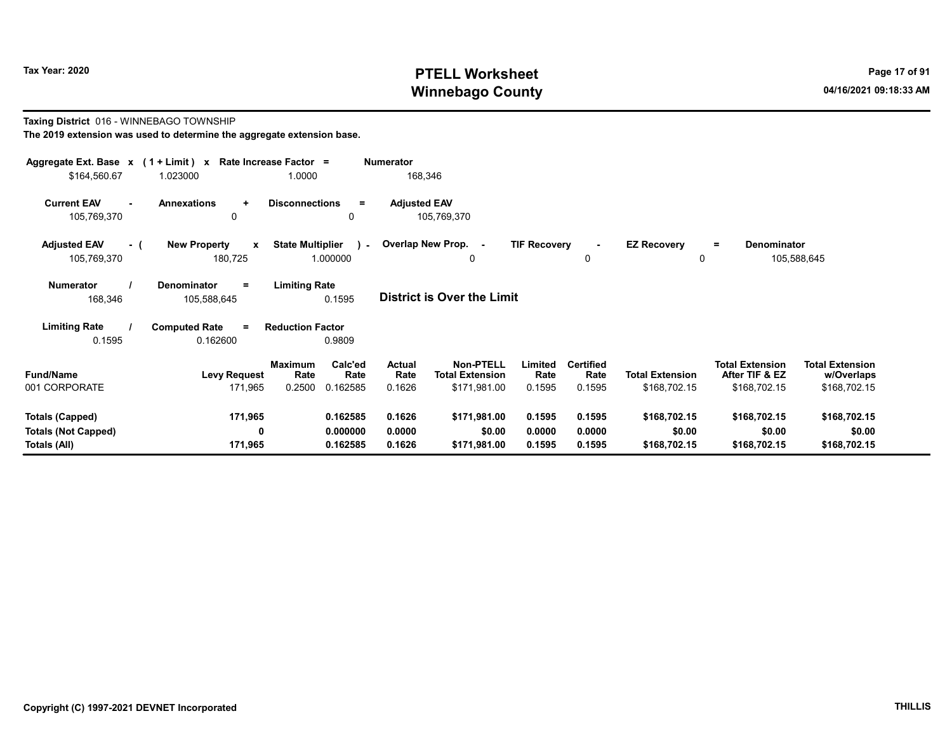#### Taxing District 016 - WINNEBAGO TOWNSHIP The 2019 extension was used to determine the aggregate extension base.

| Aggregate Ext. Base $x$ (1 + Limit) $x$<br>\$164,560.67 | 1.023000                                                                                        | Rate Increase Factor =<br>1.0000                    | Numerator<br>168,346               |                                     |                     |                          |                         |                                          |                                      |  |  |
|---------------------------------------------------------|-------------------------------------------------------------------------------------------------|-----------------------------------------------------|------------------------------------|-------------------------------------|---------------------|--------------------------|-------------------------|------------------------------------------|--------------------------------------|--|--|
| <b>Current EAV</b><br>105,769,370                       | <b>Annexations</b><br>$\ddot{}$<br>0                                                            | <b>Disconnections</b><br>$=$<br>0                   | <b>Adjusted EAV</b><br>105,769,370 |                                     |                     |                          |                         |                                          |                                      |  |  |
| <b>Adjusted EAV</b><br>- (<br>105,769,370               | <b>New Property</b><br>X<br>180,725                                                             | <b>State Multiplier</b><br>$\mathbf{r}$<br>1.000000 | Overlap New Prop. -                | 0                                   | <b>TIF Recovery</b> | 0                        | <b>EZ Recovery</b><br>0 | Denominator<br>Ξ.                        | 105,588,645                          |  |  |
| <b>Numerator</b><br>168,346                             | <b>Limiting Rate</b><br>Denominator<br>Ξ<br>District is Over the Limit<br>0.1595<br>105,588,645 |                                                     |                                    |                                     |                     |                          |                         |                                          |                                      |  |  |
| <b>Limiting Rate</b>                                    | <b>Computed Rate</b><br>$\equiv$                                                                | <b>Reduction Factor</b>                             |                                    |                                     |                     |                          |                         |                                          |                                      |  |  |
| 0.1595                                                  | 0.162600                                                                                        | 0.9809                                              |                                    |                                     |                     |                          |                         |                                          |                                      |  |  |
| <b>Fund/Name</b>                                        | <b>Levy Request</b>                                                                             | Calc'ed<br><b>Maximum</b><br>Rate<br>Rate           | Actual<br>Rate                     | Non-PTELL<br><b>Total Extension</b> | Limited<br>Rate     | <b>Certified</b><br>Rate | <b>Total Extension</b>  | <b>Total Extension</b><br>After TIF & EZ | <b>Total Extension</b><br>w/Overlaps |  |  |
| 001 CORPORATE                                           | 171,965                                                                                         | 0.2500<br>0.162585                                  | 0.1626                             | \$171,981.00                        | 0.1595              | 0.1595                   | \$168,702.15            | \$168,702.15                             | \$168,702.15                         |  |  |
| <b>Totals (Capped)</b>                                  | 171,965                                                                                         | 0.162585                                            | 0.1626                             | \$171,981.00                        | 0.1595              | 0.1595                   | \$168,702.15            | \$168,702.15                             | \$168,702.15                         |  |  |
| <b>Totals (Not Capped)</b><br>Totals (All)              | 0<br>171,965                                                                                    | 0.000000<br>0.162585                                | 0.0000<br>0.1626                   | \$0.00<br>\$171,981.00              | 0.0000<br>0.1595    | 0.0000<br>0.1595         | \$0.00<br>\$168,702.15  | \$0.00<br>\$168,702.15                   | \$0.00<br>\$168,702.15               |  |  |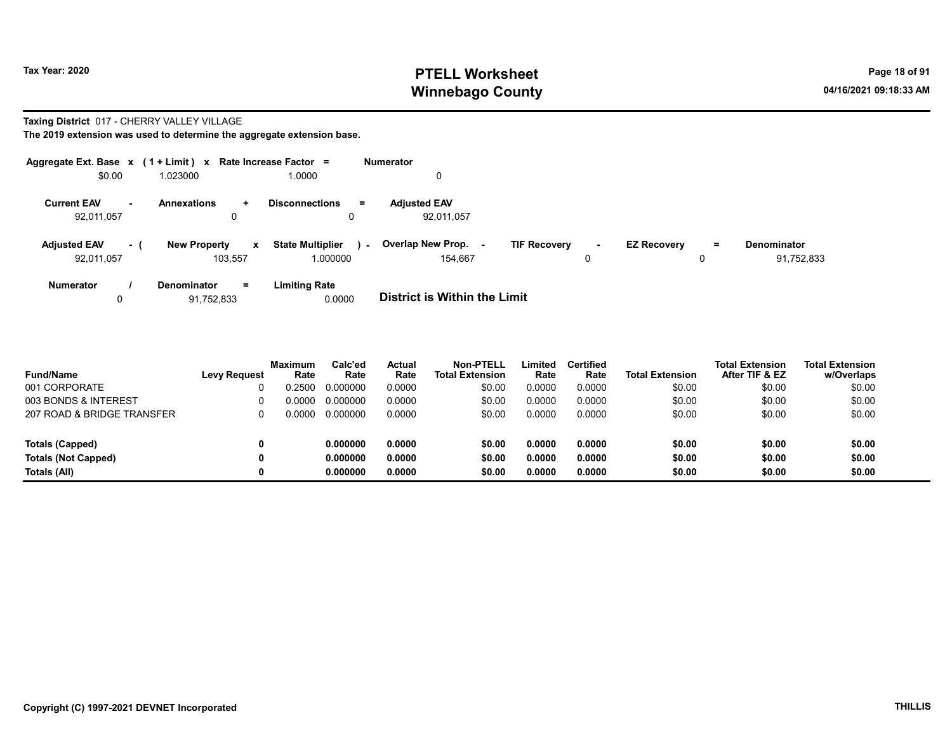#### Taxing District 017 - CHERRY VALLEY VILLAGE

The 2019 extension was used to determine the aggregate extension base.

| Aggregate Ext. Base $x$ (1 + Limit) $x$ |     |                                     | Rate Increase Factor =            | <b>Numerator</b>                                                                                                |
|-----------------------------------------|-----|-------------------------------------|-----------------------------------|-----------------------------------------------------------------------------------------------------------------|
| \$0.00                                  |     | 1.023000                            | 1.0000                            |                                                                                                                 |
| <b>Current EAV</b><br>н.                |     | <b>Annexations</b><br>÷.            | <b>Disconnections</b><br>$\equiv$ | <b>Adjusted EAV</b>                                                                                             |
| 92,011,057                              |     | 0                                   | 0                                 | 92,011,057                                                                                                      |
| <b>Adjusted EAV</b>                     | - ( | <b>New Property</b><br>$\mathbf{x}$ | <b>State Multiplier</b><br>$\sim$ | Overlap New Prop.<br><b>TIF Recovery</b><br><b>EZ Recovery</b><br><b>Denominator</b><br>$=$<br>$\sim$<br>$\sim$ |
| 92,011,057                              |     | 103.557                             | 1.000000                          | 154.667<br>91,752,833<br>0                                                                                      |
| <b>Numerator</b>                        |     | $=$<br><b>Denominator</b>           | <b>Limiting Rate</b>              |                                                                                                                 |
|                                         |     | 91.752.833                          | 0.0000                            | <b>District is Within the Limit</b>                                                                             |

| <b>Fund/Name</b>           | <b>Levy Request</b> | <b>Maximum</b><br>Rate | Calc'ed<br>Rate | Actual<br>Rate | Non-PTELL<br><b>Total Extension</b> | Limited<br>Rate | Certified<br>Rate | <b>Total Extension</b> | <b>Total Extension</b><br>After TIF & EZ | <b>Total Extension</b><br>w/Overlaps |
|----------------------------|---------------------|------------------------|-----------------|----------------|-------------------------------------|-----------------|-------------------|------------------------|------------------------------------------|--------------------------------------|
| 001 CORPORATE              |                     | 0.2500                 | 0.000000        | 0.0000         | \$0.00                              | 0.0000          | 0.0000            | \$0.00                 | \$0.00                                   | \$0.00                               |
| 003 BONDS & INTEREST       |                     | 0.0000                 | 0.000000        | 0.0000         | \$0.00                              | 0.0000          | 0.0000            | \$0.00                 | \$0.00                                   | \$0.00                               |
| 207 ROAD & BRIDGE TRANSFER |                     | 0.0000                 | 0.000000        | 0.0000         | \$0.00                              | 0.0000          | 0.0000            | \$0.00                 | \$0.00                                   | \$0.00                               |

Totals (Capped) 0 0.000000 0.0000 \$0.00 0.0000 0.0000 \$0.00 \$0.00 \$0.00 Totals (Not Capped) 0 0.000000 0.0000 \$0.00 0.0000 0.0000 \$0.00 \$0.00 \$0.00 Totals (All) 0 0.000000 0.0000 \$0.00 0.0000 0.0000 \$0.00 \$0.00 \$0.00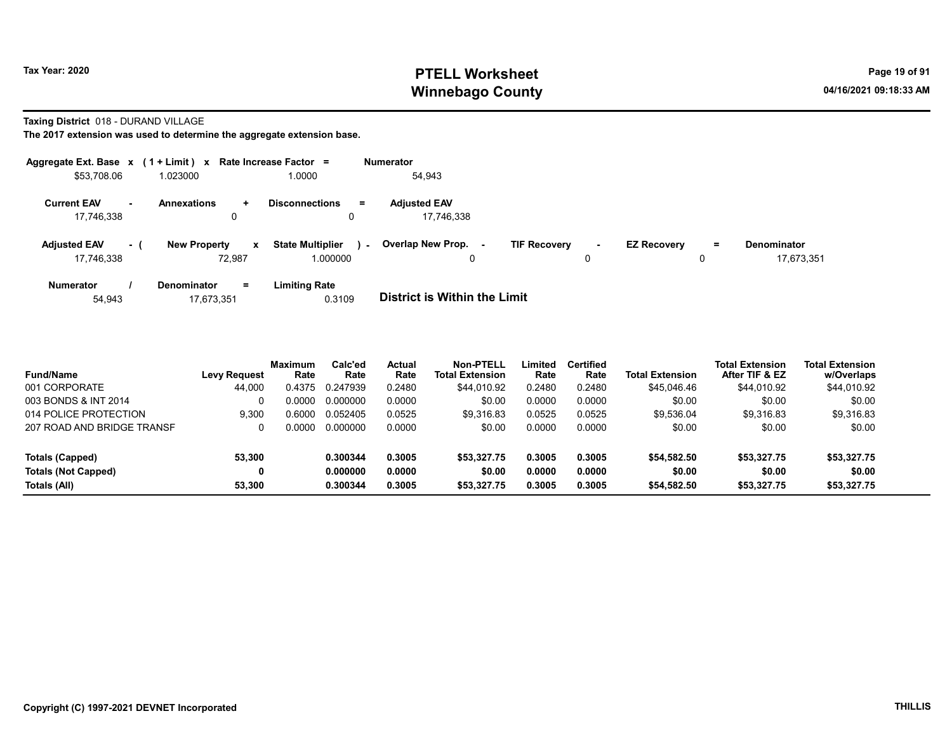Taxing District 018 - DURAND VILLAGE

|                                   |          | Aggregate Ext. Base $x$ (1 + Limit) $x$ Rate Increase Factor = |             |                                     |        | <b>Numerator</b>                  |                     |        |                    |     |                                  |
|-----------------------------------|----------|----------------------------------------------------------------|-------------|-------------------------------------|--------|-----------------------------------|---------------------|--------|--------------------|-----|----------------------------------|
| \$53,708.06                       |          | 1.023000                                                       |             | 1.0000                              |        | 54,943                            |                     |        |                    |     |                                  |
| <b>Current EAV</b><br>17,746,338  | $\sim$   | <b>Annexations</b><br>÷.<br>0                                  |             | <b>Disconnections</b><br>0          | Ξ.     | <b>Adjusted EAV</b><br>17.746.338 |                     |        |                    |     |                                  |
| <b>Adjusted EAV</b><br>17.746.338 | $\sim$ 1 | <b>New Property</b><br>72.987                                  | $\mathbf x$ | <b>State Multiplier</b><br>1.000000 | $\sim$ | Overlap New Prop.<br>۰.<br>0      | <b>TIF Recovery</b> | $\sim$ | <b>EZ Recovery</b> | $=$ | <b>Denominator</b><br>17.673.351 |
| <b>Numerator</b>                  |          | <b>Denominator</b><br>$=$                                      |             | <b>Limiting Rate</b>                |        |                                   |                     |        |                    |     |                                  |

| <b>District is Within the Limit</b> |
|-------------------------------------|

| <b>Fund/Name</b>           | Levy Request | <b>Maximum</b><br>Rate | Calc'ed<br>Rate | <b>Actual</b><br>Rate | <b>Non-PTELL</b><br><b>Total Extension</b> | Limited<br>Rate | <b>Certified</b><br>Rate | <b>Total Extension</b> | <b>Total Extension</b><br>After TIF & EZ | <b>Total Extension</b><br>w/Overlaps |  |
|----------------------------|--------------|------------------------|-----------------|-----------------------|--------------------------------------------|-----------------|--------------------------|------------------------|------------------------------------------|--------------------------------------|--|
| 001 CORPORATE              | 44,000       | 0.4375                 | 0.247939        | 0.2480                | \$44,010.92                                | 0.2480          | 0.2480                   | \$45,046.46            | \$44,010.92                              | \$44,010.92                          |  |
| 003 BONDS & INT 2014       |              | 0.0000                 | 0.000000        | 0.0000                | \$0.00                                     | 0.0000          | 0.0000                   | \$0.00                 | \$0.00                                   | \$0.00                               |  |
| 014 POLICE PROTECTION      | 9.300        | 0.6000                 | 0.052405        | 0.0525                | \$9.316.83                                 | 0.0525          | 0.0525                   | \$9.536.04             | \$9.316.83                               | \$9,316.83                           |  |
| 207 ROAD AND BRIDGE TRANSF |              | 0.0000                 | 0.000000        | 0.0000                | \$0.00                                     | 0.0000          | 0.0000                   | \$0.00                 | \$0.00                                   | \$0.00                               |  |
| Totals (Capped)            | 53,300       |                        | 0.300344        | 0.3005                | \$53,327.75                                | 0.3005          | 0.3005                   | \$54,582.50            | \$53,327.75                              | \$53,327.75                          |  |
| <b>Totals (Not Capped)</b> |              |                        | 0.000000        | 0.0000                | \$0.00                                     | 0.0000          | 0.0000                   | \$0.00                 | \$0.00                                   | \$0.00                               |  |
| Totals (All)               | 53.300       |                        | 0.300344        | 0.3005                | \$53,327.75                                | 0.3005          | 0.3005                   | \$54,582.50            | \$53.327.75                              | \$53,327.75                          |  |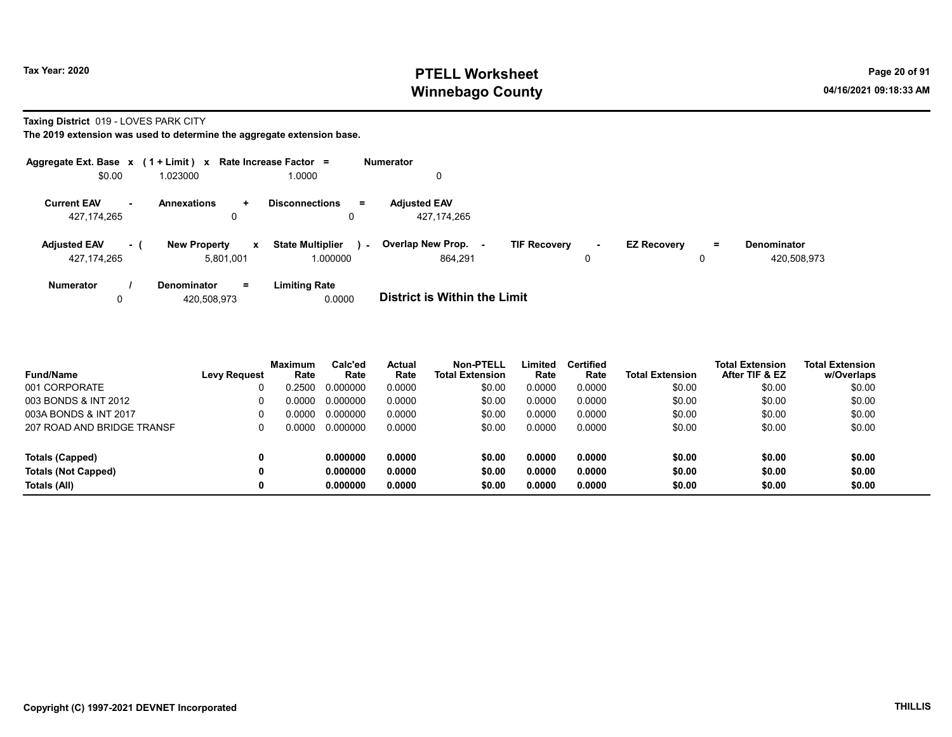Taxing District 019 - LOVES PARK CITY

| Aggregate Ext. Base $x$ (1 + Limit) $x$ Rate Increase Factor = |                |                     |              |                             |        | <b>Numerator</b>                    |                     |        |                    |    |             |
|----------------------------------------------------------------|----------------|---------------------|--------------|-----------------------------|--------|-------------------------------------|---------------------|--------|--------------------|----|-------------|
| \$0.00                                                         |                | 1.023000            |              | 1.0000                      |        | 0                                   |                     |        |                    |    |             |
| <b>Current EAV</b>                                             | $\blacksquare$ | <b>Annexations</b>  | ÷            | <b>Disconnections</b><br>Ξ. |        | <b>Adjusted EAV</b>                 |                     |        |                    |    |             |
| 427,174,265                                                    |                | 0                   |              | 0                           |        | 427, 174, 265                       |                     |        |                    |    |             |
| <b>Adjusted EAV</b>                                            | - (            | <b>New Property</b> | $\mathbf{x}$ | <b>State Multiplier</b>     | $\sim$ | Overlap New Prop.                   | <b>TIF Recovery</b> | $\sim$ | <b>EZ Recovery</b> | Ξ. | Denominator |
| 427,174,265                                                    |                | 5,801,001           |              | 1.000000                    |        | 864.291                             |                     | 0      |                    | 0  | 420,508,973 |
| Numerator                                                      |                | Denominator         | $=$          | <b>Limiting Rate</b>        |        |                                     |                     |        |                    |    |             |
| 0                                                              |                | 420.508.973         |              | 0.0000                      |        | <b>District is Within the Limit</b> |                     |        |                    |    |             |

| <b>Fund/Name</b>           | <b>Levy Request</b> | <b>Maximum</b><br>Rate | Calc'ed<br>Rate | Actual<br>Rate | Non-PTELL<br><b>Total Extension</b> | Limited<br>Rate | <b>Certified</b><br>Rate | <b>Total Extension</b> | <b>Total Extension</b><br>After TIF & EZ | <b>Total Extension</b><br>w/Overlaps |
|----------------------------|---------------------|------------------------|-----------------|----------------|-------------------------------------|-----------------|--------------------------|------------------------|------------------------------------------|--------------------------------------|
| 001 CORPORATE              |                     | 0.2500                 | 0.000000        | 0.0000         | \$0.00                              | 0.0000          | 0.0000                   | \$0.00                 | \$0.00                                   | \$0.00                               |
| 003 BONDS & INT 2012       | 0                   | 0.0000                 | 0.000000        | 0.0000         | \$0.00                              | 0.0000          | 0.0000                   | \$0.00                 | \$0.00                                   | \$0.00                               |
| 003A BONDS & INT 2017      | 0                   | 0.0000                 | 0.000000        | 0.0000         | \$0.00                              | 0.0000          | 0.0000                   | \$0.00                 | \$0.00                                   | \$0.00                               |
| 207 ROAD AND BRIDGE TRANSF | 0                   | 0.0000                 | 0.000000        | 0.0000         | \$0.00                              | 0.0000          | 0.0000                   | \$0.00                 | \$0.00                                   | \$0.00                               |
| Totals (Capped)            | 0                   |                        | 0.000000        | 0.0000         | \$0.00                              | 0.0000          | 0.0000                   | \$0.00                 | \$0.00                                   | \$0.00                               |
| <b>Totals (Not Capped)</b> | 0                   |                        | 0.000000        | 0.0000         | \$0.00                              | 0.0000          | 0.0000                   | \$0.00                 | \$0.00                                   | \$0.00                               |
| Totals (All)               | 0                   |                        | 0.000000        | 0.0000         | \$0.00                              | 0.0000          | 0.0000                   | \$0.00                 | \$0.00                                   | \$0.00                               |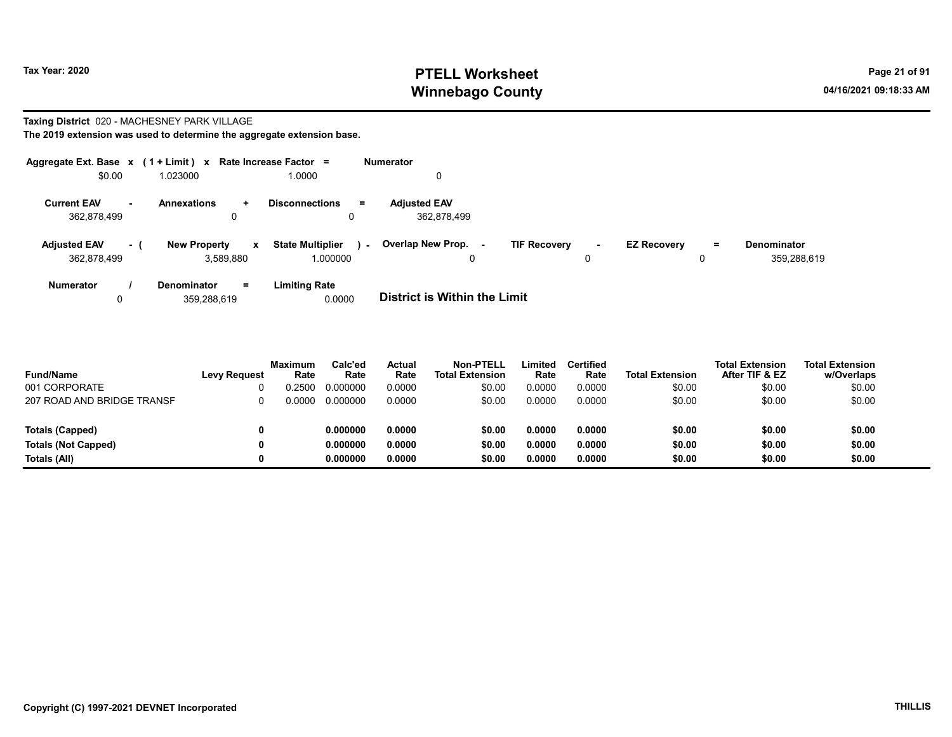Denominator

359,288,619

#### Taxing District 020 - MACHESNEY PARK VILLAGE

| The 2019 extension was used to determine the aggregate extension base. |                            |                           |                                     |                          |                                    |                     |             |                    |          |
|------------------------------------------------------------------------|----------------------------|---------------------------|-------------------------------------|--------------------------|------------------------------------|---------------------|-------------|--------------------|----------|
| Aggregate Ext. Base $x$ (1 + Limit) $x$                                |                            |                           | <b>Rate Increase Factor</b><br>÷    |                          | <b>Numerator</b>                   |                     |             |                    |          |
| \$0.00                                                                 | 1.023000                   |                           | 1.0000                              |                          | 0                                  |                     |             |                    |          |
| <b>Current EAV</b><br>$\blacksquare$<br>362,878,499                    | <b>Annexations</b>         | ÷.<br>0                   | <b>Disconnections</b>               | =                        | <b>Adjusted EAV</b><br>362.878.499 |                     |             |                    |          |
| <b>Adjusted EAV</b><br>362,878,499                                     | <b>New Property</b><br>- 1 | $\mathbf{x}$<br>3.589.880 | <b>State Multiplier</b><br>1.000000 | $\overline{\phantom{a}}$ | Overlap New Prop.                  | <b>TIF Recovery</b> | $\sim$<br>0 | <b>EZ Recovery</b> | $=$<br>0 |

| <b>Numerator</b> | Denominator<br>$=$ | <b>Limiting Rate</b> |                                     |
|------------------|--------------------|----------------------|-------------------------------------|
|                  | 359.288.619        | 0.0000               | <b>District is Within the Limit</b> |

| <b>Fund/Name</b>           | <b>Levy Request</b> | <b>Maximum</b><br>Rate | Calc'ed<br>Rate | Actual<br>Rate | <b>Non-PTELL</b><br><b>Total Extension</b> | Limited<br>Rate | <b>Certified</b><br>Rate | <b>Total Extension</b> | <b>Total Extension</b><br>After TIF & EZ | <b>Total Extension</b><br>w/Overlaps |
|----------------------------|---------------------|------------------------|-----------------|----------------|--------------------------------------------|-----------------|--------------------------|------------------------|------------------------------------------|--------------------------------------|
| 001 CORPORATE              |                     | ).2500                 | 0.000000        | 0.0000         | \$0.00                                     | 0.0000          | 0.0000                   | \$0.00                 | \$0.00                                   | \$0.00                               |
| 207 ROAD AND BRIDGE TRANSF |                     | 0.0000                 | 0.000000        | 0.0000         | \$0.00                                     | 0.0000          | 0.0000                   | \$0.00                 | \$0.00                                   | \$0.00                               |
| Totals (Capped)            |                     |                        | 0.000000        | 0.0000         | \$0.00                                     | 0.0000          | 0.0000                   | \$0.00                 | \$0.00                                   | \$0.00                               |
| <b>Totals (Not Capped)</b> |                     |                        | 0.000000        | 0.0000         | \$0.00                                     | 0.0000          | 0.0000                   | \$0.00                 | \$0.00                                   | \$0.00                               |
| Totals (All)               |                     |                        | 0.000000        | 0.0000         | \$0.00                                     | 0.0000          | 0.0000                   | \$0.00                 | \$0.00                                   | \$0.00                               |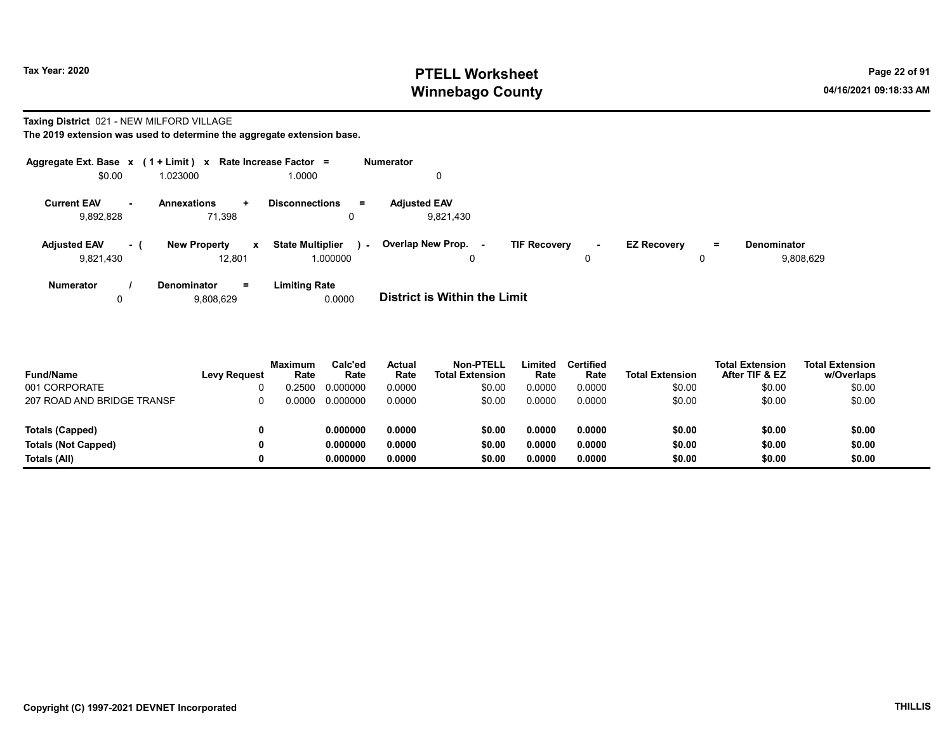#### Taxing District 021 - NEW MILFORD VILLAGE

| Aggregate Ext. Base $x$ (1 + Limit) $x$ |                                     | Rate Increase Factor =                | <b>Numerator</b>                           |                              |     |                    |
|-----------------------------------------|-------------------------------------|---------------------------------------|--------------------------------------------|------------------------------|-----|--------------------|
| \$0.00                                  | 1.023000                            | 1.0000                                |                                            |                              |     |                    |
| <b>Current EAV</b><br>$\sim$            | <b>Annexations</b><br>÷             | <b>Disconnections</b><br>$\equiv$     | <b>Adiusted EAV</b>                        |                              |     |                    |
| 9,892,828                               | 71.398                              | 0                                     | 9.821.430                                  |                              |     |                    |
| <b>Adjusted EAV</b><br>- 1              | <b>New Property</b><br>$\mathbf{x}$ | <b>State Multiplier</b><br>$\sim$ $-$ | Overlap New Prop. -<br><b>TIF Recovery</b> | <b>EZ Recovery</b><br>$\sim$ | $=$ | <b>Denominator</b> |
| 9,821,430                               | 12.801                              | 1.000000                              | 0                                          | 0                            |     | 9.808.629          |
| <b>Numerator</b>                        | $=$<br>Denominator                  | <b>Limiting Rate</b>                  |                                            |                              |     |                    |
| 0                                       | 9,808,629                           | 0.0000                                | <b>District is Within the Limit</b>        |                              |     |                    |

| <b>Fund/Name</b>           | <b>Levy Request</b> | Maximum<br>Rate | Calc'ed<br>Rate | Actual<br>Rate | Non-PTELL<br><b>Total Extension</b> | Limited<br>Rate | Certified<br>Rate | <b>Total Extension</b> | <b>Total Extension</b><br>After TIF & EZ | <b>Total Extension</b><br>w/Overlaps |
|----------------------------|---------------------|-----------------|-----------------|----------------|-------------------------------------|-----------------|-------------------|------------------------|------------------------------------------|--------------------------------------|
| 001 CORPORATE              |                     | ገ 2500          | 0.000000        | 0.0000         | \$0.00                              | 0.0000          | 0.0000            | \$0.00                 | \$0.00                                   | \$0.00                               |
| 207 ROAD AND BRIDGE TRANSF |                     | 0.0000          | 0.000000        | 0.0000         | \$0.00                              | 0.0000          | 0.0000            | \$0.00                 | \$0.00                                   | \$0.00                               |
|                            |                     |                 |                 |                |                                     |                 |                   |                        |                                          |                                      |
| <b>Totals (Capped)</b>     |                     |                 | 0.000000        | 0.0000         | \$0.00                              | 0.0000          | 0.0000            | \$0.00                 | \$0.00                                   | \$0.00                               |
| <b>Totals (Not Capped)</b> |                     |                 | 0.000000        | 0.0000         | \$0.00                              | 0.0000          | 0.0000            | \$0.00                 | \$0.00                                   | \$0.00                               |
| Totals (All)               |                     |                 | 0.000000        | 0.0000         | \$0.00                              | 0.0000          | 0.0000            | \$0.00                 | \$0.00                                   | \$0.00                               |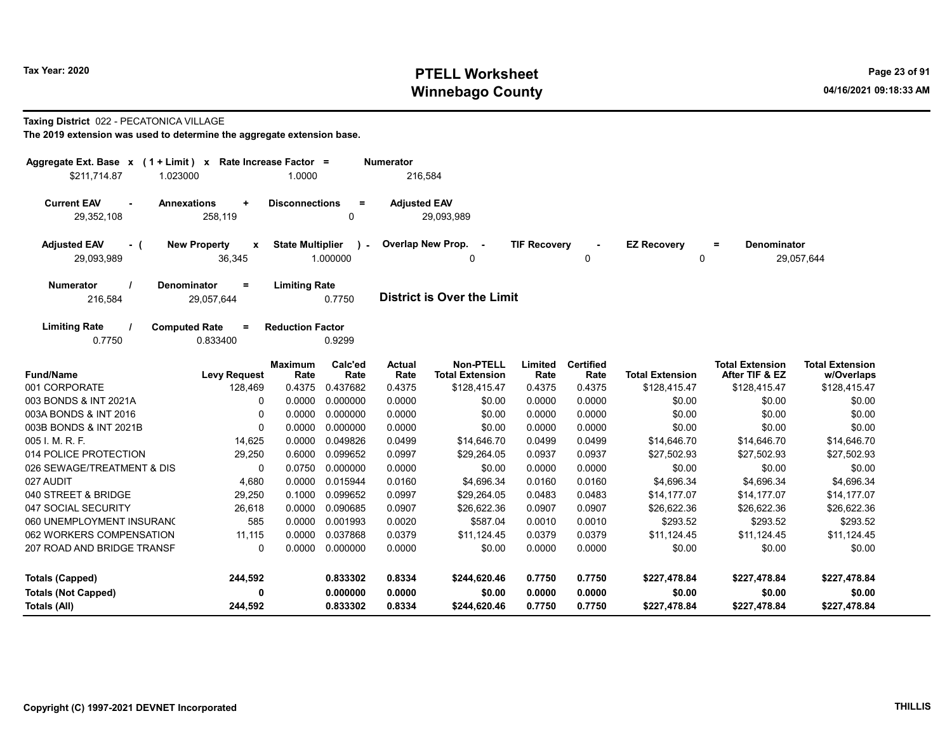#### Taxing District 022 - PECATONICA VILLAGE

| Aggregate Ext. Base $x$ (1 + Limit) x Rate Increase Factor = |                                 |                         |                 | <b>Numerator</b>      |                                            |                     |                          |                        |                                          |                                      |
|--------------------------------------------------------------|---------------------------------|-------------------------|-----------------|-----------------------|--------------------------------------------|---------------------|--------------------------|------------------------|------------------------------------------|--------------------------------------|
| \$211,714.87<br>1.023000                                     |                                 | 1.0000                  |                 | 216,584               |                                            |                     |                          |                        |                                          |                                      |
| <b>Current EAV</b><br>$\sim$                                 | <b>Annexations</b><br>$\ddot{}$ | <b>Disconnections</b>   | $\equiv$        | <b>Adjusted EAV</b>   |                                            |                     |                          |                        |                                          |                                      |
| 29,352,108                                                   | 258,119                         |                         | 0               |                       | 29,093,989                                 |                     |                          |                        |                                          |                                      |
| <b>Adjusted EAV</b><br>- (                                   | <b>New Property</b><br>X        | <b>State Multiplier</b> | $\lambda$ -     |                       | Overlap New Prop. -                        | <b>TIF Recovery</b> |                          | <b>EZ Recovery</b>     | <b>Denominator</b><br>$=$                |                                      |
| 29,093,989                                                   |                                 | 1.000000                |                 | 0                     |                                            | 0                   | 0                        |                        | 29,057,644                               |                                      |
| <b>Numerator</b>                                             | Denominator<br>Ξ.               | <b>Limiting Rate</b>    |                 |                       |                                            |                     |                          |                        |                                          |                                      |
| 216,584                                                      | 29,057,644                      |                         | 0.7750          |                       | <b>District is Over the Limit</b>          |                     |                          |                        |                                          |                                      |
| <b>Limiting Rate</b>                                         | <b>Computed Rate</b><br>$=$     | <b>Reduction Factor</b> |                 |                       |                                            |                     |                          |                        |                                          |                                      |
| 0.7750                                                       | 0.833400                        |                         | 0.9299          |                       |                                            |                     |                          |                        |                                          |                                      |
| <b>Fund/Name</b>                                             | <b>Levy Request</b>             | <b>Maximum</b><br>Rate  | Calc'ed<br>Rate | <b>Actual</b><br>Rate | <b>Non-PTELL</b><br><b>Total Extension</b> | Limited<br>Rate     | <b>Certified</b><br>Rate | <b>Total Extension</b> | <b>Total Extension</b><br>After TIF & EZ | <b>Total Extension</b><br>w/Overlaps |
| 001 CORPORATE                                                | 128,469                         | 0.4375                  | 0.437682        | 0.4375                | \$128,415.47                               | 0.4375              | 0.4375                   | \$128,415.47           | \$128,415.47                             | \$128,415.47                         |
| 003 BONDS & INT 2021A                                        | 0                               | 0.0000                  | 0.000000        | 0.0000                | \$0.00                                     | 0.0000              | 0.0000                   | \$0.00                 | \$0.00                                   | \$0.00                               |
| 003A BONDS & INT 2016                                        | 0                               | 0.0000                  | 0.000000        | 0.0000                | \$0.00                                     | 0.0000              | 0.0000                   | \$0.00                 | \$0.00                                   | \$0.00                               |
| 003B BONDS & INT 2021B                                       | $\mathbf{0}$                    | 0.0000                  | 0.000000        | 0.0000                | \$0.00                                     | 0.0000              | 0.0000                   | \$0.00                 | \$0.00                                   | \$0.00                               |
| 005 I. M. R. F.                                              | 14,625                          | 0.0000                  | 0.049826        | 0.0499                | \$14,646.70                                | 0.0499              | 0.0499                   | \$14,646.70            | \$14,646.70                              | \$14,646.70                          |
| 014 POLICE PROTECTION                                        | 29,250                          | 0.6000                  | 0.099652        | 0.0997                | \$29,264.05                                | 0.0937              | 0.0937                   | \$27,502.93            | \$27,502.93                              | \$27,502.93                          |
| 026 SEWAGE/TREATMENT & DIS                                   | 0                               | 0.0750                  | 0.000000        | 0.0000                | \$0.00                                     | 0.0000              | 0.0000                   | \$0.00                 | \$0.00                                   | \$0.00                               |
| 027 AUDIT                                                    | 4,680                           | 0.0000                  | 0.015944        | 0.0160                | \$4,696.34                                 | 0.0160              | 0.0160                   | \$4,696.34             | \$4,696.34                               | \$4,696.34                           |
| 040 STREET & BRIDGE                                          | 29,250                          | 0.1000                  | 0.099652        | 0.0997                | \$29,264.05                                | 0.0483              | 0.0483                   | \$14,177.07            | \$14,177.07                              | \$14,177.07                          |
| 047 SOCIAL SECURITY                                          | 26,618                          | 0.0000                  | 0.090685        | 0.0907                | \$26,622.36                                | 0.0907              | 0.0907                   | \$26,622.36            | \$26,622.36                              | \$26,622.36                          |
| 060 UNEMPLOYMENT INSURANC                                    | 585                             | 0.0000                  | 0.001993        | 0.0020                | \$587.04                                   | 0.0010              | 0.0010                   | \$293.52               | \$293.52                                 | \$293.52                             |
| 062 WORKERS COMPENSATION                                     | 11,115                          | 0.0000                  | 0.037868        | 0.0379                | \$11,124.45                                | 0.0379              | 0.0379                   | \$11,124.45            | \$11,124.45                              | \$11,124.45                          |
| 207 ROAD AND BRIDGE TRANSF                                   | $\mathbf{0}$                    | 0.0000                  | 0.000000        | 0.0000                | \$0.00                                     | 0.0000              | 0.0000                   | \$0.00                 | \$0.00                                   | \$0.00                               |
| <b>Totals (Capped)</b>                                       | 244,592                         |                         | 0.833302        | 0.8334                | \$244,620.46                               | 0.7750              | 0.7750                   | \$227,478.84           | \$227,478.84                             | \$227,478.84                         |
| <b>Totals (Not Capped)</b>                                   | 0                               |                         | 0.000000        | 0.0000                | \$0.00                                     | 0.0000              | 0.0000                   | \$0.00                 | \$0.00                                   | \$0.00                               |
| Totals (All)                                                 | 244,592                         |                         | 0.833302        | 0.8334                | \$244,620.46                               | 0.7750              | 0.7750                   | \$227,478.84           | \$227,478.84                             | \$227,478.84                         |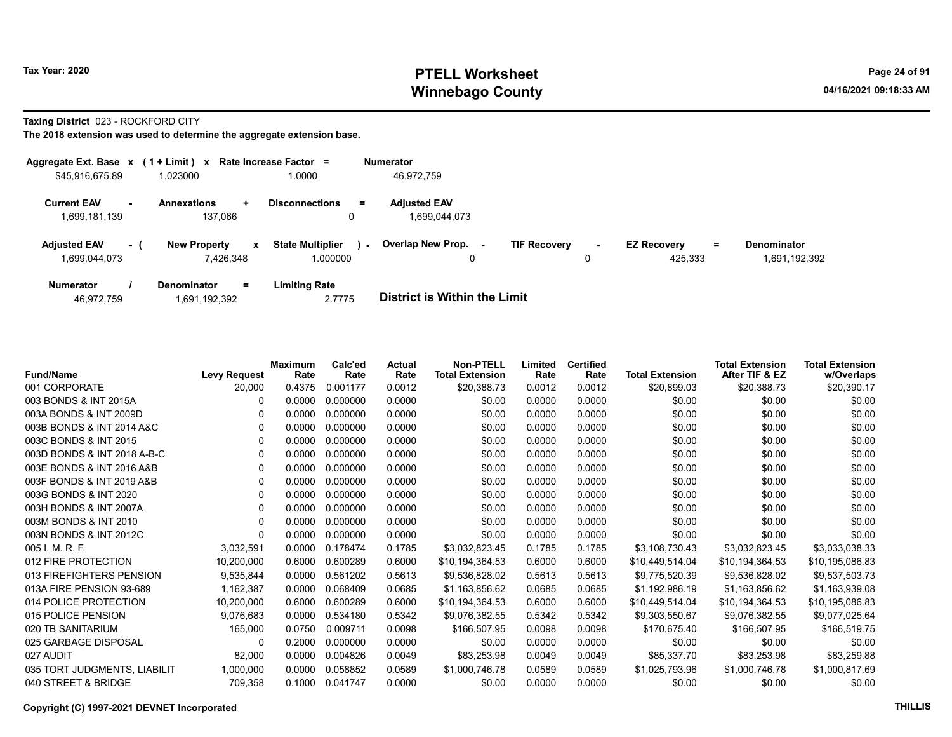Taxing District 023 - ROCKFORD CITY

| Aggregate Ext. Base x           | $(1 + Limit)$ x     |     | Rate Increase Factor =            | <b>Numerator</b>         |                     |        |                    |          |                    |
|---------------------------------|---------------------|-----|-----------------------------------|--------------------------|---------------------|--------|--------------------|----------|--------------------|
| \$45,916,675.89                 | 1.023000            |     | 1.0000                            | 46.972.759               |                     |        |                    |          |                    |
| <b>Current EAV</b>              | <b>Annexations</b>  | ÷   | <b>Disconnections</b><br>$\equiv$ | <b>Adjusted EAV</b>      |                     |        |                    |          |                    |
| 1,699,181,139                   | 137.066             |     | 0                                 | 1.699.044.073            |                     |        |                    |          |                    |
| <b>Adjusted EAV</b><br>$\sim$ 1 | <b>New Property</b> | x   | <b>State Multiplier</b><br>$\sim$ | <b>Overlap New Prop.</b> | <b>TIF Recovery</b> | $\sim$ | <b>EZ Recovery</b> | $\equiv$ | <b>Denominator</b> |
| 1,699,044,073                   | 7.426.348           |     | 1.000000                          | 0                        |                     | 0      | 425.333            |          | 1,691,192,392      |
| <b>Numerator</b>                | <b>Denominator</b>  | $=$ | Limiting Rate                     |                          |                     |        |                    |          |                    |

| <b>District is Within the Limit</b><br>2.7775<br>46,972,759<br>1,691,192,392 |  |
|------------------------------------------------------------------------------|--|

| <b>Fund/Name</b>             | <b>Levy Request</b> | <b>Maximum</b><br>Rate | Calc'ed<br>Rate | Actual<br>Rate | <b>Non-PTELL</b><br><b>Total Extension</b> | Limited<br>Rate | <b>Certified</b><br>Rate | <b>Total Extension</b> | <b>Total Extension</b><br>After TIF & EZ | <b>Total Extension</b><br>w/Overlaps |
|------------------------------|---------------------|------------------------|-----------------|----------------|--------------------------------------------|-----------------|--------------------------|------------------------|------------------------------------------|--------------------------------------|
| 001 CORPORATE                | 20,000              | 0.4375                 | 0.001177        | 0.0012         | \$20,388.73                                | 0.0012          | 0.0012                   | \$20,899.03            | \$20,388.73                              | \$20,390.17                          |
| 003 BONDS & INT 2015A        | 0                   | 0.0000                 | 0.000000        | 0.0000         | \$0.00                                     | 0.0000          | 0.0000                   | \$0.00                 | \$0.00                                   | \$0.00                               |
| 003A BONDS & INT 2009D       | 0                   | 0.0000                 | 0.000000        | 0.0000         | \$0.00                                     | 0.0000          | 0.0000                   | \$0.00                 | \$0.00                                   | \$0.00                               |
| 003B BONDS & INT 2014 A&C    | 0                   | 0.0000                 | 0.000000        | 0.0000         | \$0.00                                     | 0.0000          | 0.0000                   | \$0.00                 | \$0.00                                   | \$0.00                               |
| 003C BONDS & INT 2015        | 0                   | 0.0000                 | 0.000000        | 0.0000         | \$0.00                                     | 0.0000          | 0.0000                   | \$0.00                 | \$0.00                                   | \$0.00                               |
| 003D BONDS & INT 2018 A-B-C  | 0                   | 0.0000                 | 0.000000        | 0.0000         | \$0.00                                     | 0.0000          | 0.0000                   | \$0.00                 | \$0.00                                   | \$0.00                               |
| 003E BONDS & INT 2016 A&B    | $\Omega$            | 0.0000                 | 0.000000        | 0.0000         | \$0.00                                     | 0.0000          | 0.0000                   | \$0.00                 | \$0.00                                   | \$0.00                               |
| 003F BONDS & INT 2019 A&B    | 0                   | 0.0000                 | 0.000000        | 0.0000         | \$0.00                                     | 0.0000          | 0.0000                   | \$0.00                 | \$0.00                                   | \$0.00                               |
| 003G BONDS & INT 2020        | 0                   | 0.0000                 | 0.000000        | 0.0000         | \$0.00                                     | 0.0000          | 0.0000                   | \$0.00                 | \$0.00                                   | \$0.00                               |
| 003H BONDS & INT 2007A       | 0                   | 0.0000                 | 0.000000        | 0.0000         | \$0.00                                     | 0.0000          | 0.0000                   | \$0.00                 | \$0.00                                   | \$0.00                               |
| 003M BONDS & INT 2010        | $\Omega$            | 0.0000                 | 0.000000        | 0.0000         | \$0.00                                     | 0.0000          | 0.0000                   | \$0.00                 | \$0.00                                   | \$0.00                               |
| 003N BONDS & INT 2012C       | $\Omega$            | 0.0000                 | 0.000000        | 0.0000         | \$0.00                                     | 0.0000          | 0.0000                   | \$0.00                 | \$0.00                                   | \$0.00                               |
| 005 I. M. R. F.              | 3,032,591           | 0.0000                 | 0.178474        | 0.1785         | \$3,032,823.45                             | 0.1785          | 0.1785                   | \$3,108,730.43         | \$3,032,823.45                           | \$3,033,038.33                       |
| 012 FIRE PROTECTION          | 10.200.000          | 0.6000                 | 0.600289        | 0.6000         | \$10,194,364.53                            | 0.6000          | 0.6000                   | \$10,449,514.04        | \$10,194,364.53                          | \$10,195,086.83                      |
| 013 FIREFIGHTERS PENSION     | 9,535,844           | 0.0000                 | 0.561202        | 0.5613         | \$9,536,828.02                             | 0.5613          | 0.5613                   | \$9,775,520.39         | \$9,536,828.02                           | \$9,537,503.73                       |
| 013A FIRE PENSION 93-689     | 1,162,387           | 0.0000                 | 0.068409        | 0.0685         | \$1,163,856.62                             | 0.0685          | 0.0685                   | \$1,192,986.19         | \$1,163,856.62                           | \$1,163,939.08                       |
| 014 POLICE PROTECTION        | 10,200,000          | 0.6000                 | 0.600289        | 0.6000         | \$10,194,364.53                            | 0.6000          | 0.6000                   | \$10,449,514.04        | \$10,194,364.53                          | \$10,195,086.83                      |
| 015 POLICE PENSION           | 9,076,683           | 0.0000                 | 0.534180        | 0.5342         | \$9,076,382.55                             | 0.5342          | 0.5342                   | \$9,303,550.67         | \$9,076,382.55                           | \$9,077,025.64                       |
| 020 TB SANITARIUM            | 165,000             | 0.0750                 | 0.009711        | 0.0098         | \$166,507.95                               | 0.0098          | 0.0098                   | \$170,675.40           | \$166,507.95                             | \$166,519.75                         |
| 025 GARBAGE DISPOSAL         | 0                   | 0.2000                 | 0.000000        | 0.0000         | \$0.00                                     | 0.0000          | 0.0000                   | \$0.00                 | \$0.00                                   | \$0.00                               |
| 027 AUDIT                    | 82,000              | 0.0000                 | 0.004826        | 0.0049         | \$83,253.98                                | 0.0049          | 0.0049                   | \$85,337.70            | \$83,253.98                              | \$83,259.88                          |
| 035 TORT JUDGMENTS, LIABILIT | 1,000,000           | 0.0000                 | 0.058852        | 0.0589         | \$1,000,746.78                             | 0.0589          | 0.0589                   | \$1,025,793.96         | \$1,000,746.78                           | \$1,000,817.69                       |
| 040 STREET & BRIDGE          | 709,358             | 0.1000                 | 0.041747        | 0.0000         | \$0.00                                     | 0.0000          | 0.0000                   | \$0.00                 | \$0.00                                   | \$0.00                               |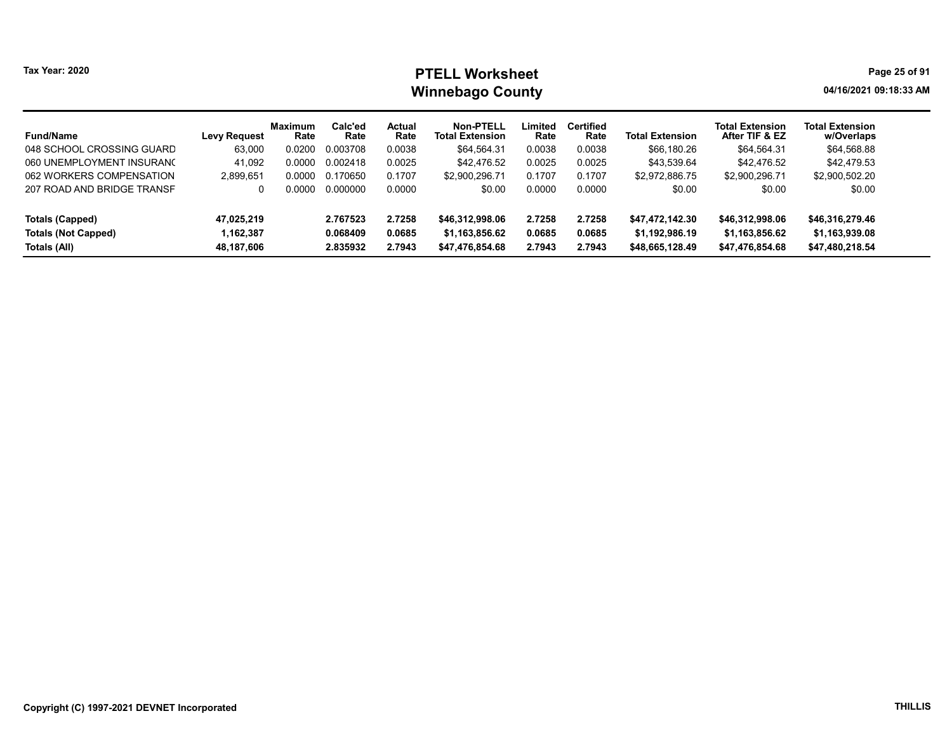|  | <b>Tax Year: 2020</b> |  |
|--|-----------------------|--|
|--|-----------------------|--|

| <b>Fund/Name</b>           | <b>Levy Request</b> | <b>Maximum</b><br>Rate | Calc'ed<br>Rate | Actual<br>Rate | Non-PTELL<br><b>Total Extension</b> | Limited<br>Rate | <b>Certified</b><br>Rate | <b>Total Extension</b> | <b>Total Extension</b><br>After TIF & EZ | <b>Total Extension</b><br>w/Overlaps |
|----------------------------|---------------------|------------------------|-----------------|----------------|-------------------------------------|-----------------|--------------------------|------------------------|------------------------------------------|--------------------------------------|
| 048 SCHOOL CROSSING GUARD  | 63,000              | 0.0200                 | 0.003708        | 0.0038         | \$64.564.31                         | 0.0038          | 0.0038                   | \$66,180.26            | \$64.564.31                              | \$64,568.88                          |
| 060 UNEMPLOYMENT INSURANC  | 41.092              | 0.0000                 | 0.002418        | 0.0025         | \$42,476.52                         | 0.0025          | 0.0025                   | \$43.539.64            | \$42.476.52                              | \$42.479.53                          |
| 062 WORKERS COMPENSATION   | 2,899,651           | 0.0000                 | 0.170650        | 0.1707         | \$2,900,296.71                      | 0.1707          | 0.1707                   | \$2,972,886.75         | \$2,900,296.71                           | \$2,900,502.20                       |
| 207 ROAD AND BRIDGE TRANSF |                     | ი იიიი                 | 0.000000        | 0.0000         | \$0.00                              | 0.0000          | 0.0000                   | \$0.00                 | \$0.00                                   | \$0.00                               |
| Totals (Capped)            | 47.025.219          |                        | 2.767523        | 2.7258         | \$46,312,998.06                     | 2.7258          | 2.7258                   | \$47.472.142.30        | \$46,312,998.06                          | \$46,316,279.46                      |
| <b>Totals (Not Capped)</b> | .162.387            |                        | 0.068409        | 0.0685         | \$1,163,856.62                      | 0.0685          | 0.0685                   | \$1,192,986.19         | \$1,163,856.62                           | \$1,163,939.08                       |
| Totals (All)               | 48,187,606          |                        | 2.835932        | 2.7943         | \$47,476,854.68                     | 2.7943          | 2.7943                   | \$48,665,128.49        | \$47,476,854.68                          | \$47,480,218.54                      |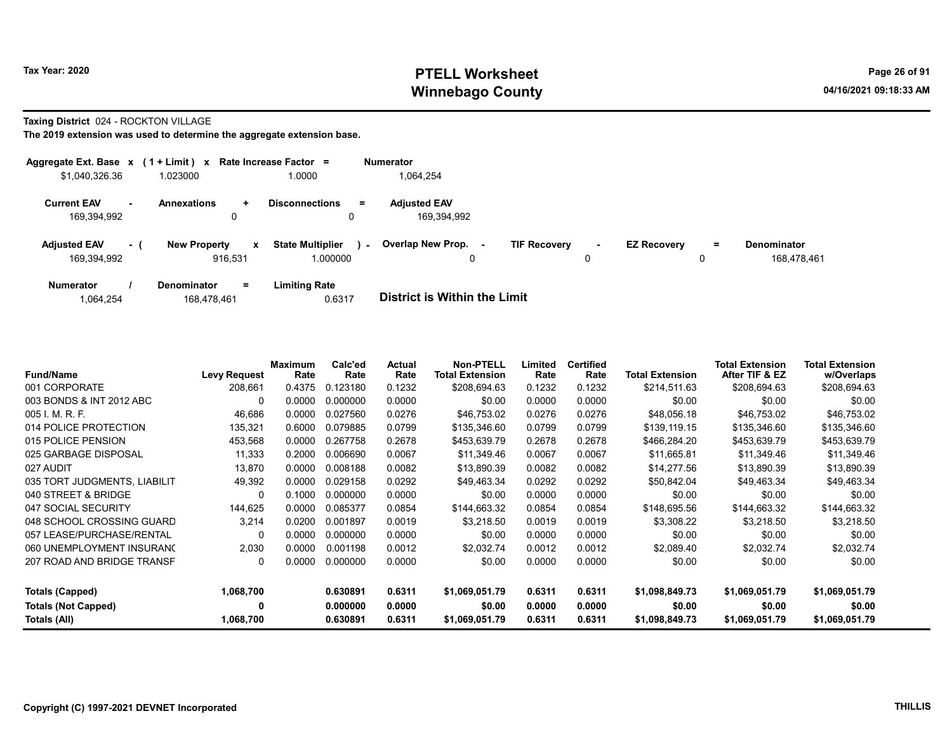#### Taxing District 024 - ROCKTON VILLAGE

|                                    |           | Aggregate Ext. Base $x$ (1 + Limit) x Rate Increase Factor = |                                                     |          | <b>Numerator</b>                   |                     |             |                    |         |                                   |
|------------------------------------|-----------|--------------------------------------------------------------|-----------------------------------------------------|----------|------------------------------------|---------------------|-------------|--------------------|---------|-----------------------------------|
| \$1,040,326.36                     |           | 1.023000                                                     | 1.0000                                              |          | 1,064,254                          |                     |             |                    |         |                                   |
| <b>Current EAV</b><br>169,394,992  | <b>м.</b> | <b>Annexations</b><br>$\ddot{}$<br>0                         | <b>Disconnections</b><br>u                          | $\equiv$ | <b>Adjusted EAV</b><br>169.394.992 |                     |             |                    |         |                                   |
| <b>Adjusted EAV</b><br>169,394,992 | - 1       | <b>New Property</b><br>916.531                               | <b>State Multiplier</b><br>$\mathbf{x}$<br>1.000000 | $\sim$   | Overlap New Prop.<br>$\sim$<br>0   | <b>TIF Recovery</b> | $\sim$<br>0 | <b>EZ Recovery</b> | Ξ.<br>0 | <b>Denominator</b><br>168.478.461 |
| <b>Numerator</b>                   |           | <b>Denominator</b><br>$=$                                    | <b>Limiting Rate</b>                                |          |                                    |                     |             |                    |         |                                   |

| 1,064,254 | 168,478,461 | 0.6317 | <b>District is Within the Limit</b> |
|-----------|-------------|--------|-------------------------------------|

| <b>Fund/Name</b>             | <b>Levy Request</b> | <b>Maximum</b><br>Rate | Calc'ed<br>Rate | Actual<br>Rate | <b>Non-PTELL</b><br><b>Total Extension</b> | Limited<br>Rate | Certified<br>Rate | <b>Total Extension</b> | <b>Total Extension</b><br>After TIF & EZ | Total Extension<br>w/Overlaps |
|------------------------------|---------------------|------------------------|-----------------|----------------|--------------------------------------------|-----------------|-------------------|------------------------|------------------------------------------|-------------------------------|
| 001 CORPORATE                | 208.661             | 0.4375                 | 0.123180        | 0.1232         | \$208,694.63                               | 0.1232          | 0.1232            | \$214.511.63           | \$208,694.63                             | \$208,694.63                  |
| 003 BONDS & INT 2012 ABC     | $\Omega$            | 0.0000                 | 0.000000        | 0.0000         | \$0.00                                     | 0.0000          | 0.0000            | \$0.00                 | \$0.00                                   | \$0.00                        |
| 005 I. M. R. F.              | 46,686              | 0.0000                 | 0.027560        | 0.0276         | \$46,753.02                                | 0.0276          | 0.0276            | \$48,056.18            | \$46,753.02                              | \$46,753.02                   |
| 014 POLICE PROTECTION        | 135,321             | 0.6000                 | 0.079885        | 0.0799         | \$135,346.60                               | 0.0799          | 0.0799            | \$139,119.15           | \$135,346.60                             | \$135,346.60                  |
| 015 POLICE PENSION           | 453,568             | 0.0000                 | 0.267758        | 0.2678         | \$453,639.79                               | 0.2678          | 0.2678            | \$466,284.20           | \$453,639.79                             | \$453,639.79                  |
| 025 GARBAGE DISPOSAL         | 11,333              | 0.2000                 | 0.006690        | 0.0067         | \$11,349.46                                | 0.0067          | 0.0067            | \$11,665.81            | \$11,349.46                              | \$11,349.46                   |
| 027 AUDIT                    | 13.870              | 0.0000                 | 0.008188        | 0.0082         | \$13,890.39                                | 0.0082          | 0.0082            | \$14,277.56            | \$13,890.39                              | \$13,890.39                   |
| 035 TORT JUDGMENTS, LIABILIT | 49,392              | 0.0000                 | 0.029158        | 0.0292         | \$49,463.34                                | 0.0292          | 0.0292            | \$50,842.04            | \$49,463.34                              | \$49,463.34                   |
| 040 STREET & BRIDGE          | $\Omega$            | 0.1000                 | 0.000000        | 0.0000         | \$0.00                                     | 0.0000          | 0.0000            | \$0.00                 | \$0.00                                   | \$0.00                        |
| 047 SOCIAL SECURITY          | 144,625             | 0.0000                 | 0.085377        | 0.0854         | \$144,663.32                               | 0.0854          | 0.0854            | \$148,695.56           | \$144,663.32                             | \$144,663.32                  |
| 048 SCHOOL CROSSING GUARD    | 3.214               | 0.0200                 | 0.001897        | 0.0019         | \$3,218.50                                 | 0.0019          | 0.0019            | \$3,308.22             | \$3,218.50                               | \$3,218.50                    |
| 057 LEASE/PURCHASE/RENTAL    | 0                   | 0.0000                 | 0.000000        | 0.0000         | \$0.00                                     | 0.0000          | 0.0000            | \$0.00                 | \$0.00                                   | \$0.00                        |
| 060 UNEMPLOYMENT INSURANO    | 2.030               | 0.0000                 | 0.001198        | 0.0012         | \$2.032.74                                 | 0.0012          | 0.0012            | \$2,089.40             | \$2,032.74                               | \$2,032.74                    |
| 207 ROAD AND BRIDGE TRANSF   | 0                   | 0.0000                 | 0.000000        | 0.0000         | \$0.00                                     | 0.0000          | 0.0000            | \$0.00                 | \$0.00                                   | \$0.00                        |
| Totals (Capped)              | 1,068,700           |                        | 0.630891        | 0.6311         | \$1,069,051.79                             | 0.6311          | 0.6311            | \$1,098,849.73         | \$1,069,051.79                           | \$1,069,051.79                |
| <b>Totals (Not Capped)</b>   | 0                   |                        | 0.000000        | 0.0000         | \$0.00                                     | 0.0000          | 0.0000            | \$0.00                 | \$0.00                                   | \$0.00                        |
| Totals (All)                 | 1,068,700           |                        | 0.630891        | 0.6311         | \$1,069,051.79                             | 0.6311          | 0.6311            | \$1,098,849.73         | \$1,069,051.79                           | \$1,069,051.79                |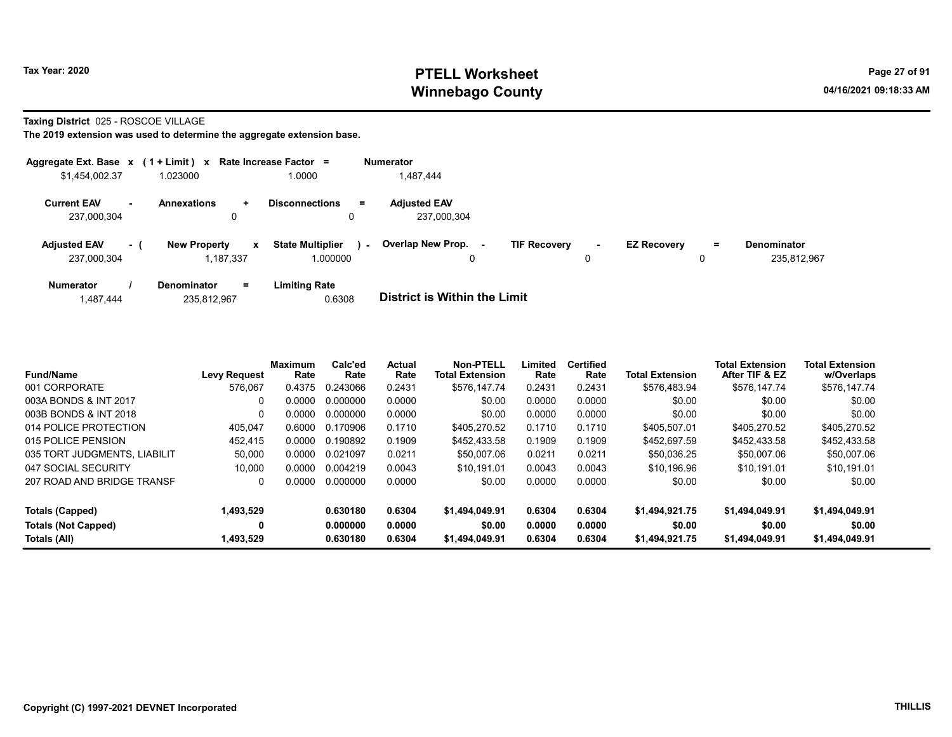Taxing District 025 - ROSCOE VILLAGE

| Aggregate Ext. Base x (1 + Limit) x Rate Increase Factor = |           |                                  |              |                                     |        | <b>Numerator</b>                   |                     |        |                    |          |                                   |
|------------------------------------------------------------|-----------|----------------------------------|--------------|-------------------------------------|--------|------------------------------------|---------------------|--------|--------------------|----------|-----------------------------------|
| \$1,454,002.37                                             |           | 1.023000                         |              | 1.0000                              |        | 1,487,444                          |                     |        |                    |          |                                   |
| <b>Current EAV</b><br>237,000,304                          | <b>м.</b> | <b>Annexations</b>               | ÷<br>0       | <b>Disconnections</b><br>0          | $=$    | <b>Adjusted EAV</b><br>237,000,304 |                     |        |                    |          |                                   |
| <b>Adjusted EAV</b><br>237,000,304                         | $-1$      | <b>New Property</b><br>1.187.337 | $\mathbf{x}$ | <b>State Multiplier</b><br>1.000000 | $\sim$ | <b>Overlap New Prop.</b><br>0      | <b>TIF Recovery</b> | $\sim$ | <b>EZ Recovery</b> | $=$<br>0 | <b>Denominator</b><br>235.812.967 |
| <b>Numerator</b>                                           |           | <b>Denominator</b>               | $=$          | <b>Limiting Rate</b>                |        | _ _ _ _ _ _ _ _ _ _ _ _ _ _ _ _    |                     |        |                    |          |                                   |

| 1,487,444 | 235,812,967 | 0.6308 | <b>District is Within the Limit</b> |
|-----------|-------------|--------|-------------------------------------|
|           |             |        |                                     |

| <b>Fund/Name</b>             | <b>Levy Request</b> | Maximum<br>Rate | Calc'ed<br>Rate | Actual<br>Rate | <b>Non-PTELL</b><br><b>Total Extension</b> | Limited<br>Rate | <b>Certified</b><br>Rate | <b>Total Extension</b> | <b>Total Extension</b><br>After TIF & EZ | <b>Total Extension</b><br>w/Overlaps |
|------------------------------|---------------------|-----------------|-----------------|----------------|--------------------------------------------|-----------------|--------------------------|------------------------|------------------------------------------|--------------------------------------|
| 001 CORPORATE                | 576.067             | 0.4375          | 0.243066        | 0.2431         | \$576.147.74                               | 0.2431          | 0.2431                   | \$576,483.94           | \$576.147.74                             | \$576,147.74                         |
| 003A BONDS & INT 2017        | $\Omega$            | 0.0000          | 0.000000        | 0.0000         | \$0.00                                     | 0.0000          | 0.0000                   | \$0.00                 | \$0.00                                   | \$0.00                               |
| 003B BONDS & INT 2018        | $\Omega$            | 0.0000          | 0.000000        | 0.0000         | \$0.00                                     | 0.0000          | 0.0000                   | \$0.00                 | \$0.00                                   | \$0.00                               |
| 014 POLICE PROTECTION        | 405.047             | 0.6000          | 0.170906        | 0.1710         | \$405.270.52                               | 0.1710          | 0.1710                   | \$405.507.01           | \$405.270.52                             | \$405.270.52                         |
| 015 POLICE PENSION           | 452,415             | 0.0000          | 0.190892        | 0.1909         | \$452.433.58                               | 0.1909          | 0.1909                   | \$452,697.59           | \$452,433.58                             | \$452,433.58                         |
| 035 TORT JUDGMENTS, LIABILIT | 50.000              | 0.0000          | 0.021097        | 0.0211         | \$50,007.06                                | 0.0211          | 0.0211                   | \$50.036.25            | \$50,007.06                              | \$50,007.06                          |
| 047 SOCIAL SECURITY          | 10.000              | 0.0000          | 0.004219        | 0.0043         | \$10.191.01                                | 0.0043          | 0.0043                   | \$10.196.96            | \$10.191.01                              | \$10.191.01                          |
| 207 ROAD AND BRIDGE TRANSF   | $\Omega$            | 0.0000          | 0.000000        | 0.0000         | \$0.00                                     | 0.0000          | 0.0000                   | \$0.00                 | \$0.00                                   | \$0.00                               |
| Totals (Capped)              | 1,493,529           |                 | 0.630180        | 0.6304         | \$1,494,049.91                             | 0.6304          | 0.6304                   | \$1,494,921.75         | \$1,494,049.91                           | \$1,494,049.91                       |
| <b>Totals (Not Capped)</b>   | 0                   |                 | 0.000000        | 0.0000         | \$0.00                                     | 0.0000          | 0.0000                   | \$0.00                 | \$0.00                                   | \$0.00                               |
| Totals (All)                 | 1,493,529           |                 | 0.630180        | 0.6304         | \$1,494,049.91                             | 0.6304          | 0.6304                   | \$1,494,921.75         | \$1.494.049.91                           | \$1.494.049.91                       |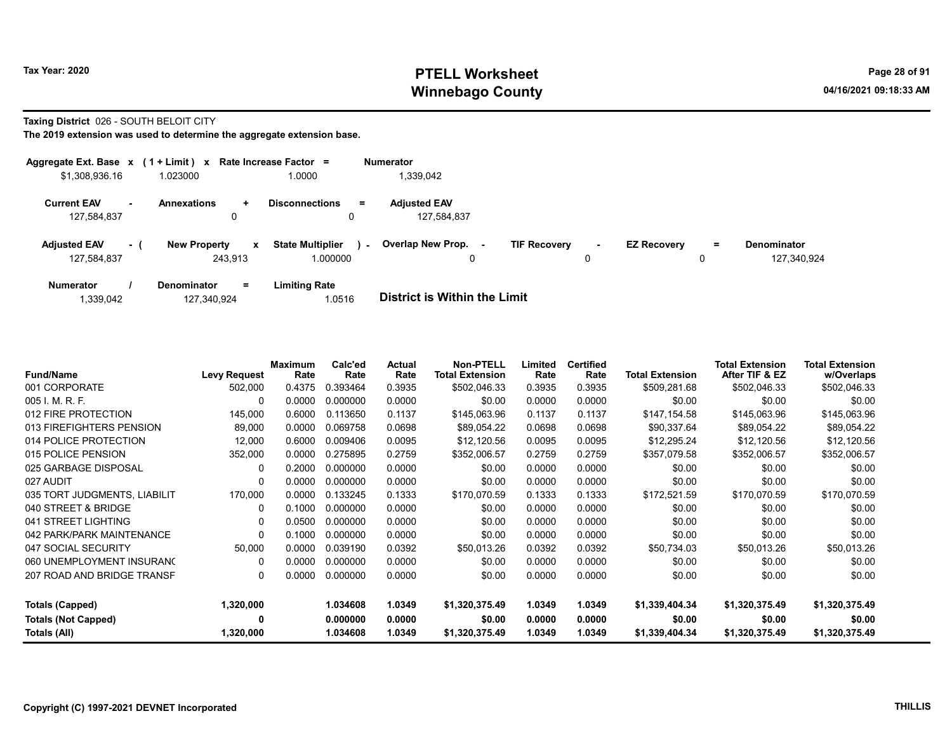#### Taxing District 026 - SOUTH BELOIT CITY

|                                    |           | Aggregate Ext. Base $x$ (1 + Limit) x Rate Increase Factor = |                                        | <b>Numerator</b>                                     |                                    |                         |     |                                   |
|------------------------------------|-----------|--------------------------------------------------------------|----------------------------------------|------------------------------------------------------|------------------------------------|-------------------------|-----|-----------------------------------|
| \$1,308,936.16                     |           | 1.023000                                                     | 1.0000                                 | 339,042                                              |                                    |                         |     |                                   |
| <b>Current EAV</b><br>127,584,837  | <b>м.</b> | <b>Annexations</b><br>÷.<br>0                                | <b>Disconnections</b><br>$\equiv$<br>0 | <b>Adjusted EAV</b><br>127,584,837                   |                                    |                         |     |                                   |
| <b>Adjusted EAV</b><br>127,584,837 | $-1$      | <b>New Property</b><br>$\mathbf{x}$<br>243.913               | <b>State Multiplier</b><br>1.000000    | <b>Overlap New Prop.</b><br>$\sim$<br>$\blacksquare$ | <b>TIF Recovery</b><br>$\sim$<br>0 | <b>EZ Recovery</b><br>0 | $=$ | <b>Denominator</b><br>127.340.924 |
| <b>Numerator</b>                   |           | $=$<br><b>Denominator</b>                                    | <b>Limiting Rate</b>                   |                                                      |                                    |                         |     |                                   |

| 1,339,042 | 127,340,924 | 1.0516 | <b>District is Within the Limit</b> |
|-----------|-------------|--------|-------------------------------------|

| <b>Fund/Name</b>             | <b>Levy Request</b> | <b>Maximum</b><br>Rate | Calc'ed<br>Rate | Actual<br>Rate | <b>Non-PTELL</b><br><b>Total Extension</b> | Limited<br>Rate | <b>Certified</b><br>Rate | <b>Total Extension</b> | <b>Total Extension</b><br>After TIF & EZ | <b>Total Extension</b><br>w/Overlaps |
|------------------------------|---------------------|------------------------|-----------------|----------------|--------------------------------------------|-----------------|--------------------------|------------------------|------------------------------------------|--------------------------------------|
| 001 CORPORATE                | 502,000             | 0.4375                 | 0.393464        | 0.3935         | \$502,046.33                               | 0.3935          | 0.3935                   | \$509,281.68           | \$502,046.33                             | \$502,046.33                         |
| 005 I. M. R. F.              | 0                   | 0.0000                 | 0.000000        | 0.0000         | \$0.00                                     | 0.0000          | 0.0000                   | \$0.00                 | \$0.00                                   | \$0.00                               |
| 012 FIRE PROTECTION          | 145,000             | 0.6000                 | 0.113650        | 0.1137         | \$145,063.96                               | 0.1137          | 0.1137                   | \$147,154.58           | \$145,063.96                             | \$145,063.96                         |
| 013 FIREFIGHTERS PENSION     | 89,000              | 0.0000                 | 0.069758        | 0.0698         | \$89,054.22                                | 0.0698          | 0.0698                   | \$90,337.64            | \$89,054.22                              | \$89,054.22                          |
| 014 POLICE PROTECTION        | 12,000              | 0.6000                 | 0.009406        | 0.0095         | \$12,120.56                                | 0.0095          | 0.0095                   | \$12,295.24            | \$12,120.56                              | \$12,120.56                          |
| 015 POLICE PENSION           | 352,000             | 0.0000                 | 0.275895        | 0.2759         | \$352,006.57                               | 0.2759          | 0.2759                   | \$357,079.58           | \$352,006.57                             | \$352,006.57                         |
| 025 GARBAGE DISPOSAL         | $\mathbf{0}$        | 0.2000                 | 0.000000        | 0.0000         | \$0.00                                     | 0.0000          | 0.0000                   | \$0.00                 | \$0.00                                   | \$0.00                               |
| 027 AUDIT                    | 0                   | 0.0000                 | 0.000000        | 0.0000         | \$0.00                                     | 0.0000          | 0.0000                   | \$0.00                 | \$0.00                                   | \$0.00                               |
| 035 TORT JUDGMENTS, LIABILIT | 170,000             | 0.0000                 | 0.133245        | 0.1333         | \$170.070.59                               | 0.1333          | 0.1333                   | \$172,521.59           | \$170,070.59                             | \$170,070.59                         |
| 040 STREET & BRIDGE          | 0                   | 0.1000                 | 0.000000        | 0.0000         | \$0.00                                     | 0.0000          | 0.0000                   | \$0.00                 | \$0.00                                   | \$0.00                               |
| 041 STREET LIGHTING          | 0                   | 0.0500                 | 0.000000        | 0.0000         | \$0.00                                     | 0.0000          | 0.0000                   | \$0.00                 | \$0.00                                   | \$0.00                               |
| 042 PARK/PARK MAINTENANCE    | 0                   | 0.1000                 | 0.000000        | 0.0000         | \$0.00                                     | 0.0000          | 0.0000                   | \$0.00                 | \$0.00                                   | \$0.00                               |
| 047 SOCIAL SECURITY          | 50,000              | 0.0000                 | 0.039190        | 0.0392         | \$50,013.26                                | 0.0392          | 0.0392                   | \$50,734.03            | \$50,013.26                              | \$50,013.26                          |
| 060 UNEMPLOYMENT INSURANO    | 0                   | 0.0000                 | 0.000000        | 0.0000         | \$0.00                                     | 0.0000          | 0.0000                   | \$0.00                 | \$0.00                                   | \$0.00                               |
| 207 ROAD AND BRIDGE TRANSF   | 0                   | 0.0000                 | 0.000000        | 0.0000         | \$0.00                                     | 0.0000          | 0.0000                   | \$0.00                 | \$0.00                                   | \$0.00                               |
| <b>Totals (Capped)</b>       | 1,320,000           |                        | 1.034608        | 1.0349         | \$1,320,375.49                             | 1.0349          | 1.0349                   | \$1,339,404.34         | \$1,320,375.49                           | \$1,320,375.49                       |
| <b>Totals (Not Capped)</b>   | 0                   |                        | 0.000000        | 0.0000         | \$0.00                                     | 0.0000          | 0.0000                   | \$0.00                 | \$0.00                                   | \$0.00                               |
| Totals (All)                 | 1,320,000           |                        | 1.034608        | 1.0349         | \$1,320,375.49                             | 1.0349          | 1.0349                   | \$1,339,404.34         | \$1,320,375.49                           | \$1,320,375.49                       |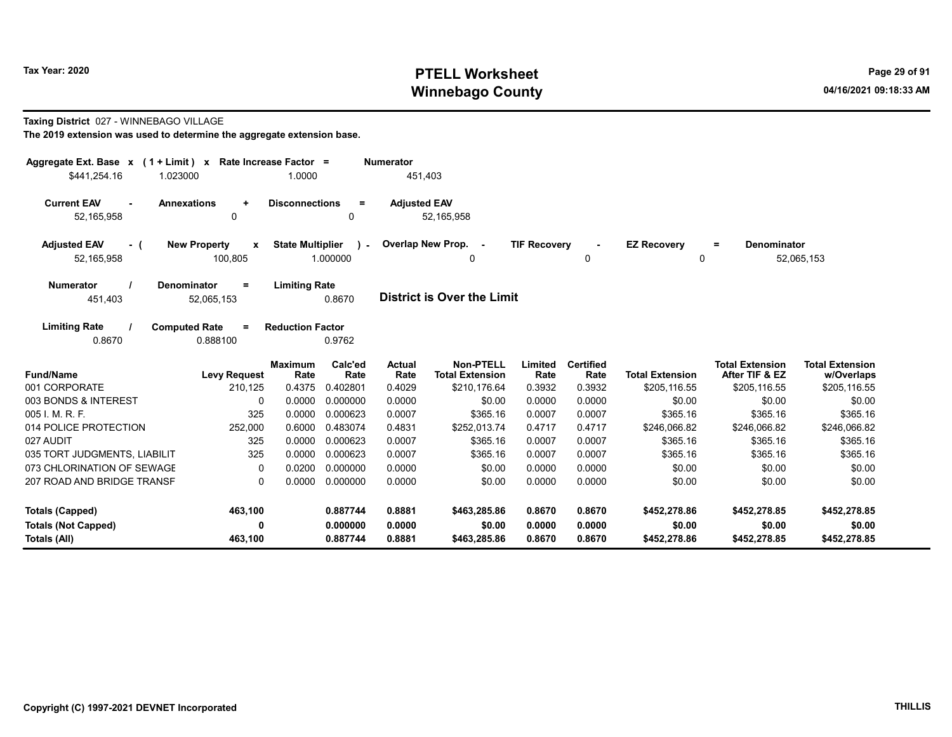#### Taxing District 027 - WINNEBAGO VILLAGE

| Aggregate Ext. Base $x$ (1 + Limit) x Rate Increase Factor =<br>\$441,254.16<br>1.023000 |                                                | 1.0000                  |                    | <b>Numerator</b><br>451,403 |                                            |                     |                          |                         |                                          |                                      |
|------------------------------------------------------------------------------------------|------------------------------------------------|-------------------------|--------------------|-----------------------------|--------------------------------------------|---------------------|--------------------------|-------------------------|------------------------------------------|--------------------------------------|
| <b>Current EAV</b><br>52,165,958                                                         | <b>Annexations</b><br>$\ddot{}$<br>0           | <b>Disconnections</b>   | $=$<br>0           | <b>Adjusted EAV</b>         | 52,165,958                                 |                     |                          |                         |                                          |                                      |
| <b>Adjusted EAV</b><br>- (<br>52,165,958                                                 | <b>New Property</b><br>$\mathbf{x}$<br>100,805 | <b>State Multiplier</b> | $\sim$<br>1.000000 |                             | Overlap New Prop. -<br>0                   | <b>TIF Recovery</b> | 0                        | <b>EZ Recovery</b><br>0 | <b>Denominator</b><br>$=$                | 52,065,153                           |
| <b>Numerator</b><br>451,403                                                              | <b>Denominator</b><br>$=$<br>52,065,153        | <b>Limiting Rate</b>    | 0.8670             |                             | <b>District is Over the Limit</b>          |                     |                          |                         |                                          |                                      |
| <b>Limiting Rate</b><br>0.8670                                                           | <b>Computed Rate</b><br>$\equiv$<br>0.888100   | <b>Reduction Factor</b> | 0.9762             |                             |                                            |                     |                          |                         |                                          |                                      |
| <b>Fund/Name</b>                                                                         | <b>Levy Request</b>                            | <b>Maximum</b><br>Rate  | Calc'ed<br>Rate    | <b>Actual</b><br>Rate       | <b>Non-PTELL</b><br><b>Total Extension</b> | Limited<br>Rate     | <b>Certified</b><br>Rate | <b>Total Extension</b>  | <b>Total Extension</b><br>After TIF & EZ | <b>Total Extension</b><br>w/Overlaps |
| 001 CORPORATE                                                                            | 210,125                                        | 0.4375                  | 0.402801           | 0.4029                      | \$210,176.64                               | 0.3932              | 0.3932                   | \$205,116.55            | \$205,116.55                             | \$205,116.55                         |
| 003 BONDS & INTEREST                                                                     | 0                                              | 0.0000                  | 0.000000           | 0.0000                      | \$0.00                                     | 0.0000              | 0.0000                   | \$0.00                  | \$0.00                                   | \$0.00                               |
| 005 I. M. R. F.                                                                          | 325                                            | 0.0000                  | 0.000623           | 0.0007                      | \$365.16                                   | 0.0007              | 0.0007                   | \$365.16                | \$365.16                                 | \$365.16                             |
| 014 POLICE PROTECTION                                                                    | 252,000                                        | 0.6000                  | 0.483074           | 0.4831                      | \$252,013.74                               | 0.4717              | 0.4717                   | \$246,066.82            | \$246,066.82                             | \$246,066.82                         |
| 027 AUDIT                                                                                | 325                                            | 0.0000                  | 0.000623           | 0.0007                      | \$365.16                                   | 0.0007              | 0.0007                   | \$365.16                | \$365.16                                 | \$365.16                             |
| 035 TORT JUDGMENTS, LIABILIT                                                             | 325                                            | 0.0000                  | 0.000623           | 0.0007                      | \$365.16                                   | 0.0007              | 0.0007                   | \$365.16                | \$365.16                                 | \$365.16                             |
| 073 CHLORINATION OF SEWAGE                                                               | 0                                              | 0.0200                  | 0.000000           | 0.0000                      | \$0.00                                     | 0.0000              | 0.0000                   | \$0.00                  | \$0.00                                   | \$0.00                               |
| 207 ROAD AND BRIDGE TRANSF                                                               | $\Omega$                                       | 0.0000                  | 0.000000           | 0.0000                      | \$0.00                                     | 0.0000              | 0.0000                   | \$0.00                  | \$0.00                                   | \$0.00                               |
| <b>Totals (Capped)</b>                                                                   | 463,100                                        |                         | 0.887744           | 0.8881                      | \$463,285.86                               | 0.8670              | 0.8670                   | \$452,278.86            | \$452,278.85                             | \$452,278.85                         |
| <b>Totals (Not Capped)</b>                                                               | 0                                              |                         | 0.000000           | 0.0000                      | \$0.00                                     | 0.0000              | 0.0000                   | \$0.00                  | \$0.00                                   | \$0.00                               |
| Totals (All)                                                                             | 463,100                                        |                         | 0.887744           | 0.8881                      | \$463,285.86                               | 0.8670              | 0.8670                   | \$452,278.86            | \$452,278.85                             | \$452,278.85                         |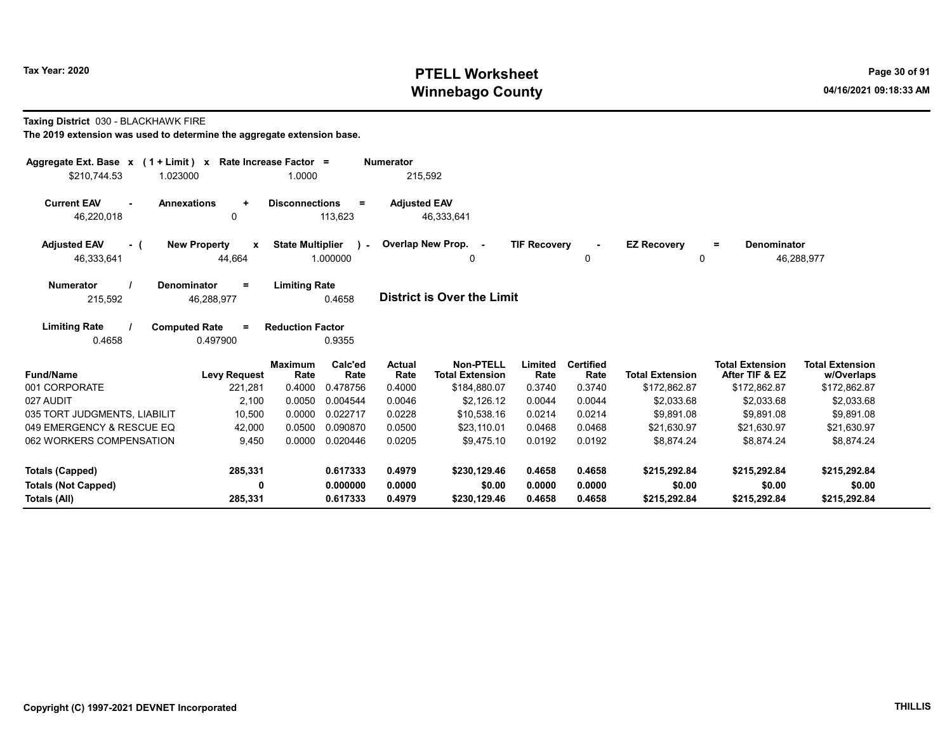Taxing District 030 - BLACKHAWK FIRE

| Aggregate Ext. Base $x$ (1 + Limit) x Rate Increase Factor =<br>\$210,744.53<br>1.023000 |                                    | 1.0000                  |                          | <b>Numerator</b><br>215,592 |                                     |                     |                          |                           |                                          |                                      |
|------------------------------------------------------------------------------------------|------------------------------------|-------------------------|--------------------------|-----------------------------|-------------------------------------|---------------------|--------------------------|---------------------------|------------------------------------------|--------------------------------------|
| <b>Current EAV</b><br><b>Annexations</b><br>46,220,018                                   | $\ddot{}$<br>0                     | <b>Disconnections</b>   | $\equiv$<br>113,623      | <b>Adjusted EAV</b>         | 46,333,641                          |                     |                          |                           |                                          |                                      |
| <b>Adjusted EAV</b><br>- (<br>46,333,641                                                 | <b>New Property</b><br>X<br>44,664 | <b>State Multiplier</b> | $\mathbf{r}$<br>1.000000 |                             | Overlap New Prop. -<br>0            | <b>TIF Recovery</b> | $\sim$<br>$\Omega$       | <b>EZ Recovery</b><br>0   | <b>Denominator</b><br>$=$                | 46,288,977                           |
| <b>Numerator</b><br>Denominator<br>215,592                                               | $\equiv$<br>46,288,977             | <b>Limiting Rate</b>    | 0.4658                   |                             | <b>District is Over the Limit</b>   |                     |                          |                           |                                          |                                      |
| <b>Limiting Rate</b><br><b>Computed Rate</b><br>0.4658                                   | $\equiv$<br>0.497900               | <b>Reduction Factor</b> | 0.9355                   |                             |                                     |                     |                          |                           |                                          |                                      |
| <b>Fund/Name</b>                                                                         | <b>Levy Request</b>                | <b>Maximum</b><br>Rate  | Calc'ed<br>Rate          | <b>Actual</b><br>Rate       | Non-PTELL<br><b>Total Extension</b> | Limited<br>Rate     | <b>Certified</b><br>Rate | <b>Total Extension</b>    | <b>Total Extension</b><br>After TIF & EZ | <b>Total Extension</b><br>w/Overlaps |
| 001 CORPORATE                                                                            | 221,281                            | 0.4000                  | 0.478756                 | 0.4000                      | \$184,880.07                        | 0.3740              | 0.3740                   | \$172,862.87              | \$172,862.87                             | \$172,862.87                         |
| 027 AUDIT                                                                                | 2,100                              | 0.0050                  | 0.004544                 | 0.0046                      | \$2.126.12                          | 0.0044              | 0.0044                   | \$2.033.68                | \$2,033.68                               | \$2,033.68                           |
| 035 TORT JUDGMENTS, LIABILIT<br>049 EMERGENCY & RESCUE EQ                                | 10,500                             | 0.0000<br>0.0500        | 0.022717<br>0.090870     | 0.0228                      | \$10,538.16                         | 0.0214              | 0.0214<br>0.0468         | \$9,891.08                | \$9,891.08                               | \$9,891.08                           |
| 062 WORKERS COMPENSATION                                                                 | 42,000<br>9,450                    | 0.0000                  | 0.020446                 | 0.0500<br>0.0205            | \$23,110.01<br>\$9,475.10           | 0.0468<br>0.0192    | 0.0192                   | \$21,630.97<br>\$8,874.24 | \$21,630.97<br>\$8,874.24                | \$21,630.97<br>\$8,874.24            |
| <b>Totals (Capped)</b>                                                                   | 285,331                            |                         | 0.617333                 | 0.4979                      | \$230,129.46                        | 0.4658              | 0.4658                   | \$215.292.84              | \$215,292.84                             | \$215,292.84                         |
| <b>Totals (Not Capped)</b><br>Totals (All)                                               | 0<br>285,331                       |                         | 0.000000<br>0.617333     | 0.0000<br>0.4979            | \$0.00<br>\$230,129.46              | 0.0000<br>0.4658    | 0.0000<br>0.4658         | \$0.00<br>\$215,292.84    | \$0.00<br>\$215,292.84                   | \$0.00<br>\$215,292.84               |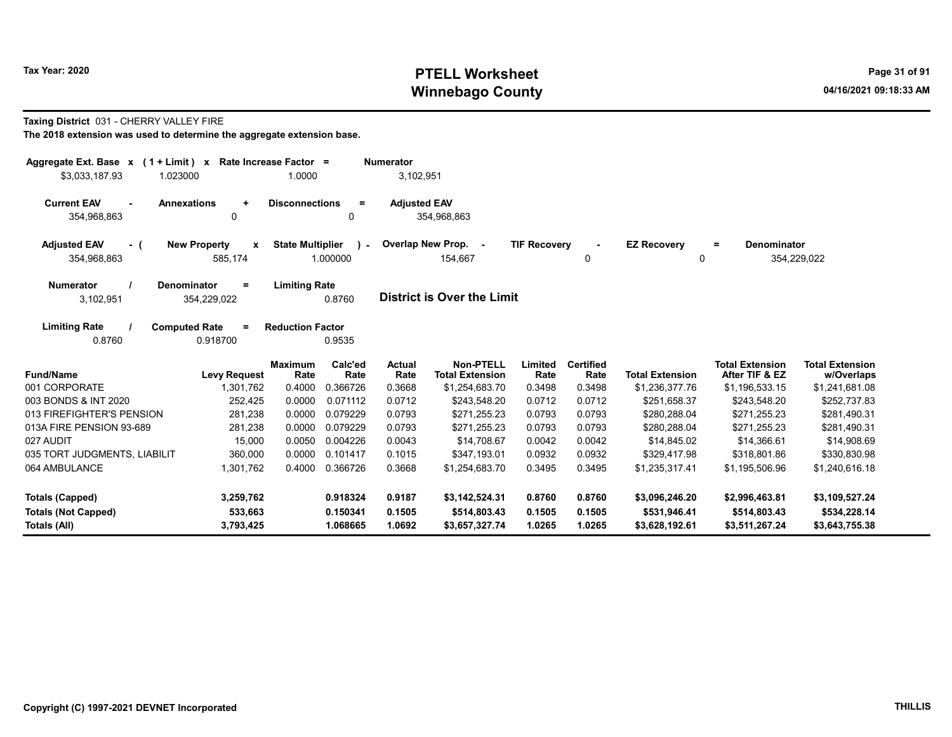#### Taxing District 031 - CHERRY VALLEY FIRE

| Aggregate Ext. Base $x$ (1 + Limit) $x$<br>Rate Increase Factor =<br><b>Numerator</b>                                                                  |                      |                         |                      |                       |                                            |                     |                          |                                |                                          |                                      |
|--------------------------------------------------------------------------------------------------------------------------------------------------------|----------------------|-------------------------|----------------------|-----------------------|--------------------------------------------|---------------------|--------------------------|--------------------------------|------------------------------------------|--------------------------------------|
| \$3,033,187.93<br>1.023000                                                                                                                             |                      | 1.0000                  |                      | 3,102,951             |                                            |                     |                          |                                |                                          |                                      |
| <b>Current EAV</b><br><b>Annexations</b><br>354,968,863                                                                                                | $\ddot{}$<br>0       | <b>Disconnections</b>   | Ξ.<br>0              | <b>Adjusted EAV</b>   | 354,968,863                                |                     |                          |                                |                                          |                                      |
| <b>New Property</b><br><b>State Multiplier</b><br><b>Adjusted EAV</b><br>- (<br>$\boldsymbol{x}$<br>$\mathbf{L}$<br>354,968,863<br>585,174<br>1.000000 |                      |                         |                      |                       | Overlap New Prop. -<br>154,667             | <b>TIF Recovery</b> | $\blacksquare$<br>0      | <b>EZ Recovery</b><br>0        | <b>Denominator</b><br>$=$                | 354,229,022                          |
| Denominator<br><b>Limiting Rate</b><br><b>Numerator</b><br>$=$<br><b>District is Over the Limit</b><br>0.8760<br>3,102,951<br>354,229,022              |                      |                         |                      |                       |                                            |                     |                          |                                |                                          |                                      |
| <b>Limiting Rate</b><br><b>Computed Rate</b><br>0.8760                                                                                                 | $\equiv$<br>0.918700 | <b>Reduction Factor</b> | 0.9535               |                       |                                            |                     |                          |                                |                                          |                                      |
| <b>Fund/Name</b>                                                                                                                                       | <b>Levy Request</b>  | <b>Maximum</b><br>Rate  | Calc'ed<br>Rate      | <b>Actual</b><br>Rate | <b>Non-PTELL</b><br><b>Total Extension</b> | Limited<br>Rate     | <b>Certified</b><br>Rate | <b>Total Extension</b>         | <b>Total Extension</b><br>After TIF & EZ | <b>Total Extension</b><br>w/Overlaps |
| 001 CORPORATE                                                                                                                                          | 1,301,762            | 0.4000                  | 0.366726             | 0.3668                | \$1,254,683.70                             | 0.3498              | 0.3498                   | \$1,236,377.76                 | \$1,196,533.15                           | \$1,241,681.08                       |
| 003 BONDS & INT 2020                                                                                                                                   | 252,425              | 0.0000                  | 0.071112             | 0.0712                | \$243.548.20                               | 0.0712              | 0.0712                   | \$251.658.37                   | \$243,548.20                             | \$252,737.83                         |
| 013 FIREFIGHTER'S PENSION                                                                                                                              | 281,238              | 0.0000                  | 0.079229             | 0.0793                | \$271,255.23                               | 0.0793              | 0.0793                   | \$280,288.04                   | \$271,255.23                             | \$281,490.31                         |
| 013A FIRE PENSION 93-689                                                                                                                               | 281,238              | 0.0000                  | 0.079229             | 0.0793                | \$271,255.23                               | 0.0793              | 0.0793                   | \$280,288.04                   | \$271,255.23                             | \$281,490.31                         |
| 027 AUDIT                                                                                                                                              | 15,000               | 0.0050                  | 0.004226             | 0.0043                | \$14,708.67                                | 0.0042              | 0.0042                   | \$14,845.02                    | \$14,366.61                              | \$14,908.69                          |
| 035 TORT JUDGMENTS, LIABILIT                                                                                                                           | 360,000              | 0.0000                  | 0.101417             | 0.1015                | \$347,193.01                               | 0.0932              | 0.0932                   | \$329,417.98                   | \$318,801.86                             | \$330,830.98                         |
| 064 AMBULANCE                                                                                                                                          | 1,301,762            | 0.4000                  | 0.366726             | 0.3668                | \$1,254,683.70                             | 0.3495              | 0.3495                   | \$1,235,317.41                 | \$1,195,506.96                           | \$1,240,616.18                       |
| <b>Totals (Capped)</b><br><b>Totals (Not Capped)</b>                                                                                                   | 3,259,762<br>533,663 |                         | 0.918324<br>0.150341 | 0.9187<br>0.1505      | \$3,142,524.31<br>\$514,803.43             | 0.8760<br>0.1505    | 0.8760<br>0.1505         | \$3,096,246.20<br>\$531,946.41 | \$2,996,463.81<br>\$514,803.43           | \$3,109,527.24<br>\$534,228.14       |
| Totals (All)                                                                                                                                           | 3,793,425            |                         | 1.068665             | 1.0692                | \$3,657,327.74                             | 1.0265              | 1.0265                   | \$3,628,192.61                 | \$3,511,267.24                           | \$3,643,755.38                       |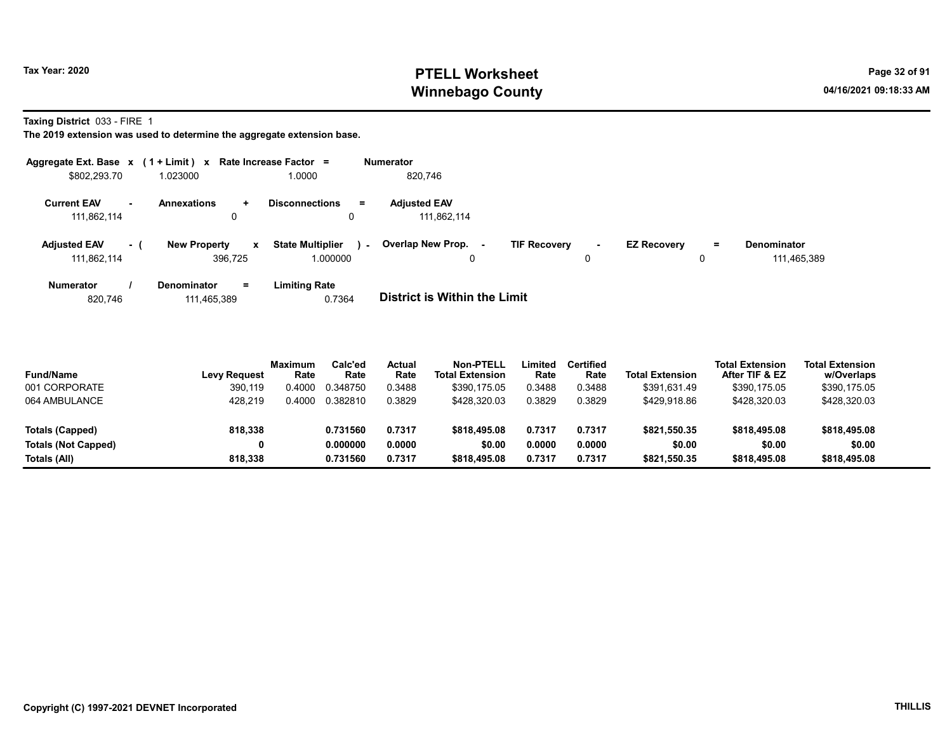Taxing District 033 - FIRE 1

The 2019 extension was used to determine the aggregate extension base.

| Aggregate Ext. Base x (1 + Limit) x |           |                                      | Rate Increase Factor =             | <b>Numerator</b>                             |                               |                                |                                   |
|-------------------------------------|-----------|--------------------------------------|------------------------------------|----------------------------------------------|-------------------------------|--------------------------------|-----------------------------------|
| \$802,293.70                        |           | 1.023000                             | 1.0000                             | 820.746                                      |                               |                                |                                   |
| <b>Current EAV</b><br>111,862,114   | <b>м.</b> | <b>Annexations</b><br>$\ddot{}$<br>0 | <b>Disconnections</b><br>$\equiv$  | <b>Adjusted EAV</b><br>111.862.114           |                               |                                |                                   |
| <b>Adjusted EAV</b><br>111.862.114  | - (       | <b>New Property</b><br>x<br>396.725  | <b>State Multiplier</b><br>.000000 | Overlap New Prop. -<br>$\sim$<br>$\mathbf 0$ | <b>TIF Recovery</b><br>$\sim$ | <b>EZ Recovery</b><br>$=$<br>0 | <b>Denominator</b><br>111,465,389 |
| <b>Numerator</b>                    |           | <b>Denominator</b><br>$=$            | <b>Limiting Rate</b>               |                                              |                               |                                |                                   |

820,746 111,465,389 0.7364 **District is Within the Limit** 

| <b>Fund/Name</b>           | <b>Levy Request</b> | Maximum<br>Rate | Calc'ed<br>Rate | Actual<br>Rate | Non-PTELL<br><b>Total Extension</b> | Limited<br>Rate | <b>Certified</b><br>Rate | <b>Total Extension</b> | <b>Total Extension</b><br>After TIF & EZ | <b>Total Extension</b><br>w/Overlaps |  |
|----------------------------|---------------------|-----------------|-----------------|----------------|-------------------------------------|-----------------|--------------------------|------------------------|------------------------------------------|--------------------------------------|--|
| 001 CORPORATE              | 390.119             | 0.4000          | 0.348750        | 0.3488         | \$390.175.05                        | 0.3488          | 0.3488                   | \$391.631.49           | \$390,175.05                             | \$390,175.05                         |  |
| 064 AMBULANCE              | 428.219             | 0.4000          | 0.382810        | 0.3829         | \$428,320.03                        | 0.3829          | 0.3829                   | \$429,918.86           | \$428,320.03                             | \$428,320.03                         |  |
| Totals (Capped)            | 818,338             |                 | 0.731560        | 0.7317         | \$818,495.08                        | 0.7317          | 0.7317                   | \$821,550.35           | \$818,495.08                             | \$818,495.08                         |  |
| <b>Totals (Not Capped)</b> |                     |                 | 0.000000        | 0.0000         | \$0.00                              | 0.0000          | 0.0000                   | \$0.00                 | \$0.00                                   | \$0.00                               |  |
| Totals (All)               | 818.338             |                 | 0.731560        | 0.7317         | \$818,495.08                        | 0.7317          | 0.7317                   | \$821,550.35           | \$818,495.08                             | \$818,495.08                         |  |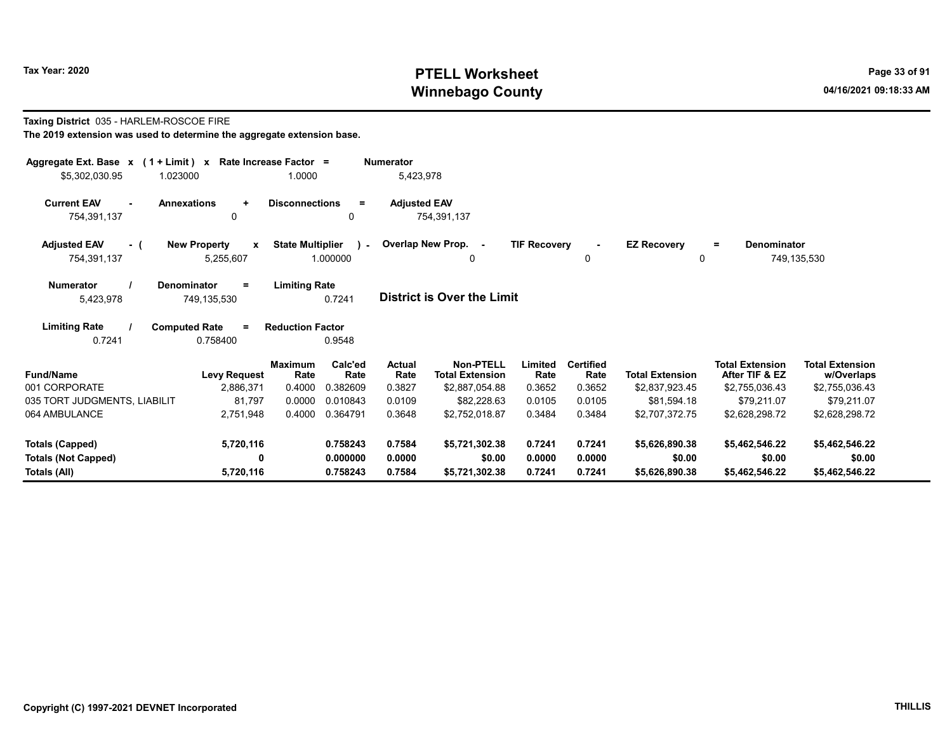#### Taxing District 035 - HARLEM-ROSCOE FIRE The 2019 extension was used to determine the aggregate extension base.

| Aggregate Ext. Base $x$ (1 + Limit) $x$<br>Rate Increase Factor =<br><b>Numerator</b><br>1.0000<br>5,423,978<br>\$5,302,030.95<br>1.023000 |                                              |                                     |                 |                     |                                            |                     |                          |                         |                                          |                                      |  |  |
|--------------------------------------------------------------------------------------------------------------------------------------------|----------------------------------------------|-------------------------------------|-----------------|---------------------|--------------------------------------------|---------------------|--------------------------|-------------------------|------------------------------------------|--------------------------------------|--|--|
| <b>Current EAV</b><br>754,391,137                                                                                                          | <b>Annexations</b><br>$\ddot{}$<br>0         | <b>Disconnections</b>               | $=$<br>0        | <b>Adjusted EAV</b> | 754,391,137                                |                     |                          |                         |                                          |                                      |  |  |
| <b>Adjusted EAV</b><br>- (<br>754,391,137                                                                                                  | <b>New Property</b><br>X<br>5,255,607        | <b>State Multiplier</b><br>1.000000 | $\lambda$       |                     | Overlap New Prop. -<br>0                   | <b>TIF Recovery</b> | $\sim$<br>0              | <b>EZ Recovery</b><br>0 | <b>Denominator</b><br>Ξ.                 | 749,135,530                          |  |  |
| <b>Numerator</b><br>5,423,978                                                                                                              | <b>Denominator</b><br>Ξ<br>749,135,530       | <b>Limiting Rate</b>                | 0.7241          |                     | <b>District is Over the Limit</b>          |                     |                          |                         |                                          |                                      |  |  |
| <b>Limiting Rate</b><br>0.7241                                                                                                             | <b>Computed Rate</b><br>$\equiv$<br>0.758400 | <b>Reduction Factor</b>             | 0.9548          |                     |                                            |                     |                          |                         |                                          |                                      |  |  |
| <b>Fund/Name</b>                                                                                                                           | <b>Levy Request</b>                          | <b>Maximum</b><br>Rate              | Calc'ed<br>Rate | Actual<br>Rate      | <b>Non-PTELL</b><br><b>Total Extension</b> | Limited<br>Rate     | <b>Certified</b><br>Rate | <b>Total Extension</b>  | <b>Total Extension</b><br>After TIF & EZ | <b>Total Extension</b><br>w/Overlaps |  |  |
| 001 CORPORATE                                                                                                                              | 2,886,371                                    | 0.4000                              | 0.382609        | 0.3827              | \$2,887,054.88                             | 0.3652              | 0.3652                   | \$2,837,923.45          | \$2,755,036.43                           | \$2,755,036.43                       |  |  |
| 035 TORT JUDGMENTS, LIABILIT                                                                                                               | 81,797                                       | 0.0000                              | 0.010843        | 0.0109              | \$82,228.63                                | 0.0105              | 0.0105                   | \$81,594.18             | \$79,211.07                              | \$79,211.07                          |  |  |
| 064 AMBULANCE                                                                                                                              | 2,751,948                                    | 0.4000                              | 0.364791        | 0.3648              | \$2,752,018.87                             | 0.3484              | 0.3484                   | \$2,707,372.75          | \$2,628,298.72                           | \$2,628,298.72                       |  |  |
| <b>Totals (Capped)</b>                                                                                                                     | 5,720,116                                    |                                     | 0.758243        | 0.7584              | \$5,721,302.38                             | 0.7241              | 0.7241                   | \$5,626,890.38          | \$5,462,546.22                           | \$5,462,546.22                       |  |  |
| <b>Totals (Not Capped)</b>                                                                                                                 | 0                                            |                                     | 0.000000        | 0.0000              | \$0.00                                     | 0.0000              | 0.0000                   | \$0.00                  | \$0.00                                   | \$0.00                               |  |  |
| Totals (All)                                                                                                                               | 5,720,116                                    |                                     | 0.758243        | 0.7584              | \$5,721,302.38                             | 0.7241              | 0.7241                   | \$5,626,890.38          | \$5,462,546.22                           | \$5,462,546.22                       |  |  |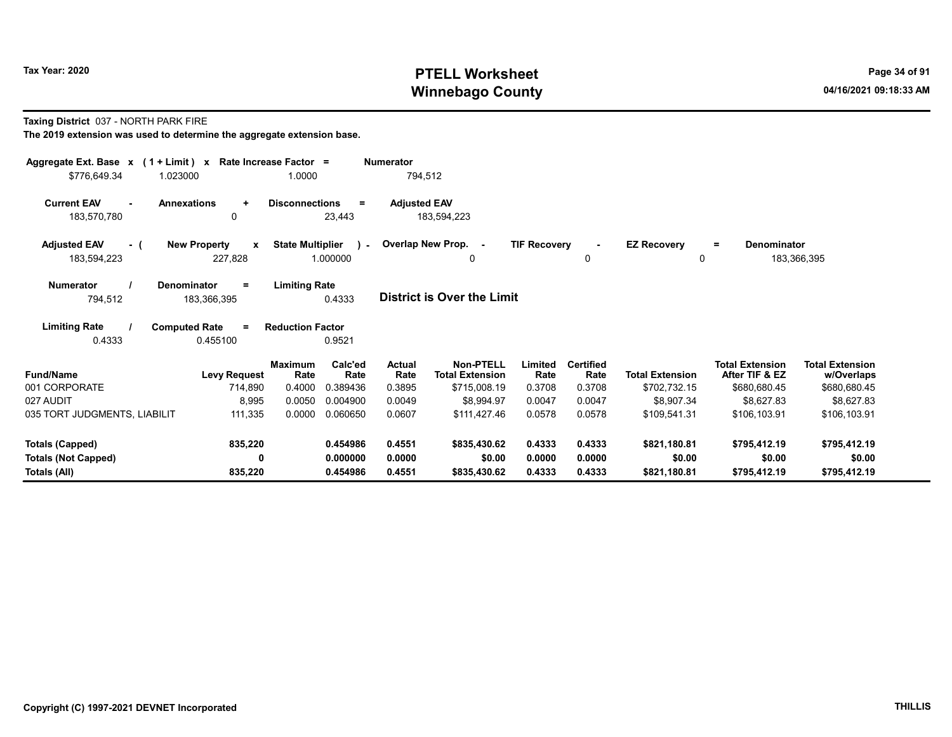Taxing District 037 - NORTH PARK FIRE

| Aggregate Ext. Base $x$ (1 + Limit) x Rate Increase Factor =<br>\$776,649.34<br>1.023000 |                                                | 1.0000                              | <b>Numerator</b>                         | 794,512                                    |                     |                          |                                    |                                          |                                      |
|------------------------------------------------------------------------------------------|------------------------------------------------|-------------------------------------|------------------------------------------|--------------------------------------------|---------------------|--------------------------|------------------------------------|------------------------------------------|--------------------------------------|
| <b>Current EAV</b><br>$\sim$<br>183,570,780                                              | <b>Annexations</b><br>$\ddot{}$<br>0           | <b>Disconnections</b><br>23,443     | <b>Adjusted EAV</b><br>$\equiv$          | 183,594,223                                |                     |                          |                                    |                                          |                                      |
| <b>Adjusted EAV</b><br>- (<br>183,594,223                                                | <b>New Property</b><br>$\mathbf{x}$<br>227,828 | <b>State Multiplier</b><br>1.000000 | $\mathbf{r}$                             | Overlap New Prop. -<br>0                   | <b>TIF Recovery</b> | 0                        | <b>EZ Recovery</b><br>$\mathbf{0}$ | <b>Denominator</b><br>$=$                | 183,366,395                          |
| <b>Numerator</b><br>794,512                                                              | Denominator<br>$=$<br>183,366,395              | <b>Limiting Rate</b><br>0.4333      |                                          | <b>District is Over the Limit</b>          |                     |                          |                                    |                                          |                                      |
| <b>Limiting Rate</b><br>0.4333                                                           | <b>Computed Rate</b><br>$\equiv$<br>0.455100   | <b>Reduction Factor</b><br>0.9521   |                                          |                                            |                     |                          |                                    |                                          |                                      |
| <b>Fund/Name</b>                                                                         | <b>Levy Request</b>                            | <b>Maximum</b><br>Rate              | Calc'ed<br><b>Actual</b><br>Rate<br>Rate | <b>Non-PTELL</b><br><b>Total Extension</b> | Limited<br>Rate     | <b>Certified</b><br>Rate | <b>Total Extension</b>             | <b>Total Extension</b><br>After TIF & EZ | <b>Total Extension</b><br>w/Overlaps |
| 001 CORPORATE                                                                            | 714,890                                        | 0.4000<br>0.389436                  | 0.3895                                   | \$715,008.19                               | 0.3708              | 0.3708                   | \$702,732.15                       | \$680,680.45                             | \$680,680.45                         |
| 027 AUDIT                                                                                | 8,995                                          | 0.0050<br>0.004900                  | 0.0049                                   | \$8,994.97                                 | 0.0047              | 0.0047                   | \$8.907.34                         | \$8,627.83                               | \$8,627.83                           |
| 035 TORT JUDGMENTS, LIABILIT                                                             | 111,335                                        | 0.0000<br>0.060650                  | 0.0607                                   | \$111,427.46                               | 0.0578              | 0.0578                   | \$109,541.31                       | \$106,103.91                             | \$106,103.91                         |
| <b>Totals (Capped)</b>                                                                   | 835,220                                        | 0.454986                            | 0.4551                                   | \$835,430.62                               | 0.4333              | 0.4333                   | \$821,180.81                       | \$795,412.19                             | \$795,412.19                         |
| <b>Totals (Not Capped)</b><br>Totals (All)                                               | 0<br>835,220                                   | 0.000000<br>0.454986                | 0.0000<br>0.4551                         | \$0.00<br>\$835,430.62                     | 0.0000<br>0.4333    | 0.0000<br>0.4333         | \$0.00<br>\$821,180.81             | \$0.00<br>\$795,412.19                   | \$0.00<br>\$795,412.19               |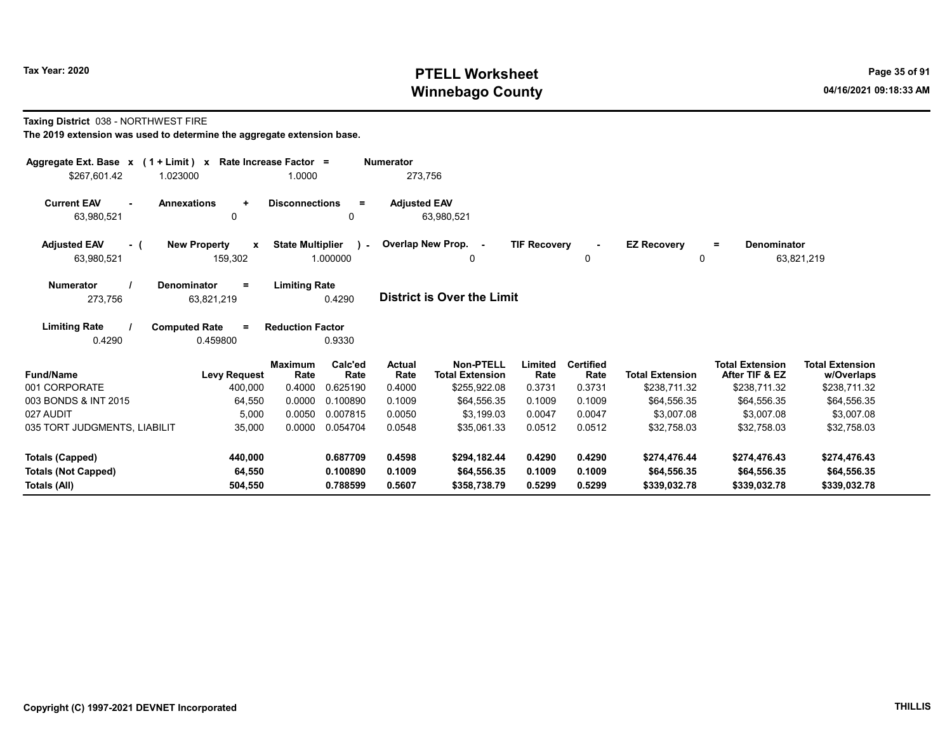#### Taxing District 038 - NORTHWEST FIRE

| Aggregate Ext. Base $x$ (1 + Limit) $x$<br>\$267.601.42<br>1.023000 | Rate Increase Factor =                         | 1.0000                                            | <b>Numerator</b><br>273,756 |                                            |                     |                          |                                |                                          |                                      |
|---------------------------------------------------------------------|------------------------------------------------|---------------------------------------------------|-----------------------------|--------------------------------------------|---------------------|--------------------------|--------------------------------|------------------------------------------|--------------------------------------|
| <b>Current EAV</b><br>$\blacksquare$<br>63,980,521                  | <b>Annexations</b><br>$\ddot{}$<br>0           | <b>Disconnections</b><br>$\equiv$<br>$\mathbf{0}$ | <b>Adjusted EAV</b>         | 63,980,521                                 |                     |                          |                                |                                          |                                      |
| <b>Adjusted EAV</b><br>- (<br>63,980,521                            | <b>New Property</b><br>$\mathbf{x}$<br>159,302 | <b>State Multiplier</b><br>$\lambda$<br>1.000000  | Overlap New Prop. -         | 0                                          | <b>TIF Recovery</b> | $\sim$<br>0              | <b>EZ Recovery</b><br>$\Omega$ | <b>Denominator</b><br>$=$                | 63,821,219                           |
| <b>Numerator</b><br>273,756                                         | Denominator<br>$\equiv$<br>63,821,219          | <b>Limiting Rate</b><br>0.4290                    |                             | District is Over the Limit                 |                     |                          |                                |                                          |                                      |
| <b>Limiting Rate</b><br>0.4290                                      | <b>Computed Rate</b><br>$\equiv$<br>0.459800   | <b>Reduction Factor</b><br>0.9330                 |                             |                                            |                     |                          |                                |                                          |                                      |
| <b>Fund/Name</b>                                                    | <b>Maximum</b><br><b>Levy Request</b>          | Calc'ed<br>Rate<br>Rate                           | Actual<br>Rate              | <b>Non-PTELL</b><br><b>Total Extension</b> | Limited<br>Rate     | <b>Certified</b><br>Rate | <b>Total Extension</b>         | <b>Total Extension</b><br>After TIF & EZ | <b>Total Extension</b><br>w/Overlaps |
| 001 CORPORATE                                                       | 400,000                                        | 0.4000<br>0.625190                                | 0.4000                      | \$255,922.08                               | 0.3731              | 0.3731                   | \$238,711.32                   | \$238,711.32                             | \$238,711.32                         |
| 003 BONDS & INT 2015                                                | 64,550                                         | 0.0000<br>0.100890                                | 0.1009                      | \$64.556.35                                | 0.1009              | 0.1009                   | \$64,556.35                    | \$64,556.35                              | \$64,556.35                          |
| 027 AUDIT                                                           | 5,000                                          | 0.0050<br>0.007815                                | 0.0050                      | \$3,199.03                                 | 0.0047              | 0.0047                   | \$3,007.08                     | \$3,007.08                               | \$3,007.08                           |
| 035 TORT JUDGMENTS, LIABILIT                                        | 35,000                                         | 0.0000<br>0.054704                                | 0.0548                      | \$35,061.33                                | 0.0512              | 0.0512                   | \$32,758.03                    | \$32,758.03                              | \$32,758.03                          |
| Totals (Capped)                                                     | 440,000                                        | 0.687709                                          | 0.4598                      | \$294,182.44                               | 0.4290              | 0.4290                   | \$274,476.44                   | \$274,476.43                             | \$274,476.43                         |
| <b>Totals (Not Capped)</b><br>Totals (All)                          | 64,550<br>504,550                              | 0.100890<br>0.788599                              | 0.1009<br>0.5607            | \$64,556.35<br>\$358,738.79                | 0.1009<br>0.5299    | 0.1009<br>0.5299         | \$64,556.35<br>\$339,032.78    | \$64,556.35<br>\$339,032.78              | \$64,556.35<br>\$339,032.78          |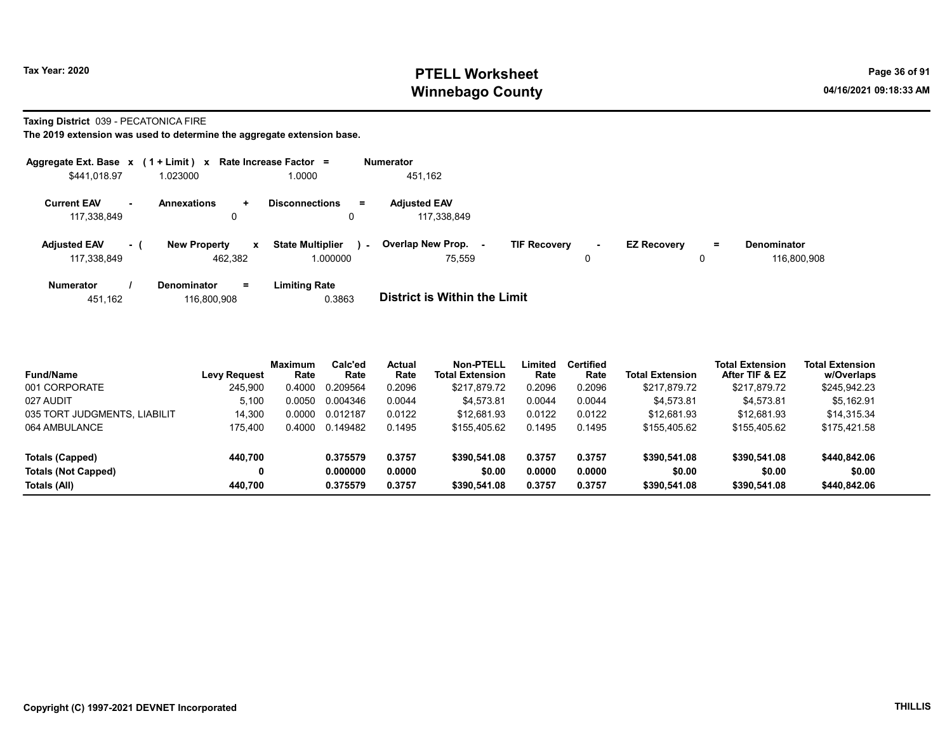#### Taxing District 039 - PECATONICA FIRE

|                                    |        | Aggregate Ext. Base $x$ (1 + Limit) $x$ Rate Increase Factor = |                                          |        | <b>Numerator</b>                   |                     |             |                    |    |                            |
|------------------------------------|--------|----------------------------------------------------------------|------------------------------------------|--------|------------------------------------|---------------------|-------------|--------------------|----|----------------------------|
| \$441,018.97                       |        | 1.023000                                                       | 1.0000                                   |        | 451,162                            |                     |             |                    |    |                            |
| <b>Current EAV</b><br>117,338,849  | $\sim$ | <b>Annexations</b><br>$\pm$<br>0                               | <b>Disconnections</b><br>0               | $=$    | <b>Adjusted EAV</b><br>117,338,849 |                     |             |                    |    |                            |
| <b>Adjusted EAV</b><br>117,338,849 | $-1$   | <b>New Property</b><br>462.382                                 | <b>State Multiplier</b><br>x<br>1.000000 | $\sim$ | Overlap New Prop.<br>75.559        | <b>TIF Recovery</b> | $\sim$<br>0 | <b>EZ Recovery</b> | Ξ. | Denominator<br>116.800.908 |
| <b>Numerator</b>                   |        | $=$<br><b>Denominator</b>                                      | <b>Limiting Rate</b>                     |        |                                    |                     |             |                    |    |                            |

| 116,800,908<br>451.162 | 0.3863 | <b>District is Within the Limit</b> |
|------------------------|--------|-------------------------------------|
|------------------------|--------|-------------------------------------|

| <b>Fund/Name</b>             | <b>Levy Request</b> | <b>Maximum</b><br>Rate | Calc'ed<br>Rate | <b>Actual</b><br>Rate | <b>Non-PTELL</b><br><b>Total Extension</b> | ∟imited<br>Rate | <b>Certified</b><br>Rate | <b>Total Extension</b> | <b>Total Extension</b><br>After TIF & EZ | <b>Total Extension</b><br>w/Overlaps |  |
|------------------------------|---------------------|------------------------|-----------------|-----------------------|--------------------------------------------|-----------------|--------------------------|------------------------|------------------------------------------|--------------------------------------|--|
| 001 CORPORATE                | 245,900             | 0.4000                 | 0.209564        | 0.2096                | \$217,879.72                               | 0.2096          | 0.2096                   | \$217,879.72           | \$217,879.72                             | \$245,942.23                         |  |
| 027 AUDIT                    | 5.100               | 0.0050                 | 0.004346        | 0.0044                | \$4,573.81                                 | 0.0044          | 0.0044                   | \$4.573.81             | \$4.573.81                               | \$5,162.91                           |  |
| 035 TORT JUDGMENTS, LIABILIT | 14.300              | 0.0000                 | 0.012187        | 0.0122                | \$12.681.93                                | 0.0122          | 0.0122                   | \$12.681.93            | \$12.681.93                              | \$14,315.34                          |  |
| 064 AMBULANCE                | 175.400             | 0.4000                 | 0.149482        | 0.1495                | \$155.405.62                               | 0.1495          | 0.1495                   | \$155,405.62           | \$155,405.62                             | \$175,421.58                         |  |
| Totals (Capped)              | 440.700             |                        | 0.375579        | 0.3757                | \$390,541.08                               | 0.3757          | 0.3757                   | \$390,541.08           | \$390,541.08                             | \$440,842.06                         |  |
| <b>Totals (Not Capped)</b>   | 0                   |                        | 0.000000        | 0.0000                | \$0.00                                     | 0.0000          | 0.0000                   | \$0.00                 | \$0.00                                   | \$0.00                               |  |
| Totals (All)                 | 440.700             |                        | 0.375579        | 0.3757                | \$390,541.08                               | 0.3757          | 0.3757                   | \$390,541.08           | \$390,541.08                             | \$440,842.06                         |  |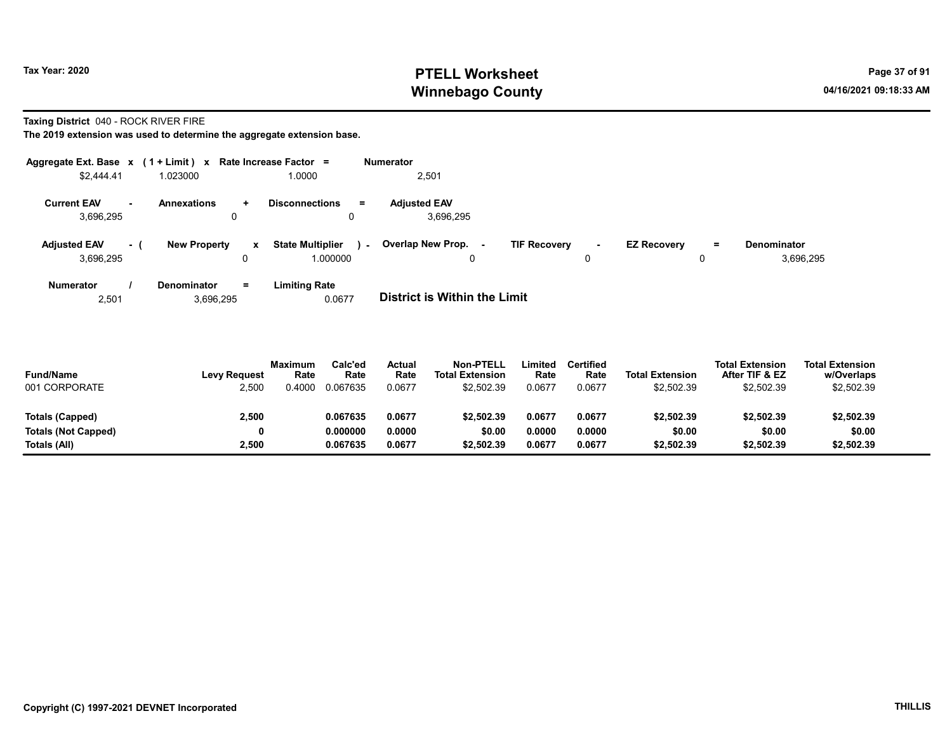Taxing District 040 - ROCK RIVER FIRE

The 2019 extension was used to determine the aggregate extension base.

| Aggregate Ext. Base $x$ (1 + Limit) $x$ |      |                         |     | Rate Increase Factor =                        | <b>Numerator</b>                          |                     |          |                    |          |                                 |
|-----------------------------------------|------|-------------------------|-----|-----------------------------------------------|-------------------------------------------|---------------------|----------|--------------------|----------|---------------------------------|
| \$2,444.41                              |      | 1.023000                |     | 1.0000                                        | 2,501                                     |                     |          |                    |          |                                 |
| <b>Current EAV</b><br>3,696,295         | н.   | <b>Annexations</b><br>0 | ÷.  | <b>Disconnections</b><br>$\equiv$<br>$\Omega$ | <b>Adjusted EAV</b><br>3,696,295          |                     |          |                    |          |                                 |
| <b>Adjusted EAV</b><br>3,696,295        | $-1$ | <b>New Property</b>     | x   | <b>State Multiplier</b><br>.000000            | <b>Overlap New Prop. -</b><br>$\sim$<br>0 | <b>TIF Recovery</b> | <b>м</b> | <b>EZ Recovery</b> | $=$<br>0 | <b>Denominator</b><br>3,696,295 |
| <b>Numerator</b>                        |      | <b>Denominator</b>      | $=$ | <b>Limiting Rate</b>                          |                                           |                     |          |                    |          |                                 |

2,501 3,696,295 0.0677 District is Within the Limit

| <b>Fund/Name</b><br>001 CORPORATE | <b>Levy Request</b><br>2,500 | <b>Maximum</b><br>Rate<br>0.4000 | Calc'ed<br>Rate<br>0.067635 | <b>Actual</b><br>Rate<br>0.0677 | <b>Non-PTELL</b><br><b>Total Extension</b><br>\$2.502.39 | .imited<br>Rate<br>0.0677 | Certified<br>Rate<br>0.0677 | <b>Total Extension</b><br>\$2,502.39 | <b>Total Extension</b><br>After TIF & EZ<br>\$2,502.39 | <b>Total Extension</b><br>w/Overlaps<br>\$2,502.39 |  |
|-----------------------------------|------------------------------|----------------------------------|-----------------------------|---------------------------------|----------------------------------------------------------|---------------------------|-----------------------------|--------------------------------------|--------------------------------------------------------|----------------------------------------------------|--|
| Totals (Capped)                   | 2,500                        |                                  | 0.067635                    | 0.0677                          | \$2.502.39                                               | 0.0677                    | 0.0677                      | \$2,502.39                           | \$2,502.39                                             | \$2,502.39                                         |  |
| Totals (Not Capped)               |                              |                                  | 0.000000                    | 0.0000                          | \$0.00                                                   | 0.0000                    | 0.0000                      | \$0.00                               | \$0.00                                                 | \$0.00                                             |  |
| Totals (All)                      | 2.500                        |                                  | 0.067635                    | 0.0677                          | \$2.502.39                                               | 0.0677                    | 0.0677                      | \$2.502.39                           | \$2,502.39                                             | \$2,502.39                                         |  |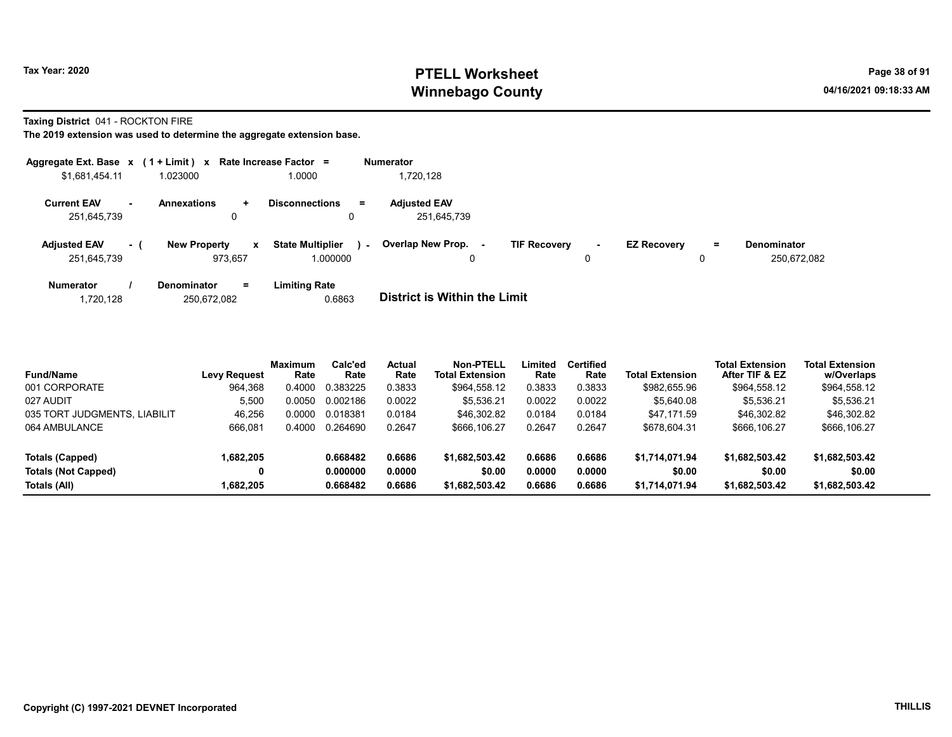Taxing District 041 - ROCKTON FIRE

| Aggregate Ext. Base $x$ (1 + Limit) $x$ |     |                                     | Rate Increase Factor =            | <b>Numerator</b>                                                                                            |
|-----------------------------------------|-----|-------------------------------------|-----------------------------------|-------------------------------------------------------------------------------------------------------------|
| \$1,681,454.11                          |     | 1.023000                            | 1.0000                            | 1,720,128                                                                                                   |
| <b>Current EAV</b>                      | ж.  | <b>Annexations</b><br>÷             | <b>Disconnections</b><br>$=$      | <b>Adjusted EAV</b>                                                                                         |
| 251,645,739                             |     | 0                                   | 0                                 | 251,645,739                                                                                                 |
| <b>Adjusted EAV</b>                     | - 1 | <b>New Property</b><br>$\mathbf{x}$ | <b>State Multiplier</b><br>$\sim$ | Overlap New Prop.<br><b>TIF Recovery</b><br><b>EZ Recovery</b><br><b>Denominator</b><br>$=$<br>$\sim$<br>۰. |
| 251,645,739                             |     | 973.657                             | 1.000000                          | 250.672.082<br>0<br>0                                                                                       |
| <b>Numerator</b>                        |     | $=$<br><b>Denominator</b>           | <b>Limiting Rate</b>              |                                                                                                             |
| 1,720,128                               |     | 250.672.082                         | 0.6863                            | <b>District is Within the Limit</b>                                                                         |

| Fund/Name                    | Levy Request | <b>Maximum</b><br>Rate | Calc'ed<br>Rate | Actual<br>Rate | <b>Non-PTELL</b><br><b>Total Extension</b> | Limited<br>Rate | <b>Certified</b><br>Rate | <b>Total Extension</b> | <b>Total Extension</b><br>After TIF & EZ | <b>Total Extension</b><br>w/Overlaps |
|------------------------------|--------------|------------------------|-----------------|----------------|--------------------------------------------|-----------------|--------------------------|------------------------|------------------------------------------|--------------------------------------|
| 001 CORPORATE                | 964,368      | 0.4000                 | 0.383225        | 0.3833         | \$964,558.12                               | 0.3833          | 0.3833                   | \$982,655.96           | \$964,558.12                             | \$964,558.12                         |
| 027 AUDIT                    | 5.500        | 0.0050                 | 0.002186        | 0.0022         | \$5.536.21                                 | 0.0022          | 0.0022                   | \$5,640.08             | \$5.536.21                               | \$5,536.21                           |
| 035 TORT JUDGMENTS, LIABILIT | 46.256       | 0.0000                 | 0.018381        | 0.0184         | \$46,302.82                                | 0.0184          | 0.0184                   | \$47.171.59            | \$46,302.82                              | \$46,302.82                          |
| 064 AMBULANCE                | 666.081      | 0.4000                 | 0.264690        | 0.2647         | \$666.106.27                               | 0.2647          | 0.2647                   | \$678,604.31           | \$666,106.27                             | \$666,106.27                         |
| Totals (Capped)              | 1,682,205    |                        | 0.668482        | 0.6686         | \$1,682,503.42                             | 0.6686          | 0.6686                   | \$1,714,071.94         | \$1,682,503.42                           | \$1,682,503.42                       |
| Totals (Not Capped)          | 0            |                        | 0.000000        | 0.0000         | \$0.00                                     | 0.0000          | 0.0000                   | \$0.00                 | \$0.00                                   | \$0.00                               |
| Totals (All)                 | 1.682.205    |                        | 0.668482        | 0.6686         | \$1,682,503.42                             | 0.6686          | 0.6686                   | \$1,714,071.94         | \$1,682,503.42                           | \$1,682,503.42                       |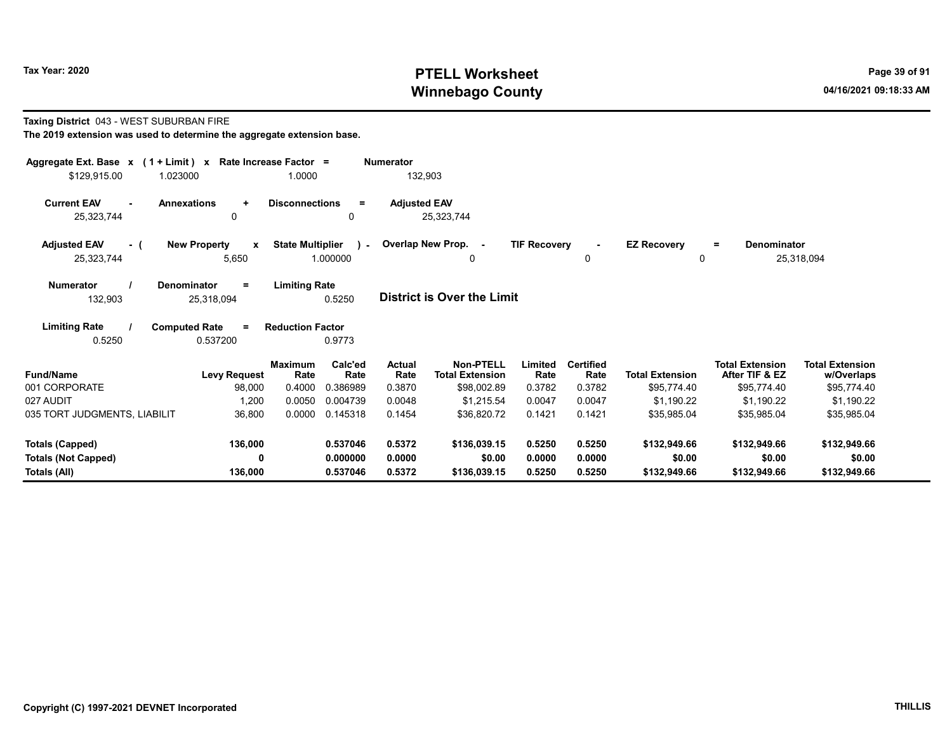## Taxing District 043 - WEST SUBURBAN FIRE

| Aggregate Ext. Base $x$ (1 + Limit) $x$  | Rate Increase Factor =                          |                                                     | <b>Numerator</b>    |                                            |                     |                          |                           |                                          |                                      |
|------------------------------------------|-------------------------------------------------|-----------------------------------------------------|---------------------|--------------------------------------------|---------------------|--------------------------|---------------------------|------------------------------------------|--------------------------------------|
| \$129,915.00<br>1.023000                 |                                                 | 1.0000                                              | 132,903             |                                            |                     |                          |                           |                                          |                                      |
| <b>Current EAV</b><br>25,323,744         | <b>Annexations</b><br>$\ddot{}$<br>$\mathbf{0}$ | <b>Disconnections</b><br>$=$<br>0                   | <b>Adjusted EAV</b> | 25,323,744                                 |                     |                          |                           |                                          |                                      |
| <b>Adjusted EAV</b><br>- (<br>25,323,744 | <b>New Property</b><br>$\mathbf{x}$<br>5,650    | <b>State Multiplier</b><br>$\mathbf{1}$<br>1.000000 | Overlap New Prop. - | 0                                          | <b>TIF Recovery</b> | 0                        | <b>EZ Recovery</b>        | Denominator<br>Ξ.<br>0                   | 25,318,094                           |
| <b>Numerator</b><br>132,903              | Denominator<br>Ξ<br>25,318,094                  | <b>Limiting Rate</b><br>0.5250                      |                     | <b>District is Over the Limit</b>          |                     |                          |                           |                                          |                                      |
| <b>Limiting Rate</b><br>0.5250           | <b>Computed Rate</b><br>$\equiv$<br>0.537200    | <b>Reduction Factor</b><br>0.9773                   |                     |                                            |                     |                          |                           |                                          |                                      |
| <b>Fund/Name</b>                         | <b>Levy Request</b>                             | Calc'ed<br>Maximum<br>Rate<br>Rate                  | Actual<br>Rate      | <b>Non-PTELL</b><br><b>Total Extension</b> | Limited<br>Rate     | <b>Certified</b><br>Rate | <b>Total Extension</b>    | <b>Total Extension</b><br>After TIF & EZ | <b>Total Extension</b><br>w/Overlaps |
| 001 CORPORATE<br>027 AUDIT               | 98,000<br>1,200                                 | 0.386989<br>0.4000<br>0.0050<br>0.004739            | 0.3870<br>0.0048    | \$98,002.89<br>\$1.215.54                  | 0.3782<br>0.0047    | 0.3782<br>0.0047         | \$95,774.40<br>\$1,190.22 | \$95,774.40<br>\$1.190.22                | \$95,774.40<br>\$1.190.22            |
| 035 TORT JUDGMENTS, LIABILIT             | 36,800                                          | 0.0000<br>0.145318                                  | 0.1454              | \$36,820.72                                | 0.1421              | 0.1421                   | \$35,985.04               | \$35,985.04                              | \$35,985.04                          |
| <b>Totals (Capped)</b>                   | 136,000                                         | 0.537046                                            | 0.5372              | \$136,039.15                               | 0.5250              | 0.5250                   | \$132,949.66              | \$132,949.66                             | \$132,949.66                         |
| <b>Totals (Not Capped)</b>               | 0                                               | 0.000000                                            | 0.0000              | \$0.00                                     | 0.0000              | 0.0000                   | \$0.00                    | \$0.00                                   | \$0.00                               |
| Totals (All)                             | 136,000                                         | 0.537046                                            | 0.5372              | \$136,039.15                               | 0.5250              | 0.5250                   | \$132,949.66              | \$132,949.66                             | \$132,949.66                         |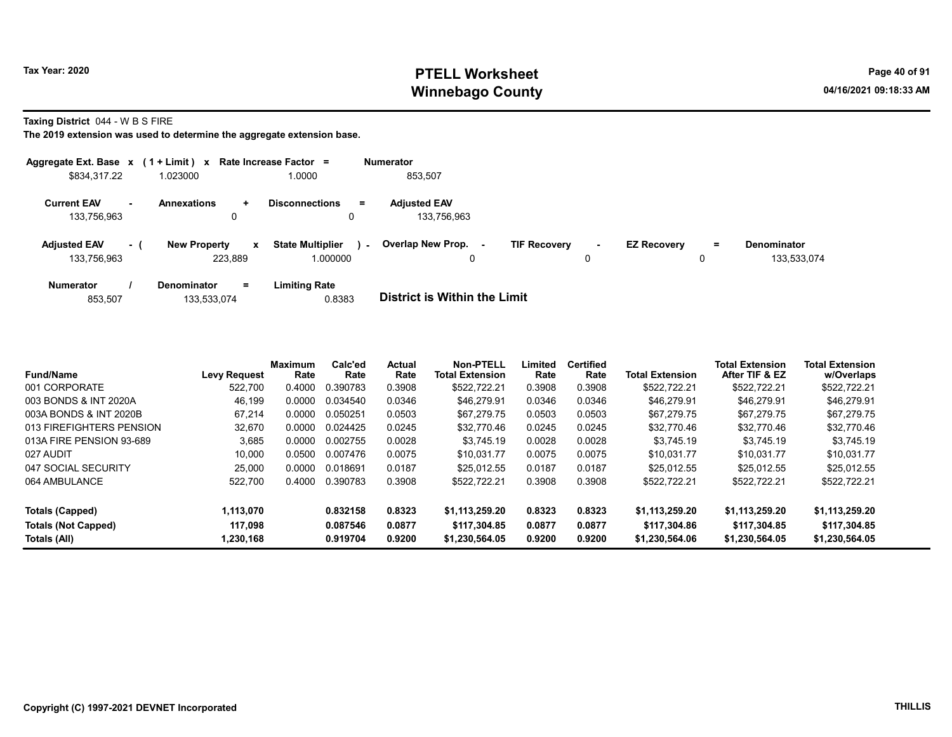Taxing District 044 - W B S FIRE

|                                    |     | Aggregate Ext. Base $x$ (1 + Limit) x Rate Increase Factor = |                                     |        | <b>Numerator</b>                   |                     |             |                    |         |                                   |
|------------------------------------|-----|--------------------------------------------------------------|-------------------------------------|--------|------------------------------------|---------------------|-------------|--------------------|---------|-----------------------------------|
| \$834,317.22                       |     | 1.023000                                                     | 1.0000                              |        | 853,507                            |                     |             |                    |         |                                   |
| <b>Current EAV</b><br>133.756.963  |     | <b>Annexations</b><br>$\ddot{}$<br>0                         | <b>Disconnections</b><br>0          | $=$    | <b>Adjusted EAV</b><br>133.756.963 |                     |             |                    |         |                                   |
| <b>Adjusted EAV</b><br>133,756,963 | - ( | <b>New Property</b><br>$\mathbf{x}$<br>223,889               | <b>State Multiplier</b><br>1.000000 | $\sim$ | Overlap New Prop.<br>$\sim$<br>0   | <b>TIF Recovery</b> | $\sim$<br>0 | <b>EZ Recovery</b> | Ξ.<br>0 | <b>Denominator</b><br>133,533,074 |
| <b>Numerator</b>                   |     | $=$<br><b>Denominator</b>                                    | <b>Limiting Rate</b>                |        |                                    |                     |             |                    |         |                                   |

| 853.507 | 133,533,074 | 0.8383 | <b>District is Within the Limit</b> |
|---------|-------------|--------|-------------------------------------|

| <b>Fund/Name</b>           | <b>Levy Request</b> | <b>Maximum</b><br>Rate | Calc'ed<br>Rate | <b>Actual</b><br>Rate | <b>Non-PTELL</b><br><b>Total Extension</b> | Limited<br>Rate | <b>Certified</b><br>Rate | <b>Total Extension</b> | <b>Total Extension</b><br>After TIF & EZ | <b>Total Extension</b><br>w/Overlaps |
|----------------------------|---------------------|------------------------|-----------------|-----------------------|--------------------------------------------|-----------------|--------------------------|------------------------|------------------------------------------|--------------------------------------|
| 001 CORPORATE              | 522.700             | 0.4000                 | 0.390783        | 0.3908                | \$522.722.21                               | 0.3908          | 0.3908                   | \$522,722.21           | \$522,722.21                             | \$522,722.21                         |
| 003 BONDS & INT 2020A      | 46,199              | 0.0000                 | 0.034540        | 0.0346                | \$46,279.91                                | 0.0346          | 0.0346                   | \$46,279.91            | \$46,279.91                              | \$46,279.91                          |
| 003A BONDS & INT 2020B     | 67.214              | 0.0000                 | 0.050251        | 0.0503                | \$67.279.75                                | 0.0503          | 0.0503                   | \$67.279.75            | \$67.279.75                              | \$67,279.75                          |
| 013 FIREFIGHTERS PENSION   | 32,670              | 0.0000                 | 0.024425        | 0.0245                | \$32,770.46                                | 0.0245          | 0.0245                   | \$32.770.46            | \$32.770.46                              | \$32,770.46                          |
| 013A FIRE PENSION 93-689   | 3,685               | 0.0000                 | 0.002755        | 0.0028                | \$3.745.19                                 | 0.0028          | 0.0028                   | \$3.745.19             | \$3.745.19                               | \$3.745.19                           |
| 027 AUDIT                  | 10.000              | 0.0500                 | 0.007476        | 0.0075                | \$10.031.77                                | 0.0075          | 0.0075                   | \$10.031.77            | \$10.031.77                              | \$10.031.77                          |
| 047 SOCIAL SECURITY        | 25.000              | 0.0000                 | 0.018691        | 0.0187                | \$25.012.55                                | 0.0187          | 0.0187                   | \$25.012.55            | \$25.012.55                              | \$25.012.55                          |
| 064 AMBULANCE              | 522,700             | 0.4000                 | 0.390783        | 0.3908                | \$522,722.21                               | 0.3908          | 0.3908                   | \$522,722.21           | \$522.722.21                             | \$522.722.21                         |
| Totals (Capped)            | 1.113.070           |                        | 0.832158        | 0.8323                | \$1,113,259.20                             | 0.8323          | 0.8323                   | \$1.113.259.20         | \$1,113,259.20                           | \$1,113,259.20                       |
| <b>Totals (Not Capped)</b> | 117.098             |                        | 0.087546        | 0.0877                | \$117.304.85                               | 0.0877          | 0.0877                   | \$117.304.86           | \$117.304.85                             | \$117.304.85                         |
| Totals (All)               | 1,230,168           |                        | 0.919704        | 0.9200                | \$1.230.564.05                             | 0.9200          | 0.9200                   | \$1.230,564.06         | \$1,230,564.05                           | \$1,230,564.05                       |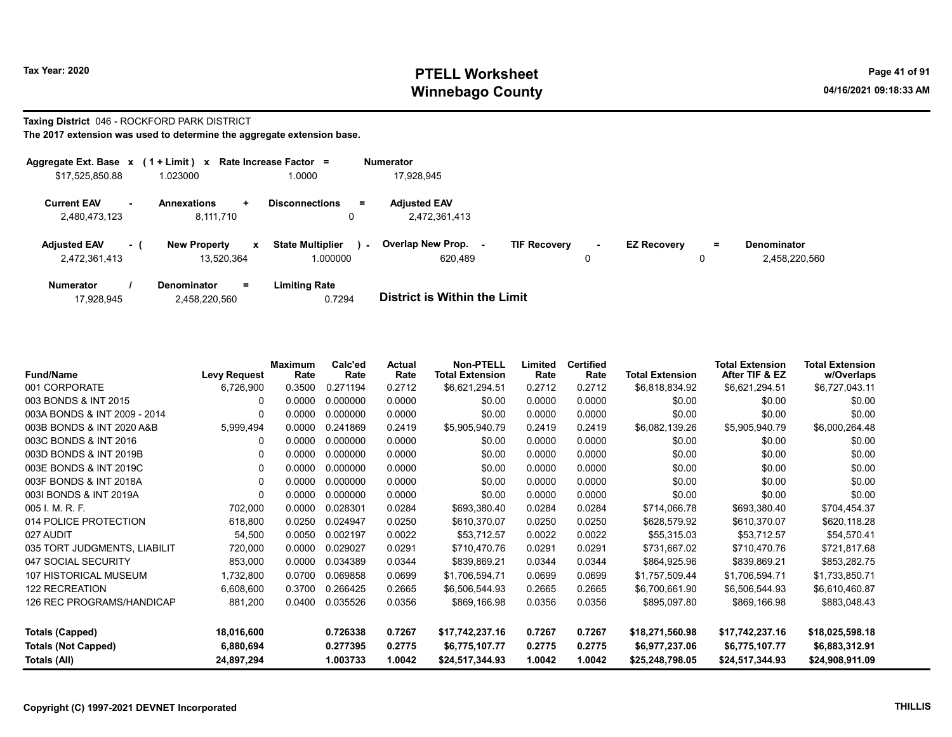# Taxing District 046 - ROCKFORD PARK DISTRICT

| Aggregate Ext. Base $x$ (1 + Limit) $x$ |      |                                       |   | Rate Increase Factor =                 |        | <b>Numerator</b>                     |                     |             |                    |          |                                     |
|-----------------------------------------|------|---------------------------------------|---|----------------------------------------|--------|--------------------------------------|---------------------|-------------|--------------------|----------|-------------------------------------|
| \$17,525,850.88                         |      | 1.023000                              |   | 1.0000                                 |        | 17.928.945                           |                     |             |                    |          |                                     |
| <b>Current EAV</b><br>2,480,473,123     | . .  | <b>Annexations</b><br>÷.<br>8,111,710 |   | <b>Disconnections</b><br>$\equiv$<br>0 |        | <b>Adjusted EAV</b><br>2,472,361,413 |                     |             |                    |          |                                     |
| <b>Adjusted EAV</b><br>2,472,361,413    | $-1$ | <b>New Property</b><br>13.520.364     | x | <b>State Multiplier</b><br>000000.     | $\sim$ | <b>Overlap New Prop.</b><br>620.489  | <b>TIF Recovery</b> | $\sim$<br>0 | <b>EZ Recovery</b> | $=$<br>0 | <b>Denominator</b><br>2.458.220.560 |
| <b>Numerator</b>                        |      | <b>Denominator</b><br>Ξ.              |   | <b>Limiting Rate</b>                   |        | _                                    |                     |             |                    |          |                                     |

| 17.928.945 | 2,458,220,560 | 0.7294 | <b>District is Within the Limit</b> |
|------------|---------------|--------|-------------------------------------|

| <b>Fund/Name</b>             | <b>Levy Request</b> | Maximum<br>Rate | Calc'ed<br>Rate | Actual<br>Rate | <b>Non-PTELL</b><br><b>Total Extension</b> | Limited<br>Rate | <b>Certified</b><br>Rate | <b>Total Extension</b> | <b>Total Extension</b><br>After TIF & EZ | <b>Total Extension</b><br>w/Overlaps |
|------------------------------|---------------------|-----------------|-----------------|----------------|--------------------------------------------|-----------------|--------------------------|------------------------|------------------------------------------|--------------------------------------|
| 001 CORPORATE                | 6,726,900           | 0.3500          | 0.271194        | 0.2712         | \$6,621,294.51                             | 0.2712          | 0.2712                   | \$6,818,834.92         | \$6,621,294.51                           | \$6,727,043.11                       |
| 003 BONDS & INT 2015         | 0                   | 0.0000          | 0.000000        | 0.0000         | \$0.00                                     | 0.0000          | 0.0000                   | \$0.00                 | \$0.00                                   | \$0.00                               |
| 003A BONDS & INT 2009 - 2014 | 0                   | 0.0000          | 0.000000        | 0.0000         | \$0.00                                     | 0.0000          | 0.0000                   | \$0.00                 | \$0.00                                   | \$0.00                               |
| 003B BONDS & INT 2020 A&B    | 5,999,494           | 0.0000          | 0.241869        | 0.2419         | \$5,905,940.79                             | 0.2419          | 0.2419                   | \$6,082,139.26         | \$5,905,940.79                           | \$6,000,264.48                       |
| 003C BONDS & INT 2016        | 0                   | 0.0000          | 0.000000        | 0.0000         | \$0.00                                     | 0.0000          | 0.0000                   | \$0.00                 | \$0.00                                   | \$0.00                               |
| 003D BONDS & INT 2019B       | 0                   | 0.0000          | 0.000000        | 0.0000         | \$0.00                                     | 0.0000          | 0.0000                   | \$0.00                 | \$0.00                                   | \$0.00                               |
| 003E BONDS & INT 2019C       | $\Omega$            | 0.0000          | 0.000000        | 0.0000         | \$0.00                                     | 0.0000          | 0.0000                   | \$0.00                 | \$0.00                                   | \$0.00                               |
| 003F BONDS & INT 2018A       | $\Omega$            | 0.0000          | 0.000000        | 0.0000         | \$0.00                                     | 0.0000          | 0.0000                   | \$0.00                 | \$0.00                                   | \$0.00                               |
| 003I BONDS & INT 2019A       | $\Omega$            | 0.0000          | 0.000000        | 0.0000         | \$0.00                                     | 0.0000          | 0.0000                   | \$0.00                 | \$0.00                                   | \$0.00                               |
| 005 I. M. R. F.              | 702,000             | 0.0000          | 0.028301        | 0.0284         | \$693,380.40                               | 0.0284          | 0.0284                   | \$714,066.78           | \$693,380.40                             | \$704,454.37                         |
| 014 POLICE PROTECTION        | 618,800             | 0.0250          | 0.024947        | 0.0250         | \$610,370.07                               | 0.0250          | 0.0250                   | \$628,579.92           | \$610,370.07                             | \$620,118.28                         |
| 027 AUDIT                    | 54,500              | 0.0050          | 0.002197        | 0.0022         | \$53,712.57                                | 0.0022          | 0.0022                   | \$55,315.03            | \$53,712.57                              | \$54,570.41                          |
| 035 TORT JUDGMENTS, LIABILIT | 720,000             | 0.0000          | 0.029027        | 0.0291         | \$710,470.76                               | 0.0291          | 0.0291                   | \$731,667.02           | \$710,470.76                             | \$721,817.68                         |
| 047 SOCIAL SECURITY          | 853,000             | 0.0000          | 0.034389        | 0.0344         | \$839,869.21                               | 0.0344          | 0.0344                   | \$864,925.96           | \$839,869.21                             | \$853,282.75                         |
| 107 HISTORICAL MUSEUM        | 1,732,800           | 0.0700          | 0.069858        | 0.0699         | \$1,706,594.71                             | 0.0699          | 0.0699                   | \$1,757,509.44         | \$1,706,594.71                           | \$1,733,850.71                       |
| <b>122 RECREATION</b>        | 6,608,600           | 0.3700          | 0.266425        | 0.2665         | \$6,506,544.93                             | 0.2665          | 0.2665                   | \$6,700,661.90         | \$6,506,544.93                           | \$6,610,460.87                       |
| 126 REC PROGRAMS/HANDICAP    | 881,200             | 0.0400          | 0.035526        | 0.0356         | \$869,166.98                               | 0.0356          | 0.0356                   | \$895,097.80           | \$869,166.98                             | \$883,048.43                         |
| <b>Totals (Capped)</b>       | 18,016,600          |                 | 0.726338        | 0.7267         | \$17,742,237.16                            | 0.7267          | 0.7267                   | \$18,271,560.98        | \$17,742,237.16                          | \$18,025,598.18                      |
| <b>Totals (Not Capped)</b>   | 6,880,694           |                 | 0.277395        | 0.2775         | \$6,775,107.77                             | 0.2775          | 0.2775                   | \$6,977,237.06         | \$6,775,107.77                           | \$6,883,312.91                       |
| Totals (All)                 | 24,897,294          |                 | 1.003733        | 1.0042         | \$24,517,344.93                            | 1.0042          | 1.0042                   | \$25,248,798.05        | \$24,517,344.93                          | \$24,908,911.09                      |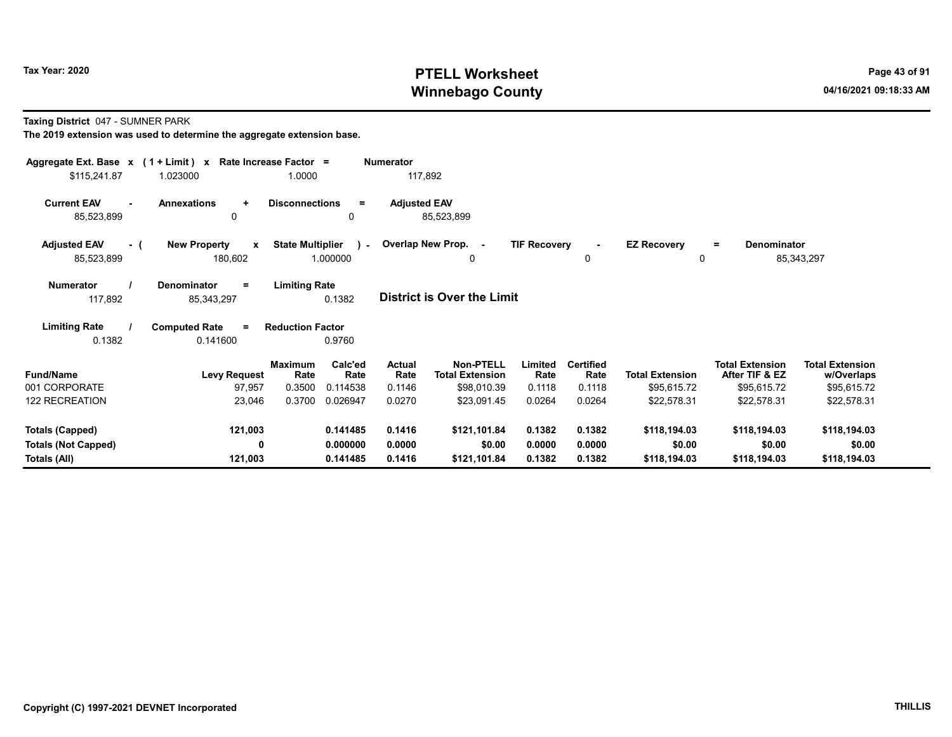Taxing District 047 - SUMNER PARK

| Aggregate Ext. Base $x$ (1 + Limit) x Rate Increase Factor = |                                                |                         |                 | <b>Numerator</b>    |                                            |                     |                          |                                   |                                          |                                      |
|--------------------------------------------------------------|------------------------------------------------|-------------------------|-----------------|---------------------|--------------------------------------------|---------------------|--------------------------|-----------------------------------|------------------------------------------|--------------------------------------|
| \$115,241.87                                                 | 1.023000                                       | 1.0000                  |                 | 117,892             |                                            |                     |                          |                                   |                                          |                                      |
| <b>Current EAV</b><br>$\blacksquare$<br>85,523,899           | <b>Annexations</b><br>$\ddot{}$<br>0           | <b>Disconnections</b>   | Ξ.<br>0         | <b>Adjusted EAV</b> | 85,523,899                                 |                     |                          |                                   |                                          |                                      |
| <b>Adjusted EAV</b><br>- (<br>85,523,899                     | <b>New Property</b><br>$\mathbf{x}$<br>180,602 | <b>State Multiplier</b> | 1.000000        |                     | Coverlap New Prop. -<br>0                  | <b>TIF Recovery</b> | $\blacksquare$<br>0      | <b>EZ Recovery</b><br>$\mathbf 0$ | Denominator<br>$\equiv$                  | 85,343,297                           |
| <b>Numerator</b><br>117,892                                  | <b>Denominator</b><br>$\equiv$<br>85,343,297   | <b>Limiting Rate</b>    | 0.1382          |                     | <b>District is Over the Limit</b>          |                     |                          |                                   |                                          |                                      |
| <b>Limiting Rate</b><br>0.1382                               | <b>Computed Rate</b><br>$\equiv$<br>0.141600   | <b>Reduction Factor</b> | 0.9760          |                     |                                            |                     |                          |                                   |                                          |                                      |
| <b>Fund/Name</b>                                             | <b>Levy Request</b>                            | Maximum<br>Rate         | Calc'ed<br>Rate | Actual<br>Rate      | <b>Non-PTELL</b><br><b>Total Extension</b> | Limited<br>Rate     | <b>Certified</b><br>Rate | <b>Total Extension</b>            | <b>Total Extension</b><br>After TIF & EZ | <b>Total Extension</b><br>w/Overlaps |
| 001 CORPORATE                                                | 97,957                                         | 0.3500                  | 0.114538        | 0.1146              | \$98,010.39                                | 0.1118              | 0.1118                   | \$95,615.72                       | \$95,615.72                              | \$95,615.72                          |
| 122 RECREATION                                               | 23,046                                         | 0.3700                  | 0.026947        | 0.0270              | \$23,091.45                                | 0.0264              | 0.0264                   | \$22,578.31                       | \$22,578.31                              | \$22,578.31                          |
| Totals (Capped)                                              | 121,003                                        |                         | 0.141485        | 0.1416              | \$121,101.84                               | 0.1382              | 0.1382                   | \$118,194.03                      | \$118,194.03                             | \$118,194.03                         |
| <b>Totals (Not Capped)</b>                                   | 0                                              |                         | 0.000000        | 0.0000              | \$0.00                                     | 0.0000              | 0.0000                   | \$0.00                            | \$0.00                                   | \$0.00                               |
| Totals (All)                                                 | 121,003                                        |                         | 0.141485        | 0.1416              | \$121,101.84                               | 0.1382              | 0.1382                   | \$118,194.03                      | \$118,194.03                             | \$118,194.03                         |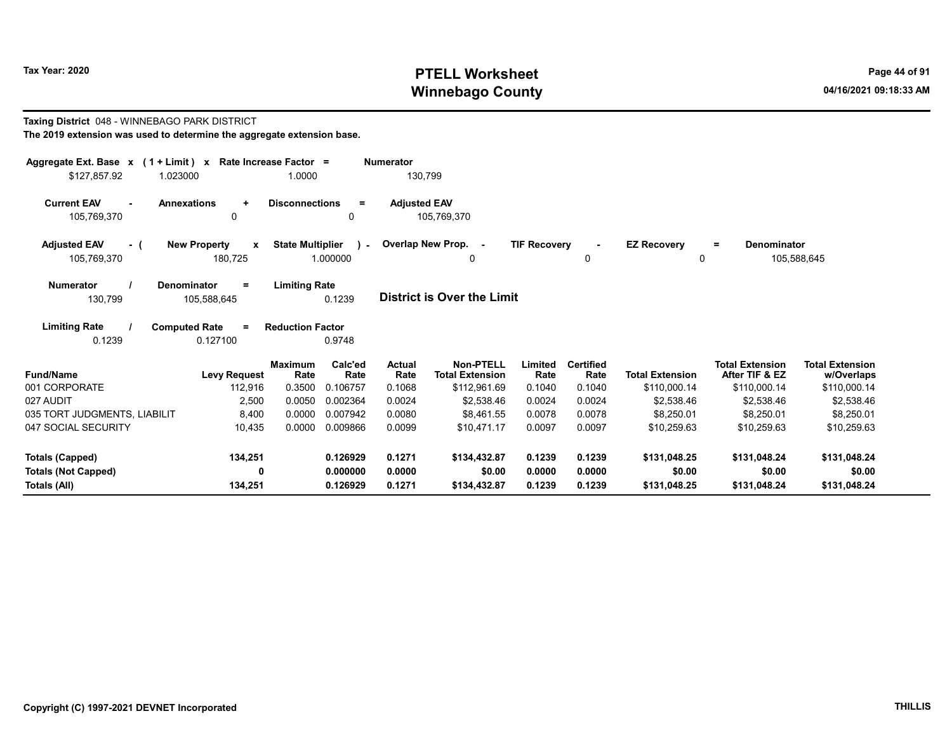Taxing District 048 - WINNEBAGO PARK DISTRICT

## Tax Year: 2020 PTELL Worksheet Press, 2020 Page 44 of 91 Winnebago County and the county of the county of the county of the county of the county of the county of the county of the county of the county of the county of the county of the county of the county of the county of the c

w/Overlaps

#### The 2019 extension was used to determine the aggregate extension base. Aggregate Ext. Base x ( 1 + Limit ) x Rate Increase Factor = Numerator \$127,857.92 1.023000 1.0000 130,799 Current EAV - Annexations + Disconnections = Adjusted EAV 105,769,370 0 0 105,769,370 Adjusted EAV - ( New Property x State Multiplier 105,769,370 180,725 1.000000 Numerator / Denominator = Limiting Rate District is Over the Limit Limiting Rate / Computed Rate = 130,799 105,588,645 0.1239 0.1239 0.127100 Reduction Factor 0.9748 Fund/Name **Example 2 Levy Request** Rate Rate Rate Total Extension Rate Limited Total Extension After TIF & EZ Total Extension **Total Extension** Maximum Calc'ed Actual **Rate** Calc'ed Rate Non-PTELL Limited Certified Total Extension 001 CORPORATE 112,916 0.3500 0.106757 0.1068 \$112,961.69 0.1040 0.1040 \$110,000.14 \$110,000.14 \$110,000.14 027 AUDIT 2,500 0.0050 0.002364 0.0024 \$2,538.46 0.0024 \$2,538.46 \$ \$2,538.46 \$2,538.46 035 TORT JUDGMENTS, LIABILIT 68.400 0.0000 0.007942 0.0080 \$8.461.55 0.0078 0.0078 \$8.250.01 \$8.250.01 \$8.250.01 047 SOCIAL SECURITY **10,435 0.0000 0.009866 0.0099** \$10,471.17 0.0097 0.0097 \$10,259.63 \$10,259.63 \$10,259.63 Totals (Capped) 134,251 0.126929 0.1271 \$134,432.87 0.1239 0.1239 \$131,048.25 \$131,048.24 \$131,048.24  $\Omega$ Overlap New Prop. - TIF Recovery - EZ Recovery 0 0 = Denominator 105,588,645  $\lambda$  -

Totals (Not Capped) 0 0.000000 0.0000 \$0.00 0.0000 0.0000 \$0.00 \$0.00 \$0.00 Totals (All) 134,251 0.126929 0.1271 \$134,432.87 0.1239 0.1239 \$131,048.25 \$131,048.24 \$131,048.24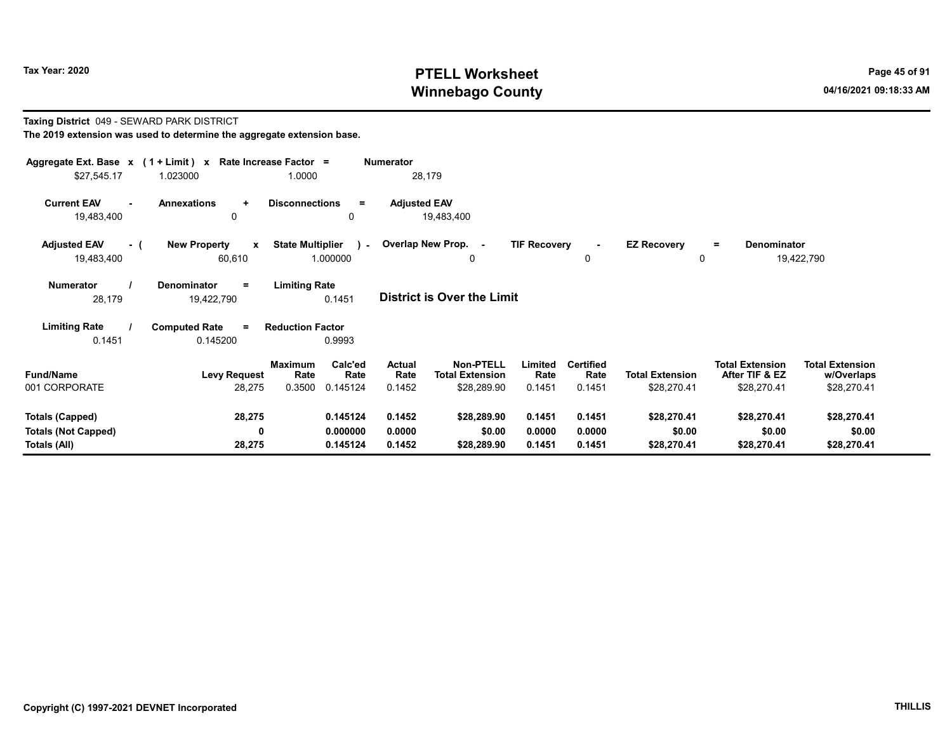#### Taxing District 049 - SEWARD PARK DISTRICT The 2019 extension was used to determine the aggregate extension base.

| Aggregate Ext. Base $x$ (1 + Limit) $x$<br>\$27,545.17               | 1.023000                                                   | Rate Increase Factor =<br>1.0000                                | <b>Numerator</b><br>28,179        |                                                           |                            |                                    |                                       |                                                         |                                                     |
|----------------------------------------------------------------------|------------------------------------------------------------|-----------------------------------------------------------------|-----------------------------------|-----------------------------------------------------------|----------------------------|------------------------------------|---------------------------------------|---------------------------------------------------------|-----------------------------------------------------|
| <b>Current EAV</b><br>19,483,400                                     | <b>Annexations</b><br>$\ddot{\phantom{1}}$<br>$\mathbf{0}$ | <b>Disconnections</b><br>$=$<br>0                               | <b>Adjusted EAV</b><br>19,483,400 |                                                           |                            |                                    |                                       |                                                         |                                                     |
| <b>Adjusted EAV</b><br>- (<br>19,483,400                             | <b>New Property</b><br>$\mathbf{x}$<br>60,610              | <b>State Multiplier</b><br>1.000000                             | - Overlap New Prop. -             | 0                                                         | <b>TIF Recovery</b>        | $\sim$<br>0                        | <b>EZ Recovery</b>                    | Denominator<br>Ξ.                                       | 19,422,790                                          |
| <b>Numerator</b><br>28,179                                           | Denominator<br>$\equiv$<br>19,422,790                      | <b>Limiting Rate</b><br>0.1451                                  | District is Over the Limit        |                                                           |                            |                                    |                                       |                                                         |                                                     |
| <b>Limiting Rate</b><br>0.1451                                       | <b>Computed Rate</b><br>$\equiv$<br>0.145200               | <b>Reduction Factor</b><br>0.9993                               |                                   |                                                           |                            |                                    |                                       |                                                         |                                                     |
| <b>Fund/Name</b><br>001 CORPORATE                                    | <b>Levy Request</b><br>28,275                              | Calc'ed<br><b>Maximum</b><br>Rate<br>Rate<br>0.3500<br>0.145124 | Actual<br>Rate<br>0.1452          | <b>Non-PTELL</b><br><b>Total Extension</b><br>\$28,289.90 | Limited<br>Rate<br>0.1451  | <b>Certified</b><br>Rate<br>0.1451 | <b>Total Extension</b><br>\$28,270.41 | <b>Total Extension</b><br>After TIF & EZ<br>\$28,270.41 | <b>Total Extension</b><br>w/Overlaps<br>\$28,270.41 |
| <b>Totals (Capped)</b><br><b>Totals (Not Capped)</b><br>Totals (All) | 28,275<br>$\mathbf{0}$<br>28,275                           | 0.145124<br>0.000000<br>0.145124                                | 0.1452<br>0.0000<br>0.1452        | \$28,289.90<br>\$0.00<br>\$28,289.90                      | 0.1451<br>0.0000<br>0.1451 | 0.1451<br>0.0000<br>0.1451         | \$28,270.41<br>\$0.00<br>\$28,270.41  | \$28,270.41<br>\$0.00<br>\$28,270.41                    | \$28,270.41<br>\$0.00<br>\$28,270.41                |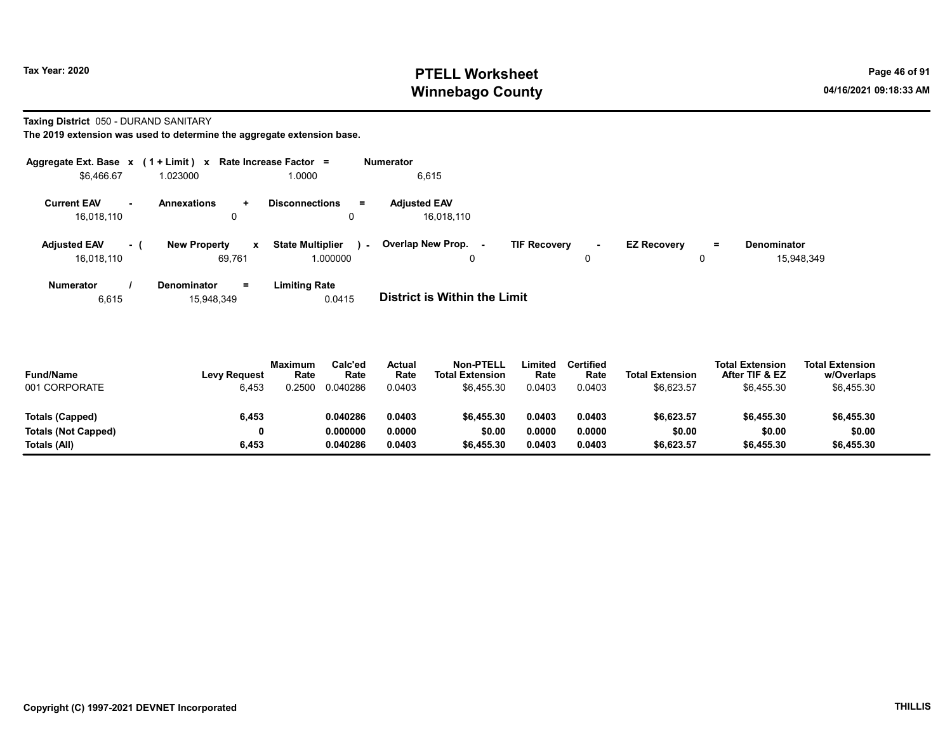### Taxing District 050 - DURAND SANITARY

The 2019 extension was used to determine the aggregate extension base.

| Aggregate Ext. Base x (1 + Limit) x |                |                          | Rate Increase Factor =            | <b>Numerator</b>            |                               |                    |          |             |
|-------------------------------------|----------------|--------------------------|-----------------------------------|-----------------------------|-------------------------------|--------------------|----------|-------------|
| \$6,466.67                          |                | 1.023000                 | 1.0000                            | 6,615                       |                               |                    |          |             |
| <b>Current EAV</b>                  | $\blacksquare$ | <b>Annexations</b><br>÷  | <b>Disconnections</b><br>Ξ        | <b>Adjusted EAV</b>         |                               |                    |          |             |
| 16,018,110                          |                | 0                        |                                   | 16,018,110                  |                               |                    |          |             |
| <b>Adjusted EAV</b>                 | - 1            | <b>New Property</b><br>x | <b>State Multiplier</b><br>$\sim$ | Overlap New Prop.<br>$\sim$ | <b>TIF Recovery</b><br>$\sim$ | <b>EZ Recoverv</b> | $=$      | Denominator |
| 16,018,110                          |                | 69.761                   | 1.000000                          | 0                           | 0                             |                    | $\Omega$ | 15,948,349  |
| <b>Numerator</b>                    |                | Denominator<br>Ξ.        | <b>Limiting Rate</b>              |                             |                               |                    |          |             |

6,615 15,948,349 0.0415 District is Within the Limit

| <b>Fund/Name</b><br>001 CORPORATE | <b>Levy Request</b><br>6.453 | <b>Maximum</b><br>Rate<br>0.2500 | Calc'ed<br>Rate<br>0.040286 | Actual<br>Rate<br>0.0403 | Non-PTELL<br><b>Total Extension</b><br>\$6.455.30 | .imited<br>Rate<br>0.0403 | Certified<br>Rate<br>0.0403 | <b>Total Extension</b><br>\$6,623.57 | <b>Total Extension</b><br>After TIF & EZ<br>\$6.455.30 | <b>Total Extension</b><br>w/Overlaps<br>\$6,455.30 |  |
|-----------------------------------|------------------------------|----------------------------------|-----------------------------|--------------------------|---------------------------------------------------|---------------------------|-----------------------------|--------------------------------------|--------------------------------------------------------|----------------------------------------------------|--|
| Totals (Capped)                   | 6,453                        |                                  | 0.040286                    | 0.0403                   | \$6.455.30                                        | 1.0403                    | 0.0403                      | \$6.623.57                           | \$6,455.30                                             | \$6,455.30                                         |  |
| <b>Totals (Not Capped)</b>        | 0                            |                                  | 0.000000                    | 0.0000                   | \$0.00                                            | 0.0000                    | 0.0000                      | \$0.00                               | \$0.00                                                 | \$0.00                                             |  |
| Totals (All)                      | 6,453                        |                                  | 0.040286                    | 0.0403                   | \$6,455.30                                        | 0.0403.                   | 0.0403                      | \$6,623.57                           | \$6,455.30                                             | \$6,455.30                                         |  |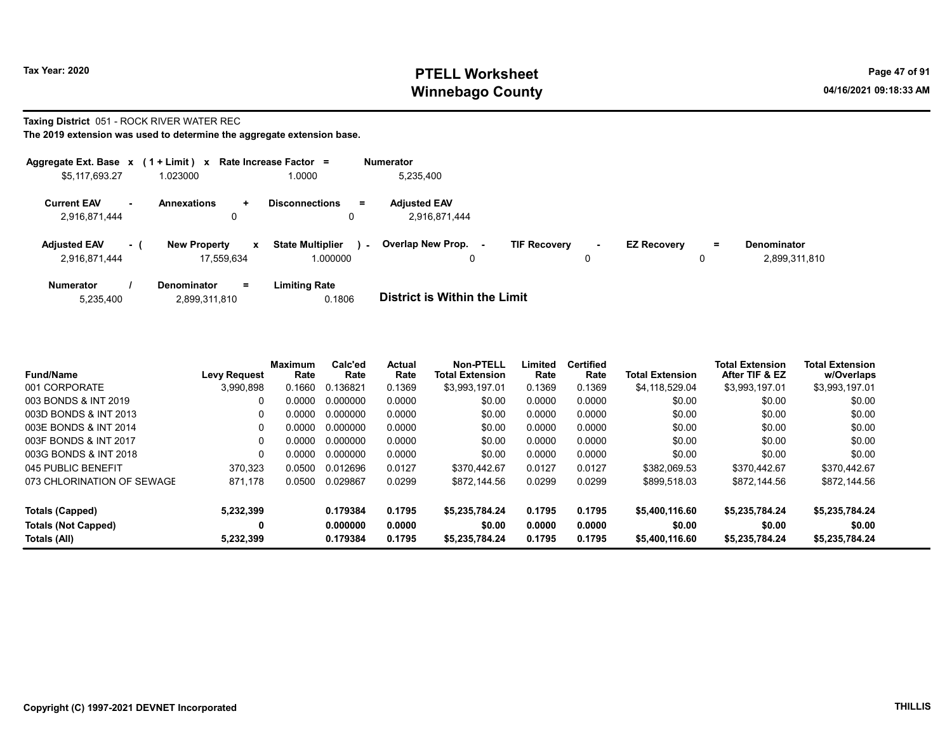### Taxing District 051 - ROCK RIVER WATER REC

| Aggregate Ext. Base $x$ (1 + Limit) x Rate Increase Factor = |        |                                   |                |                                     |        | <b>Numerator</b>                     |                     |             |                    |        |                                     |
|--------------------------------------------------------------|--------|-----------------------------------|----------------|-------------------------------------|--------|--------------------------------------|---------------------|-------------|--------------------|--------|-------------------------------------|
| \$5,117,693.27                                               |        | 1.023000                          |                | 1.0000                              |        | 5,235,400                            |                     |             |                    |        |                                     |
| <b>Current EAV</b><br>2,916,871,444                          | $\sim$ | <b>Annexations</b>                | $\ddot{}$<br>0 | <b>Disconnections</b><br>0          | $=$    | <b>Adjusted EAV</b><br>2,916,871,444 |                     |             |                    |        |                                     |
| <b>Adjusted EAV</b><br>2,916,871,444                         | $-1$   | <b>New Property</b><br>17.559.634 | $\mathbf{x}$   | <b>State Multiplier</b><br>1.000000 | $\sim$ | <b>Overlap New Prop.</b><br>0        | <b>TIF Recovery</b> | $\sim$<br>0 | <b>EZ Recovery</b> | =<br>0 | <b>Denominator</b><br>2,899,311,810 |
| <b>Numerator</b>                                             |        | Denominator                       | $=$            | <b>Limiting Rate</b>                |        |                                      |                     |             |                    |        |                                     |

| 2,899,311,810<br>5,235,400 | 0.1806 | <b>District is Within the Limit</b> |
|----------------------------|--------|-------------------------------------|

| <b>Fund/Name</b>           | <b>Levy Request</b> | <b>Maximum</b><br>Rate | Calc'ed<br>Rate | Actual<br>Rate | <b>Non-PTELL</b><br><b>Total Extension</b> | Limited<br>Rate | <b>Certified</b><br>Rate | <b>Total Extension</b> | <b>Total Extension</b><br>After TIF & EZ | <b>Total Extension</b><br>w/Overlaps |
|----------------------------|---------------------|------------------------|-----------------|----------------|--------------------------------------------|-----------------|--------------------------|------------------------|------------------------------------------|--------------------------------------|
| 001 CORPORATE              | 3,990,898           | 0.1660                 | 0.136821        | 0.1369         | \$3,993,197.01                             | 0.1369          | 0.1369                   | \$4,118,529.04         | \$3,993,197.01                           | \$3,993,197.01                       |
| 003 BONDS & INT 2019       |                     | 0.0000                 | 0.000000        | 0.0000         | \$0.00                                     | 0.0000          | 0.0000                   | \$0.00                 | \$0.00                                   | \$0.00                               |
| 003D BONDS & INT 2013      |                     | .0000                  | 0.000000        | 0.0000         | \$0.00                                     | 0.0000          | 0.0000                   | \$0.00                 | \$0.00                                   | \$0.00                               |
| 003E BONDS & INT 2014      | 0                   | ი იიიი                 | 0.000000        | 0.0000         | \$0.00                                     | 0.0000          | 0.0000                   | \$0.00                 | \$0.00                                   | \$0.00                               |
| 003F BONDS & INT 2017      |                     | 0.0000                 | 0.000000        | 0.0000         | \$0.00                                     | 0.0000          | 0.0000                   | \$0.00                 | \$0.00                                   | \$0.00                               |
| 003G BONDS & INT 2018      | 0                   | 0.0000                 | 0.000000        | 0.0000         | \$0.00                                     | 0.0000          | 0.0000                   | \$0.00                 | \$0.00                                   | \$0.00                               |
| 045 PUBLIC BENEFIT         | 370.323             | 0.0500                 | 0.012696        | 0.0127         | \$370,442.67                               | 0.0127          | 0.0127                   | \$382.069.53           | \$370.442.67                             | \$370.442.67                         |
| 073 CHLORINATION OF SEWAGE | 871,178             | 0.0500                 | 0.029867        | 0.0299         | \$872.144.56                               | 0.0299          | 0.0299                   | \$899,518.03           | \$872.144.56                             | \$872.144.56                         |
| Totals (Capped)            | 5.232.399           |                        | 0.179384        | 0.1795         | \$5,235,784.24                             | 0.1795          | 0.1795                   | \$5,400,116.60         | \$5.235.784.24                           | \$5,235,784.24                       |
| <b>Totals (Not Capped)</b> | 0                   |                        | 0.000000        | 0.0000         | \$0.00                                     | 0.0000          | 0.0000                   | \$0.00                 | \$0.00                                   | \$0.00                               |
| Totals (All)               | 5,232,399           |                        | 0.179384        | 0.1795         | \$5.235.784.24                             | 0.1795          | 0.1795                   | \$5,400,116.60         | \$5.235.784.24                           | \$5,235,784.24                       |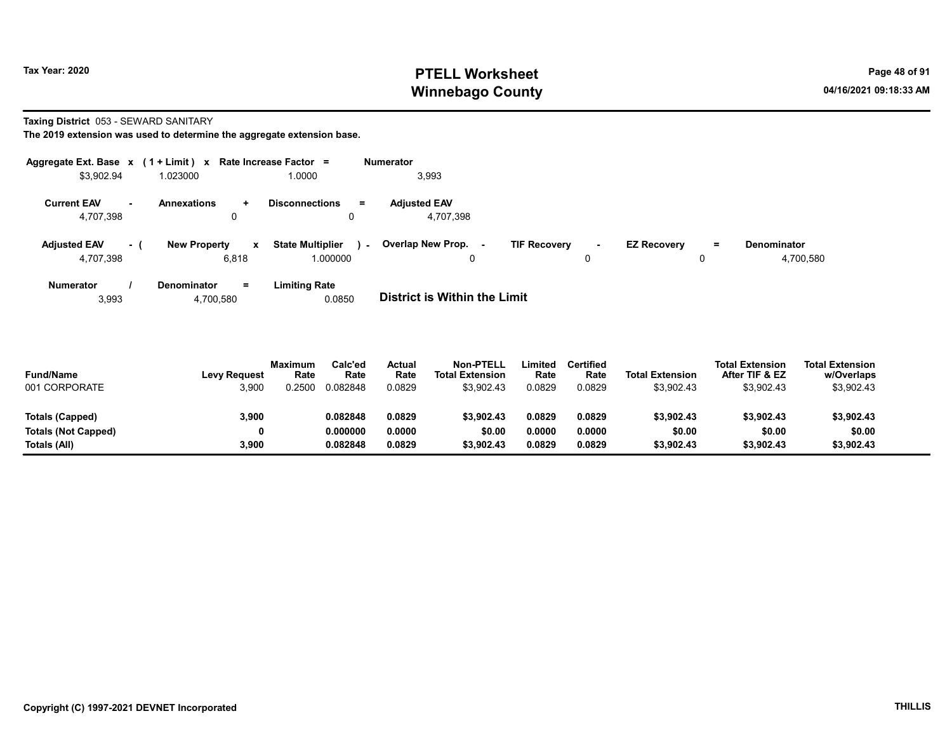Taxing District 053 - SEWARD SANITARY

The 2019 extension was used to determine the aggregate extension base.

| Aggregate Ext. Base $x$ (1 + Limit) $x$ |     |                                      | Rate Increase Factor =                                        | Numerator                        |                                |                                     |                                 |
|-----------------------------------------|-----|--------------------------------------|---------------------------------------------------------------|----------------------------------|--------------------------------|-------------------------------------|---------------------------------|
| \$3,902.94                              |     | 1.023000                             | 1.0000                                                        | 3,993                            |                                |                                     |                                 |
| <b>Current EAV</b><br>4,707,398         |     | <b>Annexations</b><br>$\ddot{}$<br>u | <b>Disconnections</b><br>$\equiv$<br>0                        | <b>Adjusted EAV</b><br>4,707,398 |                                |                                     |                                 |
| <b>Adjusted EAV</b><br>4,707,398        | - ( | <b>New Property</b><br>6,818         | <b>State Multiplier</b><br>$\mathbf{x}$<br>$\sim$<br>1.000000 | Overlap New Prop. -<br>0         | <b>TIF Recovery</b><br>۰.<br>0 | <b>EZ Recovery</b><br>$\equiv$<br>0 | <b>Denominator</b><br>4,700,580 |
| <b>Numerator</b>                        |     | <b>Denominator</b><br>$=$            | Limiting Rate                                                 |                                  |                                |                                     |                                 |

3,993 4,700,580 0.0850 District is Within the Limit

| <b>Fund/Name</b><br>001 CORPORATE | <b>Levy Request</b><br>3,900 | <b>Maximum</b><br>Rate<br>.2500 | Calc'ed<br>Rate<br>0.082848 | Actual<br>Rate<br>0.0829 | <b>Non-PTELL</b><br><b>Total Extension</b><br>\$3,902.43 | ∟imited<br>Rate<br>0.0829 | <b>Certified</b><br>Rate<br>0.0829 | <b>Total Extension</b><br>\$3,902.43 | <b>Total Extension</b><br>After TIF & EZ<br>\$3,902.43 | <b>Total Extension</b><br>w/Overlaps<br>\$3,902.43 |  |
|-----------------------------------|------------------------------|---------------------------------|-----------------------------|--------------------------|----------------------------------------------------------|---------------------------|------------------------------------|--------------------------------------|--------------------------------------------------------|----------------------------------------------------|--|
| Totals (Capped)                   | 3,900                        |                                 | 0.082848                    | 0.0829                   | \$3,902.43                                               | 0.0829                    | 0.0829                             | \$3,902.43                           | \$3,902.43                                             | \$3,902.43                                         |  |
| <b>Totals (Not Capped)</b>        | 0                            |                                 | 0.000000                    | 0.0000                   | \$0.00                                                   | 0.0000                    | 0.0000                             | \$0.00                               | \$0.00                                                 | \$0.00                                             |  |
| Totals (All)                      | 3,900                        |                                 | 0.082848                    | 0.0829                   | \$3,902.43                                               | 0.0829                    | 0.0829                             | \$3,902.43                           | \$3,902.43                                             | \$3,902.43                                         |  |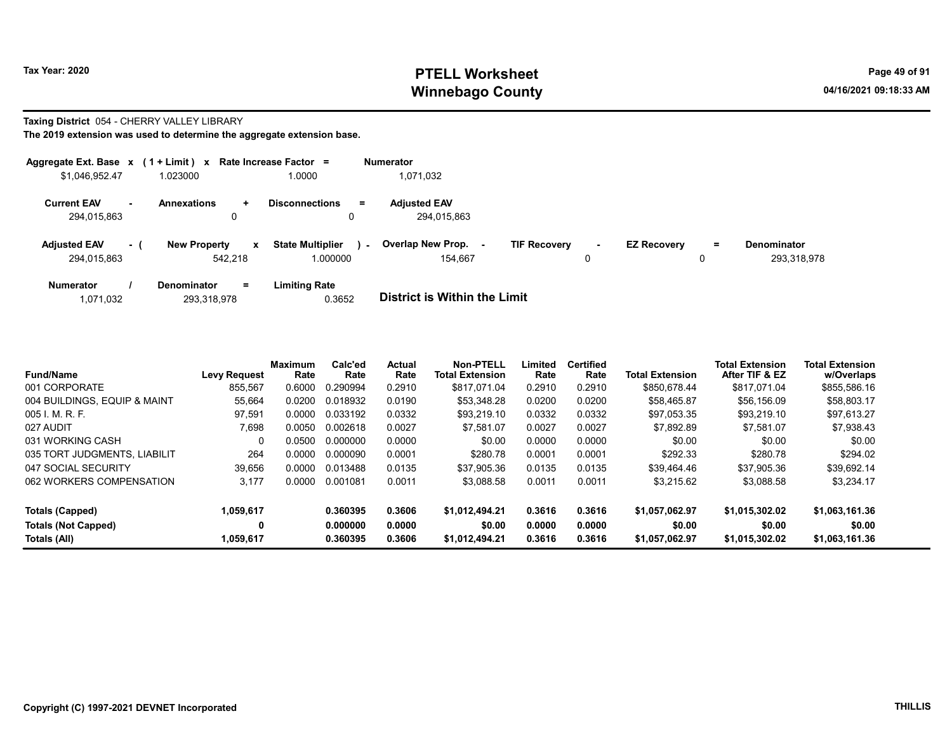### Taxing District 054 - CHERRY VALLEY LIBRARY

|                                    |         | Aggregate Ext. Base $x$ (1 + Limit) x Rate Increase Factor = |                                                     |        | <b>Numerator</b>                    |                     |        |                    |         |                                   |
|------------------------------------|---------|--------------------------------------------------------------|-----------------------------------------------------|--------|-------------------------------------|---------------------|--------|--------------------|---------|-----------------------------------|
| \$1,046,952.47                     |         | 1.023000                                                     | 1.0000                                              |        | 1,071,032                           |                     |        |                    |         |                                   |
| <b>Current EAV</b><br>294,015,863  | . н. н. | <b>Annexations</b><br>$\pm$<br>0                             | <b>Disconnections</b>                               | Ξ.     | <b>Adjusted EAV</b><br>294.015.863  |                     |        |                    |         |                                   |
| <b>Adjusted EAV</b><br>294.015.863 | $-1$    | <b>New Property</b><br>542.218                               | <b>State Multiplier</b><br>$\mathbf{x}$<br>1.000000 | $\sim$ | <b>Overlap New Prop.</b><br>154.667 | <b>TIF Recovery</b> | $\sim$ | <b>EZ Recovery</b> | Ξ.<br>u | <b>Denominator</b><br>293.318.978 |
| <b>Numerator</b>                   |         | $=$<br>Denominator                                           | <b>Limiting Rate</b>                                |        |                                     |                     |        |                    |         |                                   |

| 1,071,032 | 293,318,978 | 0.3652 | <b>District is Within the Limit</b> |
|-----------|-------------|--------|-------------------------------------|

| <b>Fund/Name</b>             | <b>Levy Request</b> | <b>Maximum</b><br>Rate | Calc'ed<br>Rate | <b>Actual</b><br>Rate | <b>Non-PTELL</b><br><b>Total Extension</b> | Limited<br>Rate | <b>Certified</b><br>Rate | <b>Total Extension</b> | <b>Total Extension</b><br>After TIF & EZ | <b>Total Extension</b><br>w/Overlaps |
|------------------------------|---------------------|------------------------|-----------------|-----------------------|--------------------------------------------|-----------------|--------------------------|------------------------|------------------------------------------|--------------------------------------|
| 001 CORPORATE                | 855.567             | 0.6000                 | 0.290994        | 0.2910                | \$817.071.04                               | 0.2910          | 0.2910                   | \$850.678.44           | \$817.071.04                             | \$855,586.16                         |
| 004 BUILDINGS, EQUIP & MAINT | 55,664              | 0.0200                 | 0.018932        | 0.0190                | \$53.348.28                                | 0.0200          | 0.0200                   | \$58.465.87            | \$56.156.09                              | \$58,803.17                          |
| 005 I. M. R. F.              | 97,591              | 0.0000                 | 0.033192        | 0.0332                | \$93.219.10                                | 0.0332          | 0.0332                   | \$97,053.35            | \$93,219.10                              | \$97,613.27                          |
| 027 AUDIT                    | 7.698               | 0.0050                 | 0.002618        | 0.0027                | \$7.581.07                                 | 0.0027          | 0.0027                   | \$7,892.89             | \$7.581.07                               | \$7,938.43                           |
| 031 WORKING CASH             |                     | 0.0500                 | 0.000000        | 0.0000                | \$0.00                                     | 0.0000          | 0.0000                   | \$0.00                 | \$0.00                                   | \$0.00                               |
| 035 TORT JUDGMENTS, LIABILIT | 264                 | 0.0000                 | 0.000090        | 0.0001                | \$280.78                                   | 0.0001          | 0.0001                   | \$292.33               | \$280.78                                 | \$294.02                             |
| 047 SOCIAL SECURITY          | 39,656              | 0.0000                 | 0.013488        | 0.0135                | \$37.905.36                                | 0.0135          | 0.0135                   | \$39.464.46            | \$37.905.36                              | \$39,692.14                          |
| 062 WORKERS COMPENSATION     | 3,177               | 0.0000                 | 0.001081        | 0.0011                | \$3,088.58                                 | 0.0011          | 0.0011                   | \$3,215.62             | \$3.088.58                               | \$3,234.17                           |
| Totals (Capped)              | 1,059,617           |                        | 0.360395        | 0.3606                | \$1.012.494.21                             | 0.3616          | 0.3616                   | \$1.057.062.97         | \$1.015.302.02                           | \$1,063,161.36                       |
| <b>Totals (Not Capped)</b>   | 0                   |                        | 0.000000        | 0.0000                | \$0.00                                     | 0.0000          | 0.0000                   | \$0.00                 | \$0.00                                   | \$0.00                               |
| Totals (All)                 | 1,059,617           |                        | 0.360395        | 0.3606                | \$1.012.494.21                             | 0.3616          | 0.3616                   | \$1.057.062.97         | \$1.015.302.02                           | \$1,063,161.36                       |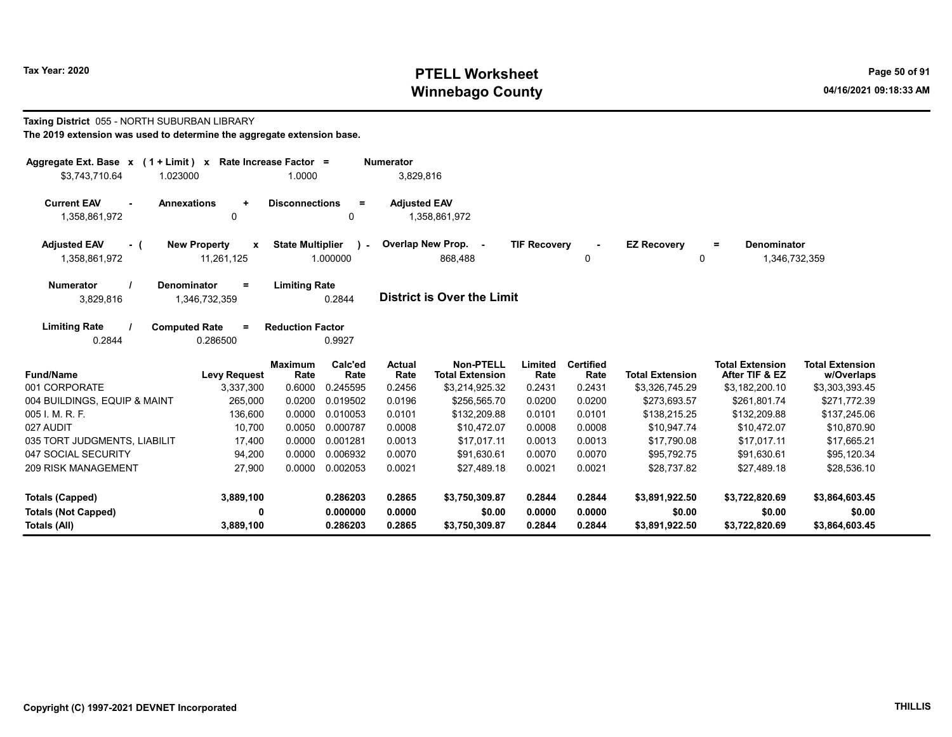#### Taxing District 055 - NORTH SUBURBAN LIBRARY The 2019 extension was used to determine the aggregate extension base.

| Numerator<br>Aggregate Ext. Base $x$ (1 + Limit) x Rate Increase Factor =<br>3,829,816<br>\$3,743,710.64<br>1.0000<br>1.023000 |                                                   |                         |                         |                       |                                            |                     |                          |                         |                                          |                                      |  |  |
|--------------------------------------------------------------------------------------------------------------------------------|---------------------------------------------------|-------------------------|-------------------------|-----------------------|--------------------------------------------|---------------------|--------------------------|-------------------------|------------------------------------------|--------------------------------------|--|--|
| <b>Current EAV</b><br><b>Annexations</b><br>1,358,861,972                                                                      | $\ddot{}$<br>0                                    | <b>Disconnections</b>   | $\equiv$<br>0           | <b>Adjusted EAV</b>   | 1,358,861,972                              |                     |                          |                         |                                          |                                      |  |  |
| <b>Adjusted EAV</b><br>- (<br>1,358,861,972                                                                                    | <b>New Property</b><br>$\mathbf{x}$<br>11,261,125 | <b>State Multiplier</b> | $\lambda$ -<br>1.000000 |                       | Overlap New Prop. -<br>868,488             | <b>TIF Recovery</b> | 0                        | <b>EZ Recovery</b><br>0 | Denominator<br>$=$<br>1,346,732,359      |                                      |  |  |
| <b>Numerator</b><br>Denominator<br>3,829,816                                                                                   | $\equiv$<br>1,346,732,359                         | <b>Limiting Rate</b>    | 0.2844                  |                       | <b>District is Over the Limit</b>          |                     |                          |                         |                                          |                                      |  |  |
| <b>Limiting Rate</b><br><b>Computed Rate</b><br>0.2844                                                                         | $\equiv$<br>0.286500                              | <b>Reduction Factor</b> | 0.9927                  |                       |                                            |                     |                          |                         |                                          |                                      |  |  |
| <b>Fund/Name</b>                                                                                                               | <b>Levy Request</b>                               | <b>Maximum</b><br>Rate  | Calc'ed<br>Rate         | <b>Actual</b><br>Rate | <b>Non-PTELL</b><br><b>Total Extension</b> | Limited<br>Rate     | <b>Certified</b><br>Rate | <b>Total Extension</b>  | <b>Total Extension</b><br>After TIF & EZ | <b>Total Extension</b><br>w/Overlaps |  |  |
| 001 CORPORATE                                                                                                                  | 3,337,300                                         | 0.6000                  | 0.245595                | 0.2456                | \$3,214,925.32                             | 0.2431              | 0.2431                   | \$3,326,745.29          | \$3,182,200.10                           | \$3,303,393.45                       |  |  |
| 004 BUILDINGS, EQUIP & MAINT                                                                                                   | 265,000                                           | 0.0200                  | 0.019502                | 0.0196                | \$256,565.70                               | 0.0200              | 0.0200                   | \$273,693.57            | \$261,801.74                             | \$271,772.39                         |  |  |
| 005 I. M. R. F.                                                                                                                | 136,600                                           | 0.0000                  | 0.010053                | 0.0101                | \$132,209.88                               | 0.0101              | 0.0101                   | \$138,215.25            | \$132,209.88                             | \$137,245.06                         |  |  |
| 027 AUDIT                                                                                                                      | 10.700                                            | 0.0050                  | 0.000787                | 0.0008                | \$10.472.07                                | 0.0008              | 0.0008                   | \$10.947.74             | \$10.472.07                              | \$10,870.90                          |  |  |
| 035 TORT JUDGMENTS, LIABILIT                                                                                                   | 17,400                                            | 0.0000                  | 0.001281                | 0.0013                | \$17.017.11                                | 0.0013              | 0.0013                   | \$17,790.08             | \$17,017.11                              | \$17,665.21                          |  |  |
| 047 SOCIAL SECURITY                                                                                                            | 94,200                                            | 0.0000                  | 0.006932                | 0.0070                | \$91.630.61                                | 0.0070              | 0.0070                   | \$95.792.75             | \$91.630.61                              | \$95,120.34                          |  |  |
| <b>209 RISK MANAGEMENT</b>                                                                                                     | 27,900                                            | 0.0000                  | 0.002053                | 0.0021                | \$27,489.18                                | 0.0021              | 0.0021                   | \$28,737.82             | \$27,489.18                              | \$28,536.10                          |  |  |
| <b>Totals (Capped)</b>                                                                                                         | 3,889,100                                         |                         | 0.286203                | 0.2865                | \$3,750,309.87                             | 0.2844              | 0.2844                   | \$3,891,922.50          | \$3,722,820.69                           | \$3,864,603.45                       |  |  |
| <b>Totals (Not Capped)</b>                                                                                                     | 0                                                 |                         | 0.000000                | 0.0000                | \$0.00                                     | 0.0000              | 0.0000                   | \$0.00                  | \$0.00                                   | \$0.00                               |  |  |
| Totals (All)                                                                                                                   | 3,889,100                                         |                         | 0.286203                | 0.2865                | \$3,750,309.87                             | 0.2844              | 0.2844                   | \$3,891,922.50          | \$3,722,820.69                           | \$3,864,603.45                       |  |  |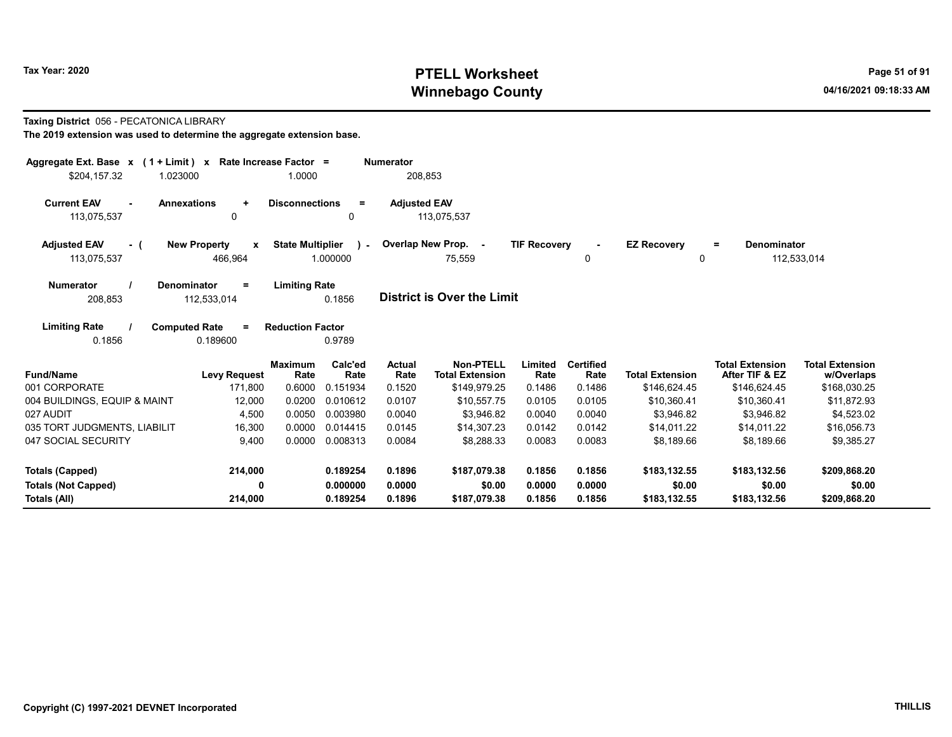### Taxing District 056 - PECATONICA LIBRARY

| Aggregate Ext. Base $x$ (1 + Limit) x Rate Increase Factor =<br>1.023000<br>\$204.157.32 |                                                | 1.0000                  |                       | <b>Numerator</b><br>208.853 |                                            |                     |                          |                         |                                          |                                      |
|------------------------------------------------------------------------------------------|------------------------------------------------|-------------------------|-----------------------|-----------------------------|--------------------------------------------|---------------------|--------------------------|-------------------------|------------------------------------------|--------------------------------------|
| <b>Current EAV</b><br><b>Annexations</b><br>$\sim$<br>113,075,537                        | $\ddot{}$<br>0                                 | <b>Disconnections</b>   | $\equiv$<br>0         | <b>Adjusted EAV</b>         | 113,075,537                                |                     |                          |                         |                                          |                                      |
| <b>Adjusted EAV</b><br>- (<br>113,075,537                                                | <b>New Property</b><br>$\mathbf{x}$<br>466,964 | <b>State Multiplier</b> | $\lambda$<br>1.000000 |                             | Overlap New Prop. -<br>75,559              | <b>TIF Recovery</b> | $\blacksquare$<br>0      | <b>EZ Recovery</b><br>0 | <b>Denominator</b><br>$=$                | 112,533,014                          |
| <b>Denominator</b><br><b>Numerator</b><br>208,853                                        | $\equiv$<br>112,533,014                        | <b>Limiting Rate</b>    | 0.1856                |                             | <b>District is Over the Limit</b>          |                     |                          |                         |                                          |                                      |
| <b>Limiting Rate</b><br><b>Computed Rate</b><br>0.1856                                   | $=$<br>0.189600                                | <b>Reduction Factor</b> | 0.9789                |                             |                                            |                     |                          |                         |                                          |                                      |
| <b>Fund/Name</b>                                                                         | <b>Levy Request</b>                            | <b>Maximum</b><br>Rate  | Calc'ed<br>Rate       | <b>Actual</b><br>Rate       | <b>Non-PTELL</b><br><b>Total Extension</b> | Limited<br>Rate     | <b>Certified</b><br>Rate | <b>Total Extension</b>  | <b>Total Extension</b><br>After TIF & EZ | <b>Total Extension</b><br>w/Overlaps |
| 001 CORPORATE                                                                            | 171.800                                        | 0.6000                  | 0.151934              | 0.1520                      | \$149,979.25                               | 0.1486              | 0.1486                   | \$146,624.45            | \$146,624.45                             | \$168,030.25                         |
| 004 BUILDINGS, EQUIP & MAINT                                                             | 12,000                                         | 0.0200                  | 0.010612              | 0.0107                      | \$10,557.75                                | 0.0105              | 0.0105                   | \$10,360.41             | \$10,360.41                              | \$11,872.93                          |
| 027 AUDIT                                                                                | 4,500                                          | 0.0050                  | 0.003980              | 0.0040                      | \$3,946.82                                 | 0.0040              | 0.0040                   | \$3,946.82              | \$3,946.82                               | \$4,523.02                           |
| 035 TORT JUDGMENTS, LIABILIT                                                             | 16,300                                         | 0.0000                  | 0.014415              | 0.0145                      | \$14.307.23                                | 0.0142              | 0.0142                   | \$14.011.22             | \$14.011.22                              | \$16,056.73                          |
| 047 SOCIAL SECURITY                                                                      | 9,400                                          | 0.0000                  | 0.008313              | 0.0084                      | \$8,288.33                                 | 0.0083              | 0.0083                   | \$8,189.66              | \$8,189.66                               | \$9,385.27                           |
| Totals (Capped)                                                                          | 214,000                                        |                         | 0.189254              | 0.1896                      | \$187,079.38                               | 0.1856              | 0.1856                   | \$183,132.55            | \$183,132.56                             | \$209,868.20                         |
| <b>Totals (Not Capped)</b>                                                               | $\mathbf{0}$                                   |                         | 0.000000              | 0.0000                      | \$0.00                                     | 0.0000              | 0.0000                   | \$0.00                  | \$0.00                                   | \$0.00                               |
| Totals (All)                                                                             | 214,000                                        |                         | 0.189254              | 0.1896                      | \$187,079.38                               | 0.1856              | 0.1856                   | \$183,132.55            | \$183,132.56                             | \$209,868.20                         |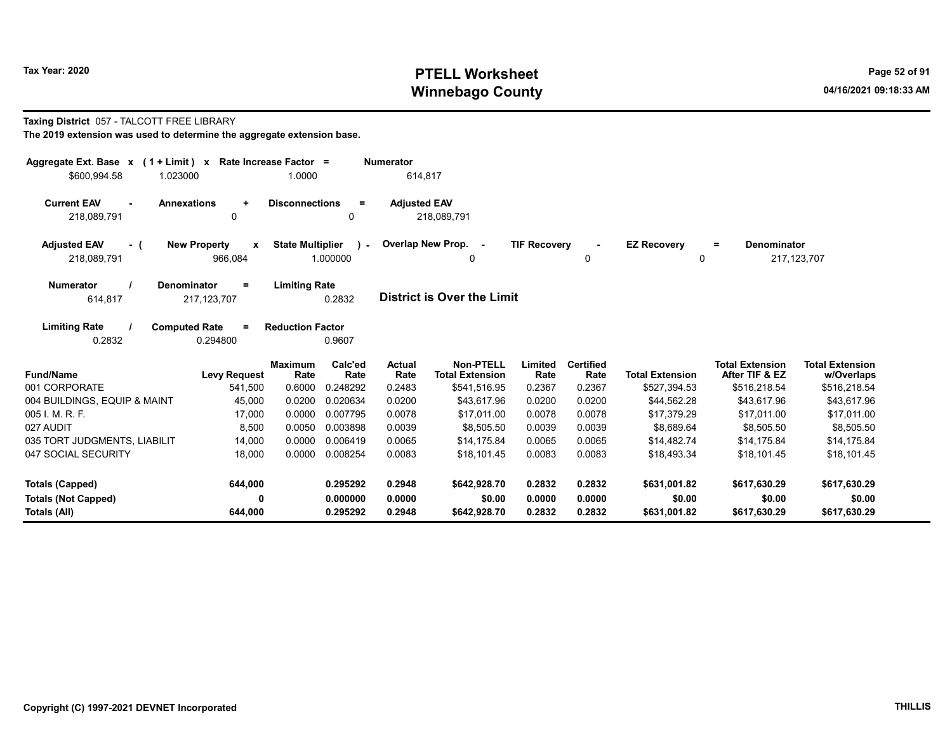### Taxing District 057 - TALCOTT FREE LIBRARY

| Aggregate Ext. Base $x$ (1 + Limit) $x$<br>\$600,994.58<br>1.023000 | Rate Increase Factor =                         | 1.0000                                        | <b>Numerator</b><br>614,817 |                                     |                     |                          |                         |                                                 |                                      |
|---------------------------------------------------------------------|------------------------------------------------|-----------------------------------------------|-----------------------------|-------------------------------------|---------------------|--------------------------|-------------------------|-------------------------------------------------|--------------------------------------|
| <b>Current EAV</b><br><b>Annexations</b><br>218,089,791             | $\ddot{}$<br>$\mathbf 0$                       | <b>Disconnections</b><br>$\equiv$<br>0        | <b>Adjusted EAV</b>         | 218,089,791                         |                     |                          |                         |                                                 |                                      |
| <b>Adjusted EAV</b><br>- (<br>218,089,791                           | <b>New Property</b><br>$\mathbf{x}$<br>966,084 | <b>State Multiplier</b><br>$\sim$<br>1.000000 |                             | Overlap New Prop. -<br>0            | <b>TIF Recovery</b> | 0                        | <b>EZ Recovery</b><br>0 | <b>Denominator</b><br>$\equiv$<br>217, 123, 707 |                                      |
| <b>Numerator</b><br><b>Denominator</b><br>614,817                   | $\equiv$<br>217, 123, 707                      | <b>Limiting Rate</b><br>0.2832                |                             | District is Over the Limit          |                     |                          |                         |                                                 |                                      |
| <b>Limiting Rate</b><br><b>Computed Rate</b><br>0.2832              | $=$<br>0.294800                                | <b>Reduction Factor</b><br>0.9607             |                             |                                     |                     |                          |                         |                                                 |                                      |
| <b>Fund/Name</b>                                                    | <b>Maximum</b><br><b>Levy Request</b>          | Calc'ed<br>Rate<br>Rate                       | <b>Actual</b><br>Rate       | Non-PTELL<br><b>Total Extension</b> | Limited<br>Rate     | <b>Certified</b><br>Rate | <b>Total Extension</b>  | <b>Total Extension</b><br>After TIF & EZ        | <b>Total Extension</b><br>w/Overlaps |
| 001 CORPORATE                                                       | 541,500                                        | 0.248292<br>0.6000                            | 0.2483                      | \$541,516.95                        | 0.2367              | 0.2367                   | \$527,394.53            | \$516,218.54                                    | \$516,218.54                         |
| 004 BUILDINGS, EQUIP & MAINT                                        | 45,000                                         | 0.0200<br>0.020634                            | 0.0200                      | \$43,617.96                         | 0.0200              | 0.0200                   | \$44,562.28             | \$43,617.96                                     | \$43,617.96                          |
| 005 I. M. R. F.                                                     | 17,000                                         | 0.0000<br>0.007795                            | 0.0078                      | \$17,011.00                         | 0.0078              | 0.0078                   | \$17,379.29             | \$17,011.00                                     | \$17,011.00                          |
| 027 AUDIT                                                           | 8,500                                          | 0.0050<br>0.003898                            | 0.0039                      | \$8,505.50                          | 0.0039              | 0.0039                   | \$8,689.64              | \$8,505.50                                      | \$8,505.50                           |
| 035 TORT JUDGMENTS, LIABILIT                                        | 14,000                                         | 0.006419<br>0.0000                            | 0.0065                      | \$14,175.84                         | 0.0065              | 0.0065                   | \$14,482.74             | \$14,175.84                                     | \$14,175.84                          |
| 047 SOCIAL SECURITY                                                 | 18,000                                         | 0.0000<br>0.008254                            | 0.0083                      | \$18,101.45                         | 0.0083              | 0.0083                   | \$18,493.34             | \$18,101.45                                     | \$18,101.45                          |
| <b>Totals (Capped)</b>                                              | 644,000                                        | 0.295292                                      | 0.2948                      | \$642,928.70                        | 0.2832              | 0.2832                   | \$631,001.82            | \$617,630.29                                    | \$617,630.29                         |
| <b>Totals (Not Capped)</b>                                          | 0                                              | 0.000000                                      | 0.0000                      | \$0.00                              | 0.0000              | 0.0000                   | \$0.00                  | \$0.00                                          | \$0.00                               |
| Totals (All)                                                        | 644,000                                        | 0.295292                                      | 0.2948                      | \$642,928.70                        | 0.2832              | 0.2832                   | \$631,001.82            | \$617,630.29                                    | \$617,630.29                         |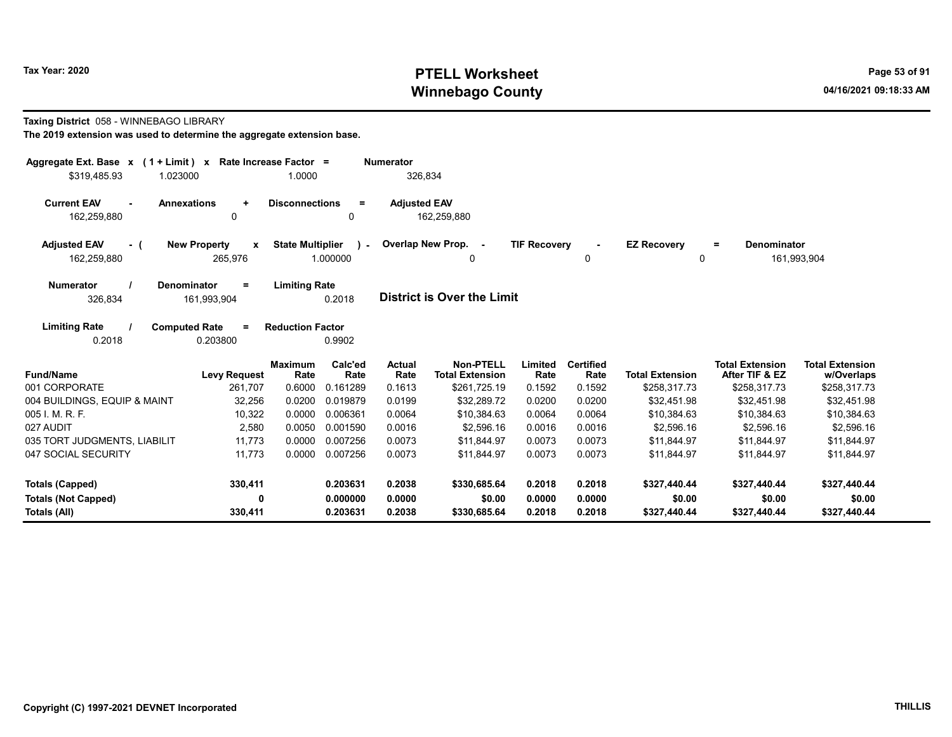### Taxing District 058 - WINNEBAGO LIBRARY

| Aggregate Ext. Base $x$ (1 + Limit) x Rate Increase Factor = |                                              |                                                     | <b>Numerator</b>    |                                            |                     |                          |                         |                                          |                                      |
|--------------------------------------------------------------|----------------------------------------------|-----------------------------------------------------|---------------------|--------------------------------------------|---------------------|--------------------------|-------------------------|------------------------------------------|--------------------------------------|
| \$319,485.93<br>1.023000                                     |                                              | 1.0000                                              | 326,834             |                                            |                     |                          |                         |                                          |                                      |
| <b>Current EAV</b><br>162,259,880                            | <b>Annexations</b><br>$\ddotmark$<br>0       | <b>Disconnections</b><br>$\equiv$<br>0              | <b>Adjusted EAV</b> | 162,259,880                                |                     |                          |                         |                                          |                                      |
| <b>Adjusted EAV</b><br>- (<br>162,259,880                    | <b>New Property</b><br>X<br>265,976          | <b>State Multiplier</b><br>$\mathbf{r}$<br>1.000000 |                     | Overlap New Prop. -                        | <b>TIF Recovery</b> | 0                        | <b>EZ Recovery</b><br>0 | Denominator<br>Ξ.                        | 161,993,904                          |
| <b>Numerator</b><br>326,834                                  | <b>Denominator</b><br>$=$<br>161,993,904     | <b>Limiting Rate</b><br>0.2018                      |                     | <b>District is Over the Limit</b>          |                     |                          |                         |                                          |                                      |
| <b>Limiting Rate</b><br>0.2018                               | <b>Computed Rate</b><br>$\equiv$<br>0.203800 | <b>Reduction Factor</b><br>0.9902                   |                     |                                            |                     |                          |                         |                                          |                                      |
| <b>Fund/Name</b>                                             | Maximum<br><b>Levy Request</b>               | Calc'ed<br>Rate<br>Rate                             | Actual<br>Rate      | <b>Non-PTELL</b><br><b>Total Extension</b> | Limited<br>Rate     | <b>Certified</b><br>Rate | <b>Total Extension</b>  | <b>Total Extension</b><br>After TIF & EZ | <b>Total Extension</b><br>w/Overlaps |
| 001 CORPORATE                                                | 261,707                                      | 0.6000<br>0.161289                                  | 0.1613              | \$261,725.19                               | 0.1592              | 0.1592                   | \$258,317.73            | \$258,317.73                             | \$258,317.73                         |
| 004 BUILDINGS, EQUIP & MAINT                                 | 32,256                                       | 0.0200<br>0.019879                                  | 0.0199              | \$32,289.72                                | 0.0200              | 0.0200                   | \$32,451.98             | \$32,451.98                              | \$32,451.98                          |
| 005 I. M. R. F.                                              | 10,322                                       | 0.0000<br>0.006361                                  | 0.0064              | \$10,384.63                                | 0.0064              | 0.0064                   | \$10,384.63             | \$10,384.63                              | \$10,384.63                          |
| 027 AUDIT                                                    | 2,580                                        | 0.0050<br>0.001590                                  | 0.0016              | \$2,596.16                                 | 0.0016              | 0.0016                   | \$2,596.16              | \$2,596.16                               | \$2,596.16                           |
| 035 TORT JUDGMENTS, LIABILIT                                 | 11,773                                       | 0.0000<br>0.007256                                  | 0.0073              | \$11.844.97                                | 0.0073              | 0.0073                   | \$11,844.97             | \$11,844.97                              | \$11,844.97                          |
| 047 SOCIAL SECURITY                                          | 11,773                                       | 0.0000<br>0.007256                                  | 0.0073              | \$11,844.97                                | 0.0073              | 0.0073                   | \$11,844.97             | \$11,844.97                              | \$11,844.97                          |
| Totals (Capped)                                              | 330,411                                      | 0.203631                                            | 0.2038              | \$330,685.64                               | 0.2018              | 0.2018                   | \$327,440.44            | \$327,440.44                             | \$327,440.44                         |
| <b>Totals (Not Capped)</b>                                   | 0                                            | 0.000000                                            | 0.0000              | \$0.00                                     | 0.0000              | 0.0000                   | \$0.00                  | \$0.00                                   | \$0.00                               |
| Totals (All)                                                 | 330,411                                      | 0.203631                                            | 0.2038              | \$330,685.64                               | 0.2018              | 0.2018                   | \$327,440.44            | \$327,440.44                             | \$327,440.44                         |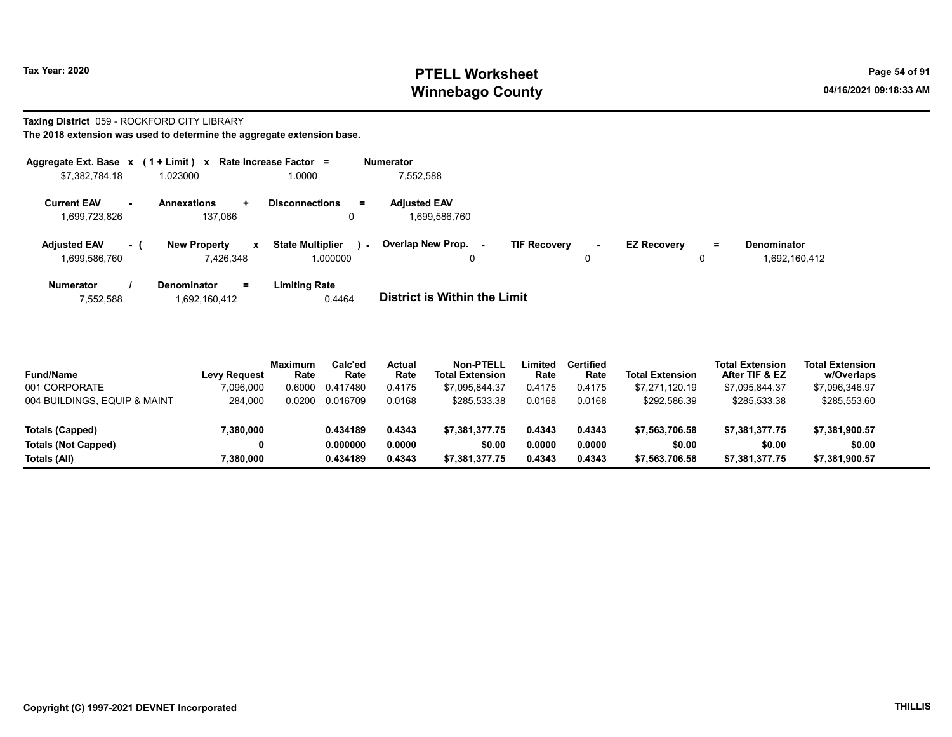### Taxing District 059 - ROCKFORD CITY LIBRARY

| Aggregate Ext. Base x                       | $(1 + Limit) x$                                  | Rate Increase Factor =                        | <b>Numerator</b>                                                                                                                            |
|---------------------------------------------|--------------------------------------------------|-----------------------------------------------|---------------------------------------------------------------------------------------------------------------------------------------------|
| \$7,382,784.18                              | 1.023000                                         | 1.0000                                        | 7,552,588                                                                                                                                   |
| <b>Current EAV</b><br>1,699,723,826         | <b>Annexations</b><br>$\pm$<br>137.066           | <b>Disconnections</b><br>$=$<br>0             | <b>Adjusted EAV</b><br>1.699.586.760                                                                                                        |
| <b>Adjusted EAV</b><br>- (<br>1,699,586,760 | <b>New Property</b><br>$\mathbf{x}$<br>7.426.348 | <b>State Multiplier</b><br>$\sim$<br>1.000000 | Overlap New Prop.<br><b>TIF Recovery</b><br><b>EZ Recoverv</b><br><b>Denominator</b><br>Ξ.<br>$\sim$<br>. —<br>1,692,160,412<br>0<br>0<br>0 |
| <b>Numerator</b><br>7,552,588               | <b>Denominator</b><br>=<br>1.692.160.412         | <b>Limiting Rate</b><br>0.4464                | <b>District is Within the Limit</b>                                                                                                         |

| <b>Fund/Name</b>             | <b>Levy Request</b> | Maximum<br>Rate | Calc'ed<br>Rate | Actual<br>Rate | <b>Non-PTELL</b><br><b>Total Extension</b> | Limited<br>Rate | Certified<br>Rate | <b>Total Extension</b> | <b>Total Extension</b><br>After TIF & EZ | <b>Total Extension</b><br>w/Overlaps |
|------------------------------|---------------------|-----------------|-----------------|----------------|--------------------------------------------|-----------------|-------------------|------------------------|------------------------------------------|--------------------------------------|
| 001 CORPORATE                | 7.096.000           |                 | 0.6000 0.417480 | 0.4175         | \$7.095.844.37                             | 0.4175          | 0.4175            | \$7.271.120.19         | \$7.095.844.37                           | \$7,096,346.97                       |
| 004 BUILDINGS. EQUIP & MAINT | 284.000             | 0.0200          | 0.016709        | 0.0168         | \$285.533.38                               | 0.0168          | 0.0168            | \$292.586.39           | \$285.533.38                             | \$285,553.60                         |

| $00 + 001$                 | $-0.000$ | <b>0.0200</b><br>,,,,,,,,,, | 0.0100 | <b>PLUU, UUU.UU</b> | 0.0100 | 0.0100 | $V = V - V - V - V$ | <b>VLOU, UUU.OU</b> | <b>VLUU, UUU. UU</b> |  |
|----------------------------|----------|-----------------------------|--------|---------------------|--------|--------|---------------------|---------------------|----------------------|--|
| Totals (Capped)            | ,380,000 | 0.434189                    | 0.4343 | \$7.381.377.75      | 0.4343 | 0.4343 | \$7.563.706.58      | \$7.381.377.75      | \$7,381,900.57       |  |
| <b>Totals (Not Capped)</b> |          | 0.000000                    | 0.0000 | \$0.00              | 0.0000 | 0.0000 | \$0.00              | \$0.00              | \$0.00               |  |
| Totals (All)               | ,380,000 | 0.434189                    | 0.4343 | \$7,381,377.75      | 0.4343 | 0.4343 | \$7,563,706.58      | \$7,381,377.75      | \$7,381,900.57       |  |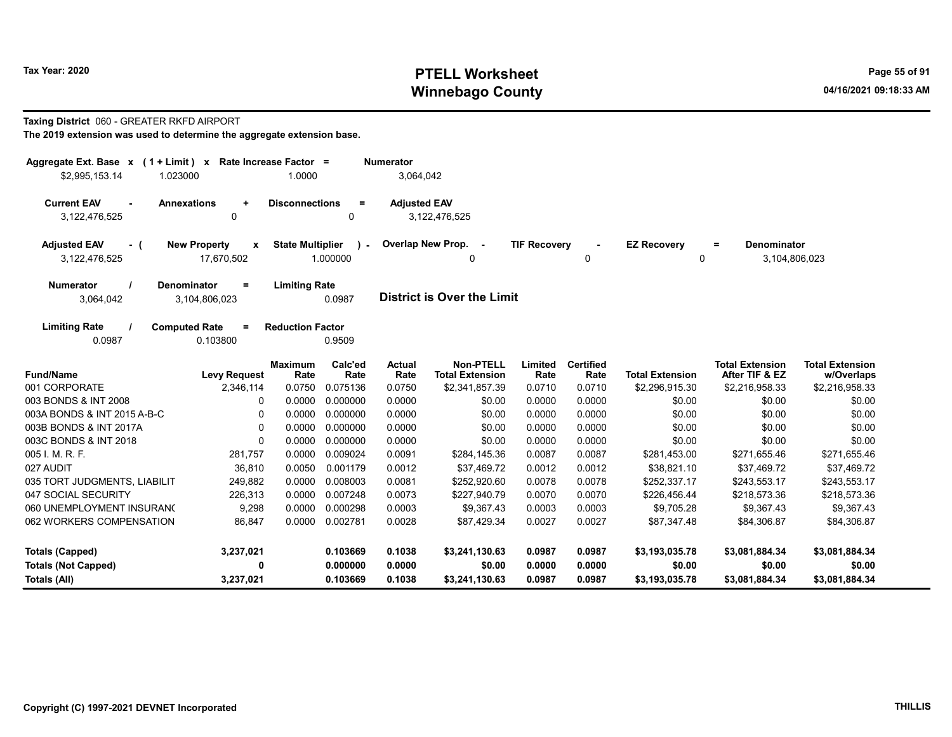### Taxing District 060 - GREATER RKFD AIRPORT

| Aggregate Ext. Base $x$ (1 + Limit) $x$<br>\$2,995,153.14<br>1.023000       | Rate Increase Factor =                                | 1.0000                  |                       | <b>Numerator</b><br>3,064,042 |                                     |                     |                          |                         |                                                 |                                      |
|-----------------------------------------------------------------------------|-------------------------------------------------------|-------------------------|-----------------------|-------------------------------|-------------------------------------|---------------------|--------------------------|-------------------------|-------------------------------------------------|--------------------------------------|
| <b>Current EAV</b><br><b>Annexations</b><br>$\blacksquare$<br>3,122,476,525 | $\ddot{}$<br>0                                        | <b>Disconnections</b>   | $=$<br>0              | <b>Adjusted EAV</b>           | 3,122,476,525                       |                     |                          |                         |                                                 |                                      |
| <b>Adjusted EAV</b><br>- (<br>3,122,476,525                                 | <b>New Property</b><br>$\boldsymbol{x}$<br>17,670,502 | <b>State Multiplier</b> | $\lambda$<br>1.000000 |                               | Overlap New Prop. -<br>0            | <b>TIF Recovery</b> | 0                        | <b>EZ Recovery</b><br>0 | <b>Denominator</b><br>$\equiv$<br>3,104,806,023 |                                      |
| <b>Denominator</b><br><b>Numerator</b><br>3,064,042                         | $=$<br>3,104,806,023                                  | <b>Limiting Rate</b>    | 0.0987                |                               | <b>District is Over the Limit</b>   |                     |                          |                         |                                                 |                                      |
| <b>Limiting Rate</b><br><b>Computed Rate</b><br>0.0987                      | $=$<br>0.103800                                       | <b>Reduction Factor</b> | 0.9509                |                               |                                     |                     |                          |                         |                                                 |                                      |
| <b>Fund/Name</b>                                                            | <b>Levy Request</b>                                   | <b>Maximum</b><br>Rate  | Calc'ed<br>Rate       | <b>Actual</b><br>Rate         | Non-PTELL<br><b>Total Extension</b> | Limited<br>Rate     | <b>Certified</b><br>Rate | <b>Total Extension</b>  | <b>Total Extension</b><br>After TIF & EZ        | <b>Total Extension</b><br>w/Overlaps |
| 001 CORPORATE                                                               | 2,346,114                                             | 0.0750                  | 0.075136              | 0.0750                        | \$2,341,857.39                      | 0.0710              | 0.0710                   | \$2,296,915.30          | \$2,216,958.33                                  | \$2,216,958.33                       |
| 003 BONDS & INT 2008                                                        | 0                                                     | 0.0000                  | 0.000000              | 0.0000                        | \$0.00                              | 0.0000              | 0.0000                   | \$0.00                  | \$0.00                                          | \$0.00                               |
| 003A BONDS & INT 2015 A-B-C                                                 | 0                                                     | 0.0000                  | 0.000000              | 0.0000                        | \$0.00                              | 0.0000              | 0.0000                   | \$0.00                  | \$0.00                                          | \$0.00                               |
| 003B BONDS & INT 2017A                                                      | $\Omega$                                              | 0.0000                  | 0.000000              | 0.0000                        | \$0.00                              | 0.0000              | 0.0000                   | \$0.00                  | \$0.00                                          | \$0.00                               |
| 003C BONDS & INT 2018                                                       | 0                                                     | 0.0000                  | 0.000000              | 0.0000                        | \$0.00                              | 0.0000              | 0.0000                   | \$0.00                  | \$0.00                                          | \$0.00                               |
| 005 I. M. R. F.                                                             | 281,757                                               | 0.0000                  | 0.009024              | 0.0091                        | \$284,145.36                        | 0.0087              | 0.0087                   | \$281,453.00            | \$271,655.46                                    | \$271,655.46                         |
| 027 AUDIT                                                                   | 36,810                                                | 0.0050                  | 0.001179              | 0.0012                        | \$37,469.72                         | 0.0012              | 0.0012                   | \$38,821.10             | \$37,469.72                                     | \$37,469.72                          |
| 035 TORT JUDGMENTS, LIABILIT                                                | 249,882                                               | 0.0000                  | 0.008003              | 0.0081                        | \$252,920.60                        | 0.0078              | 0.0078                   | \$252,337.17            | \$243,553.17                                    | \$243,553.17                         |
| 047 SOCIAL SECURITY                                                         | 226,313                                               | 0.0000                  | 0.007248              | 0.0073                        | \$227,940.79                        | 0.0070              | 0.0070                   | \$226,456.44            | \$218,573.36                                    | \$218,573.36                         |
| 060 UNEMPLOYMENT INSURANO                                                   | 9,298                                                 | 0.0000                  | 0.000298              | 0.0003                        | \$9,367.43                          | 0.0003              | 0.0003                   | \$9,705.28              | \$9,367.43                                      | \$9,367.43                           |
| 062 WORKERS COMPENSATION                                                    | 86,847                                                | 0.0000                  | 0.002781              | 0.0028                        | \$87,429.34                         | 0.0027              | 0.0027                   | \$87,347.48             | \$84,306.87                                     | \$84,306.87                          |
| <b>Totals (Capped)</b>                                                      | 3,237,021                                             |                         | 0.103669              | 0.1038                        | \$3,241,130.63                      | 0.0987              | 0.0987                   | \$3,193,035.78          | \$3,081,884.34                                  | \$3,081,884.34                       |
| <b>Totals (Not Capped)</b>                                                  | 0                                                     |                         | 0.000000              | 0.0000                        | \$0.00                              | 0.0000              | 0.0000                   | \$0.00                  | \$0.00                                          | \$0.00                               |
| Totals (All)                                                                | 3,237,021                                             |                         | 0.103669              | 0.1038                        | \$3,241,130.63                      | 0.0987              | 0.0987                   | \$3,193,035.78          | \$3,081,884.34                                  | \$3,081,884.34                       |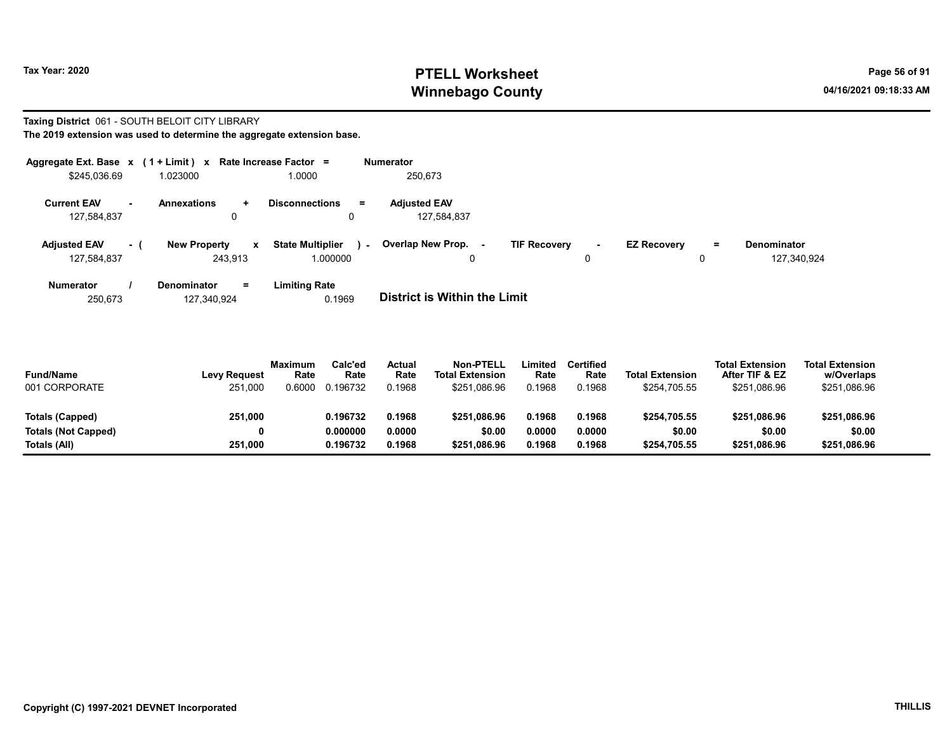#### Taxing District 061 - SOUTH BELOIT CITY LIBRARY The 2019 extension was used to determine the aggregate extension base.

| Aggregate Ext. Base x                          |      | $(1 + Limit) x$     |              | Rate Increase Factor =            | <b>Numerator</b>    |                     |        |                    |     |                    |
|------------------------------------------------|------|---------------------|--------------|-----------------------------------|---------------------|---------------------|--------|--------------------|-----|--------------------|
| \$245,036.69                                   |      | 1.023000            |              | 1.0000                            | 250,673             |                     |        |                    |     |                    |
| <b>Current EAV</b><br>$\overline{\phantom{0}}$ |      | <b>Annexations</b>  | ÷.           | <b>Disconnections</b><br>$\equiv$ | <b>Adiusted EAV</b> |                     |        |                    |     |                    |
| 127,584,837                                    |      | 0                   |              | 0                                 | 127,584,837         |                     |        |                    |     |                    |
| <b>Adjusted EAV</b>                            | $-1$ | <b>New Property</b> | $\mathbf{x}$ | <b>State Multiplier</b><br>$\sim$ | Overlap New Prop. - | <b>TIF Recovery</b> | $\sim$ | <b>EZ Recovery</b> | $=$ | <b>Denominator</b> |
| 127,584,837                                    |      | 243.913             |              | 1.000000                          | 0                   |                     | 0      |                    | 0   | 127,340,924        |
| <b>Numerator</b>                               |      | <b>Denominator</b>  | =            | Limitina Rate                     |                     |                     |        |                    |     |                    |

| 250.673 | 127,340,924 | 0.1969 | <b>District is Within the Limit</b> |
|---------|-------------|--------|-------------------------------------|

| <b>Fund/Name</b><br>001 CORPORATE | <b>Levy Request</b><br>251,000 | <b>Maximum</b><br>Rate<br>0.6000 | Calc'ed<br>Rate<br>0.196732 | Actual<br>Rate<br>0.1968 | <b>Non-PTELL</b><br><b>Total Extension</b><br>\$251.086.96 | .imited<br>Rate<br>0.1968 | <b>Certified</b><br>Rate<br>0.1968 | <b>Total Extension</b><br>\$254.705.55 | <b>Total Extension</b><br>After TIF & EZ<br>\$251,086.96 | <b>Total Extension</b><br>w/Overlaps<br>\$251,086.96 |  |
|-----------------------------------|--------------------------------|----------------------------------|-----------------------------|--------------------------|------------------------------------------------------------|---------------------------|------------------------------------|----------------------------------------|----------------------------------------------------------|------------------------------------------------------|--|
| Totals (Capped)                   | 251,000                        |                                  | 0.196732                    | 0.1968                   | \$251.086.96                                               | 0.1968                    | 0.1968                             | \$254,705.55                           | \$251.086.96                                             | \$251,086.96                                         |  |
| Totals (Not Capped)               | 0                              |                                  | 0.000000                    | 0.0000                   | \$0.00                                                     | 0.0000                    | 0.0000                             | \$0.00                                 | \$0.00                                                   | \$0.00                                               |  |
| Totals (All)                      | 251,000                        |                                  | 0.196732                    | 0.1968                   | \$251.086.96                                               | 0.1968                    | 0.1968                             | \$254,705.55                           | \$251,086.96                                             | \$251,086.96                                         |  |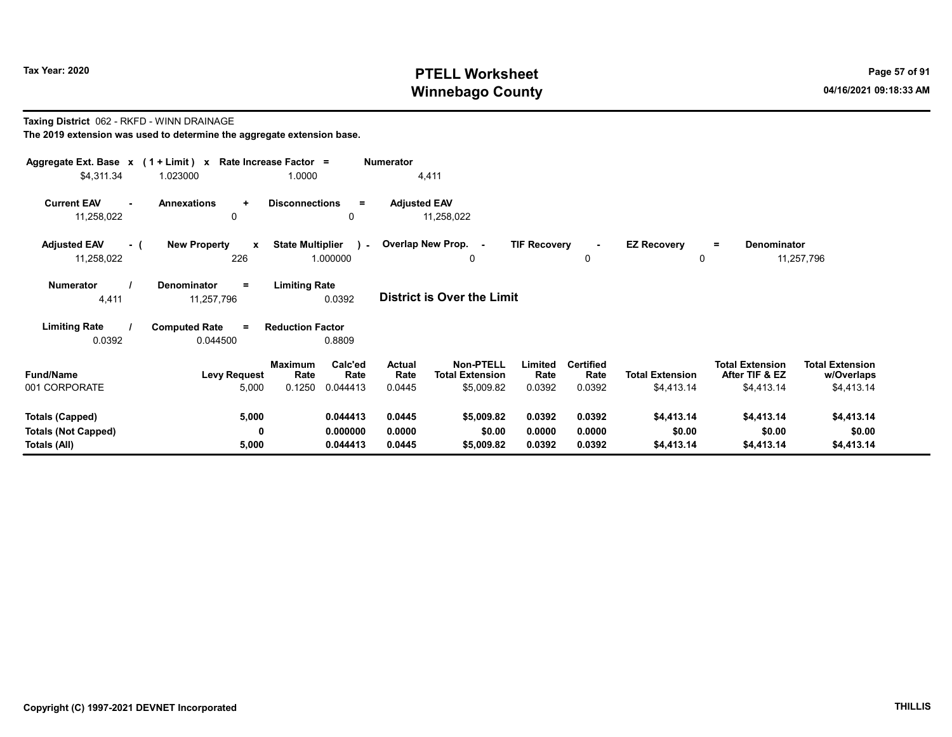# Taxing District 062 - RKFD - WINN DRAINAGE

| Aggregate Ext. Base $x$ (1 + Limit) x Rate Increase Factor = |                                            |                                                          | <b>Numerator</b>         |                                                          |                           |                                    |                                      |                                                        |                                                    |  |
|--------------------------------------------------------------|--------------------------------------------|----------------------------------------------------------|--------------------------|----------------------------------------------------------|---------------------------|------------------------------------|--------------------------------------|--------------------------------------------------------|----------------------------------------------------|--|
| \$4,311.34                                                   | 1.023000                                   | 1.0000                                                   |                          | 4,411                                                    |                           |                                    |                                      |                                                        |                                                    |  |
| <b>Current EAV</b><br>$\sim$<br>11,258,022                   | <b>Annexations</b><br>$\ddot{}$<br>0       | <b>Disconnections</b><br>$\equiv$<br>0                   | <b>Adjusted EAV</b>      | 11,258,022                                               |                           |                                    |                                      |                                                        |                                                    |  |
| <b>Adjusted EAV</b><br>- (<br>11,258,022                     | <b>New Property</b><br>$\mathbf{x}$<br>226 | <b>State Multiplier</b><br>1.000000                      |                          | - Overlap New Prop. -<br>0                               | <b>TIF Recovery</b>       | 0                                  | <b>EZ Recovery</b><br>0              | <b>Denominator</b><br>$=$                              | 11,257,796                                         |  |
| <b>Numerator</b><br>4,411                                    | <b>Denominator</b><br>$=$<br>11,257,796    | <b>Limiting Rate</b><br>0.0392                           |                          | District is Over the Limit                               |                           |                                    |                                      |                                                        |                                                    |  |
| <b>Limiting Rate</b>                                         | <b>Computed Rate</b><br>$=$                | <b>Reduction Factor</b>                                  |                          |                                                          |                           |                                    |                                      |                                                        |                                                    |  |
| 0.0392                                                       | 0.044500                                   | 0.8809                                                   |                          |                                                          |                           |                                    |                                      |                                                        |                                                    |  |
| <b>Fund/Name</b><br>001 CORPORATE                            | <b>Levy Request</b><br>5,000               | Calc'ed<br>Maximum<br>Rate<br>Rate<br>0.1250<br>0.044413 | Actual<br>Rate<br>0.0445 | <b>Non-PTELL</b><br><b>Total Extension</b><br>\$5,009.82 | Limited<br>Rate<br>0.0392 | <b>Certified</b><br>Rate<br>0.0392 | <b>Total Extension</b><br>\$4,413.14 | <b>Total Extension</b><br>After TIF & EZ<br>\$4,413.14 | <b>Total Extension</b><br>w/Overlaps<br>\$4,413.14 |  |
| <b>Totals (Capped)</b>                                       | 5,000                                      | 0.044413                                                 | 0.0445                   | \$5,009.82                                               | 0.0392                    | 0.0392                             | \$4,413.14                           | \$4,413.14                                             | \$4,413.14                                         |  |
| <b>Totals (Not Capped)</b>                                   | 0                                          | 0.000000                                                 | 0.0000                   | \$0.00                                                   | 0.0000                    | 0.0000                             | \$0.00                               | \$0.00                                                 | \$0.00                                             |  |
| Totals (All)                                                 | 5,000                                      | 0.044413                                                 | 0.0445                   | \$5,009.82                                               | 0.0392                    | 0.0392                             | \$4,413.14                           | \$4,413.14                                             | \$4,413.14                                         |  |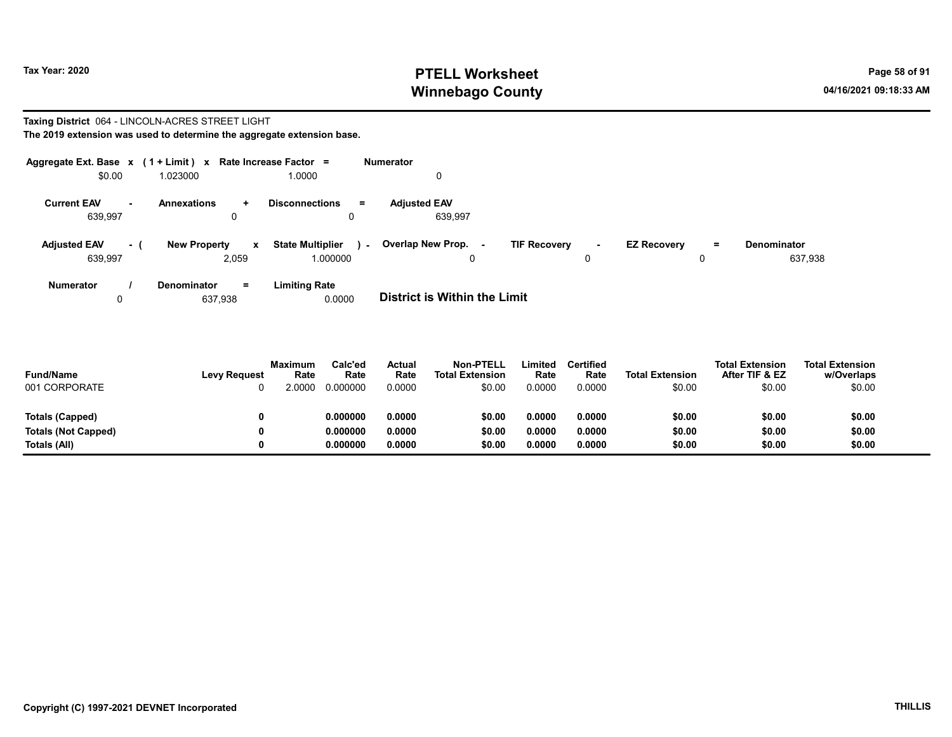#### Taxing District 064 - LINCOLN-ACRES STREET LIGHT The 2019 extension was used to determine the aggregate extension base.

| Aggregate Ext. Base x (1 + Limit) x |     |                                              | Rate Increase Factor =                            | Numerator                          |                               |                                |                               |
|-------------------------------------|-----|----------------------------------------------|---------------------------------------------------|------------------------------------|-------------------------------|--------------------------------|-------------------------------|
| \$0.00                              |     | 1.023000                                     | 1.0000                                            | 0                                  |                               |                                |                               |
| <b>Current EAV</b><br>639,997       | ж.  | <b>Annexations</b><br>$\ddot{}$<br>0         | <b>Disconnections</b><br>$=$                      | <b>Adiusted EAV</b><br>639,997     |                               |                                |                               |
| <b>Adjusted EAV</b><br>639,997      | - ( | <b>New Property</b><br>$\mathbf{x}$<br>2,059 | <b>State Multiplier</b><br>$\sim$ $-$<br>1.000000 | Overlap New Prop. -<br>$\mathbf 0$ | <b>TIF Recovery</b><br>$\sim$ | <b>EZ Recovery</b><br>$=$<br>0 | <b>Denominator</b><br>637,938 |
| Numerator                           |     | Denominator<br>$=$                           | <b>Limiting Rate</b>                              |                                    |                               |                                |                               |

0 637,938 **0.0000** District is Within the Limit

| <b>Fund/Name</b><br>001 CORPORATE | <b>Levy Request</b> | Maximum<br>Rate<br>2 0000 | Calc'ed<br>Rate<br>0.000000 | Actual<br>Rate<br>0.0000 | <b>Non-PTELL</b><br><b>Total Extension</b><br>\$0.00 | Limited<br>Rate<br>0.0000 | Certified<br>Rate<br>0.0000 | <b>Total Extension</b><br>\$0.00 | <b>Total Extension</b><br>After TIF & EZ<br>\$0.00 | <b>Total Extension</b><br>w/Overlaps<br>\$0.00 |
|-----------------------------------|---------------------|---------------------------|-----------------------------|--------------------------|------------------------------------------------------|---------------------------|-----------------------------|----------------------------------|----------------------------------------------------|------------------------------------------------|
| Totals (Capped)                   |                     |                           | 0.000000                    | 0.0000                   | \$0.00                                               | 0.0000                    | 0.0000                      | \$0.00                           | \$0.00                                             | \$0.00                                         |
| Totals (Not Capped)               |                     |                           | 0.000000                    | 0.0000                   | \$0.00                                               | 0.0000                    | 0.0000                      | \$0.00                           | \$0.00                                             | \$0.00                                         |
| Totals (All)                      |                     |                           | 0.000000                    | 0.0000                   | \$0.00                                               | 0.0000                    | 0.0000                      | \$0.00                           | \$0.00                                             | \$0.00                                         |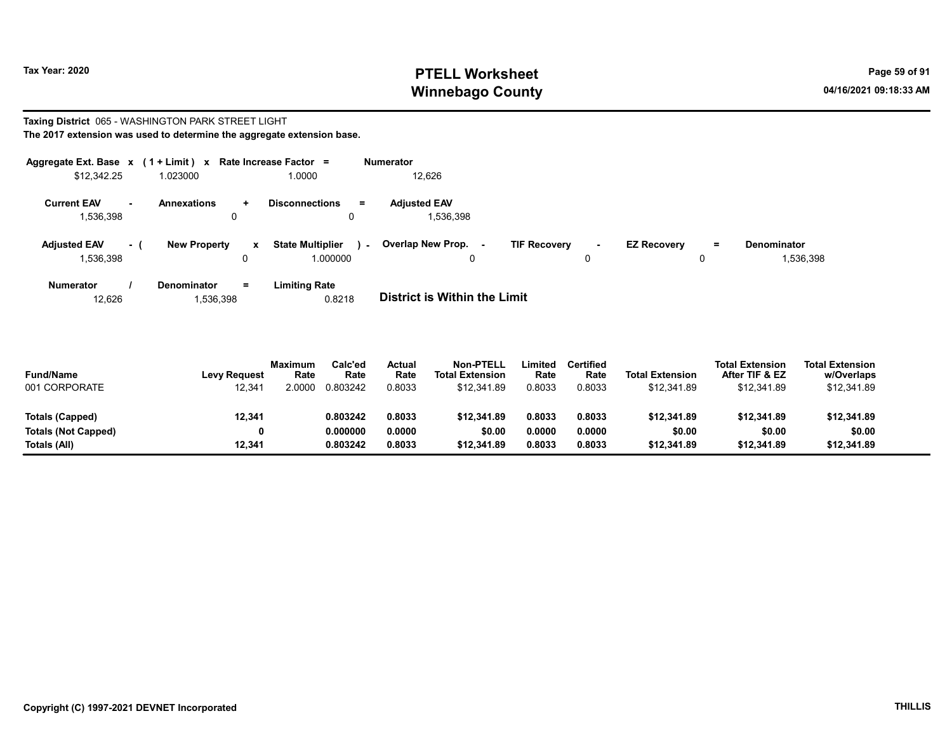#### Taxing District 065 - WASHINGTON PARK STREET LIGHT The 2017 extension was used to determine the aggregate extension base.

| Aggregate Ext. Base x (1 + Limit) x |     |                         |              | Rate Increase Factor =                |        | Numerator                        |                     |             |                    |          |                                 |
|-------------------------------------|-----|-------------------------|--------------|---------------------------------------|--------|----------------------------------|---------------------|-------------|--------------------|----------|---------------------------------|
| \$12,342.25                         |     | 1.023000                |              | 1.0000                                |        | 12,626                           |                     |             |                    |          |                                 |
| <b>Current EAV</b><br>1,536,398     |     | <b>Annexations</b><br>0 | $\pm$        | <b>Disconnections</b><br>$\mathbf{0}$ | $=$    | <b>Adiusted EAV</b><br>1,536,398 |                     |             |                    |          |                                 |
| <b>Adjusted EAV</b><br>1,536,398    | - 1 | <b>New Property</b>     | $\mathbf{x}$ | <b>State Multiplier</b><br>000000.    | $\sim$ | Overlap New Prop. -<br>0         | <b>TIF Recovery</b> | $\sim$<br>0 | <b>EZ Recovery</b> | $=$<br>0 | <b>Denominator</b><br>1,536,398 |
| <b>Numerator</b>                    |     | <b>Denominator</b>      | Ξ.           | <b>Limiting Rate</b>                  |        |                                  |                     |             |                    |          |                                 |

| 12.626 | 1,536,398 | 0.8218 | <b>District is Within the Limit</b> |
|--------|-----------|--------|-------------------------------------|

| <b>Fund/Name</b><br>001 CORPORATE | <b>Levy Request</b><br>12,341 | <b>Maximum</b><br>Rate<br>2.0000 | Calc'ed<br>Rate<br>0.803242 | <b>Actual</b><br>Rate<br>0.8033 | <b>Non-PTELL</b><br><b>Total Extension</b><br>\$12.341.89 | Limited<br>Rate<br>0.8033 | <b>Certified</b><br>Rate<br>0.8033 | <b>Total Extension</b><br>\$12.341.89 | <b>Total Extension</b><br>After TIF & EZ<br>\$12,341.89 | <b>Total Extension</b><br>w/Overlaps<br>\$12,341.89 |  |
|-----------------------------------|-------------------------------|----------------------------------|-----------------------------|---------------------------------|-----------------------------------------------------------|---------------------------|------------------------------------|---------------------------------------|---------------------------------------------------------|-----------------------------------------------------|--|
| Totals (Capped)                   | 12,341                        |                                  | 0.803242                    | 0.8033                          | \$12.341.89                                               | 0.8033                    | 0.8033                             | \$12,341.89                           | \$12,341.89                                             | \$12,341.89                                         |  |
| Totals (Not Capped)               | 0                             |                                  | 0.000000                    | 0.0000                          | \$0.00                                                    | 0.0000                    | 0.0000                             | \$0.00                                | \$0.00                                                  | \$0.00                                              |  |
| Totals (All)                      | 12.341                        |                                  | 0.803242                    | 0.8033                          | \$12.341.89                                               | 0.8033                    | 0.8033                             | \$12,341.89                           | \$12,341.89                                             | \$12,341.89                                         |  |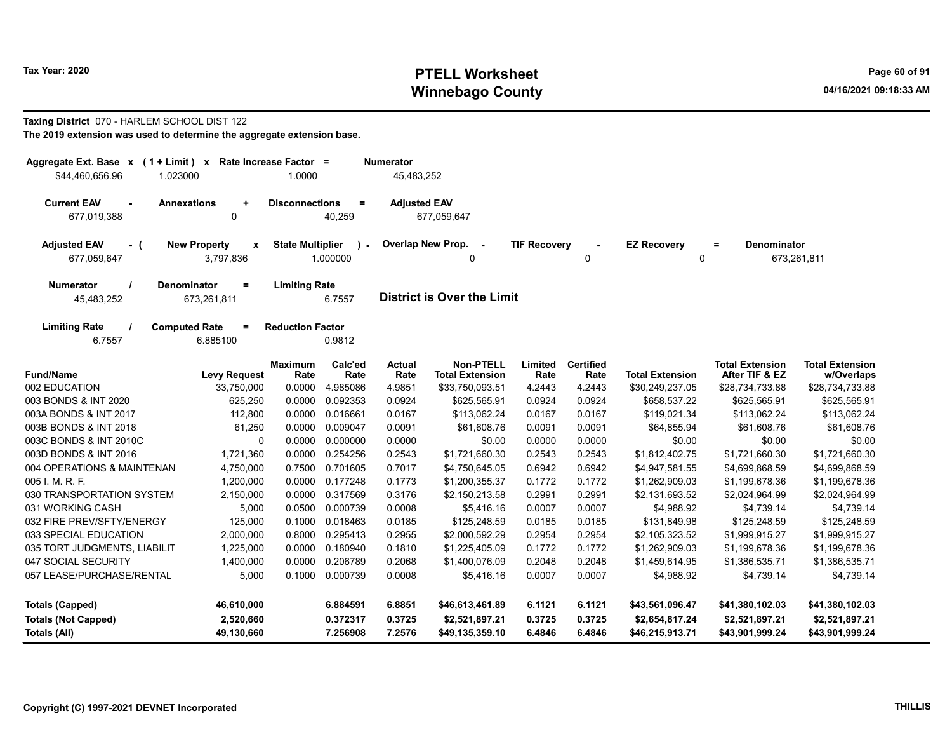### Taxing District 070 - HARLEM SCHOOL DIST 122

| Aggregate Ext. Base x (1 + Limit) x Rate Increase Factor =<br>\$44,460,656.96<br>1.023000 |                                                        | 1.0000                  |                    | <b>Numerator</b><br>45,483,252 |                                             |                     |                          |                        |                                          |                                      |
|-------------------------------------------------------------------------------------------|--------------------------------------------------------|-------------------------|--------------------|--------------------------------|---------------------------------------------|---------------------|--------------------------|------------------------|------------------------------------------|--------------------------------------|
|                                                                                           |                                                        |                         |                    |                                |                                             |                     |                          |                        |                                          |                                      |
| <b>Current EAV</b><br>$\blacksquare$<br>677,019,388                                       | <b>Annexations</b><br>$\ddot{}$<br>$\mathbf 0$         | <b>Disconnections</b>   | $\equiv$<br>40,259 | <b>Adjusted EAV</b>            | 677,059,647                                 |                     |                          |                        |                                          |                                      |
| <b>Adjusted EAV</b><br>- (<br>677,059,647                                                 | <b>New Property</b><br>$\pmb{\mathsf{x}}$<br>3,797,836 | <b>State Multiplier</b> | 1.000000           |                                | Overlap New Prop.<br>$\sim$<br>$\mathbf{0}$ | <b>TIF Recovery</b> | ×,<br>0                  | <b>EZ Recovery</b>     | <b>Denominator</b><br>$\equiv$<br>0      | 673,261,811                          |
| <b>Numerator</b><br>45,483,252                                                            | <b>Denominator</b><br>$\equiv$<br>673,261,811          | <b>Limiting Rate</b>    | 6.7557             |                                | <b>District is Over the Limit</b>           |                     |                          |                        |                                          |                                      |
| <b>Limiting Rate</b><br>6.7557                                                            | <b>Computed Rate</b><br>$=$<br>6.885100                | <b>Reduction Factor</b> | 0.9812             |                                |                                             |                     |                          |                        |                                          |                                      |
| <b>Fund/Name</b>                                                                          | <b>Levy Request</b>                                    | Maximum<br>Rate         | Calc'ed<br>Rate    | <b>Actual</b><br>Rate          | <b>Non-PTELL</b><br><b>Total Extension</b>  | Limited<br>Rate     | <b>Certified</b><br>Rate | <b>Total Extension</b> | <b>Total Extension</b><br>After TIF & EZ | <b>Total Extension</b><br>w/Overlaps |
| 002 EDUCATION                                                                             | 33,750,000                                             | 0.0000                  | 4.985086           | 4.9851                         | \$33,750,093.51                             | 4.2443              | 4.2443                   | \$30,249,237.05        | \$28,734,733.88                          | \$28,734,733.88                      |
| 003 BONDS & INT 2020                                                                      | 625,250                                                | 0.0000                  | 0.092353           | 0.0924                         | \$625,565.91                                | 0.0924              | 0.0924                   | \$658,537.22           | \$625,565.91                             | \$625,565.91                         |
| 003A BONDS & INT 2017                                                                     | 112,800                                                | 0.0000                  | 0.016661           | 0.0167                         | \$113,062.24                                | 0.0167              | 0.0167                   | \$119,021.34           | \$113,062.24                             | \$113,062.24                         |
| 003B BONDS & INT 2018                                                                     | 61,250                                                 | 0.0000                  | 0.009047           | 0.0091                         | \$61,608.76                                 | 0.0091              | 0.0091                   | \$64,855.94            | \$61,608.76                              | \$61,608.76                          |
| 003C BONDS & INT 2010C                                                                    | $\mathbf 0$                                            | 0.0000                  | 0.000000           | 0.0000                         | \$0.00                                      | 0.0000              | 0.0000                   | \$0.00                 | \$0.00                                   | \$0.00                               |
| 003D BONDS & INT 2016                                                                     | 1,721,360                                              | 0.0000                  | 0.254256           | 0.2543                         | \$1,721,660.30                              | 0.2543              | 0.2543                   | \$1,812,402.75         | \$1,721,660.30                           | \$1,721,660.30                       |
| 004 OPERATIONS & MAINTENAN                                                                | 4,750,000                                              | 0.7500                  | 0.701605           | 0.7017                         | \$4,750,645.05                              | 0.6942              | 0.6942                   | \$4,947,581.55         | \$4,699,868.59                           | \$4,699,868.59                       |
| 005 I. M. R. F.                                                                           | 1,200,000                                              | 0.0000                  | 0.177248           | 0.1773                         | \$1,200,355.37                              | 0.1772              | 0.1772                   | \$1,262,909.03         | \$1,199,678.36                           | \$1,199,678.36                       |
| 030 TRANSPORTATION SYSTEM                                                                 | 2,150,000                                              | 0.0000                  | 0.317569           | 0.3176                         | \$2,150,213.58                              | 0.2991              | 0.2991                   | \$2,131,693.52         | \$2,024,964.99                           | \$2,024,964.99                       |
| 031 WORKING CASH                                                                          | 5,000                                                  | 0.0500                  | 0.000739           | 0.0008                         | \$5,416.16                                  | 0.0007              | 0.0007                   | \$4,988.92             | \$4,739.14                               | \$4,739.14                           |
| 032 FIRE PREV/SFTY/ENERGY                                                                 | 125,000                                                | 0.1000                  | 0.018463           | 0.0185                         | \$125,248.59                                | 0.0185              | 0.0185                   | \$131,849.98           | \$125,248.59                             | \$125,248.59                         |
| 033 SPECIAL EDUCATION                                                                     | 2,000,000                                              | 0.8000                  | 0.295413           | 0.2955                         | \$2,000,592.29                              | 0.2954              | 0.2954                   | \$2,105,323.52         | \$1,999,915.27                           | \$1,999,915.27                       |
| 035 TORT JUDGMENTS, LIABILIT                                                              | 1,225,000                                              | 0.0000                  | 0.180940           | 0.1810                         | \$1,225,405.09                              | 0.1772              | 0.1772                   | \$1,262,909.03         | \$1,199,678.36                           | \$1,199,678.36                       |
| 047 SOCIAL SECURITY                                                                       | 1,400,000                                              | 0.0000                  | 0.206789           | 0.2068                         | \$1,400,076.09                              | 0.2048              | 0.2048                   | \$1,459,614.95         | \$1,386,535.71                           | \$1,386,535.71                       |
| 057 LEASE/PURCHASE/RENTAL                                                                 | 5,000                                                  | 0.1000                  | 0.000739           | 0.0008                         | \$5,416.16                                  | 0.0007              | 0.0007                   | \$4,988.92             | \$4,739.14                               | \$4,739.14                           |
| <b>Totals (Capped)</b>                                                                    | 46,610,000                                             |                         | 6.884591           | 6.8851                         | \$46,613,461.89                             | 6.1121              | 6.1121                   | \$43,561,096.47        | \$41,380,102.03                          | \$41,380,102.03                      |
| <b>Totals (Not Capped)</b>                                                                | 2,520,660                                              |                         | 0.372317           | 0.3725                         | \$2,521,897.21                              | 0.3725              | 0.3725                   | \$2,654,817.24         | \$2,521,897.21                           | \$2,521,897.21                       |
| Totals (All)                                                                              | 49,130,660                                             |                         | 7.256908           | 7.2576                         | \$49,135,359.10                             | 6.4846              | 6.4846                   | \$46,215,913.71        | \$43,901,999.24                          | \$43,901,999.24                      |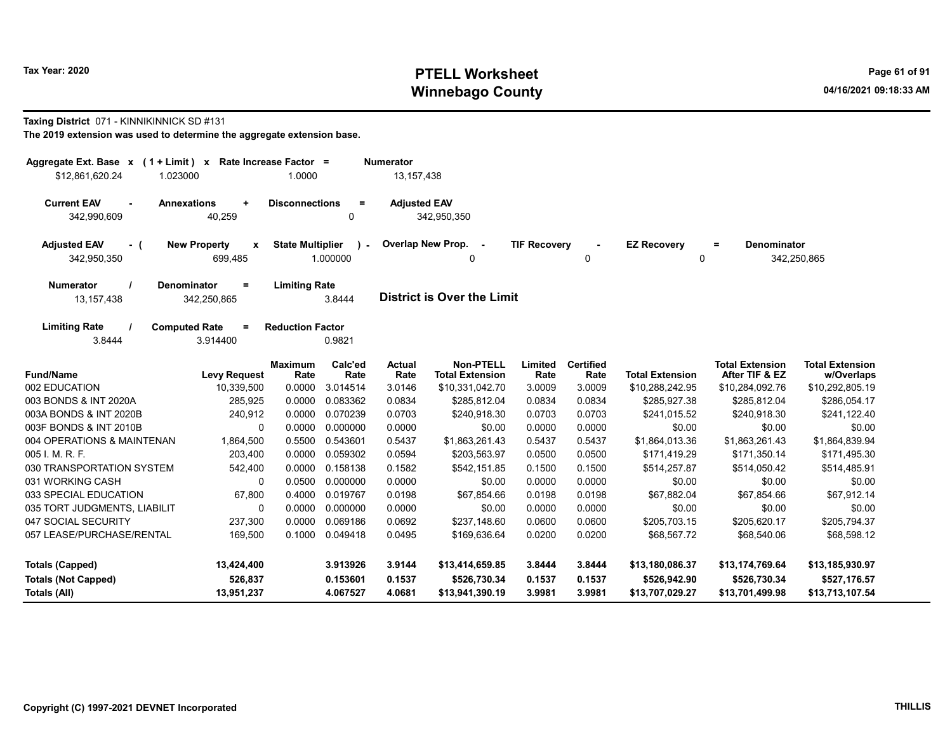#### Taxing District 071 - KINNIKINNICK SD #131

| Aggregate Ext. Base $x$ (1 + Limit) $x$<br>\$12,861,620.24<br>1.023000 |                                                | Rate Increase Factor =<br>1.0000 |                    | <b>Numerator</b><br>13, 157, 438 |                                            |                     |                          |                                |                                          |                                      |
|------------------------------------------------------------------------|------------------------------------------------|----------------------------------|--------------------|----------------------------------|--------------------------------------------|---------------------|--------------------------|--------------------------------|------------------------------------------|--------------------------------------|
| <b>Current EAV</b><br>$\sim$                                           | <b>Annexations</b><br>$\ddot{}$                | <b>Disconnections</b>            | $=$                | <b>Adjusted EAV</b>              |                                            |                     |                          |                                |                                          |                                      |
| 342,990,609                                                            | 40,259                                         |                                  | 0                  |                                  | 342,950,350                                |                     |                          |                                |                                          |                                      |
| <b>Adjusted EAV</b><br>- (<br>342,950,350                              | <b>New Property</b><br>$\mathbf{x}$<br>699,485 | <b>State Multiplier</b>          | $\sim$<br>1.000000 |                                  | Overlap New Prop. -<br>0                   | <b>TIF Recovery</b> | 0                        | <b>EZ Recovery</b><br>$\Omega$ | <b>Denominator</b><br>$\equiv$           | 342,250,865                          |
| <b>Numerator</b><br>13,157,438                                         | <b>Denominator</b><br>$\equiv$<br>342,250,865  | <b>Limiting Rate</b>             | 3.8444             |                                  | <b>District is Over the Limit</b>          |                     |                          |                                |                                          |                                      |
| <b>Limiting Rate</b><br>3.8444                                         | <b>Computed Rate</b><br>$\equiv$<br>3.914400   | <b>Reduction Factor</b>          | 0.9821             |                                  |                                            |                     |                          |                                |                                          |                                      |
| <b>Fund/Name</b>                                                       | <b>Levy Request</b>                            | <b>Maximum</b><br>Rate           | Calc'ed<br>Rate    | <b>Actual</b><br>Rate            | <b>Non-PTELL</b><br><b>Total Extension</b> | Limited<br>Rate     | <b>Certified</b><br>Rate | <b>Total Extension</b>         | <b>Total Extension</b><br>After TIF & EZ | <b>Total Extension</b><br>w/Overlaps |
| 002 EDUCATION                                                          | 10,339,500                                     | 0.0000                           | 3.014514           | 3.0146                           | \$10,331,042.70                            | 3.0009              | 3.0009                   | \$10,288,242.95                | \$10,284,092.76                          | \$10,292,805.19                      |
| 003 BONDS & INT 2020A                                                  | 285,925                                        | 0.0000                           | 0.083362           | 0.0834                           | \$285,812.04                               | 0.0834              | 0.0834                   | \$285,927.38                   | \$285,812.04                             | \$286,054.17                         |
| 003A BONDS & INT 2020B                                                 | 240,912                                        | 0.0000                           | 0.070239           | 0.0703                           | \$240,918.30                               | 0.0703              | 0.0703                   | \$241,015.52                   | \$240,918.30                             | \$241,122.40                         |
| 003F BONDS & INT 2010B                                                 | $\mathbf 0$                                    | 0.0000                           | 0.000000           | 0.0000                           | \$0.00                                     | 0.0000              | 0.0000                   | \$0.00                         | \$0.00                                   | \$0.00                               |
| 004 OPERATIONS & MAINTENAN                                             | 1,864,500                                      | 0.5500                           | 0.543601           | 0.5437                           | \$1,863,261.43                             | 0.5437              | 0.5437                   | \$1,864,013.36                 | \$1,863,261.43                           | \$1,864,839.94                       |
| 005 I. M. R. F.                                                        | 203,400                                        | 0.0000                           | 0.059302           | 0.0594                           | \$203,563.97                               | 0.0500              | 0.0500                   | \$171,419.29                   | \$171,350.14                             | \$171,495.30                         |
| 030 TRANSPORTATION SYSTEM                                              | 542,400                                        | 0.0000                           | 0.158138           | 0.1582                           | \$542,151.85                               | 0.1500              | 0.1500                   | \$514,257.87                   | \$514,050.42                             | \$514,485.91                         |
| 031 WORKING CASH                                                       | 0                                              | 0.0500                           | 0.000000           | 0.0000                           | \$0.00                                     | 0.0000              | 0.0000                   | \$0.00                         | \$0.00                                   | \$0.00                               |
| 033 SPECIAL EDUCATION                                                  | 67,800                                         | 0.4000                           | 0.019767           | 0.0198                           | \$67,854.66                                | 0.0198              | 0.0198                   | \$67,882.04                    | \$67,854.66                              | \$67,912.14                          |
| 035 TORT JUDGMENTS, LIABILIT                                           | 0                                              | 0.0000                           | 0.000000           | 0.0000                           | \$0.00                                     | 0.0000              | 0.0000                   | \$0.00                         | \$0.00                                   | \$0.00                               |
| 047 SOCIAL SECURITY                                                    | 237,300                                        | 0.0000                           | 0.069186           | 0.0692                           | \$237,148.60                               | 0.0600              | 0.0600                   | \$205,703.15                   | \$205,620.17                             | \$205,794.37                         |
| 057 LEASE/PURCHASE/RENTAL                                              | 169,500                                        | 0.1000                           | 0.049418           | 0.0495                           | \$169,636.64                               | 0.0200              | 0.0200                   | \$68,567.72                    | \$68,540.06                              | \$68,598.12                          |
| <b>Totals (Capped)</b>                                                 | 13,424,400                                     |                                  | 3.913926           | 3.9144                           | \$13,414,659.85                            | 3.8444              | 3.8444                   | \$13,180,086.37                | \$13,174,769.64                          | \$13,185,930.97                      |
| <b>Totals (Not Capped)</b>                                             | 526,837                                        |                                  | 0.153601           | 0.1537                           | \$526,730.34                               | 0.1537              | 0.1537                   | \$526,942.90                   | \$526,730.34                             | \$527,176.57                         |
| Totals (All)                                                           | 13,951,237                                     |                                  | 4.067527           | 4.0681                           | \$13,941,390.19                            | 3.9981              | 3.9981                   | \$13,707,029.27                | \$13,701,499.98                          | \$13,713,107.54                      |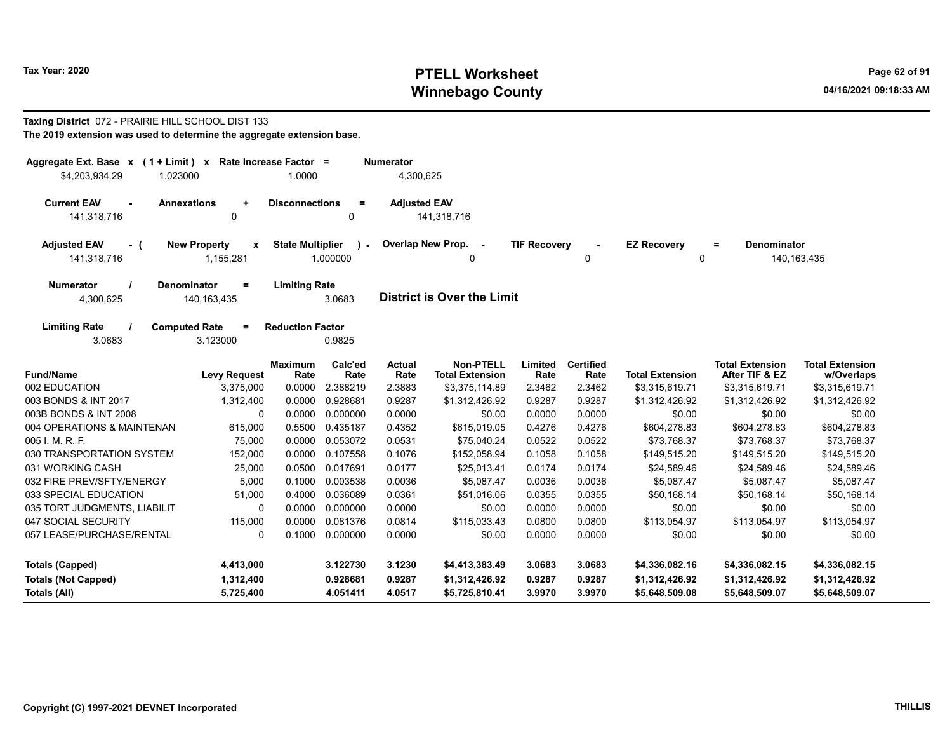#### Taxing District 072 - PRAIRIE HILL SCHOOL DIST 133 The 2019 extension was used to determine the aggregate extension base.

| Aggregate Ext. Base $x$ (1 + Limit) x Rate Increase Factor =<br>\$4,203,934.29 | 1.023000                                               | 1.0000                  |                         | <b>Numerator</b><br>4,300,625 |                                            |                     |                          |                         |                                          |                                      |
|--------------------------------------------------------------------------------|--------------------------------------------------------|-------------------------|-------------------------|-------------------------------|--------------------------------------------|---------------------|--------------------------|-------------------------|------------------------------------------|--------------------------------------|
| <b>Current EAV</b><br>$\blacksquare$<br>141,318,716                            | <b>Annexations</b><br>$\ddot{}$<br>$\mathbf 0$         | <b>Disconnections</b>   | $=$<br>$\Omega$         | <b>Adjusted EAV</b>           | 141,318,716                                |                     |                          |                         |                                          |                                      |
| <b>Adjusted EAV</b><br>- (<br>141,318,716                                      | <b>New Property</b><br>$\pmb{\mathsf{x}}$<br>1,155,281 | <b>State Multiplier</b> | $\lambda$ -<br>1.000000 |                               | Overlap New Prop. -<br>0                   | <b>TIF Recovery</b> | 0                        | <b>EZ Recovery</b><br>0 | Denominator<br>$=$                       | 140, 163, 435                        |
| <b>Numerator</b><br>4,300,625                                                  | <b>Denominator</b><br>$=$<br>140, 163, 435             | <b>Limiting Rate</b>    | 3.0683                  |                               | <b>District is Over the Limit</b>          |                     |                          |                         |                                          |                                      |
| <b>Limiting Rate</b><br>3.0683                                                 | <b>Computed Rate</b><br>$=$<br>3.123000                | <b>Reduction Factor</b> | 0.9825                  |                               |                                            |                     |                          |                         |                                          |                                      |
| <b>Fund/Name</b>                                                               | <b>Levy Request</b>                                    | <b>Maximum</b><br>Rate  | Calc'ed<br>Rate         | <b>Actual</b><br>Rate         | <b>Non-PTELL</b><br><b>Total Extension</b> | Limited<br>Rate     | <b>Certified</b><br>Rate | <b>Total Extension</b>  | <b>Total Extension</b><br>After TIF & EZ | <b>Total Extension</b><br>w/Overlaps |
| 002 EDUCATION                                                                  | 3,375,000                                              | 0.0000                  | 2.388219                | 2.3883                        | \$3,375,114.89                             | 2.3462              | 2.3462                   | \$3,315,619.71          | \$3,315,619.71                           | \$3,315,619.71                       |
| 003 BONDS & INT 2017                                                           | 1,312,400                                              | 0.0000                  | 0.928681                | 0.9287                        | \$1,312,426.92                             | 0.9287              | 0.9287                   | \$1,312,426.92          | \$1,312,426.92                           | \$1,312,426.92                       |
| 003B BONDS & INT 2008                                                          | 0                                                      | 0.0000                  | 0.000000                | 0.0000                        | \$0.00                                     | 0.0000              | 0.0000                   | \$0.00                  | \$0.00                                   | \$0.00                               |
| 004 OPERATIONS & MAINTENAN                                                     | 615,000                                                | 0.5500                  | 0.435187                | 0.4352                        | \$615,019.05                               | 0.4276              | 0.4276                   | \$604,278.83            | \$604,278.83                             | \$604,278.83                         |
| $005$ J. M. R. F.                                                              | 75,000                                                 | 0.0000                  | 0.053072                | 0.0531                        | \$75,040.24                                | 0.0522              | 0.0522                   | \$73,768.37             | \$73,768.37                              | \$73,768.37                          |
| 030 TRANSPORTATION SYSTEM                                                      | 152,000                                                | 0.0000                  | 0.107558                | 0.1076                        | \$152,058.94                               | 0.1058              | 0.1058                   | \$149,515.20            | \$149,515.20                             | \$149,515.20                         |
| 031 WORKING CASH                                                               | 25,000                                                 | 0.0500                  | 0.017691                | 0.0177                        | \$25,013.41                                | 0.0174              | 0.0174                   | \$24,589.46             | \$24,589.46                              | \$24,589.46                          |
| 032 FIRE PREV/SFTY/ENERGY                                                      | 5,000                                                  | 0.1000                  | 0.003538                | 0.0036                        | \$5,087.47                                 | 0.0036              | 0.0036                   | \$5,087.47              | \$5,087.47                               | \$5,087.47                           |
| 033 SPECIAL EDUCATION                                                          | 51,000                                                 | 0.4000                  | 0.036089                | 0.0361                        | \$51,016.06                                | 0.0355              | 0.0355                   | \$50,168.14             | \$50,168.14                              | \$50,168.14                          |
| 035 TORT JUDGMENTS, LIABILIT                                                   | 0                                                      | 0.0000                  | 0.000000                | 0.0000                        | \$0.00                                     | 0.0000              | 0.0000                   | \$0.00                  | \$0.00                                   | \$0.00                               |
| 047 SOCIAL SECURITY                                                            | 115,000                                                | 0.0000                  | 0.081376                | 0.0814                        | \$115,033.43                               | 0.0800              | 0.0800                   | \$113,054.97            | \$113,054.97                             | \$113,054.97                         |
| 057 LEASE/PURCHASE/RENTAL                                                      | 0                                                      | 0.1000                  | 0.000000                | 0.0000                        | \$0.00                                     | 0.0000              | 0.0000                   | \$0.00                  | \$0.00                                   | \$0.00                               |
| <b>Totals (Capped)</b>                                                         | 4,413,000                                              |                         | 3.122730                | 3.1230                        | \$4,413,383.49                             | 3.0683              | 3.0683                   | \$4,336,082.16          | \$4,336,082.15                           | \$4,336,082.15                       |
| <b>Totals (Not Capped)</b>                                                     | 1,312,400                                              |                         | 0.928681                | 0.9287                        | \$1,312,426.92                             | 0.9287              | 0.9287                   | \$1,312,426.92          | \$1,312,426.92                           | \$1,312,426.92                       |
| Totals (All)                                                                   | 5,725,400                                              |                         | 4.051411                | 4.0517                        | \$5,725,810.41                             | 3.9970              | 3.9970                   | \$5,648,509.08          | \$5,648,509.07                           | \$5,648,509.07                       |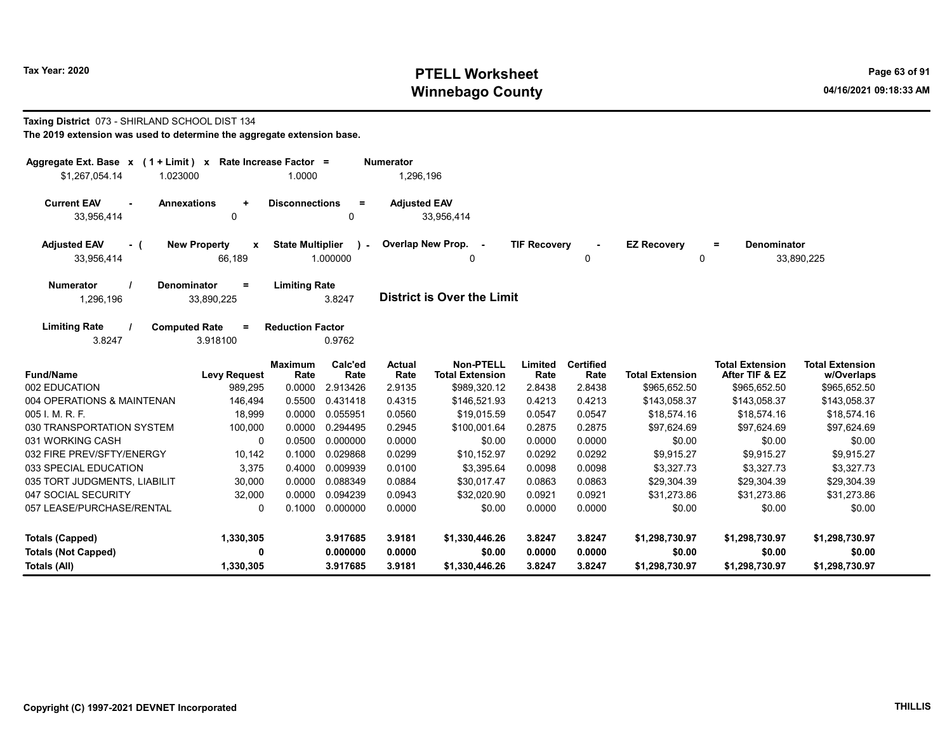#### Taxing District 073 - SHIRLAND SCHOOL DIST 134 The 2019 extension was used to determine the aggregate extension base.

| Aggregate Ext. Base $x$ (1 + Limit) $x$<br>\$1,267,054.14<br>1.023000 | Rate Increase Factor =                        | 1.0000                  |                          | <b>Numerator</b><br>1,296,196 |                                     |                     |                          |                         |                                          |                                      |
|-----------------------------------------------------------------------|-----------------------------------------------|-------------------------|--------------------------|-------------------------------|-------------------------------------|---------------------|--------------------------|-------------------------|------------------------------------------|--------------------------------------|
| <b>Current EAV</b><br><b>Annexations</b><br>33,956,414                | $\ddot{}$<br>0                                | <b>Disconnections</b>   | $\equiv$<br>0            | <b>Adjusted EAV</b>           | 33,956,414                          |                     |                          |                         |                                          |                                      |
| <b>Adjusted EAV</b><br>- (<br>33,956,414                              | <b>New Property</b><br>$\pmb{\chi}$<br>66,189 | <b>State Multiplier</b> | $\mathbf{r}$<br>1.000000 |                               | Overlap New Prop. -<br>0            | <b>TIF Recovery</b> | 0                        | <b>EZ Recovery</b><br>0 | <b>Denominator</b><br>$=$                | 33,890,225                           |
| <b>Numerator</b><br><b>Denominator</b><br>1,296,196                   | $=$<br>33,890,225                             | <b>Limiting Rate</b>    | 3.8247                   |                               | <b>District is Over the Limit</b>   |                     |                          |                         |                                          |                                      |
| <b>Limiting Rate</b><br><b>Computed Rate</b><br>3.8247                | $=$<br>3.918100                               | <b>Reduction Factor</b> | 0.9762                   |                               |                                     |                     |                          |                         |                                          |                                      |
| <b>Fund/Name</b>                                                      | <b>Levy Request</b>                           | <b>Maximum</b><br>Rate  | Calc'ed<br>Rate          | Actual<br>Rate                | Non-PTELL<br><b>Total Extension</b> | Limited<br>Rate     | <b>Certified</b><br>Rate | <b>Total Extension</b>  | <b>Total Extension</b><br>After TIF & EZ | <b>Total Extension</b><br>w/Overlaps |
| 002 EDUCATION                                                         | 989,295                                       | 0.0000                  | 2.913426                 | 2.9135                        | \$989,320.12                        | 2.8438              | 2.8438                   | \$965,652.50            | \$965,652.50                             | \$965,652.50                         |
| 004 OPERATIONS & MAINTENAN                                            | 146,494                                       | 0.5500                  | 0.431418                 | 0.4315                        | \$146,521.93                        | 0.4213              | 0.4213                   | \$143,058.37            | \$143,058.37                             | \$143,058.37                         |
| 005 I. M. R. F.                                                       | 18,999                                        | 0.0000                  | 0.055951                 | 0.0560                        | \$19,015.59                         | 0.0547              | 0.0547                   | \$18,574.16             | \$18,574.16                              | \$18,574.16                          |
| 030 TRANSPORTATION SYSTEM                                             | 100,000                                       | 0.0000                  | 0.294495                 | 0.2945                        | \$100.001.64                        | 0.2875              | 0.2875                   | \$97,624.69             | \$97,624.69                              | \$97.624.69                          |
| 031 WORKING CASH                                                      | $\Omega$                                      | 0.0500                  | 0.000000                 | 0.0000                        | \$0.00                              | 0.0000              | 0.0000                   | \$0.00                  | \$0.00                                   | \$0.00                               |
| 032 FIRE PREV/SFTY/ENERGY                                             | 10,142                                        | 0.1000                  | 0.029868                 | 0.0299                        | \$10,152.97                         | 0.0292              | 0.0292                   | \$9,915.27              | \$9,915.27                               | \$9,915.27                           |
| 033 SPECIAL EDUCATION                                                 | 3,375                                         | 0.4000                  | 0.009939                 | 0.0100                        | \$3,395.64                          | 0.0098              | 0.0098                   | \$3,327.73              | \$3,327.73                               | \$3,327.73                           |
| 035 TORT JUDGMENTS, LIABILIT                                          | 30,000                                        | 0.0000                  | 0.088349                 | 0.0884                        | \$30,017.47                         | 0.0863              | 0.0863                   | \$29,304.39             | \$29,304.39                              | \$29,304.39                          |
| 047 SOCIAL SECURITY                                                   | 32,000                                        | 0.0000                  | 0.094239                 | 0.0943                        | \$32,020.90                         | 0.0921              | 0.0921                   | \$31,273.86             | \$31,273.86                              | \$31,273.86                          |
| 057 LEASE/PURCHASE/RENTAL                                             | $\Omega$                                      | 0.1000                  | 0.000000                 | 0.0000                        | \$0.00                              | 0.0000              | 0.0000                   | \$0.00                  | \$0.00                                   | \$0.00                               |
| <b>Totals (Capped)</b>                                                | 1,330,305                                     |                         | 3.917685                 | 3.9181                        | \$1,330,446.26                      | 3.8247              | 3.8247                   | \$1,298,730.97          | \$1,298,730.97                           | \$1,298,730.97                       |
| <b>Totals (Not Capped)</b>                                            | 0                                             |                         | 0.000000                 | 0.0000                        | \$0.00                              | 0.0000              | 0.0000                   | \$0.00                  | \$0.00                                   | \$0.00                               |
| Totals (All)                                                          | 1,330,305                                     |                         | 3.917685                 | 3.9181                        | \$1,330,446.26                      | 3.8247              | 3.8247                   | \$1,298,730.97          | \$1,298,730.97                           | \$1,298,730.97                       |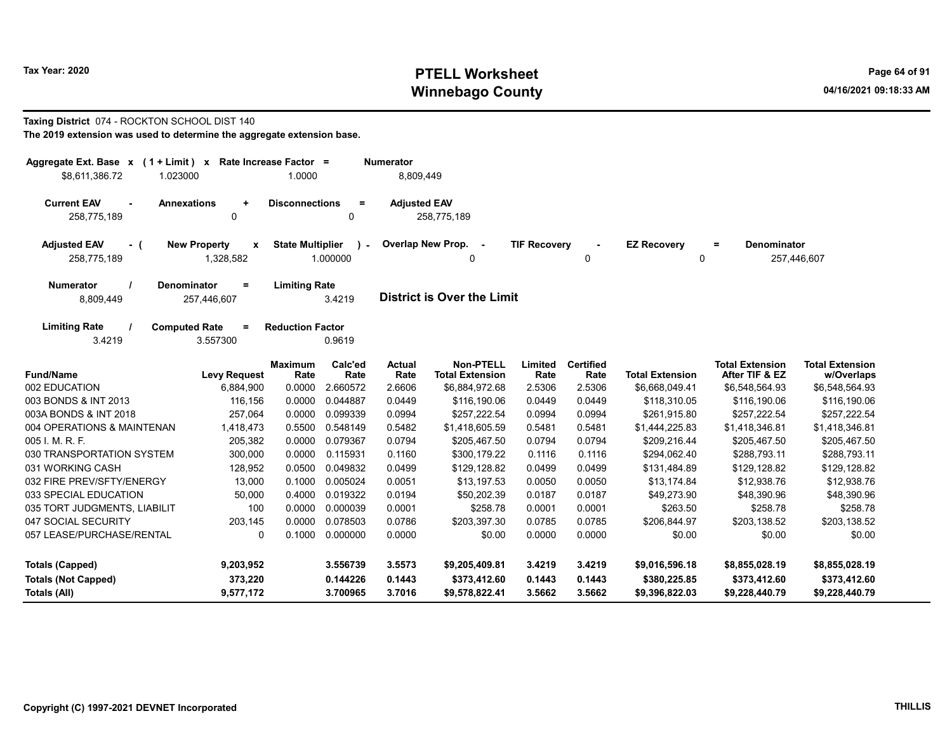#### Taxing District 074 - ROCKTON SCHOOL DIST 140 The 2019 extension was used to determine the aggregate extension base.

| Aggregate Ext. Base $x$ (1 + Limit) $x$<br>\$8,611,386.72<br>1.023000 |                                                  | Rate Increase Factor =<br>1.0000 |                            | <b>Numerator</b><br>8,809,449 |                                            |                     |                          |                         |                                          |                                      |
|-----------------------------------------------------------------------|--------------------------------------------------|----------------------------------|----------------------------|-------------------------------|--------------------------------------------|---------------------|--------------------------|-------------------------|------------------------------------------|--------------------------------------|
| <b>Current EAV</b><br>$\blacksquare$<br>258,775,189                   | <b>Annexations</b><br>$\ddot{}$<br>0             | <b>Disconnections</b>            | $\equiv$<br>0              | <b>Adjusted EAV</b>           | 258,775,189                                |                     |                          |                         |                                          |                                      |
| <b>Adjusted EAV</b><br>- (<br>258,775,189                             | <b>New Property</b><br>$\mathbf{x}$<br>1,328,582 | <b>State Multiplier</b>          | $\blacksquare$<br>1.000000 |                               | Overlap New Prop. -<br>0                   | <b>TIF Recoverv</b> | 0                        | <b>EZ Recovery</b><br>0 | <b>Denominator</b><br>$=$                | 257,446,607                          |
| <b>Numerator</b><br>8,809,449                                         | Denominator<br>$=$<br>257,446,607                | <b>Limiting Rate</b>             | 3.4219                     |                               | District is Over the Limit                 |                     |                          |                         |                                          |                                      |
| <b>Limiting Rate</b><br>3.4219                                        | <b>Computed Rate</b><br>$=$<br>3.557300          | <b>Reduction Factor</b>          | 0.9619                     |                               |                                            |                     |                          |                         |                                          |                                      |
| <b>Fund/Name</b>                                                      | <b>Levy Request</b>                              | <b>Maximum</b><br>Rate           | Calc'ed<br>Rate            | <b>Actual</b><br>Rate         | <b>Non-PTELL</b><br><b>Total Extension</b> | Limited<br>Rate     | <b>Certified</b><br>Rate | <b>Total Extension</b>  | <b>Total Extension</b><br>After TIF & EZ | <b>Total Extension</b><br>w/Overlaps |
| 002 EDUCATION                                                         | 6,884,900                                        | 0.0000                           | 2.660572                   | 2.6606                        | \$6,884,972.68                             | 2.5306              | 2.5306                   | \$6,668,049.41          | \$6,548,564.93                           | \$6,548,564.93                       |
| 003 BONDS & INT 2013                                                  | 116,156                                          | 0.0000                           | 0.044887                   | 0.0449                        | \$116,190.06                               | 0.0449              | 0.0449                   | \$118,310.05            | \$116,190.06                             | \$116,190.06                         |
| 003A BONDS & INT 2018                                                 | 257,064                                          | 0.0000                           | 0.099339                   | 0.0994                        | \$257,222.54                               | 0.0994              | 0.0994                   | \$261,915.80            | \$257,222.54                             | \$257,222.54                         |
| 004 OPERATIONS & MAINTENAN                                            | 1,418,473                                        | 0.5500                           | 0.548149                   | 0.5482                        | \$1,418,605.59                             | 0.5481              | 0.5481                   | \$1,444,225.83          | \$1,418,346.81                           | \$1,418,346.81                       |
| 005 I. M. R. F.                                                       | 205,382                                          | 0.0000                           | 0.079367                   | 0.0794                        | \$205,467.50                               | 0.0794              | 0.0794                   | \$209,216.44            | \$205,467.50                             | \$205,467.50                         |
| 030 TRANSPORTATION SYSTEM                                             | 300,000                                          | 0.0000                           | 0.115931                   | 0.1160                        | \$300,179.22                               | 0.1116              | 0.1116                   | \$294,062.40            | \$288,793.11                             | \$288,793.11                         |
| 031 WORKING CASH                                                      | 128,952                                          | 0.0500                           | 0.049832                   | 0.0499                        | \$129,128.82                               | 0.0499              | 0.0499                   | \$131,484.89            | \$129,128.82                             | \$129,128.82                         |
| 032 FIRE PREV/SFTY/ENERGY                                             | 13,000                                           | 0.1000                           | 0.005024                   | 0.0051                        | \$13,197.53                                | 0.0050              | 0.0050                   | \$13,174.84             | \$12,938.76                              | \$12,938.76                          |
| 033 SPECIAL EDUCATION                                                 | 50,000                                           | 0.4000                           | 0.019322                   | 0.0194                        | \$50,202.39                                | 0.0187              | 0.0187                   | \$49,273.90             | \$48,390.96                              | \$48,390.96                          |
| 035 TORT JUDGMENTS, LIABILIT                                          | 100                                              | 0.0000                           | 0.000039                   | 0.0001                        | \$258.78                                   | 0.0001              | 0.0001                   | \$263.50                | \$258.78                                 | \$258.78                             |
| 047 SOCIAL SECURITY                                                   | 203,145                                          | 0.0000                           | 0.078503                   | 0.0786                        | \$203,397.30                               | 0.0785              | 0.0785                   | \$206,844.97            | \$203,138.52                             | \$203,138.52                         |
| 057 LEASE/PURCHASE/RENTAL                                             | $\mathbf 0$                                      | 0.1000                           | 0.000000                   | 0.0000                        | \$0.00                                     | 0.0000              | 0.0000                   | \$0.00                  | \$0.00                                   | \$0.00                               |
| <b>Totals (Capped)</b>                                                | 9,203,952                                        |                                  | 3.556739                   | 3.5573                        | \$9,205,409.81                             | 3.4219              | 3.4219                   | \$9,016,596.18          | \$8,855,028.19                           | \$8,855,028.19                       |
| <b>Totals (Not Capped)</b>                                            | 373,220                                          |                                  | 0.144226                   | 0.1443                        | \$373,412.60                               | 0.1443              | 0.1443                   | \$380,225.85            | \$373,412.60                             | \$373,412.60                         |
| Totals (All)                                                          | 9,577,172                                        |                                  | 3.700965                   | 3.7016                        | \$9,578,822.41                             | 3.5662              | 3.5662                   | \$9,396,822.03          | \$9,228,440.79                           | \$9,228,440.79                       |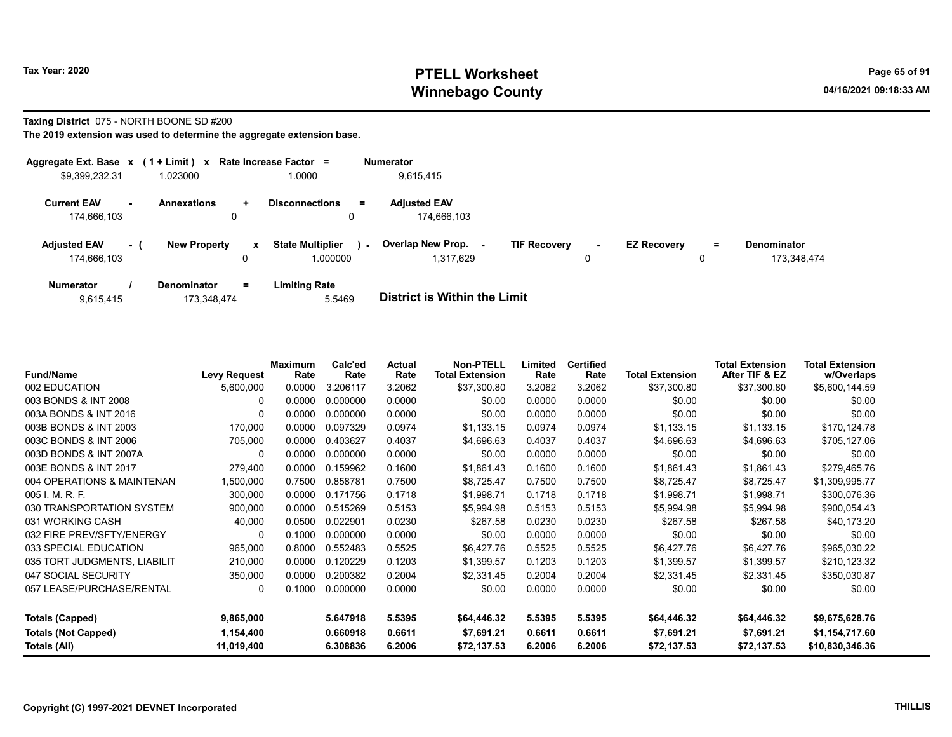### Taxing District 075 - NORTH BOONE SD #200

| Aggregate Ext. Base $x$ (1 + Limit) x Rate Increase Factor = |     |                     |              |                             | <b>Numerator</b>            |                     |        |                    |     |                    |
|--------------------------------------------------------------|-----|---------------------|--------------|-----------------------------|-----------------------------|---------------------|--------|--------------------|-----|--------------------|
| \$9,399,232.31                                               |     | 1.023000            |              | 1.0000                      | 9,615,415                   |                     |        |                    |     |                    |
| <b>Current EAV</b>                                           |     | <b>Annexations</b>  | $\ddot{}$    | <b>Disconnections</b><br>Ξ. | <b>Adjusted EAV</b>         |                     |        |                    |     |                    |
| 174,666,103                                                  |     | 0                   |              | 0                           | 174.666.103                 |                     |        |                    |     |                    |
| <b>Adjusted EAV</b>                                          | - 1 | <b>New Property</b> | $\mathbf{x}$ | <b>State Multiplier</b>     | Overlap New Prop.<br>$\sim$ | <b>TIF Recovery</b> | $\sim$ | <b>EZ Recovery</b> | $=$ | <b>Denominator</b> |
| 174,666,103                                                  |     |                     | 0            | 1.000000                    | 1.317.629                   |                     |        |                    | u   | 173.348.474        |
| <b>Numerator</b>                                             |     | <b>Denominator</b>  | $=$          | <b>Limiting Rate</b>        |                             |                     |        |                    |     |                    |

| 5.5469<br>173,348,474<br>9,615,415 | <b>District is Within the Limit</b> |
|------------------------------------|-------------------------------------|

| <b>Fund/Name</b>             | <b>Levy Request</b> | <b>Maximum</b><br>Rate | Calc'ed<br>Rate | Actual<br>Rate | <b>Non-PTELL</b><br><b>Total Extension</b> | Limited<br>Rate | <b>Certified</b><br>Rate | <b>Total Extension</b> | <b>Total Extension</b><br>After TIF & EZ | Total Extension<br>w/Overlaps |
|------------------------------|---------------------|------------------------|-----------------|----------------|--------------------------------------------|-----------------|--------------------------|------------------------|------------------------------------------|-------------------------------|
| 002 EDUCATION                | 5,600,000           | 0.0000                 | 3.206117        | 3.2062         | \$37,300.80                                | 3.2062          | 3.2062                   | \$37,300.80            | \$37,300.80                              | \$5,600,144.59                |
| 003 BONDS & INT 2008         | $\Omega$            | 0.0000                 | 0.000000        | 0.0000         | \$0.00                                     | 0.0000          | 0.0000                   | \$0.00                 | \$0.00                                   | \$0.00                        |
| 003A BONDS & INT 2016        | $\Omega$            | 0.0000                 | 0.000000        | 0.0000         | \$0.00                                     | 0.0000          | 0.0000                   | \$0.00                 | \$0.00                                   | \$0.00                        |
| 003B BONDS & INT 2003        | 170,000             | 0.0000                 | 0.097329        | 0.0974         | \$1,133.15                                 | 0.0974          | 0.0974                   | \$1,133.15             | \$1,133.15                               | \$170,124.78                  |
| 003C BONDS & INT 2006        | 705,000             | 0.0000                 | 0.403627        | 0.4037         | \$4,696.63                                 | 0.4037          | 0.4037                   | \$4,696.63             | \$4,696.63                               | \$705,127.06                  |
| 003D BONDS & INT 2007A       | 0                   | 0.0000                 | 0.000000        | 0.0000         | \$0.00                                     | 0.0000          | 0.0000                   | \$0.00                 | \$0.00                                   | \$0.00                        |
| 003E BONDS & INT 2017        | 279,400             | 0.0000                 | 0.159962        | 0.1600         | \$1,861.43                                 | 0.1600          | 0.1600                   | \$1,861.43             | \$1,861.43                               | \$279,465.76                  |
| 004 OPERATIONS & MAINTENAN   | 1,500,000           | 0.7500                 | 0.858781        | 0.7500         | \$8,725.47                                 | 0.7500          | 0.7500                   | \$8,725.47             | \$8,725.47                               | \$1,309,995.77                |
| 005 I. M. R. F.              | 300,000             | 0.0000                 | 0.171756        | 0.1718         | \$1,998.71                                 | 0.1718          | 0.1718                   | \$1,998.71             | \$1,998.71                               | \$300,076.36                  |
| 030 TRANSPORTATION SYSTEM    | 900,000             | 0.0000                 | 0.515269        | 0.5153         | \$5,994.98                                 | 0.5153          | 0.5153                   | \$5,994.98             | \$5,994.98                               | \$900,054.43                  |
| 031 WORKING CASH             | 40,000              | 0.0500                 | 0.022901        | 0.0230         | \$267.58                                   | 0.0230          | 0.0230                   | \$267.58               | \$267.58                                 | \$40,173.20                   |
| 032 FIRE PREV/SFTY/ENERGY    | $\Omega$            | 0.1000                 | 0.000000        | 0.0000         | \$0.00                                     | 0.0000          | 0.0000                   | \$0.00                 | \$0.00                                   | \$0.00                        |
| 033 SPECIAL EDUCATION        | 965,000             | 0.8000                 | 0.552483        | 0.5525         | \$6,427.76                                 | 0.5525          | 0.5525                   | \$6,427.76             | \$6,427.76                               | \$965,030.22                  |
| 035 TORT JUDGMENTS, LIABILIT | 210,000             | 0.0000                 | 0.120229        | 0.1203         | \$1,399.57                                 | 0.1203          | 0.1203                   | \$1,399.57             | \$1,399.57                               | \$210,123.32                  |
| 047 SOCIAL SECURITY          | 350,000             | 0.0000                 | 0.200382        | 0.2004         | \$2,331.45                                 | 0.2004          | 0.2004                   | \$2,331.45             | \$2,331.45                               | \$350,030.87                  |
| 057 LEASE/PURCHASE/RENTAL    | 0                   | 0.1000                 | 0.000000        | 0.0000         | \$0.00                                     | 0.0000          | 0.0000                   | \$0.00                 | \$0.00                                   | \$0.00                        |
| <b>Totals (Capped)</b>       | 9,865,000           |                        | 5.647918        | 5.5395         | \$64,446.32                                | 5.5395          | 5.5395                   | \$64,446.32            | \$64,446.32                              | \$9,675,628.76                |
| <b>Totals (Not Capped)</b>   | 1,154,400           |                        | 0.660918        | 0.6611         | \$7,691.21                                 | 0.6611          | 0.6611                   | \$7,691.21             | \$7,691.21                               | \$1,154,717.60                |
| Totals (All)                 | 11,019,400          |                        | 6.308836        | 6.2006         | \$72,137.53                                | 6.2006          | 6.2006                   | \$72,137.53            | \$72,137.53                              | \$10,830,346.36               |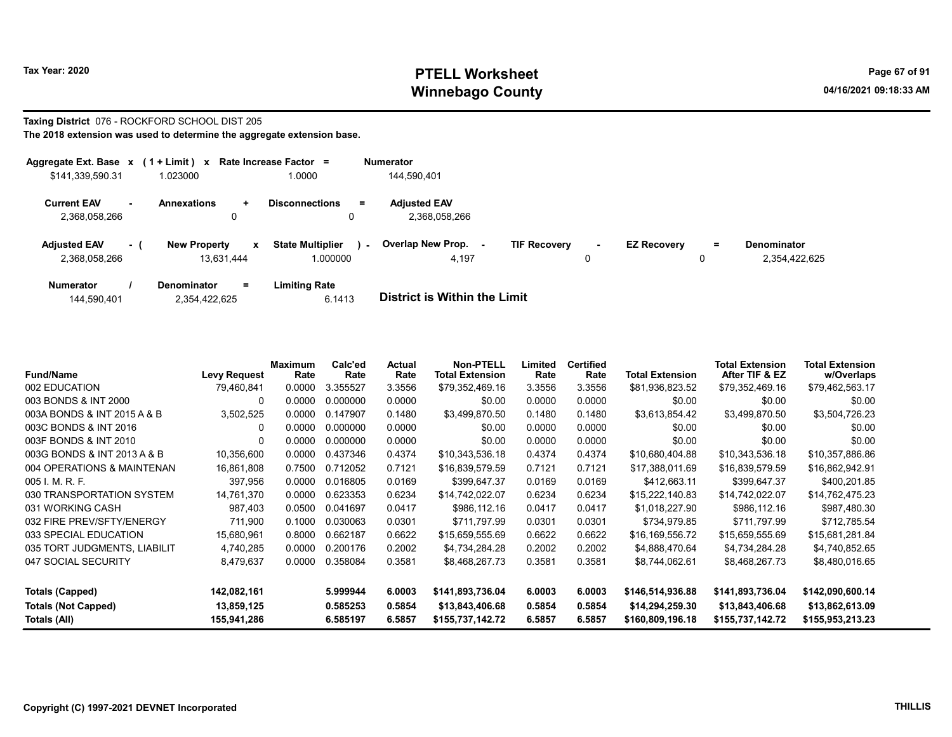#### Taxing District 076 - ROCKFORD SCHOOL DIST 205 The 2018 extension was used to determine the aggregate extension base.

| Aggregate Ext. Base $x$ (1 + Limit) $x$ |          |                                        | Rate Increase Factor =                        | <b>Numerator</b>                     |                                    |                    |        |                              |
|-----------------------------------------|----------|----------------------------------------|-----------------------------------------------|--------------------------------------|------------------------------------|--------------------|--------|------------------------------|
| \$141,339,590.31                        |          | 1.023000                               | 1.0000                                        | 144.590.401                          |                                    |                    |        |                              |
| <b>Current EAV</b><br>2,368,058,266     |          | <b>Annexations</b><br>÷.<br>0          | <b>Disconnections</b><br>Ξ.                   | <b>Adiusted EAV</b><br>2.368.058.266 |                                    |                    |        |                              |
| <b>Adjusted EAV</b><br>2,368,058,266    | $\sim$ 1 | <b>New Property</b><br>x<br>13.631.444 | <b>State Multiplier</b><br>$\sim$<br>1.000000 | <b>Overlap New Prop.</b><br>4.197    | <b>TIF Recovery</b><br>$\sim$<br>0 | <b>EZ Recovery</b> | =<br>0 | Denominator<br>2,354,422,625 |
| <b>Numerator</b>                        |          | Denominator<br>$=$                     | Limiting Rate                                 |                                      |                                    |                    |        |                              |

| 144,590,401 | 2,354,422,625 | 6.1413 | <b>District is Within the Limit</b> |
|-------------|---------------|--------|-------------------------------------|

| <b>Fund/Name</b>             | <b>Levy Request</b> | Maximum<br>Rate | Calc'ed<br>Rate | Actual<br>Rate | <b>Non-PTELL</b><br><b>Total Extension</b> | Limited<br>Rate | <b>Certified</b><br>Rate | <b>Total Extension</b> | <b>Total Extension</b><br>After TIF & EZ | <b>Total Extension</b><br>w/Overlaps |
|------------------------------|---------------------|-----------------|-----------------|----------------|--------------------------------------------|-----------------|--------------------------|------------------------|------------------------------------------|--------------------------------------|
| 002 EDUCATION                | 79,460,841          | 0.0000          | 3.355527        | 3.3556         | \$79,352,469.16                            | 3.3556          | 3.3556                   | \$81,936,823.52        | \$79,352,469.16                          | \$79,462,563.17                      |
| 003 BONDS & INT 2000         | 0                   | 0.0000          | 0.000000        | 0.0000         | \$0.00                                     | 0.0000          | 0.0000                   | \$0.00                 | \$0.00                                   | \$0.00                               |
| 003A BONDS & INT 2015 A & B  | 3,502,525           | 0.0000          | 0.147907        | 0.1480         | \$3.499.870.50                             | 0.1480          | 0.1480                   | \$3,613,854.42         | \$3,499,870.50                           | \$3,504,726.23                       |
| 003C BONDS & INT 2016        | 0                   | 0.0000          | 0.000000        | 0.0000         | \$0.00                                     | 0.0000          | 0.0000                   | \$0.00                 | \$0.00                                   | \$0.00                               |
| 003F BONDS & INT 2010        | 0                   | 0.0000          | 0.000000        | 0.0000         | \$0.00                                     | 0.0000          | 0.0000                   | \$0.00                 | \$0.00                                   | \$0.00                               |
| 003G BONDS & INT 2013 A & B  | 10,356,600          | 0.0000          | 0.437346        | 0.4374         | \$10,343,536.18                            | 0.4374          | 0.4374                   | \$10,680,404.88        | \$10,343,536.18                          | \$10,357,886.86                      |
| 004 OPERATIONS & MAINTENAN   | 16,861,808          | 0.7500          | 0.712052        | 0.7121         | \$16,839,579.59                            | 0.7121          | 0.7121                   | \$17,388,011.69        | \$16,839,579.59                          | \$16,862,942.91                      |
| 005 I. M. R. F.              | 397,956             | 0.0000          | 0.016805        | 0.0169         | \$399,647.37                               | 0.0169          | 0.0169                   | \$412,663.11           | \$399,647.37                             | \$400,201.85                         |
| 030 TRANSPORTATION SYSTEM    | 14,761,370          | 0.0000          | 0.623353        | 0.6234         | \$14,742,022.07                            | 0.6234          | 0.6234                   | \$15,222,140.83        | \$14,742,022.07                          | \$14,762,475.23                      |
| 031 WORKING CASH             | 987,403             | 0.0500          | 0.041697        | 0.0417         | \$986,112.16                               | 0.0417          | 0.0417                   | \$1,018,227.90         | \$986,112.16                             | \$987,480.30                         |
| 032 FIRE PREV/SFTY/ENERGY    | 711,900             | 0.1000          | 0.030063        | 0.0301         | \$711,797.99                               | 0.0301          | 0.0301                   | \$734,979.85           | \$711,797.99                             | \$712,785.54                         |
| 033 SPECIAL EDUCATION        | 15,680,961          | 0.8000          | 0.662187        | 0.6622         | \$15,659,555.69                            | 0.6622          | 0.6622                   | \$16,169,556.72        | \$15,659,555.69                          | \$15,681,281.84                      |
| 035 TORT JUDGMENTS, LIABILIT | 4,740,285           | 0.0000          | 0.200176        | 0.2002         | \$4,734,284.28                             | 0.2002          | 0.2002                   | \$4,888,470.64         | \$4,734,284.28                           | \$4,740,852.65                       |
| 047 SOCIAL SECURITY          | 8,479,637           | 0.0000          | 0.358084        | 0.3581         | \$8,468,267.73                             | 0.3581          | 0.3581                   | \$8,744,062.61         | \$8,468,267.73                           | \$8,480,016.65                       |
| <b>Totals (Capped)</b>       | 142,082,161         |                 | 5.999944        | 6.0003         | \$141,893,736.04                           | 6.0003          | 6.0003                   | \$146,514,936.88       | \$141,893,736.04                         | \$142,090,600.14                     |
| <b>Totals (Not Capped)</b>   | 13,859,125          |                 | 0.585253        | 0.5854         | \$13,843,406.68                            | 0.5854          | 0.5854                   | \$14,294,259.30        | \$13,843,406.68                          | \$13,862,613.09                      |
| Totals (All)                 | 155,941,286         |                 | 6.585197        | 6.5857         | \$155,737,142.72                           | 6.5857          | 6.5857                   | \$160,809,196.18       | \$155,737,142.72                         | \$155,953,213.23                     |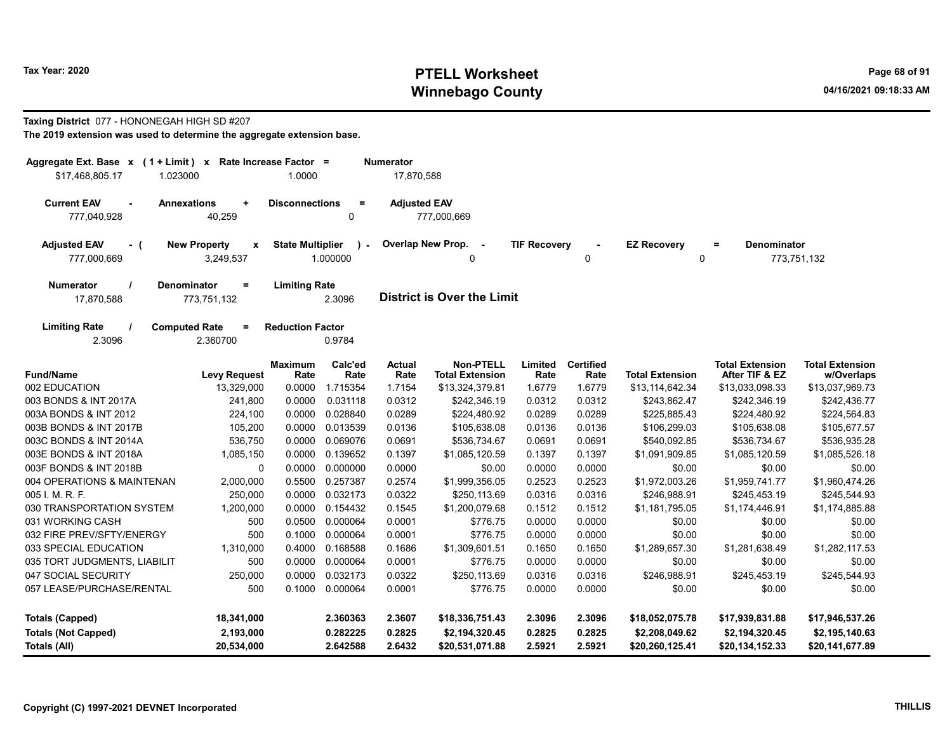### Taxing District 077 - HONONEGAH HIGH SD #207

| Aggregate Ext. Base x (1 + Limit) x Rate Increase Factor =                |                     |                         |                         | Numerator             |                                            |                     |                          |                          |                                          |                                      |
|---------------------------------------------------------------------------|---------------------|-------------------------|-------------------------|-----------------------|--------------------------------------------|---------------------|--------------------------|--------------------------|------------------------------------------|--------------------------------------|
| \$17.468.805.17<br>1.023000                                               |                     | 1.0000                  |                         | 17,870,588            |                                            |                     |                          |                          |                                          |                                      |
| <b>Current EAV</b><br><b>Annexations</b><br>$\blacksquare$<br>777,040,928 | ÷<br>40,259         | <b>Disconnections</b>   | $\equiv$<br>$\Omega$    | <b>Adjusted EAV</b>   | 777,000,669                                |                     |                          |                          |                                          |                                      |
| <b>New Property</b><br><b>Adjusted EAV</b><br>$-$ (<br>777,000,669        | x<br>3,249,537      | <b>State Multiplier</b> | $\lambda$ -<br>1.000000 | Overlap New Prop.     | $\sim$ $\sim$<br>n                         | <b>TIF Recovery</b> | $\Omega$                 | <b>EZ Recovery</b><br>0  | <b>Denominator</b><br>$\equiv$           | 773,751,132                          |
| <b>Numerator</b><br>Denominator                                           | $=$                 | <b>Limiting Rate</b>    |                         |                       |                                            |                     |                          |                          |                                          |                                      |
| 17,870,588                                                                | 773,751,132         |                         | 2.3096                  |                       | <b>District is Over the Limit</b>          |                     |                          |                          |                                          |                                      |
| <b>Limiting Rate</b><br><b>Computed Rate</b><br>2.3096                    | $=$<br>2.360700     | <b>Reduction Factor</b> | 0.9784                  |                       |                                            |                     |                          |                          |                                          |                                      |
| <b>Fund/Name</b>                                                          | <b>Levy Request</b> | <b>Maximum</b><br>Rate  | Calc'ed<br>Rate         | <b>Actual</b><br>Rate | <b>Non-PTELL</b><br><b>Total Extension</b> | Limited<br>Rate     | <b>Certified</b><br>Rate | <b>Total Extension</b>   | <b>Total Extension</b><br>After TIF & EZ | <b>Total Extension</b><br>w/Overlaps |
| 002 EDUCATION                                                             | 13,329,000          | 0.0000                  | 1.715354                | 1.7154                | \$13,324,379.81                            | 1.6779              | 1.6779                   | \$13,114,642.34          | \$13,033,098.33                          | \$13,037,969.73                      |
| 003 BONDS & INT 2017A                                                     | 241,800             | 0.0000                  | 0.031118                | 0.0312                | \$242,346.19                               | 0.0312              | 0.0312                   | \$243,862.47             | \$242,346.19                             | \$242,436.77                         |
| 003A BONDS & INT 2012                                                     | 224,100             | 0.0000                  | 0.028840                | 0.0289                | \$224.480.92                               | 0.0289              | 0.0289                   | \$225.885.43             | \$224,480.92                             | \$224,564.83                         |
| 003B BONDS & INT 2017B                                                    | 105,200             | 0.0000                  | 0.013539                | 0.0136                | \$105,638.08                               | 0.0136              | 0.0136                   | \$106,299.03             | \$105,638.08                             | \$105,677.57                         |
| 003C BONDS & INT 2014A                                                    | 536,750             | 0.0000                  | 0.069076                | 0.0691                | \$536,734.67                               | 0.0691              | 0.0691                   | \$540,092.85             | \$536,734.67                             | \$536,935.28                         |
| 003E BONDS & INT 2018A                                                    | 1,085,150           | 0.0000                  | 0.139652                | 0.1397                | \$1,085,120.59                             | 0.1397              | 0.1397                   | \$1,091,909.85           | \$1,085,120.59                           | \$1,085,526.18                       |
| 003F BONDS & INT 2018B                                                    | 0                   | 0.0000                  | 0.000000                | 0.0000                | \$0.00                                     | 0.0000              | 0.0000                   | \$0.00                   | \$0.00                                   | \$0.00                               |
| 004 OPERATIONS & MAINTENAN                                                | 2,000,000           | 0.5500                  | 0.257387                | 0.2574                | \$1,999,356.05                             | 0.2523              | 0.2523                   | \$1,972,003.26           | \$1,959,741.77                           | \$1,960,474.26                       |
| 005 I. M. R. F.                                                           | 250,000             | 0.0000                  | 0.032173                | 0.0322                | \$250,113.69                               | 0.0316              | 0.0316                   | \$246,988.91             | \$245,453.19                             | \$245,544.93                         |
| 030 TRANSPORTATION SYSTEM<br>031 WORKING CASH                             | 1,200,000<br>500    | 0.0000<br>0.0500        | 0.154432<br>0.000064    | 0.1545<br>0.0001      | \$1,200,079.68                             | 0.1512<br>0.0000    | 0.1512                   | \$1,181,795.05<br>\$0.00 | \$1,174,446.91                           | \$1,174,885.88                       |
| 032 FIRE PREV/SFTY/ENERGY                                                 | 500                 | 0.1000                  | 0.000064                | 0.0001                | \$776.75<br>\$776.75                       | 0.0000              | 0.0000<br>0.0000         | \$0.00                   | \$0.00<br>\$0.00                         | \$0.00<br>\$0.00                     |
| 033 SPECIAL EDUCATION                                                     | 1,310,000           | 0.4000                  | 0.168588                | 0.1686                | \$1,309,601.51                             | 0.1650              | 0.1650                   | \$1,289,657.30           | \$1,281,638.49                           | \$1,282,117.53                       |
| 035 TORT JUDGMENTS, LIABILIT                                              | 500                 | 0.0000                  | 0.000064                | 0.0001                | \$776.75                                   | 0.0000              | 0.0000                   | \$0.00                   | \$0.00                                   | \$0.00                               |
| 047 SOCIAL SECURITY                                                       | 250,000             | 0.0000                  | 0.032173                | 0.0322                | \$250,113.69                               | 0.0316              | 0.0316                   | \$246,988.91             | \$245,453.19                             | \$245,544.93                         |
| 057 LEASE/PURCHASE/RENTAL                                                 | 500                 | 0.1000                  | 0.000064                | 0.0001                | \$776.75                                   | 0.0000              | 0.0000                   | \$0.00                   | \$0.00                                   | \$0.00                               |
| <b>Totals (Capped)</b>                                                    | 18,341,000          |                         | 2.360363                | 2.3607                | \$18,336,751.43                            | 2.3096              | 2.3096                   | \$18,052,075.78          | \$17,939,831.88                          | \$17,946,537.26                      |
| <b>Totals (Not Capped)</b>                                                | 2,193,000           |                         | 0.282225                | 0.2825                | \$2,194,320.45                             | 0.2825              | 0.2825                   | \$2,208,049.62           | \$2,194,320.45                           | \$2,195,140.63                       |
| <b>Totals (All)</b>                                                       | 20,534,000          |                         | 2.642588                | 2.6432                | \$20,531,071.88                            | 2.5921              | 2.5921                   | \$20,260,125.41          | \$20,134,152.33                          | \$20,141,677.89                      |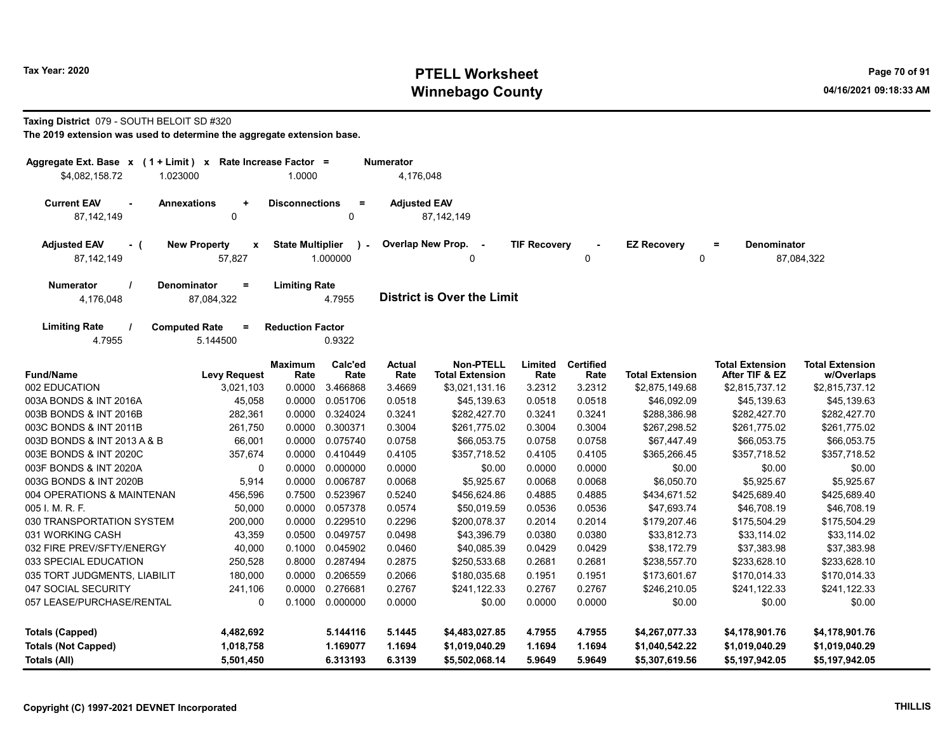### Taxing District 079 - SOUTH BELOIT SD #320

| Aggregate Ext. Base $x$ (1 + Limit) $x$                                 | Rate Increase Factor =  |                 | <b>Numerator</b>      |                                            |                     |                          |                        |                                          |                                      |
|-------------------------------------------------------------------------|-------------------------|-----------------|-----------------------|--------------------------------------------|---------------------|--------------------------|------------------------|------------------------------------------|--------------------------------------|
| \$4,082,158.72<br>1.023000                                              | 1.0000                  |                 | 4,176,048             |                                            |                     |                          |                        |                                          |                                      |
| <b>Current EAV</b><br><b>Annexations</b><br>$\ddot{}$                   | <b>Disconnections</b>   | $\equiv$        | <b>Adjusted EAV</b>   |                                            |                     |                          |                        |                                          |                                      |
| 87,142,149<br>$\mathbf 0$                                               |                         | $\mathbf 0$     |                       | 87, 142, 149                               |                     |                          |                        |                                          |                                      |
| <b>New Property</b><br><b>Adjusted EAV</b><br>$\pmb{\mathsf{x}}$<br>- ( | <b>State Multiplier</b> | $\lambda$ -     |                       | Overlap New Prop. -                        | <b>TIF Recovery</b> |                          | <b>EZ Recovery</b>     | <b>Denominator</b><br>$=$                |                                      |
| 87,142,149<br>57,827                                                    |                         | 1.000000        |                       | 0                                          |                     | 0                        | 0                      |                                          | 87,084,322                           |
| <b>Denominator</b><br><b>Numerator</b><br>$=$                           | <b>Limiting Rate</b>    |                 |                       |                                            |                     |                          |                        |                                          |                                      |
| 4,176,048<br>87,084,322                                                 |                         | 4.7955          |                       | <b>District is Over the Limit</b>          |                     |                          |                        |                                          |                                      |
| <b>Limiting Rate</b><br><b>Computed Rate</b><br>$=$                     | <b>Reduction Factor</b> |                 |                       |                                            |                     |                          |                        |                                          |                                      |
| 4.7955<br>5.144500                                                      |                         | 0.9322          |                       |                                            |                     |                          |                        |                                          |                                      |
| <b>Fund/Name</b><br><b>Levy Request</b>                                 | <b>Maximum</b><br>Rate  | Calc'ed<br>Rate | <b>Actual</b><br>Rate | <b>Non-PTELL</b><br><b>Total Extension</b> | Limited<br>Rate     | <b>Certified</b><br>Rate | <b>Total Extension</b> | <b>Total Extension</b><br>After TIF & EZ | <b>Total Extension</b><br>w/Overlaps |
| 002 EDUCATION<br>3,021,103                                              | 0.0000                  | 3.466868        | 3.4669                | \$3,021,131.16                             | 3.2312              | 3.2312                   | \$2,875,149.68         | \$2,815,737.12                           | \$2,815,737.12                       |
| 003A BONDS & INT 2016A<br>45,058                                        | 0.0000                  | 0.051706        | 0.0518                | \$45,139.63                                | 0.0518              | 0.0518                   | \$46,092.09            | \$45,139.63                              | \$45,139.63                          |
| 003B BONDS & INT 2016B<br>282,361                                       | 0.0000                  | 0.324024        | 0.3241                | \$282,427.70                               | 0.3241              | 0.3241                   | \$288,386.98           | \$282,427.70                             | \$282,427.70                         |
| 003C BONDS & INT 2011B<br>261,750                                       | 0.0000                  | 0.300371        | 0.3004                | \$261,775.02                               | 0.3004              | 0.3004                   | \$267,298.52           | \$261,775.02                             | \$261,775.02                         |
| 003D BONDS & INT 2013 A & B<br>66,001                                   | 0.0000                  | 0.075740        | 0.0758                | \$66,053.75                                | 0.0758              | 0.0758                   | \$67,447.49            | \$66,053.75                              | \$66,053.75                          |
| 003E BONDS & INT 2020C<br>357,674                                       | 0.0000                  | 0.410449        | 0.4105                | \$357,718.52                               | 0.4105              | 0.4105                   | \$365,266.45           | \$357,718.52                             | \$357,718.52                         |
| 003F BONDS & INT 2020A<br>$\mathbf 0$                                   | 0.0000                  | 0.000000        | 0.0000                | \$0.00                                     | 0.0000              | 0.0000                   | \$0.00                 | \$0.00                                   | \$0.00                               |
| 003G BONDS & INT 2020B<br>5,914                                         | 0.0000                  | 0.006787        | 0.0068                | \$5,925.67                                 | 0.0068              | 0.0068                   | \$6,050.70             | \$5,925.67                               | \$5,925.67                           |
| 004 OPERATIONS & MAINTENAN<br>456,596                                   | 0.7500                  | 0.523967        | 0.5240                | \$456,624.86                               | 0.4885              | 0.4885                   | \$434,671.52           | \$425,689.40                             | \$425,689.40                         |
| 005 I. M. R. F.<br>50,000                                               | 0.0000                  | 0.057378        | 0.0574                | \$50,019.59                                | 0.0536              | 0.0536                   | \$47,693.74            | \$46,708.19                              | \$46,708.19                          |
| 030 TRANSPORTATION SYSTEM<br>200,000                                    | 0.0000                  | 0.229510        | 0.2296                | \$200,078.37                               | 0.2014              | 0.2014                   | \$179,207.46           | \$175,504.29                             | \$175,504.29                         |
| 031 WORKING CASH<br>43,359                                              | 0.0500                  | 0.049757        | 0.0498                | \$43,396.79                                | 0.0380              | 0.0380                   | \$33,812.73            | \$33,114.02                              | \$33,114.02                          |
| 032 FIRE PREV/SFTY/ENERGY<br>40,000                                     | 0.1000                  | 0.045902        | 0.0460                | \$40,085.39                                | 0.0429              | 0.0429                   | \$38,172.79            | \$37,383.98                              | \$37,383.98                          |
| 033 SPECIAL EDUCATION<br>250,528                                        | 0.8000                  | 0.287494        | 0.2875                | \$250,533.68                               | 0.2681              | 0.2681                   | \$238,557.70           | \$233,628.10                             | \$233,628.10                         |
| 035 TORT JUDGMENTS, LIABILIT<br>180,000                                 | 0.0000                  | 0.206559        | 0.2066                | \$180,035.68                               | 0.1951              | 0.1951                   | \$173,601.67           | \$170,014.33                             | \$170,014.33                         |
| 047 SOCIAL SECURITY<br>241,106                                          | 0.0000                  | 0.276681        | 0.2767                | \$241,122.33                               | 0.2767              | 0.2767                   | \$246,210.05           | \$241,122.33                             | \$241,122.33                         |
| $\Omega$<br>057 LEASE/PURCHASE/RENTAL                                   | 0.1000                  | 0.000000        | 0.0000                | \$0.00                                     | 0.0000              | 0.0000                   | \$0.00                 | \$0.00                                   | \$0.00                               |
| <b>Totals (Capped)</b><br>4,482,692                                     |                         | 5.144116        | 5.1445                | \$4,483,027.85                             | 4.7955              | 4.7955                   | \$4,267,077.33         | \$4,178,901.76                           | \$4,178,901.76                       |
| <b>Totals (Not Capped)</b><br>1,018,758                                 |                         | 1.169077        | 1.1694                | \$1,019,040.29                             | 1.1694              | 1.1694                   | \$1,040,542.22         | \$1,019,040.29                           | \$1,019,040.29                       |
| 5,501,450<br>Totals (All)                                               |                         | 6.313193        | 6.3139                | \$5,502,068.14                             | 5.9649              | 5.9649                   | \$5,307,619.56         | \$5,197,942.05                           | \$5,197,942.05                       |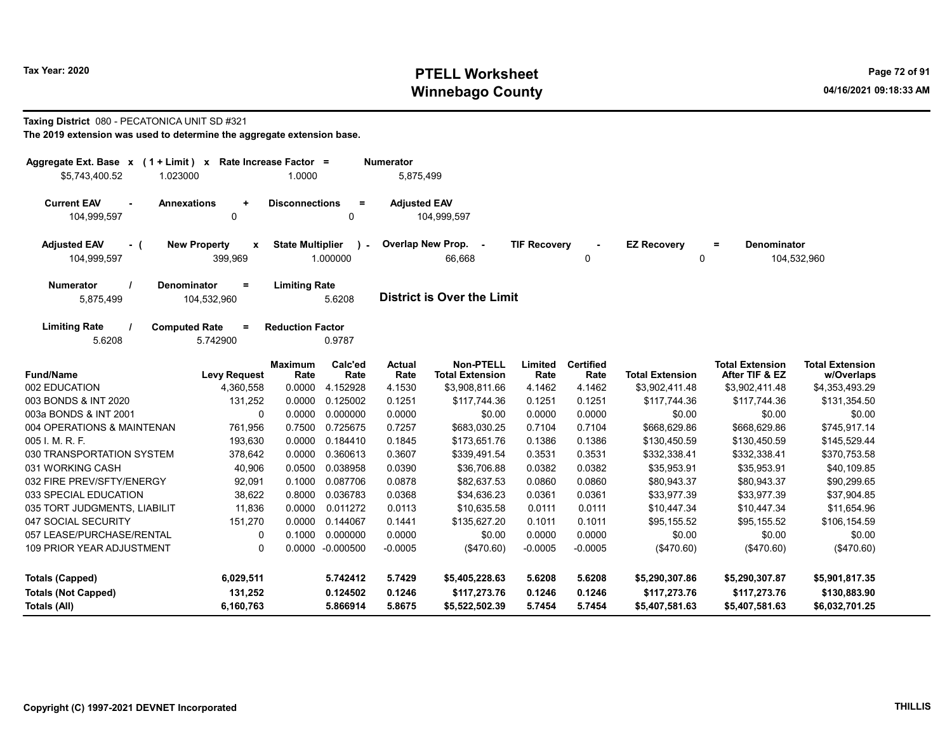### Taxing District 080 - PECATONICA UNIT SD #321

| Aggregate Ext. Base $x$ (1 + Limit) $x$                                                                                                          |                                                 | Rate Increase Factor =  |                          | <b>Numerator</b>      |                                            |                     |                          |                        |                                          |                                      |
|--------------------------------------------------------------------------------------------------------------------------------------------------|-------------------------------------------------|-------------------------|--------------------------|-----------------------|--------------------------------------------|---------------------|--------------------------|------------------------|------------------------------------------|--------------------------------------|
| \$5,743,400.52<br>1.023000                                                                                                                       |                                                 | 1.0000                  |                          | 5,875,499             |                                            |                     |                          |                        |                                          |                                      |
| <b>Current EAV</b><br>104,999,597                                                                                                                | <b>Annexations</b><br>$\ddot{\phantom{1}}$<br>0 | <b>Disconnections</b>   | $\equiv$<br>0            | <b>Adjusted EAV</b>   | 104,999,597                                |                     |                          |                        |                                          |                                      |
| <b>Adjusted EAV</b><br>- (<br>104,999,597                                                                                                        | <b>New Property</b><br>X<br>399,969             | <b>State Multiplier</b> | $\mathbf{r}$<br>1.000000 |                       | Overlap New Prop. -<br>66,668              | <b>TIF Recovery</b> | 0                        | <b>EZ Recovery</b>     | Denominator<br>Ξ<br>0                    | 104,532,960                          |
| <b>Numerator</b><br><b>Denominator</b><br><b>Limiting Rate</b><br>$=$<br><b>District is Over the Limit</b><br>5,875,499<br>104,532,960<br>5.6208 |                                                 |                         |                          |                       |                                            |                     |                          |                        |                                          |                                      |
| <b>Limiting Rate</b><br>5.6208                                                                                                                   | <b>Computed Rate</b><br>$=$<br>5.742900         | <b>Reduction Factor</b> | 0.9787                   |                       |                                            |                     |                          |                        |                                          |                                      |
| <b>Fund/Name</b>                                                                                                                                 | <b>Levy Request</b>                             | <b>Maximum</b><br>Rate  | Calc'ed<br>Rate          | <b>Actual</b><br>Rate | <b>Non-PTELL</b><br><b>Total Extension</b> | Limited<br>Rate     | <b>Certified</b><br>Rate | <b>Total Extension</b> | <b>Total Extension</b><br>After TIF & EZ | <b>Total Extension</b><br>w/Overlaps |
| 002 EDUCATION                                                                                                                                    | 4,360,558                                       | 0.0000                  | 4.152928                 | 4.1530                | \$3,908,811.66                             | 4.1462              | 4.1462                   | \$3,902,411.48         | \$3,902,411.48                           | \$4,353,493.29                       |
| 003 BONDS & INT 2020                                                                                                                             | 131,252                                         | 0.0000                  | 0.125002                 | 0.1251                | \$117,744.36                               | 0.1251              | 0.1251                   | \$117,744.36           | \$117,744.36                             | \$131,354.50                         |
| 003a BONDS & INT 2001                                                                                                                            | 0                                               | 0.0000                  | 0.000000                 | 0.0000                | \$0.00                                     | 0.0000              | 0.0000                   | \$0.00                 | \$0.00                                   | \$0.00                               |
| 004 OPERATIONS & MAINTENAN                                                                                                                       | 761,956                                         | 0.7500                  | 0.725675                 | 0.7257                | \$683.030.25                               | 0.7104              | 0.7104                   | \$668,629.86           | \$668.629.86                             | \$745.917.14                         |
| 005 I. M. R. F.                                                                                                                                  | 193,630                                         | 0.0000                  | 0.184410                 | 0.1845                | \$173,651.76                               | 0.1386              | 0.1386                   | \$130,450.59           | \$130,450.59                             | \$145,529.44                         |
| 030 TRANSPORTATION SYSTEM                                                                                                                        | 378,642                                         | 0.0000                  | 0.360613                 | 0.3607                | \$339,491.54                               | 0.3531              | 0.3531                   | \$332,338.41           | \$332,338.41                             | \$370,753.58                         |
| 031 WORKING CASH                                                                                                                                 | 40,906                                          | 0.0500                  | 0.038958                 | 0.0390                | \$36,706.88                                | 0.0382              | 0.0382                   | \$35,953.91            | \$35,953.91                              | \$40,109.85                          |
| 032 FIRE PREV/SFTY/ENERGY                                                                                                                        | 92,091                                          | 0.1000                  | 0.087706                 | 0.0878                | \$82,637.53                                | 0.0860              | 0.0860                   | \$80,943.37            | \$80,943.37                              | \$90,299.65                          |
| 033 SPECIAL EDUCATION                                                                                                                            | 38,622                                          | 0.8000                  | 0.036783                 | 0.0368                | \$34,636.23                                | 0.0361              | 0.0361                   | \$33,977.39            | \$33,977.39                              | \$37,904.85                          |
| 035 TORT JUDGMENTS, LIABILIT                                                                                                                     | 11,836                                          | 0.0000                  | 0.011272                 | 0.0113                | \$10,635.58                                | 0.0111              | 0.0111                   | \$10,447.34            | \$10,447.34                              | \$11,654.96                          |
| 047 SOCIAL SECURITY                                                                                                                              | 151,270                                         | 0.0000                  | 0.144067                 | 0.1441                | \$135,627.20                               | 0.1011              | 0.1011                   | \$95,155.52            | \$95,155.52                              | \$106,154.59                         |
| 057 LEASE/PURCHASE/RENTAL                                                                                                                        | 0                                               | 0.1000                  | 0.000000                 | 0.0000                | \$0.00                                     | 0.0000              | 0.0000                   | \$0.00                 | \$0.00                                   | \$0.00                               |
| <b>109 PRIOR YEAR ADJUSTMENT</b>                                                                                                                 | $\Omega$                                        |                         | 0.0000 -0.000500         | $-0.0005$             | (\$470.60)                                 | $-0.0005$           | $-0.0005$                | (\$470.60)             | (\$470.60)                               | (\$470.60)                           |
| <b>Totals (Capped)</b>                                                                                                                           | 6,029,511                                       |                         | 5.742412                 | 5.7429                | \$5,405,228.63                             | 5.6208              | 5.6208                   | \$5,290,307.86         | \$5,290,307.87                           | \$5,901,817.35                       |
| <b>Totals (Not Capped)</b>                                                                                                                       | 131,252                                         |                         | 0.124502                 | 0.1246                | \$117,273.76                               | 0.1246              | 0.1246                   | \$117,273.76           | \$117,273.76                             | \$130,883.90                         |
| <b>Totals (All)</b>                                                                                                                              | 6,160,763                                       |                         | 5.866914                 | 5.8675                | \$5,522,502.39                             | 5.7454              | 5.7454                   | \$5,407,581.63         | \$5,407,581.63                           | \$6,032,701.25                       |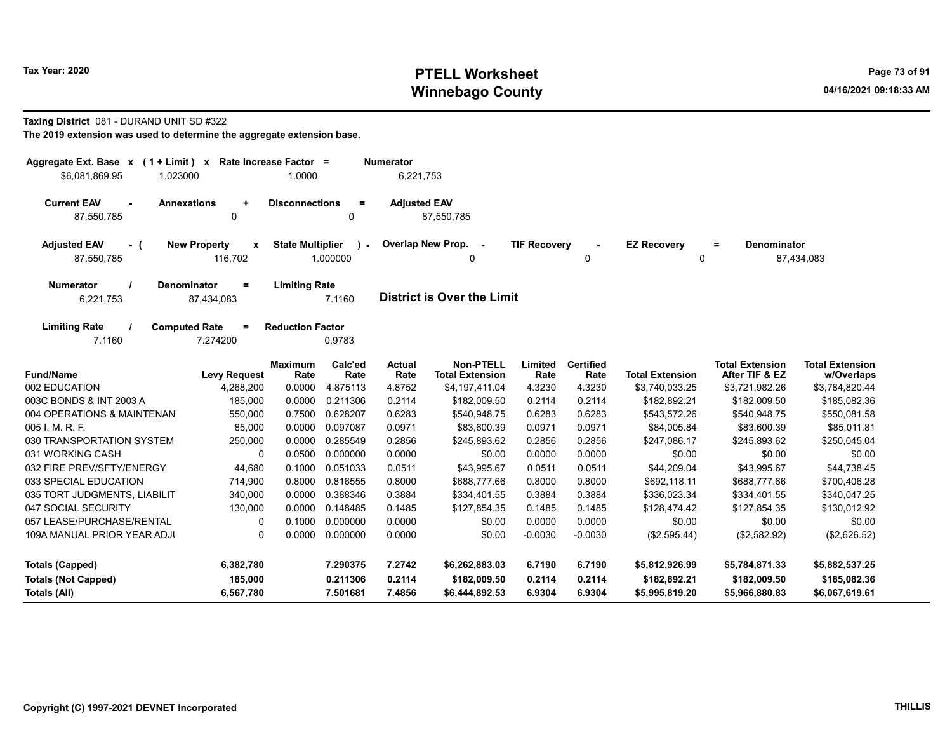### Taxing District 081 - DURAND UNIT SD #322

| Aggregate Ext. Base $x$ (1 + Limit) $x$  |                                     | Rate Increase Factor =  |                 | <b>Numerator</b>      |                                            |                     |                          |                        |                                          |                                      |
|------------------------------------------|-------------------------------------|-------------------------|-----------------|-----------------------|--------------------------------------------|---------------------|--------------------------|------------------------|------------------------------------------|--------------------------------------|
| \$6,081,869.95<br>1.023000               |                                     | 1.0000                  |                 | 6,221,753             |                                            |                     |                          |                        |                                          |                                      |
| <b>Current EAV</b><br><b>Annexations</b> | ÷                                   | <b>Disconnections</b>   | $=$             | <b>Adjusted EAV</b>   |                                            |                     |                          |                        |                                          |                                      |
| 87,550,785                               | $\Omega$                            |                         | $\Omega$        |                       | 87,550,785                                 |                     |                          |                        |                                          |                                      |
| <b>Adjusted EAV</b><br>- (               | <b>New Property</b><br>$\mathbf{x}$ | <b>State Multiplier</b> | $\mathbf{r}$    |                       | Overlap New Prop. -                        | <b>TIF Recoverv</b> |                          | <b>EZ Recovery</b>     | <b>Denominator</b><br>$=$                |                                      |
| 87,550,785                               | 116,702                             |                         | 1.000000        |                       | 0                                          |                     | $\Omega$                 | $\mathbf 0$            |                                          | 87,434,083                           |
| <b>Numerator</b>                         | Denominator<br>$=$                  | <b>Limiting Rate</b>    |                 |                       |                                            |                     |                          |                        |                                          |                                      |
| 6,221,753                                | 87,434,083                          |                         | 7.1160          |                       | <b>District is Over the Limit</b>          |                     |                          |                        |                                          |                                      |
| <b>Limiting Rate</b>                     | <b>Computed Rate</b><br>Ξ           | <b>Reduction Factor</b> |                 |                       |                                            |                     |                          |                        |                                          |                                      |
| 7.1160                                   | 7.274200                            |                         | 0.9783          |                       |                                            |                     |                          |                        |                                          |                                      |
| <b>Fund/Name</b>                         | <b>Levy Request</b>                 | <b>Maximum</b><br>Rate  | Calc'ed<br>Rate | <b>Actual</b><br>Rate | <b>Non-PTELL</b><br><b>Total Extension</b> | Limited<br>Rate     | <b>Certified</b><br>Rate | <b>Total Extension</b> | <b>Total Extension</b><br>After TIF & EZ | <b>Total Extension</b><br>w/Overlaps |
| 002 EDUCATION                            | 4,268,200                           | 0.0000                  | 4.875113        | 4.8752                | \$4,197,411.04                             | 4.3230              | 4.3230                   | \$3,740,033.25         | \$3,721,982.26                           | \$3,784,820.44                       |
| 003C BONDS & INT 2003 A                  | 185,000                             | 0.0000                  | 0.211306        | 0.2114                | \$182,009.50                               | 0.2114              | 0.2114                   | \$182,892.21           | \$182,009.50                             | \$185,082.36                         |
| 004 OPERATIONS & MAINTENAN               | 550,000                             | 0.7500                  | 0.628207        | 0.6283                | \$540,948.75                               | 0.6283              | 0.6283                   | \$543,572.26           | \$540,948.75                             | \$550,081.58                         |
| 005 I. M. R. F.                          | 85,000                              | 0.0000                  | 0.097087        | 0.0971                | \$83,600.39                                | 0.0971              | 0.0971                   | \$84,005.84            | \$83,600.39                              | \$85,011.81                          |
| 030 TRANSPORTATION SYSTEM                | 250,000                             | 0.0000                  | 0.285549        | 0.2856                | \$245,893.62                               | 0.2856              | 0.2856                   | \$247,086.17           | \$245,893.62                             | \$250,045.04                         |
| 031 WORKING CASH                         | 0                                   | 0.0500                  | 0.000000        | 0.0000                | \$0.00                                     | 0.0000              | 0.0000                   | \$0.00                 | \$0.00                                   | \$0.00                               |
| 032 FIRE PREV/SFTY/ENERGY                | 44,680                              | 0.1000                  | 0.051033        | 0.0511                | \$43,995.67                                | 0.0511              | 0.0511                   | \$44,209.04            | \$43,995.67                              | \$44,738.45                          |
| 033 SPECIAL EDUCATION                    | 714,900                             | 0.8000                  | 0.816555        | 0.8000                | \$688,777.66                               | 0.8000              | 0.8000                   | \$692,118.11           | \$688,777.66                             | \$700,406.28                         |
| 035 TORT JUDGMENTS, LIABILIT             | 340,000                             | 0.0000                  | 0.388346        | 0.3884                | \$334,401.55                               | 0.3884              | 0.3884                   | \$336,023.34           | \$334,401.55                             | \$340,047.25                         |
| 047 SOCIAL SECURITY                      | 130,000                             | 0.0000                  | 0.148485        | 0.1485                | \$127,854.35                               | 0.1485              | 0.1485                   | \$128,474.42           | \$127,854.35                             | \$130,012.92                         |
| 057 LEASE/PURCHASE/RENTAL                | 0                                   | 0.1000                  | 0.000000        | 0.0000                | \$0.00                                     | 0.0000              | 0.0000                   | \$0.00                 | \$0.00                                   | \$0.00                               |
| 109A MANUAL PRIOR YEAR ADJI              | 0                                   | 0.0000                  | 0.000000        | 0.0000                | \$0.00                                     | $-0.0030$           | $-0.0030$                | (\$2,595.44)           | (\$2,582.92)                             | (\$2,626.52)                         |
| <b>Totals (Capped)</b>                   | 6,382,780                           |                         | 7.290375        | 7.2742                | \$6,262,883.03                             | 6.7190              | 6.7190                   | \$5,812,926.99         | \$5,784,871.33                           | \$5,882,537.25                       |
| <b>Totals (Not Capped)</b>               | 185,000                             |                         | 0.211306        | 0.2114                | \$182,009.50                               | 0.2114              | 0.2114                   | \$182,892.21           | \$182,009.50                             | \$185,082.36                         |
| Totals (All)                             | 6,567,780                           |                         | 7.501681        | 7.4856                | \$6,444,892.53                             | 6.9304              | 6.9304                   | \$5,995,819.20         | \$5,966,880.83                           | \$6,067,619.61                       |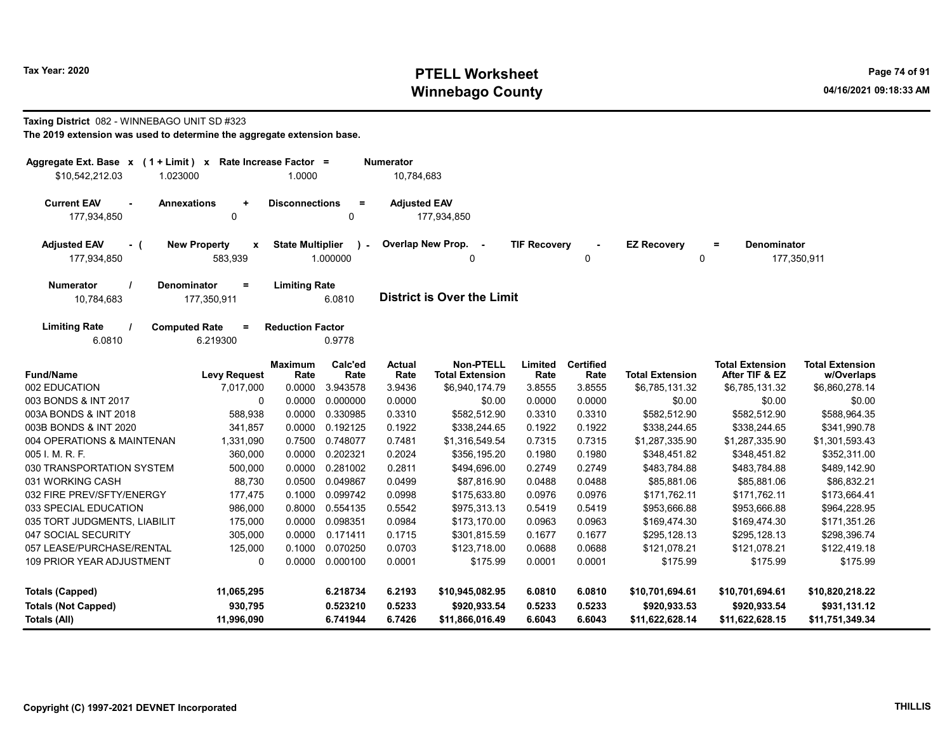# Taxing District 082 - WINNEBAGO UNIT SD #323

| Aggregate Ext. Base $x$ (1 + Limit) $x$<br>\$10,542,212.03<br>1.023000                                                                     | Rate Increase Factor =<br>1.0000        |                 | <b>Numerator</b><br>10,784,683 |                                            |                     |                          |                        |                                               |                                      |  |  |  |
|--------------------------------------------------------------------------------------------------------------------------------------------|-----------------------------------------|-----------------|--------------------------------|--------------------------------------------|---------------------|--------------------------|------------------------|-----------------------------------------------|--------------------------------------|--|--|--|
| <b>Current EAV</b><br><b>Annexations</b><br>$\ddot{}$<br>177,934,850<br>0                                                                  | <b>Disconnections</b>                   | $\equiv$<br>0   | <b>Adjusted EAV</b>            | 177,934,850                                |                     |                          |                        |                                               |                                      |  |  |  |
| <b>New Property</b><br><b>Adjusted EAV</b><br>- (<br>177,934,850<br>583,939                                                                | <b>State Multiplier</b><br>$\mathbf{x}$ | 1.000000        | Overlap New Prop.              | $\sim$ $\sim$<br>$\Omega$                  | <b>TIF Recovery</b> | 0                        | <b>EZ Recovery</b>     | <b>Denominator</b><br>$\equiv$<br>$\mathbf 0$ | 177,350,911                          |  |  |  |
| <b>Numerator</b><br>Denominator<br><b>Limiting Rate</b><br>$=$<br><b>District is Over the Limit</b><br>10,784,683<br>177,350,911<br>6.0810 |                                         |                 |                                |                                            |                     |                          |                        |                                               |                                      |  |  |  |
| <b>Limiting Rate</b><br><b>Computed Rate</b><br>$=$<br>6.0810<br>6.219300                                                                  | <b>Reduction Factor</b>                 | 0.9778          |                                |                                            |                     |                          |                        |                                               |                                      |  |  |  |
| <b>Fund/Name</b><br><b>Levy Request</b>                                                                                                    | <b>Maximum</b><br>Rate                  | Calc'ed<br>Rate | <b>Actual</b><br>Rate          | <b>Non-PTELL</b><br><b>Total Extension</b> | Limited<br>Rate     | <b>Certified</b><br>Rate | <b>Total Extension</b> | <b>Total Extension</b><br>After TIF & EZ      | <b>Total Extension</b><br>w/Overlaps |  |  |  |
| 002 EDUCATION<br>7,017,000                                                                                                                 | 0.0000                                  | 3.943578        | 3.9436                         | \$6,940,174.79                             | 3.8555              | 3.8555                   | \$6,785,131.32         | \$6,785,131.32                                | \$6,860,278.14                       |  |  |  |
| 003 BONDS & INT 2017                                                                                                                       | $\Omega$<br>0.0000                      | 0.000000        | 0.0000                         | \$0.00                                     | 0.0000              | 0.0000                   | \$0.00                 | \$0.00                                        | \$0.00                               |  |  |  |
| 003A BONDS & INT 2018<br>588,938                                                                                                           | 0.0000                                  | 0.330985        | 0.3310                         | \$582,512.90                               | 0.3310              | 0.3310                   | \$582,512.90           | \$582,512.90                                  | \$588,964.35                         |  |  |  |
| 003B BONDS & INT 2020<br>341,857                                                                                                           | 0.0000                                  | 0.192125        | 0.1922                         | \$338,244.65                               | 0.1922              | 0.1922                   | \$338,244.65           | \$338,244.65                                  | \$341,990.78                         |  |  |  |
| 004 OPERATIONS & MAINTENAN<br>1,331,090                                                                                                    | 0.7500                                  | 0.748077        | 0.7481                         | \$1,316,549.54                             | 0.7315              | 0.7315                   | \$1,287,335.90         | \$1,287,335.90                                | \$1,301,593.43                       |  |  |  |
| 005 I. M. R. F.<br>360,000                                                                                                                 | 0.0000                                  | 0.202321        | 0.2024                         | \$356,195.20                               | 0.1980              | 0.1980                   | \$348,451.82           | \$348,451.82                                  | \$352,311.00                         |  |  |  |
| 030 TRANSPORTATION SYSTEM<br>500,000                                                                                                       | 0.0000                                  | 0.281002        | 0.2811                         | \$494,696.00                               | 0.2749              | 0.2749                   | \$483,784.88           | \$483,784.88                                  | \$489,142.90                         |  |  |  |
| 031 WORKING CASH<br>88,730                                                                                                                 | 0.0500                                  | 0.049867        | 0.0499                         | \$87,816.90                                | 0.0488              | 0.0488                   | \$85,881.06            | \$85,881.06                                   | \$86,832.21                          |  |  |  |
| 032 FIRE PREV/SFTY/ENERGY<br>177,475                                                                                                       | 0.1000                                  | 0.099742        | 0.0998                         | \$175,633.80                               | 0.0976              | 0.0976                   | \$171,762.11           | \$171,762.11                                  | \$173,664.41                         |  |  |  |
| 033 SPECIAL EDUCATION<br>986,000                                                                                                           | 0.8000                                  | 0.554135        | 0.5542                         | \$975,313.13                               | 0.5419              | 0.5419                   | \$953,666.88           | \$953,666.88                                  | \$964,228.95                         |  |  |  |
| 035 TORT JUDGMENTS, LIABILIT<br>175,000                                                                                                    | 0.0000                                  | 0.098351        | 0.0984                         | \$173,170.00                               | 0.0963              | 0.0963                   | \$169,474.30           | \$169,474.30                                  | \$171,351.26                         |  |  |  |
| 047 SOCIAL SECURITY<br>305,000                                                                                                             | 0.0000                                  | 0.171411        | 0.1715                         | \$301,815.59                               | 0.1677              | 0.1677                   | \$295,128.13           | \$295.128.13                                  | \$298,396.74                         |  |  |  |
| 057 LEASE/PURCHASE/RENTAL<br>125,000                                                                                                       | 0.1000                                  | 0.070250        | 0.0703                         | \$123,718.00                               | 0.0688              | 0.0688                   | \$121,078.21           | \$121,078.21                                  | \$122,419.18                         |  |  |  |
| 109 PRIOR YEAR ADJUSTMENT                                                                                                                  | $\Omega$<br>0.0000                      | 0.000100        | 0.0001                         | \$175.99                                   | 0.0001              | 0.0001                   | \$175.99               | \$175.99                                      | \$175.99                             |  |  |  |
| <b>Totals (Capped)</b><br>11,065,295                                                                                                       |                                         | 6.218734        | 6.2193                         | \$10,945,082.95                            | 6.0810              | 6.0810                   | \$10,701,694.61        | \$10,701,694.61                               | \$10,820,218.22                      |  |  |  |
| 930,795<br><b>Totals (Not Capped)</b>                                                                                                      |                                         | 0.523210        | 0.5233                         | \$920,933.54                               | 0.5233              | 0.5233                   | \$920,933.53           | \$920,933.54                                  | \$931,131.12                         |  |  |  |
| Totals (All)<br>11,996,090                                                                                                                 |                                         | 6.741944        | 6.7426                         | \$11,866,016.49                            | 6.6043              | 6.6043                   | \$11,622,628.14        | \$11,622,628.15                               | \$11,751,349.34                      |  |  |  |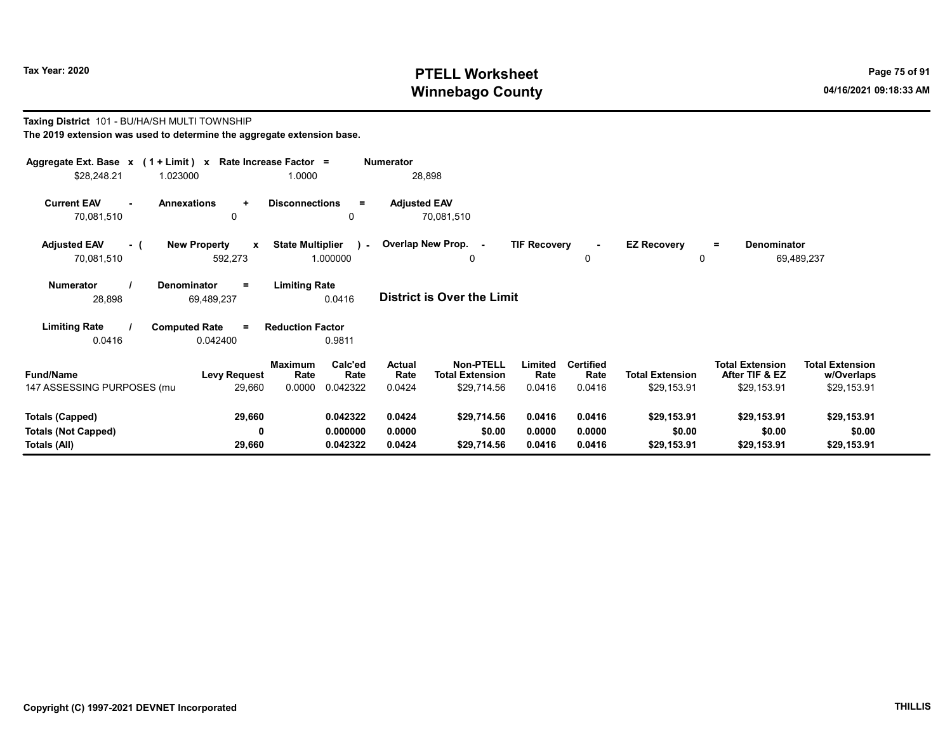Taxing District 101 - BU/HA/SH MULTI TOWNSHIP

# Tax Year: 2020 PTELL Worksheet Press, 2020 Page 75 of 91 Winnebago County and the county of the county of the county of the county of the county of the county of the county of the county of the county of the county of the county of the county of the county of the county of the c

#### The 2019 extension was used to determine the aggregate extension base. Aggregate Ext. Base x ( 1 + Limit ) x Rate Increase Factor = Numerator \$28,248.21 1.023000 1.0000 28,898 Current EAV - Annexations + Disconnections = Adjusted EAV 70,081,510 0 0 70,081,510 Adjusted EAV - ( New Property x State Multiplier 70,081,510 592,273 1.000000 Numerator / Denominator = Limiting Rate District is Over the Limit Limiting Rate / Computed Rate = 28,898 69,489,237 0.0416 0.0416 0.042400 Reduction Factor 0.9811 Fund/Name Levy Request Rate Rate Total Extension Total Extension **Limited<br>Rate** w/Overlaps Total Extension After TIF & EZ Total Extension Maximum Calc'ed Actual<br>Rate Rate Rate **Rate** Calc'ed Rate Non-PTELL Limited Certified 147 ASSESSING PURPOSES (multi-twp) 29,660 0.0000 0.042322 0.0424 \$29,714.56 0.0416 0.0416 \$29,153.91 \$29,153.91 \$29,153.91 Totals (Capped) 29,660 0.042322 0.0424 \$29,714.56 0.0416 0.0416 \$29,153.91 \$29,153.91 \$29,153.91 Totals (Not Capped) 0 0.000000 0.0000 \$0.00 0.0000 0.0000 \$0.00 \$0.00 \$0.00 Totals (All) 29,660 0.042322 0.0424 \$29,714.56 0.0416 0.0416 \$29,153.91 \$29,153.91 \$29,153.91 0 Overlap New Prop. - TIF Recovery - EZ Recovery 0 0 = Denominator 69,489,237  $\cdot$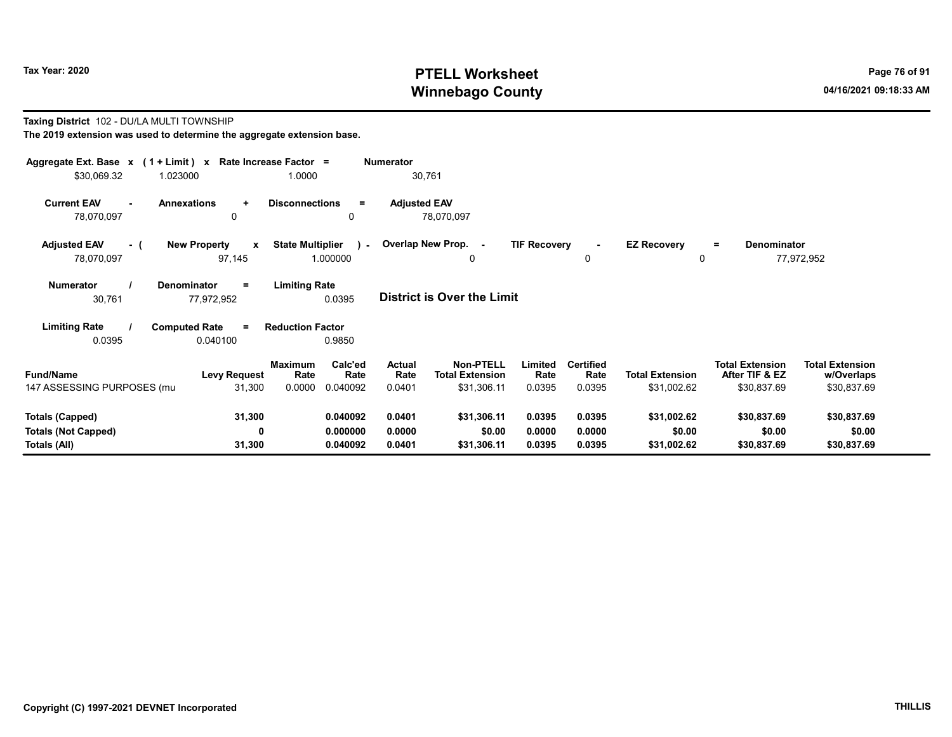#### Taxing District 102 - DU/LA MULTI TOWNSHIP The 2019 extension was used to determine the aggregate extension base.

| Aggregate Ext. Base $x$ (1 + Limit) x Rate Increase Factor =<br>\$30,069.32 | 1.023000<br>1.0000                                                       |                                  | Numerator<br>30,761             |                                                           |                            |                                    |                                       |                                                         |                                                     |
|-----------------------------------------------------------------------------|--------------------------------------------------------------------------|----------------------------------|---------------------------------|-----------------------------------------------------------|----------------------------|------------------------------------|---------------------------------------|---------------------------------------------------------|-----------------------------------------------------|
| <b>Current EAV</b><br>78,070,097                                            | <b>Annexations</b><br><b>Disconnections</b><br>$\ddot{}$<br>0            | $=$<br>0                         | <b>Adjusted EAV</b>             | 78,070,097                                                |                            |                                    |                                       |                                                         |                                                     |
| <b>Adjusted EAV</b><br>- (<br>78,070,097                                    | <b>New Property</b><br><b>State Multiplier</b><br>$\mathbf{x}$<br>97,145 | 1.000000                         | - Overlap New Prop. -           | 0                                                         | <b>TIF Recovery</b>        | 0                                  | <b>EZ Recovery</b><br>0               | <b>Denominator</b><br>$\equiv$                          | 77,972,952                                          |
| <b>Numerator</b><br>30,761                                                  | <b>Limiting Rate</b><br><b>Denominator</b><br>$\equiv$<br>77,972,952     | 0.0395                           |                                 | <b>District is Over the Limit</b>                         |                            |                                    |                                       |                                                         |                                                     |
| <b>Limiting Rate</b><br>0.0395                                              | <b>Computed Rate</b><br><b>Reduction Factor</b><br>$=$<br>0.040100       | 0.9850                           |                                 |                                                           |                            |                                    |                                       |                                                         |                                                     |
| <b>Fund/Name</b><br>147 ASSESSING PURPOSES (mu                              | <b>Maximum</b><br><b>Levy Request</b><br>Rate<br>0.0000<br>31,300        | Calc'ed<br>Rate<br>0.040092      | <b>Actual</b><br>Rate<br>0.0401 | <b>Non-PTELL</b><br><b>Total Extension</b><br>\$31,306.11 | Limited<br>Rate<br>0.0395  | <b>Certified</b><br>Rate<br>0.0395 | <b>Total Extension</b><br>\$31,002.62 | <b>Total Extension</b><br>After TIF & EZ<br>\$30,837.69 | <b>Total Extension</b><br>w/Overlaps<br>\$30,837.69 |
| <b>Totals (Capped)</b><br><b>Totals (Not Capped)</b><br>Totals (All)        | 31,300<br>0<br>31,300                                                    | 0.040092<br>0.000000<br>0.040092 | 0.0401<br>0.0000<br>0.0401      | \$31,306.11<br>\$0.00<br>\$31,306.11                      | 0.0395<br>0.0000<br>0.0395 | 0.0395<br>0.0000<br>0.0395         | \$31,002.62<br>\$0.00<br>\$31,002.62  | \$30,837.69<br>\$0.00<br>\$30,837.69                    | \$30,837.69<br>\$0.00<br>\$30,837.69                |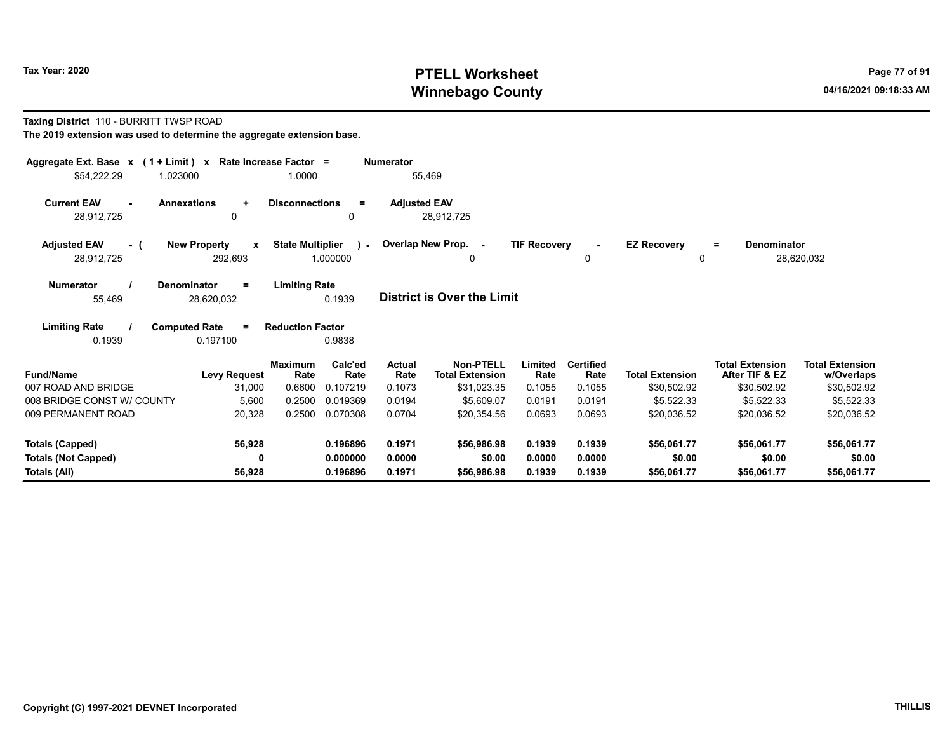### Taxing District 110 - BURRITT TWSP ROAD

| Aggregate Ext. Base $x$ (1 + Limit) x Rate Increase Factor =<br><b>Numerator</b> |                                                |                                                     |                                   |                                            |                     |                          |                         |                                          |                                      |  |  |
|----------------------------------------------------------------------------------|------------------------------------------------|-----------------------------------------------------|-----------------------------------|--------------------------------------------|---------------------|--------------------------|-------------------------|------------------------------------------|--------------------------------------|--|--|
| \$54,222.29<br>1.023000                                                          |                                                | 1.0000                                              | 55,469                            |                                            |                     |                          |                         |                                          |                                      |  |  |
| <b>Current EAV</b><br><b>Annexations</b><br>28,912,725                           | $\ddot{}$<br>0                                 | <b>Disconnections</b><br>$=$<br>0                   | <b>Adjusted EAV</b><br>28,912,725 |                                            |                     |                          |                         |                                          |                                      |  |  |
| <b>Adjusted EAV</b><br>- (<br>28,912,725                                         | <b>New Property</b><br>$\mathbf{x}$<br>292,693 | <b>State Multiplier</b><br>$\mathbf{L}$<br>1.000000 | Overlap New Prop. -               | 0                                          | <b>TIF Recovery</b> | 0                        | <b>EZ Recovery</b><br>0 | <b>Denominator</b><br>$\equiv$           | 28,620,032                           |  |  |
| <b>Numerator</b><br><b>Denominator</b><br>55,469                                 | $=$<br>28,620,032                              | <b>Limiting Rate</b><br>0.1939                      | <b>District is Over the Limit</b> |                                            |                     |                          |                         |                                          |                                      |  |  |
| <b>Limiting Rate</b><br><b>Computed Rate</b><br>0.1939                           | $=$<br>0.197100                                | <b>Reduction Factor</b><br>0.9838                   |                                   |                                            |                     |                          |                         |                                          |                                      |  |  |
| <b>Fund/Name</b>                                                                 | <b>Levy Request</b>                            | <b>Maximum</b><br>Calc'ed<br>Rate<br>Rate           | <b>Actual</b><br>Rate             | <b>Non-PTELL</b><br><b>Total Extension</b> | Limited<br>Rate     | <b>Certified</b><br>Rate | <b>Total Extension</b>  | <b>Total Extension</b><br>After TIF & EZ | <b>Total Extension</b><br>w/Overlaps |  |  |
| 007 ROAD AND BRIDGE                                                              | 31,000                                         | 0.107219<br>0.6600                                  | 0.1073                            | \$31,023.35                                | 0.1055              | 0.1055                   | \$30,502.92             | \$30,502.92                              | \$30,502.92                          |  |  |
| 008 BRIDGE CONST W/ COUNTY                                                       | 5,600                                          | 0.2500<br>0.019369                                  | 0.0194                            | \$5,609.07                                 | 0.0191              | 0.0191                   | \$5,522.33              | \$5,522.33                               | \$5,522.33                           |  |  |
| 009 PERMANENT ROAD                                                               | 20,328                                         | 0.070308<br>0.2500                                  | 0.0704                            | \$20,354.56                                | 0.0693              | 0.0693                   | \$20,036.52             | \$20,036.52                              | \$20,036.52                          |  |  |
| Totals (Capped)                                                                  | 56,928                                         | 0.196896                                            | 0.1971                            | \$56,986.98                                | 0.1939              | 0.1939                   | \$56,061.77             | \$56,061.77                              | \$56,061.77                          |  |  |
| <b>Totals (Not Capped)</b>                                                       | 0                                              | 0.000000                                            | 0.0000                            | \$0.00                                     | 0.0000              | 0.0000                   | \$0.00                  | \$0.00                                   | \$0.00                               |  |  |
| Totals (All)                                                                     | 56,928                                         | 0.196896                                            | 0.1971                            | \$56,986.98                                | 0.1939              | 0.1939                   | \$56,061.77             | \$56,061.77                              | \$56,061.77                          |  |  |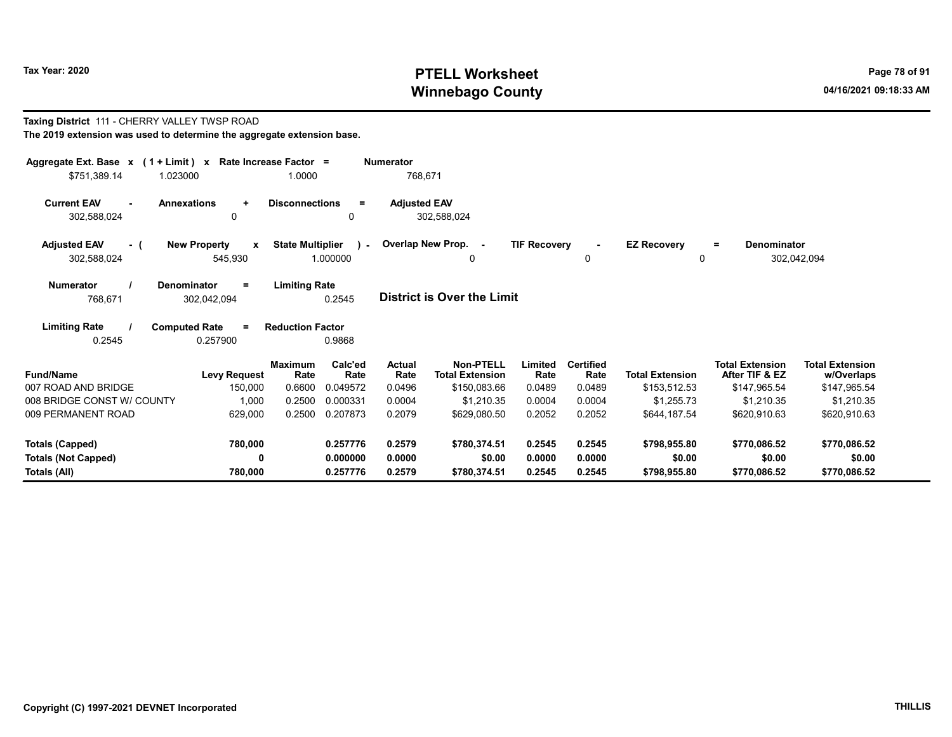Taxing District 111 - CHERRY VALLEY TWSP ROAD

# Tax Year: 2020 PTELL Worksheet PTELL Worksheet Winnebago County and the County of the County of the County of the County of the County of the County of the County of the County of the County of the County of the County of the County of the County of the County of the C

|                                                            | The 2019 extension was used to determine the aggregate extension base. |                         |                 |                       |                                            |                     |                          |                        |                                          |                                      |  |  |  |
|------------------------------------------------------------|------------------------------------------------------------------------|-------------------------|-----------------|-----------------------|--------------------------------------------|---------------------|--------------------------|------------------------|------------------------------------------|--------------------------------------|--|--|--|
| Aggregate Ext. Base x (1 + Limit) x Rate Increase Factor = |                                                                        |                         |                 | <b>Numerator</b>      |                                            |                     |                          |                        |                                          |                                      |  |  |  |
| \$751,389.14                                               | 1.023000                                                               | 1.0000                  |                 | 768,671               |                                            |                     |                          |                        |                                          |                                      |  |  |  |
| <b>Current EAV</b>                                         | <b>Annexations</b><br>÷                                                | <b>Disconnections</b>   | $\equiv$        | <b>Adjusted EAV</b>   |                                            |                     |                          |                        |                                          |                                      |  |  |  |
| 302,588,024                                                | 0                                                                      |                         | $\mathbf{0}$    |                       | 302,588,024                                |                     |                          |                        |                                          |                                      |  |  |  |
| <b>Adjusted EAV</b><br>- (                                 | <b>New Property</b><br>$\mathbf{x}$                                    | <b>State Multiplier</b> | $\sim$          |                       | Overlap New Prop. -                        | <b>TIF Recovery</b> |                          | <b>EZ Recovery</b>     | <b>Denominator</b><br>$=$                |                                      |  |  |  |
| 302,588,024                                                | 545,930                                                                |                         | 1.000000        |                       | 0                                          |                     | 0                        | 0                      |                                          | 302,042,094                          |  |  |  |
| <b>Numerator</b>                                           | <b>Denominator</b><br>Ξ                                                | <b>Limiting Rate</b>    |                 |                       |                                            |                     |                          |                        |                                          |                                      |  |  |  |
| 768.671                                                    | 302,042,094                                                            |                         | 0.2545          |                       | <b>District is Over the Limit</b>          |                     |                          |                        |                                          |                                      |  |  |  |
| <b>Limiting Rate</b>                                       | <b>Computed Rate</b><br>Ξ.                                             | <b>Reduction Factor</b> |                 |                       |                                            |                     |                          |                        |                                          |                                      |  |  |  |
| 0.2545                                                     | 0.257900                                                               |                         | 0.9868          |                       |                                            |                     |                          |                        |                                          |                                      |  |  |  |
| <b>Fund/Name</b>                                           | <b>Levy Request</b>                                                    | <b>Maximum</b><br>Rate  | Calc'ed<br>Rate | <b>Actual</b><br>Rate | <b>Non-PTELL</b><br><b>Total Extension</b> | Limited<br>Rate     | <b>Certified</b><br>Rate | <b>Total Extension</b> | <b>Total Extension</b><br>After TIF & EZ | <b>Total Extension</b><br>w/Overlaps |  |  |  |
| 007 ROAD AND BRIDGE                                        | 150,000                                                                | 0.6600                  | 0.049572        | 0.0496                | \$150,083.66                               | 0.0489              | 0.0489                   | \$153,512.53           | \$147,965.54                             | \$147,965.54                         |  |  |  |
| 008 BRIDGE CONST W/ COUNTY                                 | 1,000                                                                  | 0.2500                  | 0.000331        | 0.0004                | \$1,210.35                                 | 0.0004              | 0.0004                   | \$1,255.73             | \$1,210.35                               | \$1,210.35                           |  |  |  |
| 009 PERMANENT ROAD                                         | 629,000                                                                | 0.2500                  | 0.207873        | 0.2079                | \$629,080.50                               | 0.2052              | 0.2052                   | \$644.187.54           | \$620,910.63                             | \$620,910.63                         |  |  |  |
| <b>Totals (Capped)</b>                                     | 780,000                                                                |                         | 0.257776        | 0.2579                | \$780,374.51                               | 0.2545              | 0.2545                   | \$798,955.80           | \$770,086.52                             | \$770,086.52                         |  |  |  |
| <b>Totals (Not Capped)</b>                                 | 0                                                                      |                         | 0.000000        | 0.0000                | \$0.00                                     | 0.0000              | 0.0000                   | \$0.00                 | \$0.00                                   | \$0.00                               |  |  |  |
| Totals (All)                                               | 780,000                                                                |                         | 0.257776        | 0.2579                | \$780.374.51                               | 0.2545              | 0.2545                   | \$798,955.80           | \$770,086.52                             | \$770,086.52                         |  |  |  |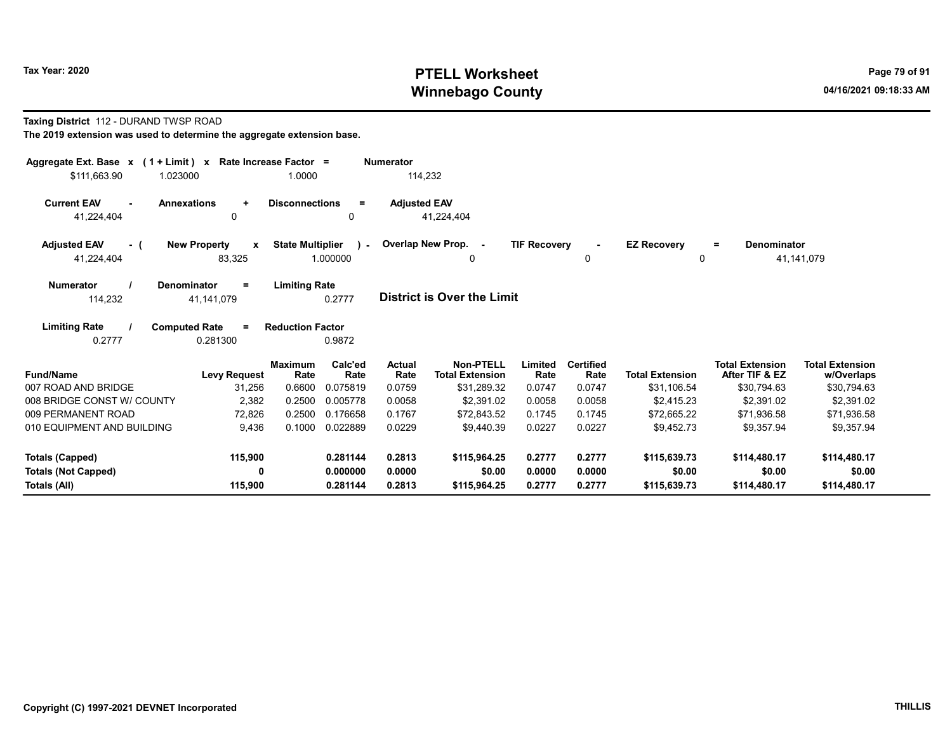### Taxing District 112 - DURAND TWSP ROAD

| Aggregate Ext. Base $x$ (1 + Limit) $x$ Rate Increase Factor = |                                               | 1.0000                  |                         | Numerator             |                                            |                     |                          |                         |                                          |                                      |
|----------------------------------------------------------------|-----------------------------------------------|-------------------------|-------------------------|-----------------------|--------------------------------------------|---------------------|--------------------------|-------------------------|------------------------------------------|--------------------------------------|
| \$111,663.90                                                   | 1.023000                                      |                         |                         | 114,232               |                                            |                     |                          |                         |                                          |                                      |
| <b>Current EAV</b><br>$\sim$<br>41,224,404                     | <b>Annexations</b><br>$\ddot{}$<br>0          | <b>Disconnections</b>   | $=$<br>0                | <b>Adjusted EAV</b>   | 41,224,404                                 |                     |                          |                         |                                          |                                      |
| <b>Adjusted EAV</b><br>- (<br>41,224,404                       | <b>New Property</b><br>$\mathbf{x}$<br>83,325 | <b>State Multiplier</b> | $\lambda$ -<br>1.000000 |                       | Overlap New Prop. -<br>0                   | <b>TIF Recovery</b> | 0                        | <b>EZ Recovery</b><br>0 | Denominator<br>$=$                       | 41,141,079                           |
| <b>Numerator</b><br>114,232                                    | <b>Denominator</b><br>$\equiv$<br>41,141,079  | <b>Limiting Rate</b>    | 0.2777                  |                       | <b>District is Over the Limit</b>          |                     |                          |                         |                                          |                                      |
| <b>Limiting Rate</b><br>0.2777                                 | <b>Computed Rate</b><br>$=$<br>0.281300       | <b>Reduction Factor</b> | 0.9872                  |                       |                                            |                     |                          |                         |                                          |                                      |
| <b>Fund/Name</b>                                               | <b>Levy Request</b>                           | <b>Maximum</b><br>Rate  | Calc'ed<br>Rate         | <b>Actual</b><br>Rate | <b>Non-PTELL</b><br><b>Total Extension</b> | Limited<br>Rate     | <b>Certified</b><br>Rate | <b>Total Extension</b>  | <b>Total Extension</b><br>After TIF & EZ | <b>Total Extension</b><br>w/Overlaps |
| 007 ROAD AND BRIDGE                                            | 31,256                                        | 0.6600                  | 0.075819                | 0.0759                | \$31,289.32                                | 0.0747              | 0.0747                   | \$31,106.54             | \$30,794.63                              | \$30,794.63                          |
| 008 BRIDGE CONST W/ COUNTY                                     | 2,382                                         | 0.2500                  | 0.005778                | 0.0058                | \$2,391.02                                 | 0.0058              | 0.0058                   | \$2,415.23              | \$2,391.02                               | \$2,391.02                           |
| 009 PERMANENT ROAD                                             | 72,826                                        | 0.2500                  | 0.176658                | 0.1767                | \$72.843.52                                | 0.1745              | 0.1745                   | \$72,665.22             | \$71,936.58                              | \$71,936.58                          |
| 010 EQUIPMENT AND BUILDING                                     | 9.436                                         | 0.1000                  | 0.022889                | 0.0229                | \$9.440.39                                 | 0.0227              | 0.0227                   | \$9.452.73              | \$9.357.94                               | \$9,357.94                           |
| Totals (Capped)                                                | 115,900                                       |                         | 0.281144                | 0.2813                | \$115,964.25                               | 0.2777              | 0.2777                   | \$115,639.73            | \$114,480.17                             | \$114,480.17                         |
| <b>Totals (Not Capped)</b>                                     | 0                                             |                         | 0.000000                | 0.0000                | \$0.00                                     | 0.0000              | 0.0000                   | \$0.00                  | \$0.00                                   | \$0.00                               |
| Totals (All)                                                   | 115,900                                       |                         | 0.281144                | 0.2813                | \$115,964.25                               | 0.2777              | 0.2777                   | \$115,639.73            | \$114,480.17                             | \$114,480.17                         |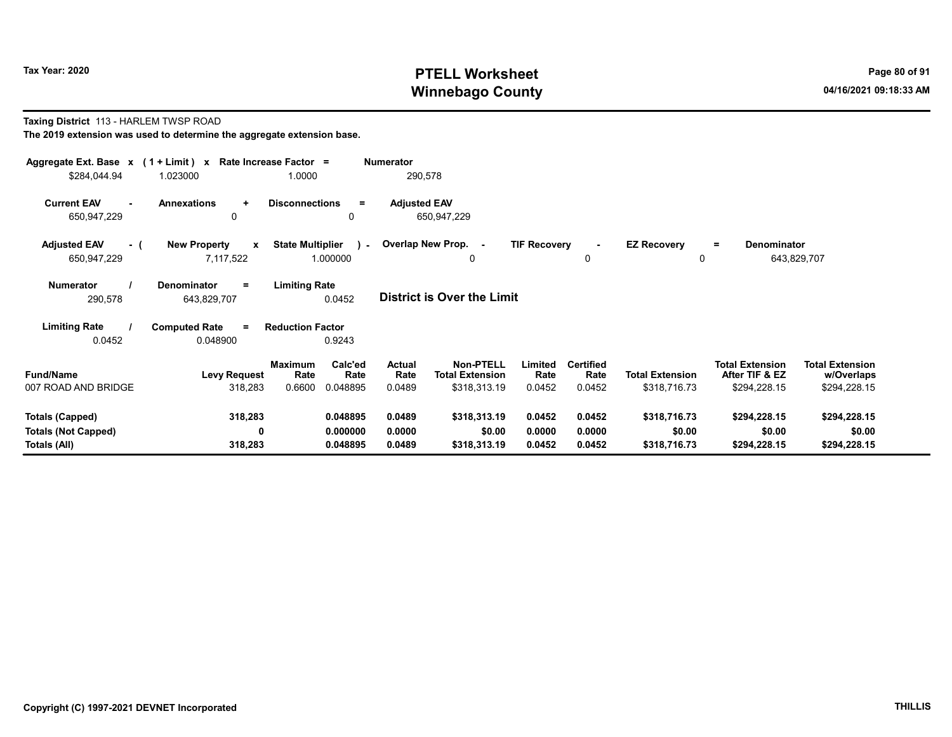#### Taxing District 113 - HARLEM TWSP ROAD The 2019 extension was used to determine the aggregate extension base.

| Aggregate Ext. Base $x$ (1 + Limit) x Rate Increase Factor =<br>\$284,044.94 | 1.023000                                         | 1.0000                                                   | <b>Numerator</b><br>290,578        |                                                                                         |                                    |                                        |                                                          |                                                      |
|------------------------------------------------------------------------------|--------------------------------------------------|----------------------------------------------------------|------------------------------------|-----------------------------------------------------------------------------------------|------------------------------------|----------------------------------------|----------------------------------------------------------|------------------------------------------------------|
| <b>Current EAV</b><br>650,947,229                                            | <b>Annexations</b><br>÷<br>0                     | <b>Disconnections</b><br>$=$<br>0                        | <b>Adjusted EAV</b><br>650,947,229 |                                                                                         |                                    |                                        |                                                          |                                                      |
| <b>Adjusted EAV</b><br>- 1<br>650,947,229                                    | <b>New Property</b><br>$\mathbf{x}$<br>7,117,522 | <b>State Multiplier</b><br>$\sim$<br>1.000000            | Overlap New Prop. -                | <b>TIF Recovery</b><br>0                                                                | 0                                  | <b>EZ Recovery</b><br>0                | <b>Denominator</b><br>$\equiv$                           | 643,829,707                                          |
| <b>Numerator</b><br>290,578                                                  | Denominator<br>$=$<br>643,829,707                | <b>Limiting Rate</b><br>0.0452                           | <b>District is Over the Limit</b>  |                                                                                         |                                    |                                        |                                                          |                                                      |
| <b>Limiting Rate</b><br>0.0452                                               | <b>Computed Rate</b><br>$=$<br>0.048900          | <b>Reduction Factor</b><br>0.9243                        |                                    |                                                                                         |                                    |                                        |                                                          |                                                      |
| <b>Fund/Name</b><br>007 ROAD AND BRIDGE                                      | <b>Levy Request</b><br>318,283                   | Calc'ed<br>Maximum<br>Rate<br>Rate<br>0.6600<br>0.048895 | Actual<br>Rate<br>0.0489           | <b>Non-PTELL</b><br>Limited<br><b>Total Extension</b><br>Rate<br>\$318,313.19<br>0.0452 | <b>Certified</b><br>Rate<br>0.0452 | <b>Total Extension</b><br>\$318,716.73 | <b>Total Extension</b><br>After TIF & EZ<br>\$294,228.15 | <b>Total Extension</b><br>w/Overlaps<br>\$294,228.15 |
| Totals (Capped)<br><b>Totals (Not Capped)</b><br>Totals (All)                | 318,283<br>0<br>318,283                          | 0.048895<br>0.000000<br>0.048895                         | 0.0489<br>0.0000<br>0.0489         | \$318,313.19<br>0.0452<br>\$0.00<br>0.0000<br>\$318,313.19<br>0.0452                    | 0.0452<br>0.0000<br>0.0452         | \$318,716.73<br>\$0.00<br>\$318,716.73 | \$294,228.15<br>\$0.00<br>\$294,228.15                   | \$294,228.15<br>\$0.00<br>\$294,228.15               |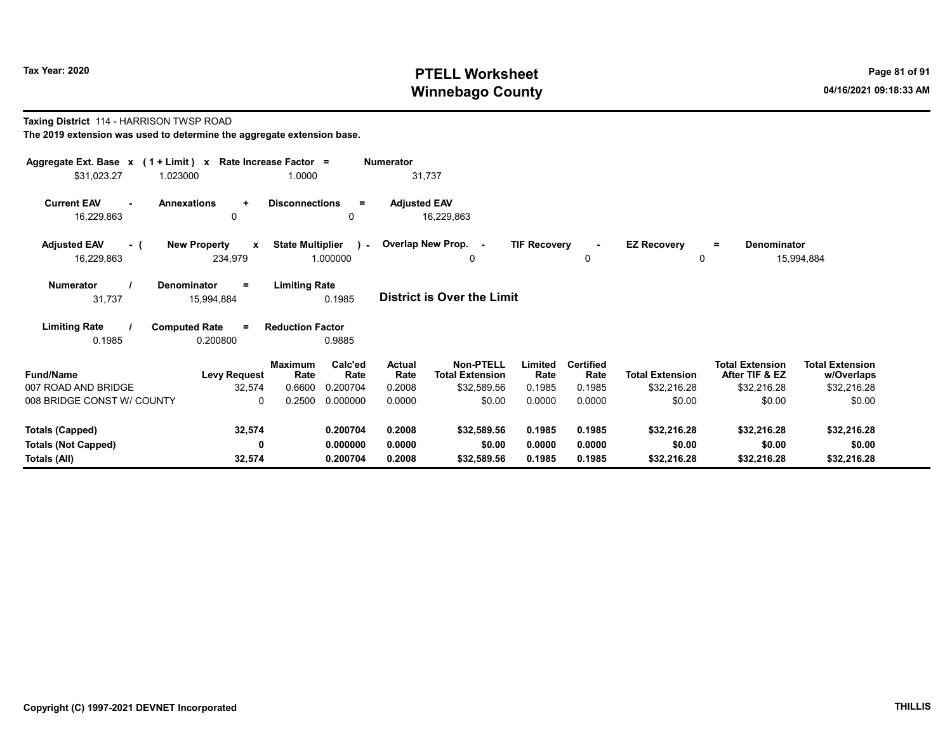#### Taxing District 114 - HARRISON TWSP ROAD The 2019 extension was used to determine the aggregate extension base.

| Aggregate Ext. Base $x$ (1 + Limit) $x$ Rate Increase Factor =<br>\$31,023.27<br>1.023000 |                                                | 1.0000                                              | <b>Numerator</b><br>31,737 |                                                    |                           |                                    |                                       |                                                         |                                                     |
|-------------------------------------------------------------------------------------------|------------------------------------------------|-----------------------------------------------------|----------------------------|----------------------------------------------------|---------------------------|------------------------------------|---------------------------------------|---------------------------------------------------------|-----------------------------------------------------|
| <b>Current EAV</b><br><b>Annexations</b><br>16,229,863                                    | ÷<br>0                                         | <b>Disconnections</b><br>$=$<br>0                   | <b>Adjusted EAV</b>        | 16,229,863                                         |                           |                                    |                                       |                                                         |                                                     |
| <b>Adjusted EAV</b><br>- (<br>16,229,863                                                  | <b>New Property</b><br>$\mathbf{x}$<br>234,979 | <b>State Multiplier</b><br>$\mathbf{L}$<br>1.000000 |                            | Overlap New Prop. -<br>0                           | <b>TIF Recovery</b>       | $\sim$<br>0                        | <b>EZ Recovery</b><br>0               | Denominator<br>$=$                                      | 15,994,884                                          |
| <b>Numerator</b><br>Denominator<br>31,737                                                 | $\equiv$<br>15,994,884                         | <b>Limiting Rate</b><br>0.1985                      |                            | <b>District is Over the Limit</b>                  |                           |                                    |                                       |                                                         |                                                     |
| <b>Limiting Rate</b><br><b>Computed Rate</b><br>0.1985                                    | $=$<br>0.200800                                | <b>Reduction Factor</b><br>0.9885                   |                            |                                                    |                           |                                    |                                       |                                                         |                                                     |
| <b>Fund/Name</b><br>007 ROAD AND BRIDGE                                                   | Maximum<br><b>Levy Request</b><br>32,574       | Calc'ed<br>Rate<br>Rate<br>0.6600<br>0.200704       | Actual<br>Rate<br>0.2008   | Non-PTELL<br><b>Total Extension</b><br>\$32,589.56 | Limited<br>Rate<br>0.1985 | <b>Certified</b><br>Rate<br>0.1985 | <b>Total Extension</b><br>\$32,216.28 | <b>Total Extension</b><br>After TIF & EZ<br>\$32,216.28 | <b>Total Extension</b><br>w/Overlaps<br>\$32,216.28 |
| 008 BRIDGE CONST W/ COUNTY                                                                | $\mathbf{0}$                                   | 0.2500<br>0.000000                                  | 0.0000                     | \$0.00                                             | 0.0000                    | 0.0000                             | \$0.00                                | \$0.00                                                  | \$0.00                                              |
| <b>Totals (Capped)</b><br><b>Totals (Not Capped)</b>                                      | 32,574<br>0                                    | 0.200704<br>0.000000                                | 0.2008<br>0.0000           | \$32,589.56<br>\$0.00                              | 0.1985<br>0.0000          | 0.1985<br>0.0000                   | \$32,216.28<br>\$0.00                 | \$32,216.28<br>\$0.00                                   | \$32,216.28<br>\$0.00                               |
| Totals (All)                                                                              | 32,574                                         | 0.200704                                            | 0.2008                     | \$32,589.56                                        | 0.1985                    | 0.1985                             | \$32,216.28                           | \$32,216.28                                             | \$32,216.28                                         |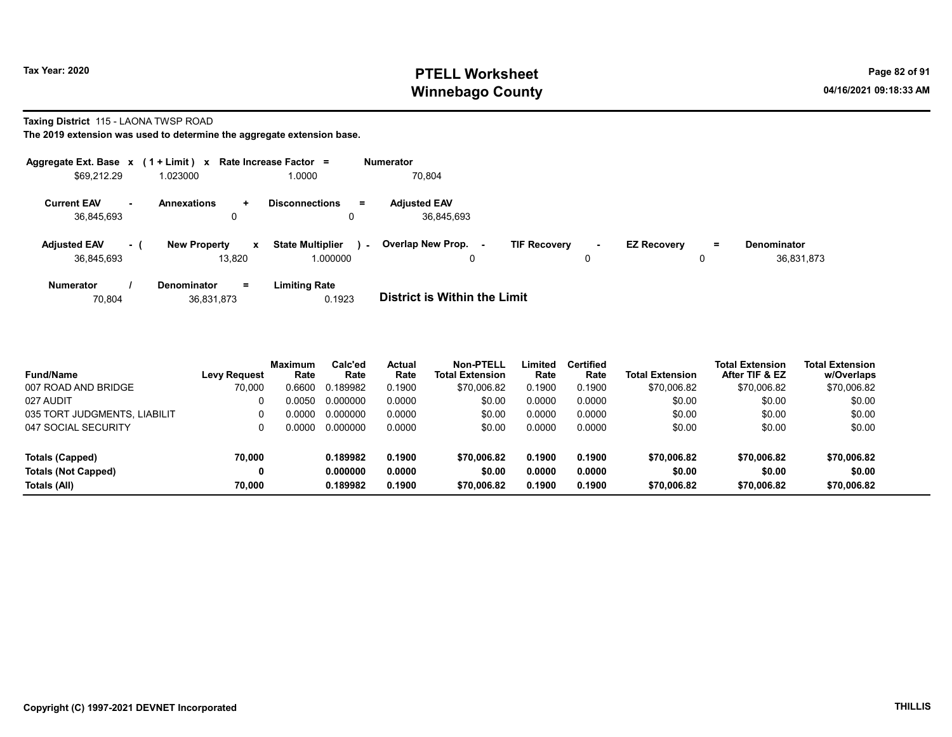#### Taxing District 115 - LAONA TWSP ROAD

| Aggregate Ext. Base $x$ (1 + Limit) $x$ Rate Increase Factor = |           |                               |              |                                     |        | <b>Numerator</b>                  |                     |             |                    |    |                                  |
|----------------------------------------------------------------|-----------|-------------------------------|--------------|-------------------------------------|--------|-----------------------------------|---------------------|-------------|--------------------|----|----------------------------------|
| \$69,212.29                                                    |           | 1.023000                      |              | 1.0000                              |        | 70,804                            |                     |             |                    |    |                                  |
| <b>Current EAV</b><br>36,845,693                               | <b>м.</b> | <b>Annexations</b><br>0       | $\pm$        | <b>Disconnections</b><br>0          | Ξ.     | <b>Adjusted EAV</b><br>36,845,693 |                     |             |                    |    |                                  |
| <b>Adjusted EAV</b><br>36.845.693                              | $\sim$ 1  | <b>New Property</b><br>13.820 | $\mathbf{x}$ | <b>State Multiplier</b><br>1.000000 | $\sim$ | Overlap New Prop.<br>٠.<br>0      | <b>TIF Recovery</b> | $\sim$<br>0 | <b>EZ Recovery</b> | Ξ. | <b>Denominator</b><br>36.831.873 |
| <b>Numerator</b>                                               |           | <b>Denominator</b>            | $=$          | <b>Limiting Rate</b>                |        | _ _ _ _ _ _ _ _ _ _ _ _ _ _ _ _   |                     |             |                    |    |                                  |

| 70.804 | 36,831,873 | 0.1923 | <b>District is Within the Limit</b> |
|--------|------------|--------|-------------------------------------|

| <b>Fund/Name</b>             | <b>Levy Request</b> | <b>Maximum</b><br>Rate | Calc'ed<br>Rate | <b>Actual</b><br>Rate | <b>Non-PTELL</b><br><b>Total Extension</b> | Limited<br>Rate | <b>Certified</b><br>Rate | <b>Total Extension</b> | <b>Total Extension</b><br>After TIF & EZ | <b>Total Extension</b><br>w/Overlaps |
|------------------------------|---------------------|------------------------|-----------------|-----------------------|--------------------------------------------|-----------------|--------------------------|------------------------|------------------------------------------|--------------------------------------|
| 007 ROAD AND BRIDGE          | 70,000              | 0.6600                 | 0.189982        | 0.1900                | \$70,006.82                                | 0.1900          | 0.1900                   | \$70,006.82            | \$70,006.82                              | \$70,006.82                          |
| 027 AUDIT                    |                     | ი იი5ი                 | 0.000000        | 0.0000                | \$0.00                                     | 0.0000          | 0.0000                   | \$0.00                 | \$0.00                                   | \$0.00                               |
| 035 TORT JUDGMENTS, LIABILIT |                     | ი იიიი                 | 0.000000        | 0.0000                | \$0.00                                     | 0.0000          | 0.0000                   | \$0.00                 | \$0.00                                   | \$0.00                               |
| 047 SOCIAL SECURITY          |                     | ი იიიი                 | 0.000000        | 0.0000                | \$0.00                                     | 0.0000          | 0.0000                   | \$0.00                 | \$0.00                                   | \$0.00                               |
| Totals (Capped)              | 70.000              |                        | 0.189982        | 0.1900                | \$70,006.82                                | 0.1900          | 0.1900                   | \$70,006.82            | \$70,006.82                              | \$70,006.82                          |
| <b>Totals (Not Capped)</b>   | 0                   |                        | 0.000000        | 0.0000                | \$0.00                                     | 0.0000          | 0.0000                   | \$0.00                 | \$0.00                                   | \$0.00                               |
| Totals (All)                 | 70.000              |                        | 0.189982        | 0.1900                | \$70,006.82                                | 0.1900          | 0.1900                   | \$70,006.82            | \$70,006.82                              | \$70,006.82                          |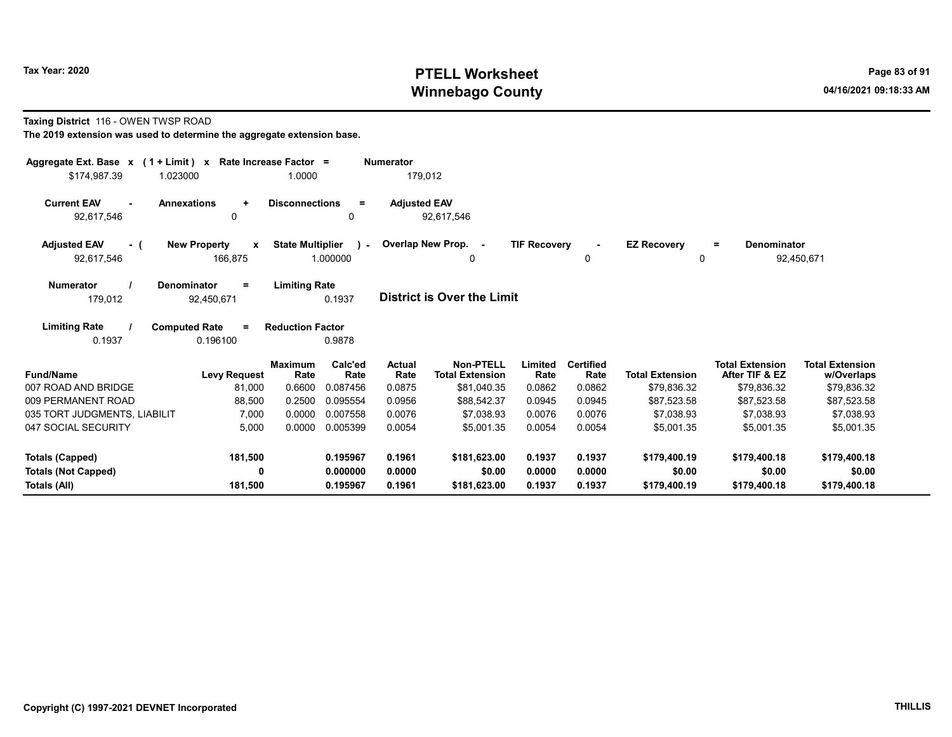### Taxing District 116 - OWEN TWSP ROAD

| Aggregate Ext. Base x (1 + Limit) x Rate Increase Factor = |                                     |                         |                 | <b>Numerator</b>      |                                     |                     |                          |                        |                                          |                                      |
|------------------------------------------------------------|-------------------------------------|-------------------------|-----------------|-----------------------|-------------------------------------|---------------------|--------------------------|------------------------|------------------------------------------|--------------------------------------|
| \$174,987.39                                               | 1.023000                            | 1.0000                  |                 | 179,012               |                                     |                     |                          |                        |                                          |                                      |
| <b>Current EAV</b>                                         | <b>Annexations</b><br>$\ddot{}$     | <b>Disconnections</b>   | $\equiv$        | <b>Adjusted EAV</b>   |                                     |                     |                          |                        |                                          |                                      |
| 92,617,546                                                 | 0                                   |                         | 0               |                       | 92,617,546                          |                     |                          |                        |                                          |                                      |
| <b>Adjusted EAV</b><br>- (                                 | <b>New Property</b><br>$\mathbf{x}$ | <b>State Multiplier</b> | $\lambda$       |                       | Overlap New Prop. -                 | <b>TIF Recovery</b> |                          | <b>EZ Recovery</b>     | <b>Denominator</b><br>$=$                |                                      |
| 92,617,546                                                 | 166,875                             |                         | 1.000000        |                       | 0                                   |                     | 0                        |                        | $\Omega$                                 | 92,450,671                           |
| <b>Numerator</b>                                           | <b>Denominator</b><br>$=$           | <b>Limiting Rate</b>    |                 |                       |                                     |                     |                          |                        |                                          |                                      |
| 179,012                                                    | 92,450,671                          |                         | 0.1937          |                       | <b>District is Over the Limit</b>   |                     |                          |                        |                                          |                                      |
| <b>Limiting Rate</b>                                       | <b>Computed Rate</b><br>$\equiv$    | <b>Reduction Factor</b> |                 |                       |                                     |                     |                          |                        |                                          |                                      |
| 0.1937                                                     | 0.196100                            |                         | 0.9878          |                       |                                     |                     |                          |                        |                                          |                                      |
| <b>Fund/Name</b>                                           | <b>Levy Request</b>                 | <b>Maximum</b><br>Rate  | Calc'ed<br>Rate | <b>Actual</b><br>Rate | Non-PTELL<br><b>Total Extension</b> | Limited<br>Rate     | <b>Certified</b><br>Rate | <b>Total Extension</b> | <b>Total Extension</b><br>After TIF & EZ | <b>Total Extension</b><br>w/Overlaps |
| 007 ROAD AND BRIDGE                                        | 81,000                              | 0.6600                  | 0.087456        | 0.0875                | \$81,040.35                         | 0.0862              | 0.0862                   | \$79,836.32            | \$79,836.32                              | \$79,836.32                          |
| 009 PERMANENT ROAD                                         | 88,500                              | 0.2500                  | 0.095554        | 0.0956                | \$88,542.37                         | 0.0945              | 0.0945                   | \$87,523.58            | \$87,523.58                              | \$87,523.58                          |
| 035 TORT JUDGMENTS, LIABILIT                               | 7,000                               | 0.0000                  | 0.007558        | 0.0076                | \$7.038.93                          | 0.0076              | 0.0076                   | \$7.038.93             | \$7,038.93                               | \$7,038.93                           |
| 047 SOCIAL SECURITY                                        | 5,000                               | 0.0000                  | 0.005399        | 0.0054                | \$5,001.35                          | 0.0054              | 0.0054                   | \$5,001.35             | \$5,001.35                               | \$5,001.35                           |
| <b>Totals (Capped)</b>                                     | 181,500                             |                         | 0.195967        | 0.1961                | \$181,623.00                        | 0.1937              | 0.1937                   | \$179,400.19           | \$179,400.18                             | \$179,400.18                         |
| <b>Totals (Not Capped)</b>                                 | 0                                   |                         | 0.000000        | 0.0000                | \$0.00                              | 0.0000              | 0.0000                   | \$0.00                 | \$0.00                                   | \$0.00                               |
| Totals (All)                                               | 181,500                             |                         | 0.195967        | 0.1961                | \$181,623.00                        | 0.1937              | 0.1937                   | \$179,400.19           | \$179,400.18                             | \$179,400.18                         |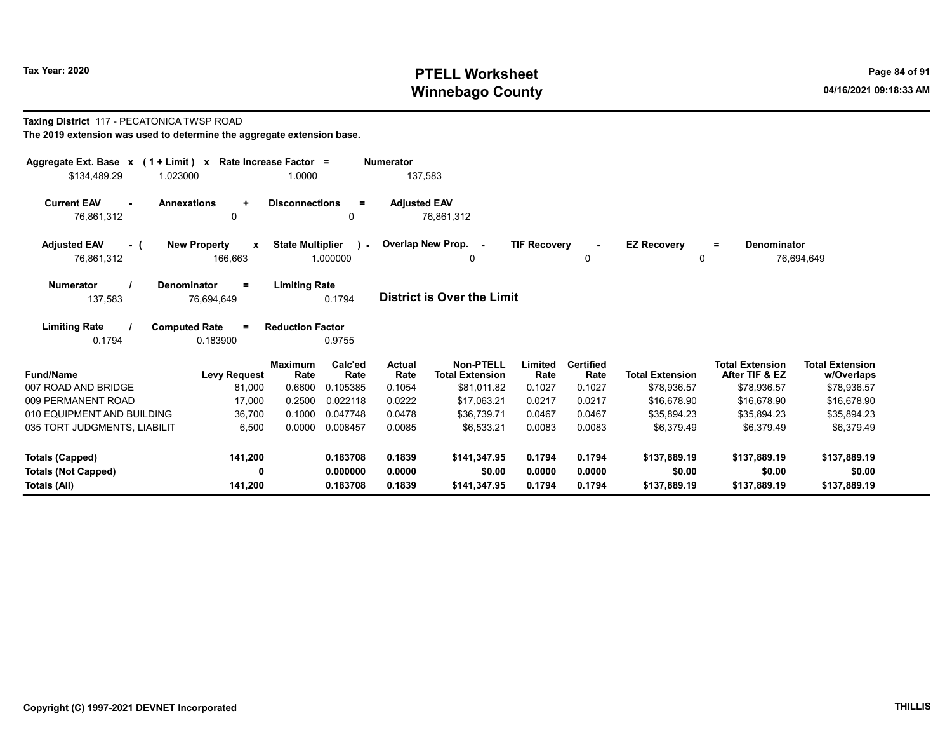#### Taxing District 117 - PECATONICA TWSP ROAD The 2019 extension was used to determine the aggregate extension base.

| Aggregate Ext. Base $x$ (1 + Limit) $x$<br>\$134.489.29<br>1.023000 | Rate Increase Factor =                | 1.0000                                              | <b>Numerator</b><br>137,583 |                                     |                     |                          |                         |                                          |                                      |
|---------------------------------------------------------------------|---------------------------------------|-----------------------------------------------------|-----------------------------|-------------------------------------|---------------------|--------------------------|-------------------------|------------------------------------------|--------------------------------------|
| <b>Current EAV</b><br><b>Annexations</b><br>76.861.312              | $\ddot{}$<br>0                        | <b>Disconnections</b><br>Ξ<br>0                     | <b>Adjusted EAV</b>         | 76.861.312                          |                     |                          |                         |                                          |                                      |
| <b>Adjusted EAV</b><br>- 1<br>76,861,312                            | <b>New Property</b><br>X<br>166,663   | <b>State Multiplier</b><br>$\mathbf{r}$<br>1.000000 |                             | Overlap New Prop. -<br>0            | <b>TIF Recovery</b> | 0                        | <b>EZ Recovery</b><br>0 | <b>Denominator</b><br>$=$                | 76,694,649                           |
| <b>Numerator</b><br><b>Denominator</b><br>137,583                   | $\equiv$<br>76,694,649                | <b>Limiting Rate</b><br>0.1794                      |                             | <b>District is Over the Limit</b>   |                     |                          |                         |                                          |                                      |
| <b>Limiting Rate</b><br><b>Computed Rate</b><br>0.1794              | $=$<br>0.183900                       | <b>Reduction Factor</b><br>0.9755                   |                             |                                     |                     |                          |                         |                                          |                                      |
| <b>Fund/Name</b>                                                    | <b>Maximum</b><br><b>Levy Request</b> | Calc'ed<br>Rate<br>Rate                             | Actual<br>Rate              | Non-PTELL<br><b>Total Extension</b> | Limited<br>Rate     | <b>Certified</b><br>Rate | <b>Total Extension</b>  | <b>Total Extension</b><br>After TIF & EZ | <b>Total Extension</b><br>w/Overlaps |
| 007 ROAD AND BRIDGE                                                 | 0.6600<br>81,000                      | 0.105385                                            | 0.1054                      | \$81,011.82                         | 0.1027              | 0.1027                   | \$78,936.57             | \$78,936.57                              | \$78,936.57                          |
| 009 PERMANENT ROAD                                                  | 0.2500<br>17,000                      | 0.022118                                            | 0.0222                      | \$17.063.21                         | 0.0217              | 0.0217                   | \$16,678.90             | \$16,678.90                              | \$16,678.90                          |
| 010 EQUIPMENT AND BUILDING                                          | 0.1000<br>36,700                      | 0.047748                                            | 0.0478                      | \$36,739.71                         | 0.0467              | 0.0467                   | \$35.894.23             | \$35,894.23                              | \$35,894.23                          |
| 035 TORT JUDGMENTS, LIABILIT                                        | 6,500<br>0.0000                       | 0.008457                                            | 0.0085                      | \$6.533.21                          | 0.0083              | 0.0083                   | \$6.379.49              | \$6.379.49                               | \$6.379.49                           |
| <b>Totals (Capped)</b>                                              | 141,200                               | 0.183708                                            | 0.1839                      | \$141,347.95                        | 0.1794              | 0.1794                   | \$137,889.19            | \$137.889.19                             | \$137,889.19                         |
| <b>Totals (Not Capped)</b>                                          | 0                                     | 0.000000                                            | 0.0000                      | \$0.00                              | 0.0000              | 0.0000                   | \$0.00                  | \$0.00                                   | \$0.00                               |
| <b>Totals (All)</b>                                                 | 141,200                               | 0.183708                                            | 0.1839                      | \$141,347.95                        | 0.1794              | 0.1794                   | \$137,889.19            | \$137,889.19                             | \$137,889.19                         |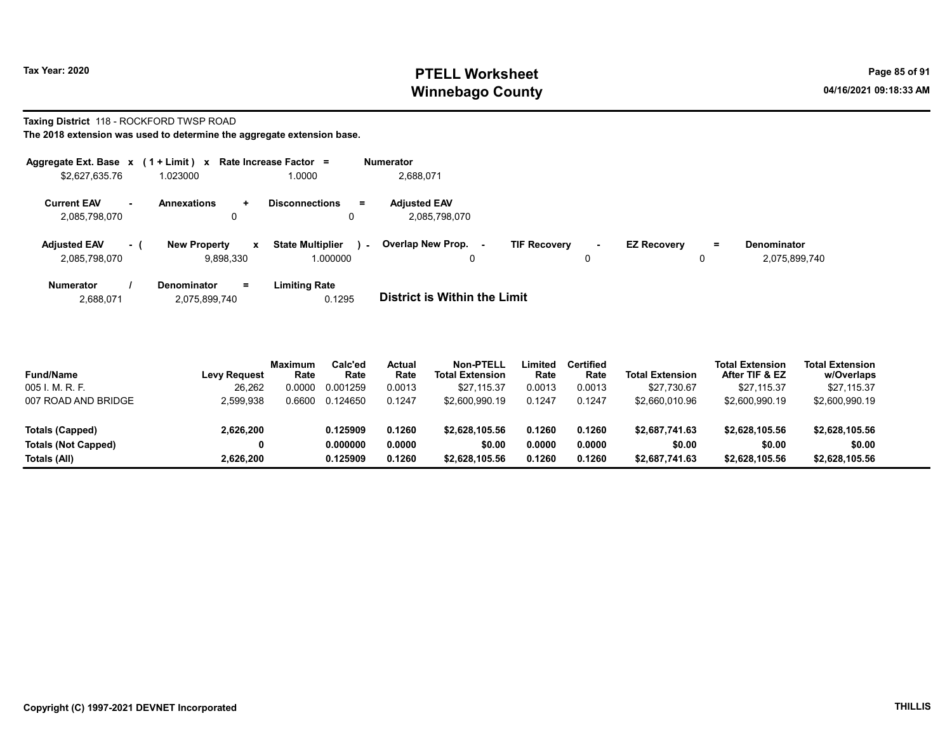# Taxing District 118 - ROCKFORD TWSP ROAD

The 2018 extension was used to determine the aggregate extension base.

| Aggregate Ext. Base $x$ (1 + Limit) $x$ |        |                                                  | Rate Increase Factor $=$                          | <b>Numerator</b>                     |                           |                    |          |                                     |
|-----------------------------------------|--------|--------------------------------------------------|---------------------------------------------------|--------------------------------------|---------------------------|--------------------|----------|-------------------------------------|
| \$2,627,635.76                          |        | 1.023000                                         | 1.0000                                            | 2,688,071                            |                           |                    |          |                                     |
| <b>Current EAV</b><br>2,085,798,070     | $\sim$ | <b>Annexations</b><br>÷.<br>0                    | <b>Disconnections</b><br>$=$<br>0                 | <b>Adjusted EAV</b><br>2.085.798.070 |                           |                    |          |                                     |
| <b>Adjusted EAV</b><br>2,085,798,070    | - 1    | <b>New Property</b><br>$\mathbf{x}$<br>9,898,330 | <b>State Multiplier</b><br>$\sim$ $-$<br>1.000000 | Overlap New Prop. -<br>0             | <b>TIF Recovery</b><br>۰. | <b>EZ Recovery</b> | $=$<br>U | <b>Denominator</b><br>2,075,899,740 |
| <b>Numerator</b>                        |        | <b>Denominator</b><br>Ξ.                         | Limiting Rate                                     |                                      |                           |                    |          |                                     |

2,688,071 2,075,899,740 0.1295 District is Within the Limit

| <b>Fund/Name</b>           | <b>Levy Request</b> | <b>Maximum</b><br>Rate | Calc'ed<br>Rate | Actual<br>Rate | Non-PTELL<br><b>Total Extension</b> | ∟imited<br>Rate | <b>Certified</b><br>Rate | <b>Total Extension</b> | <b>Total Extension</b><br>After TIF & EZ | <b>Total Extension</b><br>w/Overlaps |  |
|----------------------------|---------------------|------------------------|-----------------|----------------|-------------------------------------|-----------------|--------------------------|------------------------|------------------------------------------|--------------------------------------|--|
| 005 I. M. R. F.            | 26,262              | .0000                  | 0.001259        | 0.0013         | \$27.115.37                         | 0.0013          | 0.0013                   | \$27,730.67            | \$27.115.37                              | \$27,115.37                          |  |
| 007 ROAD AND BRIDGE        | 2,599,938           | .6600                  | 0.124650        | 0.1247         | \$2,600.990.19                      | 0.1247          | 0.1247                   | \$2,660,010.96         | \$2,600,990.19                           | \$2,600,990.19                       |  |
| Totals (Capped)            | 2,626,200           |                        | 0.125909        | 0.1260         | \$2,628,105.56                      | 0.1260          | 0.1260                   | \$2,687,741.63         | \$2.628.105.56                           | \$2,628,105.56                       |  |
| <b>Totals (Not Capped)</b> | 0                   |                        | 0.000000        | 0.0000         | \$0.00                              | 0.0000          | 0.0000                   | \$0.00                 | \$0.00                                   | \$0.00                               |  |
| Totals (All)               | 2,626,200           |                        | 0.125909        | 0.1260         | \$2,628,105.56                      | 0.1260          | 0.1260                   | \$2,687,741.63         | \$2,628,105.56                           | \$2,628,105.56                       |  |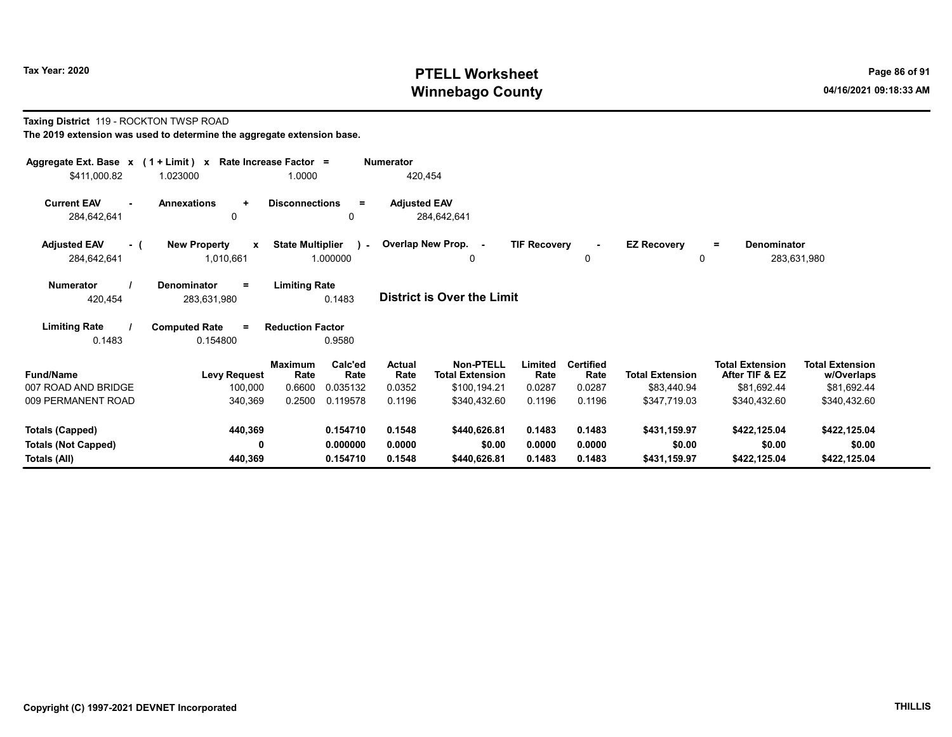### Taxing District 119 - ROCKTON TWSP ROAD The 2019 extension was used to determine the aggregate extension base.

| Aggregate Ext. Base $x$ (1 + Limit) $x$   |                                                  | Rate Increase Factor =              |                 | <b>Numerator</b>    |                                            |                     |                          |                                |                                          |                                      |  |
|-------------------------------------------|--------------------------------------------------|-------------------------------------|-----------------|---------------------|--------------------------------------------|---------------------|--------------------------|--------------------------------|------------------------------------------|--------------------------------------|--|
| \$411,000.82                              | 1.023000                                         | 1.0000                              |                 | 420,454             |                                            |                     |                          |                                |                                          |                                      |  |
| <b>Current EAV</b><br>284,642,641         | <b>Annexations</b><br>$\ddot{}$<br>0             | <b>Disconnections</b>               | $=$<br>0        | <b>Adjusted EAV</b> | 284,642,641                                |                     |                          |                                |                                          |                                      |  |
| <b>Adjusted EAV</b><br>- (<br>284,642,641 | <b>New Property</b><br>$\mathbf{x}$<br>1,010,661 | <b>State Multiplier</b><br>1.000000 | $\mathbf{I}$    |                     | Overlap New Prop. -<br>$\Omega$            | <b>TIF Recovery</b> | $\blacksquare$<br>0      | <b>EZ Recovery</b><br>$\Omega$ | <b>Denominator</b><br>$=$                | 283,631,980                          |  |
| <b>Numerator</b><br>420,454               | <b>Denominator</b><br>Ξ.<br>283,631,980          | <b>Limiting Rate</b>                | 0.1483          |                     | District is Over the Limit                 |                     |                          |                                |                                          |                                      |  |
| <b>Limiting Rate</b><br>0.1483            | <b>Computed Rate</b><br>0.154800                 | <b>Reduction Factor</b>             | 0.9580          |                     |                                            |                     |                          |                                |                                          |                                      |  |
| <b>Fund/Name</b>                          | <b>Levy Request</b>                              | <b>Maximum</b><br>Rate              | Calc'ed<br>Rate | Actual<br>Rate      | <b>Non-PTELL</b><br><b>Total Extension</b> | Limited<br>Rate     | <b>Certified</b><br>Rate | <b>Total Extension</b>         | <b>Total Extension</b><br>After TIF & EZ | <b>Total Extension</b><br>w/Overlaps |  |
| 007 ROAD AND BRIDGE                       | 100,000                                          | 0.6600                              | 0.035132        | 0.0352              | \$100,194.21                               | 0.0287              | 0.0287                   | \$83,440.94                    | \$81,692.44                              | \$81,692.44                          |  |
| 009 PERMANENT ROAD                        | 340,369                                          | 0.2500                              | 0.119578        | 0.1196              | \$340,432.60                               | 0.1196              | 0.1196                   | \$347,719.03                   | \$340,432.60                             | \$340,432.60                         |  |
| <b>Totals (Capped)</b>                    | 440,369                                          |                                     | 0.154710        | 0.1548              | \$440,626.81                               | 0.1483              | 0.1483                   | \$431,159.97                   | \$422,125.04                             | \$422,125.04                         |  |
| <b>Totals (Not Capped)</b>                | 0                                                |                                     | 0.000000        | 0.0000              | \$0.00                                     | 0.0000              | 0.0000                   | \$0.00                         | \$0.00                                   | \$0.00                               |  |
| Totals (All)                              | 440,369                                          |                                     | 0.154710        | 0.1548              | \$440,626.81                               | 0.1483              | 0.1483                   | \$431,159.97                   | \$422,125.04                             | \$422,125.04                         |  |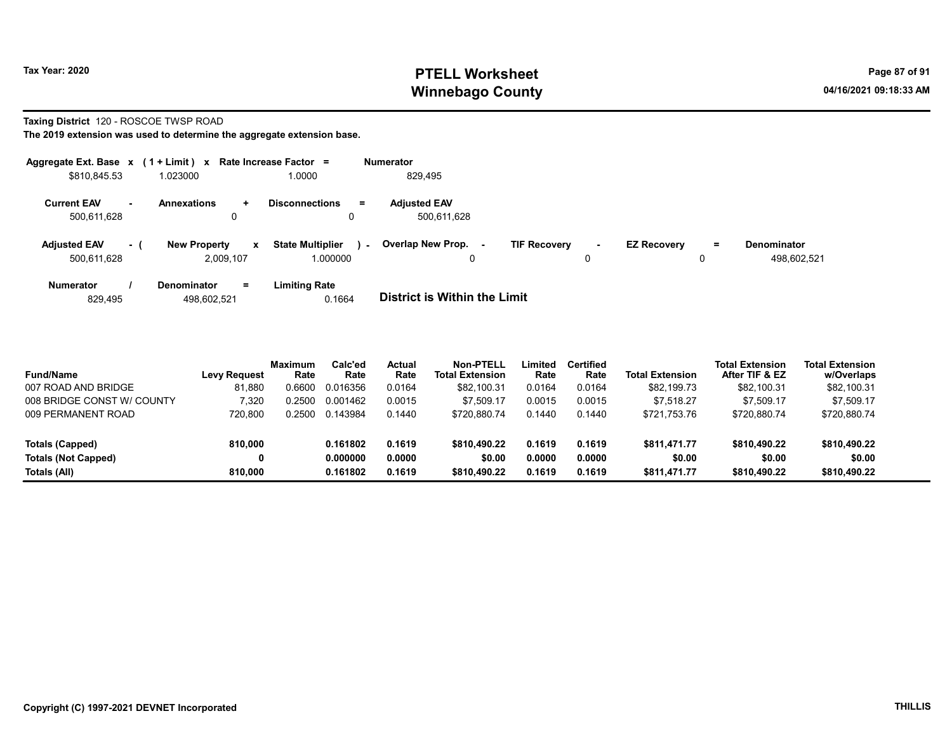### Taxing District 120 - ROSCOE TWSP ROAD

| Aggregate Ext. Base $x$ (1 + Limit) $x$ |     |                                                  | Rate Increase Factor =                        | <b>Numerator</b>                                                                                                                   |
|-----------------------------------------|-----|--------------------------------------------------|-----------------------------------------------|------------------------------------------------------------------------------------------------------------------------------------|
| \$810,845.53                            |     | 1.023000                                         | 1.0000                                        | 829,495                                                                                                                            |
| <b>Current EAV</b><br>500.611.628       | н.  | <b>Annexations</b><br>$\pm$<br>0                 | <b>Disconnections</b><br>$=$<br>0             | <b>Adjusted EAV</b><br>500.611.628                                                                                                 |
| <b>Adjusted EAV</b><br>500.611.628      | - 1 | <b>New Property</b><br>$\mathbf{x}$<br>2.009.107 | <b>State Multiplier</b><br>$\sim$<br>1.000000 | Overlap New Prop.<br><b>TIF Recovery</b><br><b>EZ Recovery</b><br>Denominator<br>$=$<br>$\sim$<br>۰.<br>498.602.521<br>0<br>0<br>0 |
| <b>Numerator</b><br>829,495             |     | $=$<br><b>Denominator</b><br>498.602.521         | <b>Limiting Rate</b><br>0.1664                | <b>District is Within the Limit</b>                                                                                                |

| <b>Fund/Name</b>           | <b>Levy Request</b> | Maximum<br>Rate | Calc'ed<br>Rate | Actual<br>Rate | Non-PTELL<br><b>Total Extension</b> | Limited<br>Rate | Certified<br>Rate | <b>Total Extension</b> | <b>Total Extension</b><br>After TIF & EZ | <b>Total Extension</b><br>w/Overlaps |
|----------------------------|---------------------|-----------------|-----------------|----------------|-------------------------------------|-----------------|-------------------|------------------------|------------------------------------------|--------------------------------------|
| 007 ROAD AND BRIDGE        | 81.880              | 0.6600          | 0.016356        | 0.0164         | \$82,100.31                         | 0.0164          | 0.0164            | \$82,199.73            | \$82,100.31                              | \$82,100.31                          |
| 008 BRIDGE CONST W/ COUNTY | 320.'               | 0.2500          | 0.001462        | 0.0015         | \$7.509.17                          | 0.0015          | 0.0015            | \$7.518.27             | \$7.509.17                               | \$7.509.17                           |
| 009 PERMANENT ROAD         | 720.800             | 0.2500          | 0.143984        | 0.1440         | \$720.880.74                        | 0.1440          | 0.1440            | \$721.753.76           | \$720.880.74                             | \$720,880.74                         |
| <b>Totals (Capped)</b>     | 810.000             |                 | 0.161802        | 0.1619         | \$810,490.22                        | 0.1619          | 0.1619            | \$811.471.77           | \$810,490.22                             | \$810,490.22                         |
| <b>Totals (Not Capped)</b> |                     |                 | 0.000000        | 0.0000         | \$0.00                              | 0.0000          | 0.0000            | \$0.00                 | \$0.00                                   | \$0.00                               |
| Totals (All)               | 810.000             |                 | 0.161802        | 0.1619         | \$810,490.22                        | 0.1619          | 0.1619            | \$811.471.77           | \$810,490.22                             | \$810,490.22                         |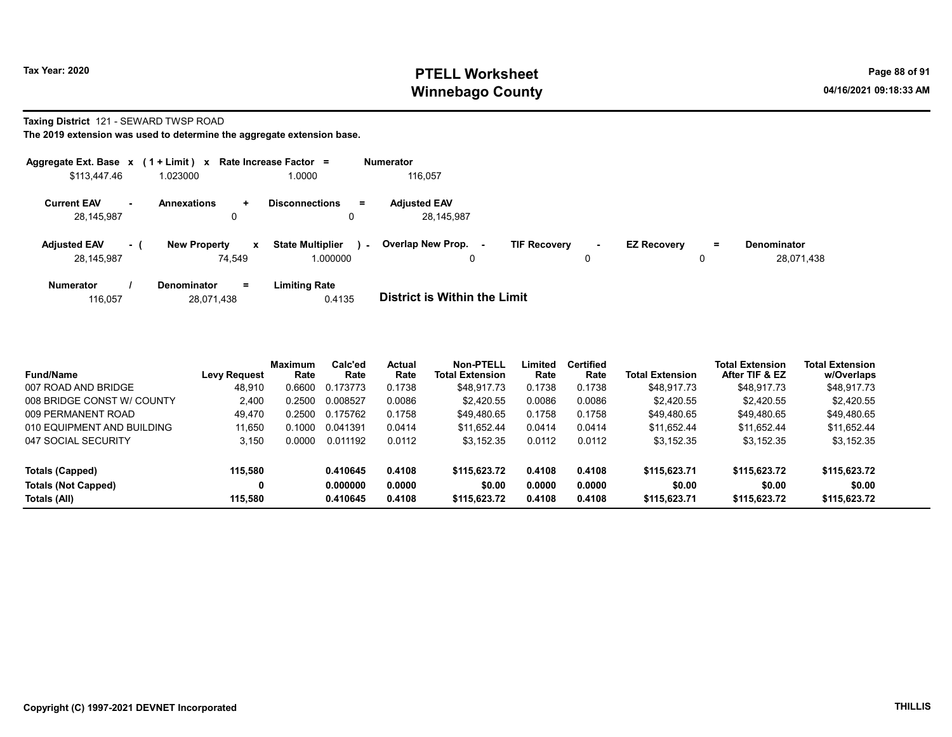### Taxing District 121 - SEWARD TWSP ROAD

|                                   |     | Aggregate Ext. Base x (1 + Limit) x Rate Increase Factor = |                                     |        | <b>Numerator</b>                         |                     |        |                    |    |                                  |
|-----------------------------------|-----|------------------------------------------------------------|-------------------------------------|--------|------------------------------------------|---------------------|--------|--------------------|----|----------------------------------|
| \$113,447.46                      |     | 1.023000                                                   | 0000.1                              |        | 116.057                                  |                     |        |                    |    |                                  |
| <b>Current EAV</b><br>28.145.987  |     | <b>Annexations</b><br>$\ddot{}$<br>0                       | <b>Disconnections</b><br>0          | Ξ.     | <b>Adjusted EAV</b><br>28.145.987        |                     |        |                    |    |                                  |
| <b>Adjusted EAV</b><br>28,145,987 | - 1 | <b>New Property</b><br>x<br>74.549                         | <b>State Multiplier</b><br>1.000000 | $\sim$ | Overlap New Prop.<br>$\blacksquare$<br>0 | <b>TIF Recovery</b> | $\sim$ | <b>EZ Recovery</b> | Ξ. | <b>Denominator</b><br>28,071,438 |
| <b>Numerator</b>                  |     | $=$<br><b>Denominator</b>                                  | <b>Limiting Rate</b>                |        | _______________________                  |                     |        |                    |    |                                  |

| 28.071.438<br>116.057 | 0.4135 | District is Within the Limit |
|-----------------------|--------|------------------------------|
|-----------------------|--------|------------------------------|

| <b>Fund/Name</b>           | <b>Levy Request</b> | <b>Maximum</b><br>Rate | Calc'ed<br>Rate | Actual<br>Rate | Non-PTELL<br><b>Total Extension</b> | Limited<br>Rate | <b>Certified</b><br>Rate | Total Extension | <b>Total Extension</b><br>After TIF & EZ | <b>Total Extension</b><br>w/Overlaps |  |
|----------------------------|---------------------|------------------------|-----------------|----------------|-------------------------------------|-----------------|--------------------------|-----------------|------------------------------------------|--------------------------------------|--|
| 007 ROAD AND BRIDGE        | 48.910              | 0.6600                 | 0.173773        | 0.1738         | \$48.917.73                         | 0.1738          | 0.1738                   | \$48.917.73     | \$48.917.73                              | \$48,917.73                          |  |
| 008 BRIDGE CONST W/ COUNTY | 2.400               | 0.2500                 | 0.008527        | 0.0086         | \$2,420.55                          | 0.0086          | 0.0086                   | \$2.420.55      | \$2,420.55                               | \$2.420.55                           |  |
| 009 PERMANENT ROAD         | 49.470              | 0.2500                 | 0.175762        | 0.1758         | \$49.480.65                         | 0.1758          | 0.1758                   | \$49.480.65     | \$49.480.65                              | \$49,480.65                          |  |
| 010 EQUIPMENT AND BUILDING | 11.650              | 0.1000                 | 0.041391        | 0.0414         | \$11.652.44                         | 0.0414          | 0.0414                   | \$11.652.44     | \$11.652.44                              | \$11,652.44                          |  |
| 047 SOCIAL SECURITY        | 3.150               | 0.0000                 | 0.011192        | 0.0112         | \$3,152.35                          | 0.0112          | 0.0112                   | \$3,152.35      | \$3,152.35                               | \$3,152.35                           |  |
| Totals (Capped)            | 115,580             |                        | 0.410645        | 0.4108         | \$115,623.72                        | 0.4108          | 0.4108                   | \$115,623.71    | \$115,623.72                             | \$115,623.72                         |  |
| <b>Totals (Not Capped)</b> | 0                   |                        | 0.000000        | 0.0000         | \$0.00                              | 0.0000          | 0.0000                   | \$0.00          | \$0.00                                   | \$0.00                               |  |
| Totals (All)               | 115,580             |                        | 0.410645        | 0.4108         | \$115,623.72                        | 0.4108          | 0.4108                   | \$115,623.71    | \$115,623.72                             | \$115,623.72                         |  |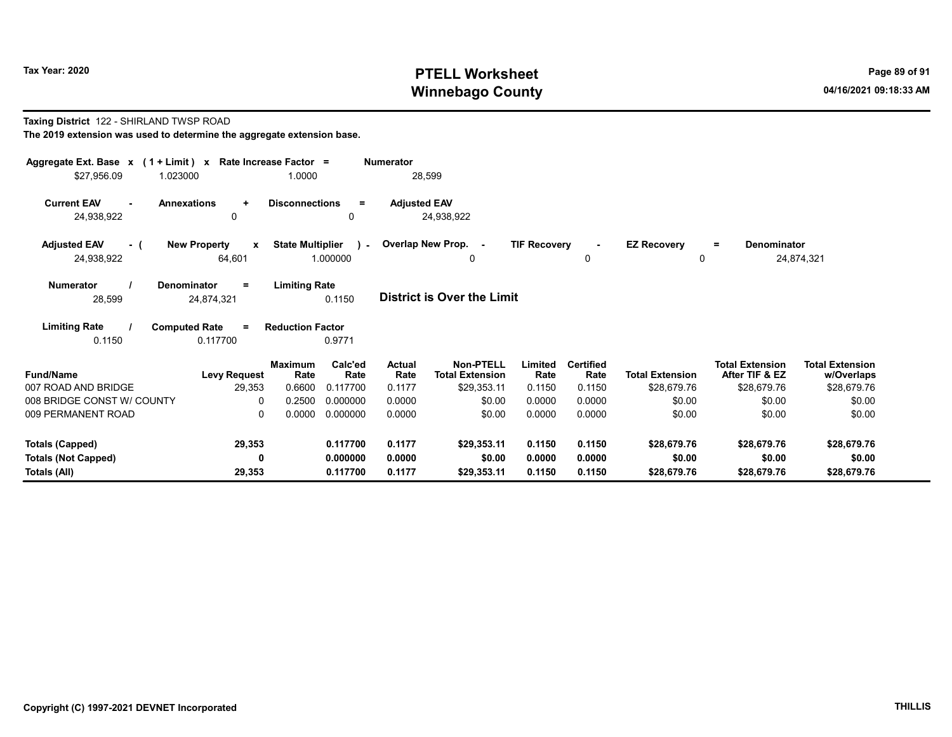#### Taxing District 122 - SHIRLAND TWSP ROAD The 2019 extension was used to determine the aggregate extension base.

| Aggregate Ext. Base $x$ (1 + Limit) $x$<br>\$27,956.09 | Rate Increase Factor =<br>1.023000            | 1.0000                           |                             | <b>Numerator</b><br>28,599 |                                     |                     |                          |                         |                                          |                                      |
|--------------------------------------------------------|-----------------------------------------------|----------------------------------|-----------------------------|----------------------------|-------------------------------------|---------------------|--------------------------|-------------------------|------------------------------------------|--------------------------------------|
| <b>Current EAV</b><br>24,938,922                       | <b>Annexations</b><br>$\ddot{}$<br>0          | <b>Disconnections</b>            | $\equiv$<br>0               | <b>Adjusted EAV</b>        | 24,938,922                          |                     |                          |                         |                                          |                                      |
| <b>Adjusted EAV</b><br>- (<br>24,938,922               | <b>New Property</b><br>$\mathbf{x}$<br>64,601 | <b>State Multiplier</b>          | $\sim$<br>1.000000          |                            | Overlap New Prop. -<br>0            | <b>TIF Recovery</b> | 0                        | <b>EZ Recovery</b><br>0 | <b>Denominator</b><br>$\equiv$           | 24,874,321                           |
| <b>Numerator</b><br>28,599                             | <b>Denominator</b><br>$=$<br>24,874,321       | <b>Limiting Rate</b>             | 0.1150                      |                            | <b>District is Over the Limit</b>   |                     |                          |                         |                                          |                                      |
| <b>Limiting Rate</b><br>0.1150                         | <b>Computed Rate</b><br>$=$<br>0.117700       | <b>Reduction Factor</b>          | 0.9771                      |                            |                                     |                     |                          |                         |                                          |                                      |
| <b>Fund/Name</b><br>007 ROAD AND BRIDGE                | <b>Levy Request</b>                           | <b>Maximum</b><br>Rate<br>0.6600 | Calc'ed<br>Rate<br>0.117700 | Actual<br>Rate<br>0.1177   | Non-PTELL<br><b>Total Extension</b> | Limited<br>Rate     | <b>Certified</b><br>Rate | <b>Total Extension</b>  | <b>Total Extension</b><br>After TIF & EZ | <b>Total Extension</b><br>w/Overlaps |
| 008 BRIDGE CONST W/ COUNTY                             | 29,353<br>$\Omega$                            | 0.2500                           | 0.000000                    | 0.0000                     | \$29,353.11<br>\$0.00               | 0.1150<br>0.0000    | 0.1150<br>0.0000         | \$28,679.76<br>\$0.00   | \$28,679.76<br>\$0.00                    | \$28,679.76<br>\$0.00                |
| 009 PERMANENT ROAD                                     | 0                                             | 0.0000                           | 0.000000                    | 0.0000                     | \$0.00                              | 0.0000              | 0.0000                   | \$0.00                  | \$0.00                                   | \$0.00                               |
| Totals (Capped)                                        | 29,353                                        |                                  | 0.117700                    | 0.1177                     | \$29.353.11                         | 0.1150              | 0.1150                   | \$28,679.76             | \$28,679.76                              | \$28,679.76                          |
| <b>Totals (Not Capped)</b><br>Totals (All)             | 0<br>29,353                                   |                                  | 0.000000<br>0.117700        | 0.0000<br>0.1177           | \$0.00<br>\$29,353.11               | 0.0000<br>0.1150    | 0.0000<br>0.1150         | \$0.00<br>\$28,679.76   | \$0.00<br>\$28,679.76                    | \$0.00<br>\$28,679.76                |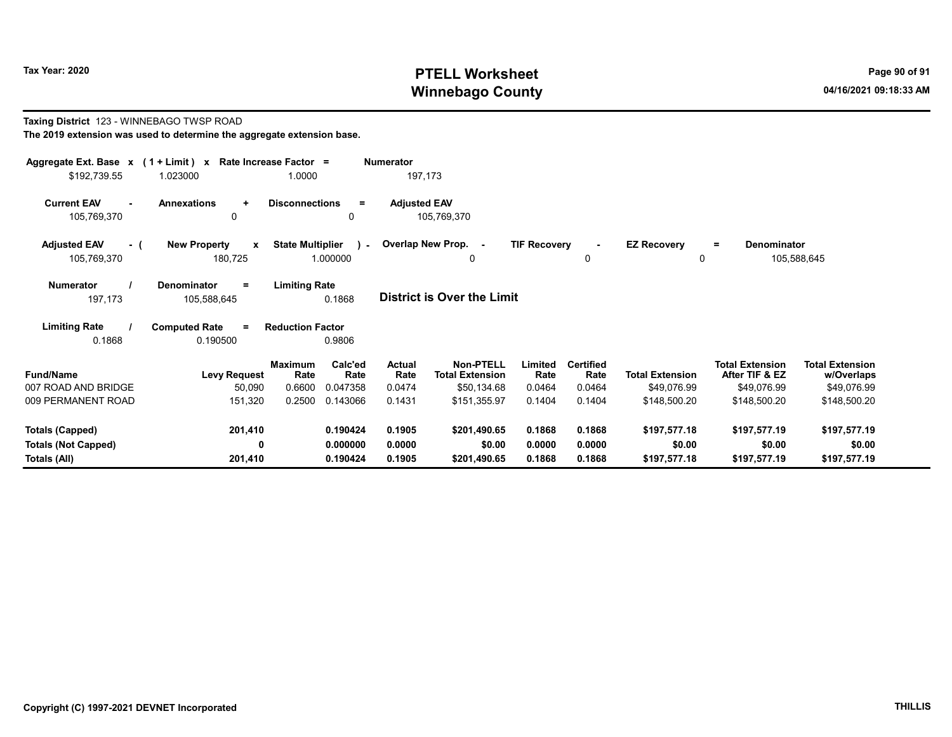Taxing District 123 - WINNEBAGO TWSP ROAD

# Tax Year: 2020 PTELL Worksheet Press, 2020 Page 90 of 91 Winnebago County and the county of the county of the county of the county of the county of the county of the county of the county of the county of the county of the county of the county of the county of the county of the c

w/Overlaps Total Extension

105,588,645

#### The 2019 extension was used to determine the aggregate extension base. Aggregate Ext. Base x ( 1 + Limit ) x Rate Increase Factor = Numerator \$192,739.55 1.023000 1.0000 197,173 Current EAV - Annexations + Disconnections = Adjusted EAV 105,769,370 0 0 105,769,370 Adjusted EAV - ( New Property x State Multiplier 105,769,370 180,725 1.000000 Numerator / Denominator = Limiting Rate District is Over the Limit Limiting Rate / Computed Rate = 197,173 105,588,645 0.1868 0.1868 0.190500 Reduction Factor 0.9806 Fund/Name Levy Request Rate Rate Total Extension Total Extension **Limited<br>Rate** After TIF & EZ Total Extension Maximum Calc'ed Actual<br>Rate Rate Rate **Rate** Calc'ed Rate Non-PTELL Limited Certified 007 ROAD AND BRIDGE 50,090 0.6600 0.047358 0.0474 \$50,134.68 0.0464 0.0464 \$49,076.99 \$49,076.99 \$49,076.99 009 PERMANENT ROAD 151,320 0.2500 0.143066 0.1431 \$151,355.97 0.1404 0.1404 \$148,500.20 \$148,500.20 \$148,500.20 0 Overlap New Prop. - TIF Recovery - EZ Recovery 0 0 = Denominator  $\cdot$

| $0001$ LINIARERI INDAD     | 10 JULU | v.∠∪v    | <b>V.ITVI</b> | $V1U1U2U1$   | <u>v. ITVT</u> | <b>0.1TUT</b> | $V = V - V$  | $V = V, V, V, V$ | $V = V - V$  |  |
|----------------------------|---------|----------|---------------|--------------|----------------|---------------|--------------|------------------|--------------|--|
| Totals (Capped)            | 201,410 | 0.190424 | 0.1905        | \$201.490.65 | 0.1868         | 0.1868        | \$197,577.18 | \$197.577.19     | \$197,577.19 |  |
| <b>Totals (Not Capped)</b> |         | 0.000000 | 0.0000        | \$0.00       | 0.0000         | 0.0000        | \$0.00       | \$0.00           | \$0.00       |  |
| Totals (All)               | 201.410 | 0.190424 | 0.1905        | \$201.490.65 | 0.1868         | 0.1868        | \$197,577.18 | \$197,577.19     | \$197,577.19 |  |